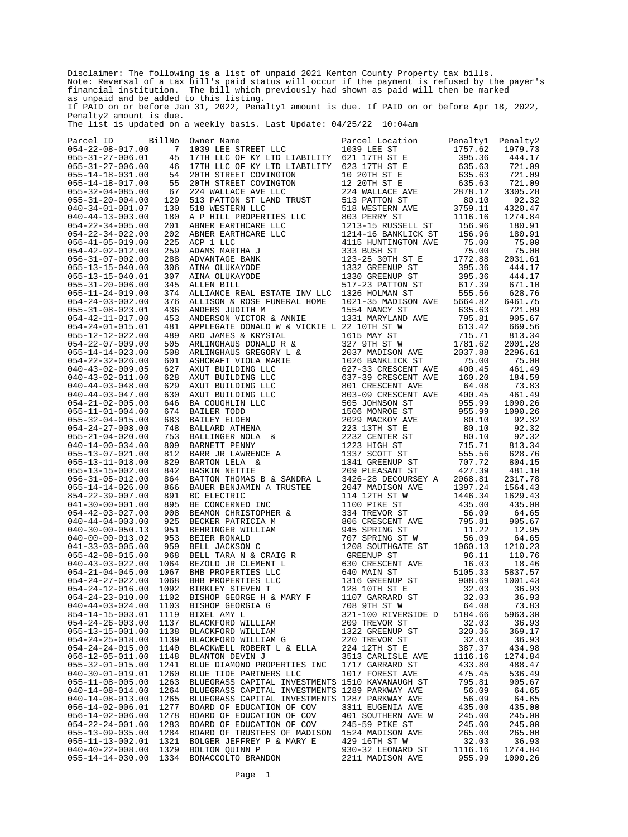Disclaimer: The following is a list of unpaid 2021 Kenton County Property tax bills. Note: Reversal of a tax bill's paid status will occur if the payment is refused by the payer's financial institution. The bill which previously had shown as paid will then be marked as unpaid and be added to this listing. If PAID on or before Jan 31, 2022, Penalty1 amount is due. If PAID on or before Apr 18, 2022, Penalty2 amount is due. The list is updated on a weekly basis. Last Update: 04/25/22 10:04am

Parcel ID BillNo Owner Name Parcel Location Penalty1 Penalty2 054-22-08-017.00 7 1039 LEE STREET LLC 1039 LEE ST 1757.62 1979.73 055-31-27-006.01 45 17TH LLC OF KY LTD LIABILITY 621 17TH ST E 395.36 444.17 055-31-27-006.00 46 17TH LLC OF KY LTD LIABILITY 623 17TH ST E 635.63 721.09 055-14-18-031.00 54 20TH STREET COVINGTON 10 20TH ST E 635.63 721.09 055-14-18-017.00 55 20TH STREET COVINGTON 12 20TH ST E 635.63 721.09 055-32-04-085.00 67 224 WALLACE AVE LLC 224 WALLACE AVE 2878.12 3305.28 055-31-20-004.00 129 513 PATTON ST LAND TRUST 513 PATTON ST 80.10 92.32 040-34-01-001.07 130 518 WESTERN LLC 518 WESTERN AVE 3759.11 4320.47 040-44-13-003.00 180 A P HILL PROPERTIES LLC 803 PERRY ST 1116.16 1274.84 054-22-34-005.00 201 ABNER EARTHCARE LLC 1213-15 RUSSELL ST 156.96 180.91 054-22-34-022.00 202 ABNER EARTHCARE LLC 1214-16 BANKLICK ST 156.96 180.91 056-41-05-019.00 225 ACP 1 LLC 4115 HUNTINGTON AVE 75.00 75.00 054-42-02-012.00 259 ADAMS MARTHA J 333 BUSH ST 75.00 75.00 056-31-07-002.00 288 ADVANTAGE BANK 123-25 30TH ST E 1772.88 2031.61 055-13-15-040.00 306 AINA OLUKAYODE 1332 GREENUP ST 395.36 444.17 055-13-15-040.01 307 AINA OLUKAYODE 1330 GREENUP ST 395.36 444.17 055-31-20-006.00 345 ALLEN BILL 517-23 PATTON ST 617.39 671.10 055-11-24-019.00 374 ALLIANCE REAL ESTATE INV LLC 1326 HOLMAN ST 555.56 628.76 054-24-03-002.00 376 ALLISON & ROSE FUNERAL HOME 1021-35 MADISON AVE 5664.82 6461.75 055-31-08-023.01 436 ANDERS JUDITH M 1554 NANCY ST 635.63 721.09 054-42-11-017.00 453 ANDERSON VICTOR & ANNIE 1331 MARYLAND AVE 795.81 905.67 054-24-01-015.01 481 APPLEGATE DONALD W & VICKIE L 22 10TH ST W 613.42 669.56 055-12-12-022.00 489 ARD JAMES & KRYSTAL 1615 MAY ST 715.71 813.34 054-22-07-009.00 505 ARLINGHAUS DONALD R & 327 9TH ST W 1781.62 2001.28 055-14-14-023.00 508 ARLINGHAUS GREGORY L & 2037 MADISON AVE 2037.88 2296.61 054-22-32-026.00 601 ASHCRAFT VIOLA MARIE 1026 BANKLICK ST 75.00 75.00 040-43-02-009.05 627 AXUT BUILDING LLC 627-33 CRESCENT AVE 400.45 461.49 040-43-02-011.00 628 AXUT BUILDING LLC 637-39 CRESCENT AVE 160.20 184.59 040-44-03-048.00 629 AXUT BUILDING LLC 801 CRESCENT AVE 64.08 73.83 040-44-03-047.00 630 AXUT BUILDING LLC 803-09 CRESCENT AVE 400.45 461.49 054-21-02-005.00 646 BA COUGHLIN LLC 505 JOHNSON ST 955.99 1090.26 055-11-01-004.00 674 BAILER TODD 1506 MONROE ST 955.99 1090.26 055-32-04-015.00 683 BAILEY ELDEN 2029 MACKOY AVE 80.10 92.32 054-24-27-008.00 748 BALLARD ATHENA 223 13TH ST E 80.10 92.32 055-21-04-020.00 753 BALLINGER NOLA & 2232 CENTER ST 80.10 92.32 040-14-00-034.00 809 BARNETT PENNY 1223 HIGH ST 715.71 813.34 055-13-07-021.00 812 BARR JR LAWRENCE A 1337 SCOTT ST 555.56 628.76 055-13-11-018.00 829 BARTON LELA & 1341 GREENUP ST 707.72 804.15 055-13-15-002.00 842 BASKIN NETTIE 209 PLEASANT ST 427.39 481.10 056-31-05-012.00 864 BATTON THOMAS B & SANDRA L 3426-28 DECOURSEY A 2068.81 2317.78 055-14-14-026.00 866 BAUER BENJAMIN A TRUSTEE 2047 MADISON AVE 1397.24 1564.43 854-22-39-007.00 891 BC ELECTRIC 114 12TH ST W 1446.34 1629.43 041-30-00-001.00 895 BE CONCERNED INC 1100 PIKE ST 435.00 435.00 054-42-03-027.00 908 BEAMON CHRISTOPHER & 334 TREVOR ST 56.09 64.65 040-44-04-003.00 925 BECKER PATRICIA M 806 CRESCENT AVE 795.81 905.67 040-30-00-050.13 951 BEHRINGER WILLIAM 945 SPRING ST 11.22 12.95 040-00-00-013.02 953 BEIER RONALD 707 SPRING ST W 56.09 64.65 041-33-03-005.00 959 BELL JACKSON C 1208 SOUTHGATE ST 1060.13 1210.23 055-42-08-015.00 968 BELL TARA N & CRAIG R GREENUP ST 96.11 110.76 040-43-03-022.00 1064 BEZOLD JR CLEMENT L 630 CRESCENT AVE 16.03 18.46 054-21-04-045.00 1067 BHB PROPERTIES LLC 640 MAIN ST 5105.33 5837.57 054-24-27-022.00 1068 BHB PROPERTIES LLC 1316 GREENUP ST 908.69 1001.43 054-24-12-016.00 1092 BIRKLEY STEVEN T 128 10TH ST E 32.03 36.93 054-24-23-010.00 1102 BISHOP GEORGE H & MARY F 1107 GARRARD ST 32.03 36.93 040-44-03-024.00 1103 BISHOP GEORGIA G 708 9TH ST W 64.08 73.83 854-14-15-003.01 1119 BIXEL AMY L 321-100 RIVERSIDE D 5184.66 5963.30 054-24-26-003.00 1137 BLACKFORD WILLIAM 209 TREVOR ST 32.03 36.93 055-13-15-001.00 1138 BLACKFORD WILLIAM 1322 GREENUP ST 320.36 369.17 054-24-25-018.00 1139 BLACKFORD WILLIAM G 220 TREVOR ST 32.03 36.93 054-24-24-015.00 1140 BLACKWELL ROBERT L & ELLA 224 12TH ST E 387.37 434.98 056-12-05-011.00 1148 BLANTON DEVIN J 3513 CARLISLE AVE 1116.16 1274.84 055-32-01-015.00 1241 BLUE DIAMOND PROPERTIES INC 1717 GARRARD ST 433.80 488.47 040-30-01-019.01 1260 BLUE TIDE PARTNERS LLC 1017 FOREST AVE 475.45 536.49 055-11-08-005.00 1263 BLUEGRASS CAPITAL INVESTMENTS 1510 KAVANAUGH ST 795.81 905.67 040-14-08-014.00 1264 BLUEGRASS CAPITAL INVESTMENTS 1289 PARKWAY AVE 56.09 64.65 040-14-08-013.00 1265 BLUEGRASS CAPITAL INVESTMENTS 1287 PARKWAY AVE 56.09 64.65 056-14-02-006.01 1277 BOARD OF EDUCATION OF COV 3311 EUGENIA AVE 435.00 435.00 056-14-02-006.00 1278 BOARD OF EDUCATION OF COV 401 SOUTHERN AVE W 245.00 245.00 054-22-24-001.00 1283 BOARD OF EDUCATION OF COV 245-59 PIKE ST 245.00 245.00 055-13-09-035.00 1284 BOARD OF TRUSTEES OF MADISON 1524 MADISON AVE 265.00 265.00 055-11-13-002.01 1321 BOLGER JEFFREY P & MARY E 429 16TH ST W 32.03 36.93 040-40-22-008.00 1329 BOLTON QUINN P 930-32 LEONARD ST 1116.16 1274.84 055-14-14-030.00 1334 BONACCOLTO BRANDON 2211 MADISON AVE 955.99 1090.26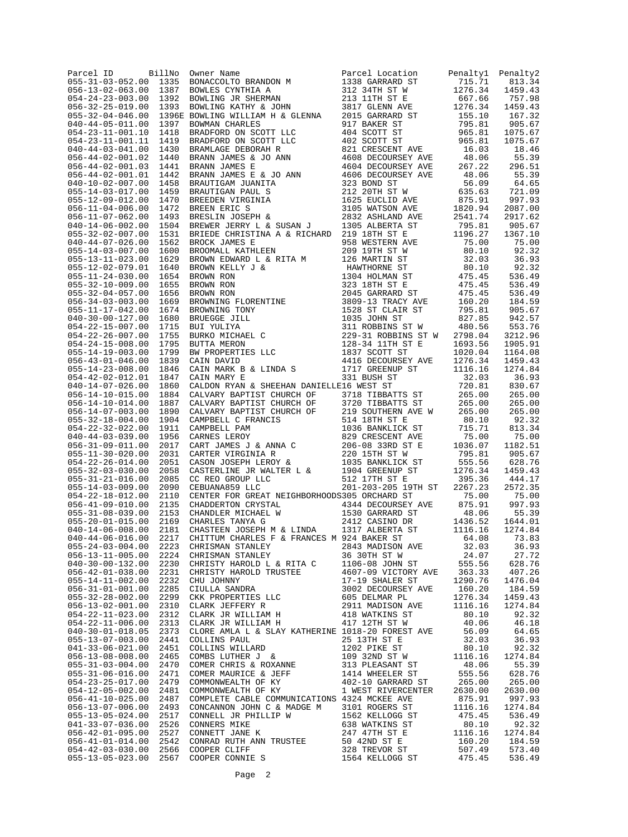| Parcel ID                                            | BillNo       | $[11No\quad We are Nameal EVALUATE\n1387 BONACCOLTO BRANDON M\n1388 BONACCOLTO BRANDON M\n1389  BONLCES CYNTHIA A\n1390 12010.100 131171 131 171 157 E\n1391 1301 171 157 E\n1392 13010.100 1317 171 157 E\n1393 150000 M\n1394 E DNNIMN C KTHY & JOHN\n1395 E DNNLMW CHAILEN H & GLENNA\n1$                                                                                                                                         |                                                                                                                                                         |                   | Penalty2           |
|------------------------------------------------------|--------------|--------------------------------------------------------------------------------------------------------------------------------------------------------------------------------------------------------------------------------------------------------------------------------------------------------------------------------------------------------------------------------------------------------------------------------------|---------------------------------------------------------------------------------------------------------------------------------------------------------|-------------------|--------------------|
| $055 - 31 - 03 - 052.00$<br>$056 - 13 - 02 - 063.00$ |              |                                                                                                                                                                                                                                                                                                                                                                                                                                      |                                                                                                                                                         |                   | 813.34             |
| $054 - 24 - 23 - 003.00$                             |              |                                                                                                                                                                                                                                                                                                                                                                                                                                      |                                                                                                                                                         |                   | 1459.43<br>757.98  |
| $056 - 32 - 25 - 019.00$                             |              |                                                                                                                                                                                                                                                                                                                                                                                                                                      |                                                                                                                                                         |                   | 1459.43            |
| $055 - 32 - 04 - 046.00$                             |              |                                                                                                                                                                                                                                                                                                                                                                                                                                      |                                                                                                                                                         |                   | 167.32             |
| $040 - 44 - 05 - 011.00$                             |              |                                                                                                                                                                                                                                                                                                                                                                                                                                      |                                                                                                                                                         |                   | 905.67             |
| $054 - 23 - 11 - 001.10$                             |              |                                                                                                                                                                                                                                                                                                                                                                                                                                      |                                                                                                                                                         |                   | 1075.67            |
| $054 - 23 - 11 - 001.11$                             |              |                                                                                                                                                                                                                                                                                                                                                                                                                                      |                                                                                                                                                         |                   | 1075.67            |
| $040 - 44 - 03 - 041.00$<br>$056 - 44 - 02 - 001.02$ |              |                                                                                                                                                                                                                                                                                                                                                                                                                                      |                                                                                                                                                         |                   | 18.46<br>55.39     |
| $056 - 44 - 02 - 001.03$                             |              |                                                                                                                                                                                                                                                                                                                                                                                                                                      |                                                                                                                                                         |                   | 296.51             |
| $056 - 44 - 02 - 001.01$                             |              |                                                                                                                                                                                                                                                                                                                                                                                                                                      |                                                                                                                                                         |                   | 55.39              |
| $040 - 10 - 02 - 007.00$                             |              |                                                                                                                                                                                                                                                                                                                                                                                                                                      |                                                                                                                                                         |                   | 64.65              |
| $055 - 14 - 03 - 017.00$                             |              |                                                                                                                                                                                                                                                                                                                                                                                                                                      |                                                                                                                                                         |                   | 721.09             |
| $055 - 12 - 09 - 012.00$                             |              |                                                                                                                                                                                                                                                                                                                                                                                                                                      |                                                                                                                                                         |                   | 997.93             |
| $056 - 11 - 04 - 006.00$<br>$056 - 11 - 07 - 062.00$ |              |                                                                                                                                                                                                                                                                                                                                                                                                                                      |                                                                                                                                                         |                   | 2087.00<br>2917.62 |
| $040 - 14 - 06 - 002.00$                             |              |                                                                                                                                                                                                                                                                                                                                                                                                                                      |                                                                                                                                                         |                   | 905.67             |
| $055 - 32 - 02 - 007.00$                             | 1531         | BRIEDE CHRISTINA A & RICHARD 219 18TH ST E                                                                                                                                                                                                                                                                                                                                                                                           |                                                                                                                                                         | 1196.27           | 1367.10            |
| $040 - 44 - 07 - 026.00$                             | 1562         | BROCK JAMES E<br>BROOMALL KATHLEEN                                                                                                                                                                                                                                                                                                                                                                                                   | 219 161 51 E<br>958 WESTERN AVE 75.00<br>96 197H ST 75.00<br>126 MARTIN ST 32.03<br>HAWTHORNE ST 80.10<br>1304 HOLMAN ST 475.45<br>323 18TH ST E 475.45 |                   | 75.00              |
| $055 - 14 - 03 - 007.00$                             | 1600         |                                                                                                                                                                                                                                                                                                                                                                                                                                      |                                                                                                                                                         |                   | 92.32              |
| $055 - 13 - 11 - 023.00$                             | 1629         |                                                                                                                                                                                                                                                                                                                                                                                                                                      |                                                                                                                                                         |                   | 36.93              |
| $055 - 12 - 02 - 079.01$<br>$055 - 11 - 24 - 030.00$ | 1640<br>1654 |                                                                                                                                                                                                                                                                                                                                                                                                                                      |                                                                                                                                                         |                   | 92.32<br>536.49    |
| $055 - 32 - 10 - 009.00$                             | 1655         |                                                                                                                                                                                                                                                                                                                                                                                                                                      |                                                                                                                                                         |                   | 536.49             |
| $055 - 32 - 04 - 057.00$                             | 1656         |                                                                                                                                                                                                                                                                                                                                                                                                                                      |                                                                                                                                                         |                   | 536.49             |
| $056 - 34 - 03 - 003.00$                             | 1669         |                                                                                                                                                                                                                                                                                                                                                                                                                                      |                                                                                                                                                         |                   | 184.59             |
| $055 - 11 - 17 - 042.00$                             | 1674         |                                                                                                                                                                                                                                                                                                                                                                                                                                      |                                                                                                                                                         |                   | 905.67             |
| $040 - 30 - 00 - 127.00$                             | 1680         |                                                                                                                                                                                                                                                                                                                                                                                                                                      |                                                                                                                                                         |                   | 942.57             |
| $054 - 22 - 15 - 007.00$<br>$054 - 22 - 26 - 007.00$ | 1715<br>1755 |                                                                                                                                                                                                                                                                                                                                                                                                                                      |                                                                                                                                                         |                   | 553.76<br>3212.96  |
| $054 - 24 - 15 - 008.00$                             | 1795         |                                                                                                                                                                                                                                                                                                                                                                                                                                      |                                                                                                                                                         |                   | 1905.91            |
| $055 - 14 - 19 - 003.00$                             | 1799         |                                                                                                                                                                                                                                                                                                                                                                                                                                      |                                                                                                                                                         |                   | 1164.08            |
| $056 - 43 - 01 - 046.00$                             | 1839         |                                                                                                                                                                                                                                                                                                                                                                                                                                      |                                                                                                                                                         |                   | 1459.43            |
| $055 - 14 - 23 - 008.00$                             | 1846         |                                                                                                                                                                                                                                                                                                                                                                                                                                      |                                                                                                                                                         |                   | 1274.84            |
| $054 - 42 - 02 - 012.01$                             | 1847         |                                                                                                                                                                                                                                                                                                                                                                                                                                      |                                                                                                                                                         |                   | 36.93              |
| $040 - 14 - 07 - 026.00$                             | 1860<br>1884 | CALDON RYAN & SHEEHAN DANIELLE16 WEST ST                                                                                                                                                                                                                                                                                                                                                                                             |                                                                                                                                                         | 720.81            | 830.67             |
| $056 - 14 - 10 - 015.00$<br>$056 - 14 - 10 - 014.00$ | 1887         |                                                                                                                                                                                                                                                                                                                                                                                                                                      |                                                                                                                                                         | 265.00<br>265.00  | 265.00<br>265.00   |
| $056 - 14 - 07 - 003.00$                             | 1890         |                                                                                                                                                                                                                                                                                                                                                                                                                                      |                                                                                                                                                         | 265.00            | 265.00             |
| $055 - 32 - 18 - 004.00$                             | 1904         |                                                                                                                                                                                                                                                                                                                                                                                                                                      |                                                                                                                                                         | 80.10             | 92.32              |
| $054 - 22 - 32 - 022.00$                             | 1911         | CALDON RYAN & SHEEHAN DANIELLE16 WEST ST<br>CALVARY BAPTIST CHURCH OF 3718 TIBBATTS ST<br>CALVARY BAPTIST CHURCH OF 3720 TIBBATTS ST<br>CALVARY BAPTIST CHURCH OF 219 SOUTHERN AVE W<br>CAMPBELL C FRANCIS 514 18TH ST E<br>CAMPBELL PA                                                                                                                                                                                              |                                                                                                                                                         | 715.71            | 813.34             |
| $040 - 44 - 03 - 039.00$                             | 1956         |                                                                                                                                                                                                                                                                                                                                                                                                                                      |                                                                                                                                                         | 75.00             | 75.00              |
| $056 - 31 - 09 - 011.00$                             | 2017         |                                                                                                                                                                                                                                                                                                                                                                                                                                      |                                                                                                                                                         | 1036.07           | 1182.51            |
| $055 - 11 - 30 - 020.00$<br>$054 - 22 - 26 - 014.00$ | 2031<br>2051 |                                                                                                                                                                                                                                                                                                                                                                                                                                      |                                                                                                                                                         | 795.81<br>555.56  | 905.67<br>628.76   |
| $055 - 32 - 03 - 030.00$                             | 2058         |                                                                                                                                                                                                                                                                                                                                                                                                                                      |                                                                                                                                                         | 1276.34           | 1459.43            |
| $055 - 31 - 21 - 016.00$                             | 2085         |                                                                                                                                                                                                                                                                                                                                                                                                                                      |                                                                                                                                                         | 395.36            | 444.17             |
| $055 - 14 - 03 - 009.00$                             | 2090         | CEBUANA859 LLC                                                                                                                                                                                                                                                                                                                                                                                                                       | 201-203-205 19TH ST                                                                                                                                     | 2267.23           | 2572.35            |
| $054 - 22 - 18 - 012.00$                             | 2110         | CENTER FOR GREAT NEIGHBORHOODS305 ORCHARD ST                                                                                                                                                                                                                                                                                                                                                                                         |                                                                                                                                                         | 75.00             | 75.00              |
| $056 - 41 - 09 - 010.00$                             | 2135<br>2153 | CHADDERTON CRYSTAL 4344 DECOURSEY AVE CHANDLER MICHAEL W<br>CHANDLER MICHAEL W 1530 GARRARD ST<br>CHARLES TANYA G 2412 CASINO DR                                                                                                                                                                                                                                                                                                     |                                                                                                                                                         | 875.91<br>48.06   | 997.93<br>55.39    |
| $055 - 31 - 08 - 039.00$<br>$055 - 20 - 01 - 015.00$ | 2169         |                                                                                                                                                                                                                                                                                                                                                                                                                                      |                                                                                                                                                         |                   | 1644.01            |
| $040 - 14 - 06 - 008.00$                             | 2181         |                                                                                                                                                                                                                                                                                                                                                                                                                                      |                                                                                                                                                         |                   | 1274.84            |
| $040 - 44 - 06 - 016.00$                             | 2217         | $\begin{tabular}{lllllllllll} \multicolumn{2}{c }{\texttt{CHASTEEN JOSEPH M & & & & 2412 CASINO DR} & & & 1436.52\\ \multicolumn{2}{c }{\texttt{CHASTEEN JOSEPH M & & LINDA}} & & 1317 ALBERTA ST & & 1116.16\\ \multicolumn{2}{c }{\texttt{CHITTUM CHARLES F & & FRANCES M 924 BAKER ST}} & & 64.08\\ \multicolumn{2}{c }{\texttt{CHRISMAN STANLEY}} & & & 9443 MRTG^{21} & & -\\ \multicolumn{2}{c }{\texttt{CHRISMAN STANLEY}} &$ |                                                                                                                                                         |                   | 73.83              |
| $055 - 24 - 03 - 004.00$                             | 2223         |                                                                                                                                                                                                                                                                                                                                                                                                                                      |                                                                                                                                                         |                   | 36.93              |
| $056 - 13 - 11 - 005.00$                             |              | 2224 CHRISMAN STANLEY                                                                                                                                                                                                                                                                                                                                                                                                                |                                                                                                                                                         | 24.07             | 27.72              |
| $040 - 30 - 00 - 132.00$                             | 2230         | CHRISMAN STANLEY<br>CHRISMAN STANLEY<br>CHRISMAN STANLEY<br>CHRISTY HAROLD I & RITA C<br>CHRISTY HAROLD TRUSTEE<br>4607-09 VICTORY AVE<br>CHU JOHNNY<br>17-19 SHALER ST<br>CULLAR CKE ROPERTIES LLC<br>CLARK JEFFERY R<br>CLARK JEFFERY R<br>CLARK J                                                                                                                                                                                 |                                                                                                                                                         | 555.56            | 628.76             |
| $056 - 42 - 01 - 038.00$<br>$055 - 14 - 11 - 002.00$ | 2231<br>2232 |                                                                                                                                                                                                                                                                                                                                                                                                                                      |                                                                                                                                                         | 363.33<br>1290.76 | 407.26<br>1476.04  |
| $056 - 31 - 01 - 001.00$                             | 2285         |                                                                                                                                                                                                                                                                                                                                                                                                                                      |                                                                                                                                                         | 160.20            | 184.59             |
| $055 - 32 - 28 - 002.00$                             | 2299         |                                                                                                                                                                                                                                                                                                                                                                                                                                      |                                                                                                                                                         | 1276.34           | 1459.43            |
| $056 - 13 - 02 - 001.00$                             | 2310         |                                                                                                                                                                                                                                                                                                                                                                                                                                      |                                                                                                                                                         | 1116.16           | 1274.84            |
| $054 - 22 - 11 - 023.00$                             | 2312         |                                                                                                                                                                                                                                                                                                                                                                                                                                      |                                                                                                                                                         | 80.10             | 92.32              |
| $054 - 22 - 11 - 006.00$                             | 2313         |                                                                                                                                                                                                                                                                                                                                                                                                                                      |                                                                                                                                                         | 40.06             | 46.18              |
| $040 - 30 - 01 - 018.05$<br>$055 - 13 - 07 - 003.00$ | 2373<br>2441 | CLORE AMLA L & SLAY KATHERINE 1018-20 FOREST AVE<br>COLLINS PAUL                                                                                                                                                                                                                                                                                                                                                                     | 25 13TH ST E                                                                                                                                            | 56.09<br>32.03    | 64.65<br>36.93     |
| $041 - 33 - 06 - 021.00$                             | 2451         | COLLINS WILLARD                                                                                                                                                                                                                                                                                                                                                                                                                      |                                                                                                                                                         | 80.10             | 92.32              |
| $056 - 13 - 08 - 008.00$                             | 2465         | COMBS LUTHER J &                                                                                                                                                                                                                                                                                                                                                                                                                     |                                                                                                                                                         | 1116.16           | 1274.84            |
| $055 - 31 - 03 - 004.00$                             | 2470         | COMER CHRIS & ROXANNE<br>COMER MAURICE & JEFF<br>COMMONWEALTH OF KY                                                                                                                                                                                                                                                                                                                                                                  | 22 - 1<br>109 32ND ST W<br>313 PLEASANT ST<br>1414 WHEELER ST<br>402-10 GARRARD ST<br>1 WEST RIVERCENTER<br>11 WEST RIVERCENTER<br>11 WEST RIVER        | 48.06             | 55.39              |
| $055 - 31 - 06 - 016.00$                             | 2471         |                                                                                                                                                                                                                                                                                                                                                                                                                                      |                                                                                                                                                         | 555.56            | 628.76             |
| $054 - 23 - 25 - 017.00$                             | 2479         |                                                                                                                                                                                                                                                                                                                                                                                                                                      |                                                                                                                                                         | 265.00            | 265.00             |
| $054 - 12 - 05 - 002.00$<br>$056 - 41 - 10 - 025.00$ | 2481<br>2487 | COMMONWEALTH OF KY<br>COMPLETE CABLE COMMUNICATIONS 4324 MCKEE AVE                                                                                                                                                                                                                                                                                                                                                                   |                                                                                                                                                         | 2630.00<br>875.91 | 2630.00<br>997.93  |
| $056 - 13 - 07 - 006.00$                             | 2493         |                                                                                                                                                                                                                                                                                                                                                                                                                                      |                                                                                                                                                         | 1116.16           | 1274.84            |
| $055 - 13 - 05 - 024.00$                             | 2517         |                                                                                                                                                                                                                                                                                                                                                                                                                                      | 1562 KELLOGG ST                                                                                                                                         | 475.45            | 536.49             |
| $041 - 33 - 07 - 036.00$                             | 2526         |                                                                                                                                                                                                                                                                                                                                                                                                                                      |                                                                                                                                                         | 80.10             | 92.32              |
| $056 - 42 - 01 - 095.00$                             | 2527         |                                                                                                                                                                                                                                                                                                                                                                                                                                      |                                                                                                                                                         | 1116.16           | 1274.84            |
| $056 - 41 - 01 - 014.00$<br>$054 - 42 - 03 - 030.00$ | 2542<br>2566 | CONRAD RUTH ANN TRUSTEE                                                                                                                                                                                                                                                                                                                                                                                                              |                                                                                                                                                         | 160.20<br>507.49  | 184.59<br>573.40   |
| $055 - 13 - 05 - 023.00$                             | 2567         | COOPER CLIFF<br>COOPER CONNIE S                                                                                                                                                                                                                                                                                                                                                                                                      | – גט AZND ביט 50<br>328 TREVOR ST<br>ביטחי ביטחות<br>1564 KELLOGG ST                                                                                    | 475.45            | 536.49             |
|                                                      |              |                                                                                                                                                                                                                                                                                                                                                                                                                                      |                                                                                                                                                         |                   |                    |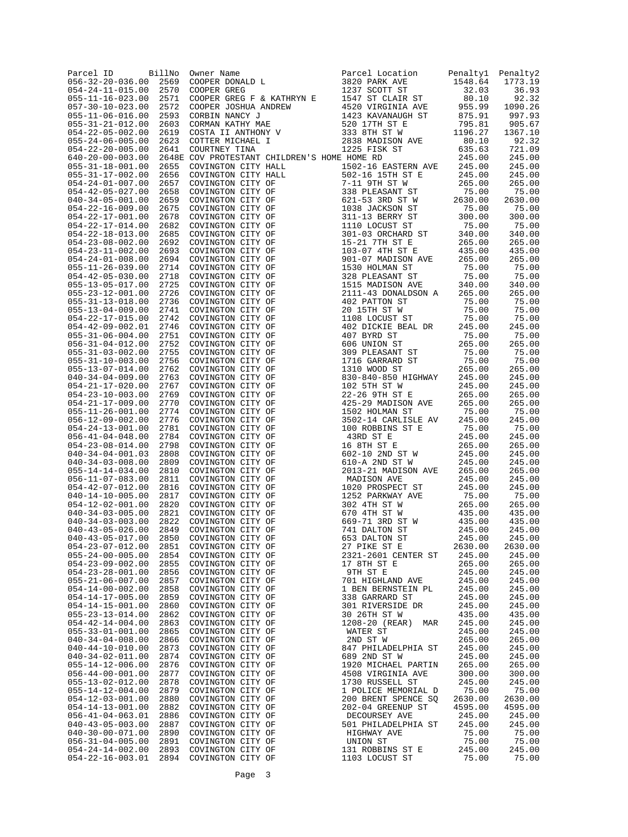| Parcel ID<br>$056 - 32 - 20 - 036.00$                 | BillNo<br>2569 | $\mathbf{L} = \mathbf{L} \times \mathbf{L}$<br>Owner Name<br>COOPER DONALD L                  | Parcel Location<br>3820 PARK AVE                                                                                                 | Penalty1<br>1548.64 | Penalty2<br>1773.19 |
|-------------------------------------------------------|----------------|-----------------------------------------------------------------------------------------------|----------------------------------------------------------------------------------------------------------------------------------|---------------------|---------------------|
| $054 - 24 - 11 - 015.00$                              | 2570           | COOPER GREG                                                                                   | 1237 SCOTT ST                                                                                                                    | 32.03               | 36.93               |
| $055 - 11 - 16 - 023.00$                              | 2571           | COOPER GREG F & KATHRYN E                                                                     | 1237 SCOTT ST<br>1547 ST CLAIR ST<br>4520 VIRGINIA AVE<br>1423 KAVANAUGH ST<br>520 17TH ST E<br>333 8TH ST W<br>2838 MADISON AVE | 80.10               | 92.32               |
| $057 - 30 - 10 - 023.00$<br>$055 - 11 - 06 - 016.00$  | 2572<br>2593   | COOPER JOSHUA ANDREW                                                                          |                                                                                                                                  | 955.99<br>875.91    | 1090.26<br>997.93   |
| $055 - 31 - 21 - 012.00$                              | 2603           | CORBIN NANCY J<br>CORMAN KATHY MAE<br>COSTA II ANTHONY V<br>COTTER MICHAEL I<br>COURTNEY TINA |                                                                                                                                  | 795.81              | 905.67              |
| $054 - 22 - 05 - 002.00$                              | 2619           |                                                                                               |                                                                                                                                  | 1196.27             | 1367.10             |
| $055 - 24 - 06 - 005.00$<br>$054 - 22 - 20 - 005.00$  | 2623<br>2641   |                                                                                               | 2838 MADISON AVE<br>1225 FISK ST<br>E HOME RD                                                                                    | 80.10<br>635.63     | 92.32<br>721.09     |
| $640 - 20 - 00 - 003.00$                              |                | 2648E COV PROTESTANT CHILDREN'S HOME HOME RD                                                  |                                                                                                                                  | 245.00              | 245.00              |
| $055 - 31 - 18 - 001.00$                              | 2655           | COVINGTON CITY HALL                                                                           | 1502-16 EASTERN AVE                                                                                                              | 245.00              | 245.00              |
| $055 - 31 - 17 - 002.00$                              | 2656           | COVINGTON CITY HALL                                                                           | 502-16 15TH ST E                                                                                                                 | 245.00              | 245.00              |
| $054 - 24 - 01 - 007.00$<br>$054 - 42 - 05 - 027.00$  | 2657<br>2658   | COVINGTON CITY OF<br>COVINGTON CITY OF                                                        | 7-11 9TH ST W                                                                                                                    | 265.00<br>75.00     | 265.00<br>75.00     |
| $040 - 34 - 05 - 001.00$                              | 2659           | COVINGTON CITY OF                                                                             | 338 PLEASANT ST<br>621-53 3RD ST W<br>1038 -- -                                                                                  | 2630.00             | 2630.00             |
| $054 - 22 - 16 - 009.00$                              | 2675           | COVINGTON CITY OF                                                                             | 1038 JACKSON ST                                                                                                                  | 75.00               | 75.00               |
| $054 - 22 - 17 - 001.00$<br>$054 - 22 - 17 - 014.00$  | 2678<br>2682   | COVINGTON CITY OF<br>COVINGTON CITY OF                                                        | 311-13 BERRY ST<br>1110 LOCUST ST                                                                                                | 300.00<br>75.00     | 300.00<br>75.00     |
| $054 - 22 - 18 - 013.00$                              | 2685           | COVINGTON CITY OF                                                                             | 301-03 ORCHARD ST                                                                                                                | 340.00              | 340.00              |
| $054 - 23 - 08 - 002.00$                              | 2692           | COVINGTON CITY OF                                                                             | 15-21 7TH ST E                                                                                                                   | 265.00              | 265.00              |
| $054 - 23 - 11 - 002.00$<br>$054 - 24 - 01 - 008.00$  | 2693<br>2694   | COVINGTON CITY OF<br>COVINGTON CITY OF                                                        | 103-07 4TH ST E<br>901-07 MADISON AVE                                                                                            | 435.00<br>265.00    | 435.00<br>265.00    |
| $055 - 11 - 26 - 039.00$                              | 2714           | COVINGTON CITY OF                                                                             | 1530 HOLMAN ST                                                                                                                   | 75.00               | 75.00               |
| $054 - 42 - 05 - 030.00$                              | 2718           | COVINGTON CITY OF                                                                             | 328 PLEASANT ST                                                                                                                  | 75.00               | 75.00               |
| $055 - 13 - 05 - 017.00$                              | 2725           | COVINGTON CITY OF                                                                             | 1515 MADISON AVE                                                                                                                 | 340.00              | 340.00              |
| $055 - 23 - 12 - 001.00$<br>$055 - 31 - 13 - 018.00$  | 2726<br>2736   | COVINGTON CITY OF<br>COVINGTON CITY OF                                                        | 2111-43 DONALDSON A<br>402 PATTON ST                                                                                             | 265.00<br>75.00     | 265.00<br>75.00     |
| $055 - 13 - 04 - 009.00$                              | 2741           | COVINGTON CITY OF                                                                             | 20 15TH ST W                                                                                                                     | 75.00               | 75.00               |
| $054 - 22 - 17 - 015.00$                              | 2742           | COVINGTON CITY OF                                                                             | 20 ISTH ST W<br>1108 LOCUST ST                                                                                                   | 75.00               | 75.00               |
| $054 - 42 - 09 - 002.01$<br>$055 - 31 - 06 - 004.00$  | 2746<br>2751   | COVINGTON CITY OF<br>COVINGTON CITY OF                                                        | 402 DICKIE BEAL DR<br>407 BYRD ST                                                                                                | 245.00<br>75.00     | 245.00<br>75.00     |
| $056 - 31 - 04 - 012.00$                              | 2752           | COVINGTON CITY OF                                                                             | 606 UNION ST                                                                                                                     | 265.00              | 265.00              |
| $055 - 31 - 03 - 002.00$                              | 2755           | COVINGTON CITY OF                                                                             | 606 UNION ST<br>309 PLEASANT ST<br>1716 GARRARD ST<br>1310 WOOD ST                                                               | 75.00               | 75.00               |
| $055 - 31 - 10 - 003.00$                              | 2756           | COVINGTON CITY OF                                                                             |                                                                                                                                  | 75.00               | 75.00               |
| $055 - 13 - 07 - 014.00$<br>$040 - 34 - 04 - 009.00$  | 2762<br>2763   | COVINGTON CITY OF<br>COVINGTON CITY OF                                                        | 830-840-850 HIGHWAY                                                                                                              | 265.00<br>245.00    | 265.00<br>245.00    |
| $054 - 21 - 17 - 020.00$                              | 2767           | COVINGTON CITY OF                                                                             | 102 5TH ST W                                                                                                                     | 245.00              | 245.00              |
| $054 - 23 - 10 - 003.00$                              | 2769           | COVINGTON CITY OF                                                                             | 22-26 9TH ST E                                                                                                                   | 265.00              | 265.00              |
| $054 - 21 - 17 - 009.00$<br>$055 - 11 - 26 - 001.00$  | 2770<br>2774   | COVINGTON CITY OF<br>COVINGTON CITY OF                                                        | 425-29 MADISON AVE<br>1502 HOLMAN ST                                                                                             | 265.00<br>75.00     | 265.00<br>75.00     |
| $056 - 12 - 09 - 002.00$                              | 2776           | COVINGTON CITY OF                                                                             | 3502-14 CARLISLE AV                                                                                                              | 245.00              | 245.00              |
| $054 - 24 - 13 - 001.00$                              | 2781           | COVINGTON CITY OF                                                                             | 100 ROBBINS ST E                                                                                                                 | 75.00               | 75.00               |
| $056 - 41 - 04 - 048.00$                              | 2784<br>2798   | COVINGTON CITY OF                                                                             | 43RD ST E                                                                                                                        | 245.00              | 245.00              |
| $054 - 23 - 08 - 014.00$<br>$040 - 34 - 04 - 001.03$  | 2808           | COVINGTON CITY OF<br>COVINGTON CITY OF                                                        | 16 8TH ST E<br>602-10 2ND ST W                                                                                                   | 265.00<br>245.00    | 265.00<br>245.00    |
| $040 - 34 - 03 - 008.00$                              | 2809           | COVINGTON CITY OF                                                                             | 610-A 2ND ST W                                                                                                                   | 245.00              | 245.00              |
| $055 - 14 - 14 - 034.00$                              | 2810           | COVINGTON CITY OF                                                                             | 2013-21 MADISON AVE                                                                                                              | 265.00              | 265.00              |
| $056 - 11 - 07 - 083.00$<br>$054 - 42 - 07 - 012.00$  | 2811<br>2816   | COVINGTON CITY OF<br>COVINGTON CITY OF                                                        | MADISON AVE<br>1020 PROSPECT ST                                                                                                  | 245.00<br>245.00    | 245.00<br>245.00    |
| $040 - 14 - 10 - 005.00$                              | 2817           | COVINGTON CITY OF                                                                             | 1252 PARKWAY AVE                                                                                                                 | 75.00               | 75.00               |
| $054 - 12 - 02 - 001.00$                              | 2820           | COVINGTON CITY OF                                                                             | 302 4TH ST W                                                                                                                     | 265.00              | 265.00              |
| $040 - 34 - 03 - 005.00$<br>$040 - 34 - 03 - 003$ .00 | 2821<br>2822   | COVINGTON CITY OF<br>COVINGTON CITY OF                                                        | 670 4TH ST W<br>669-71 3RD ST W                                                                                                  | 435.00<br>435.00    | 435.00<br>435.00    |
| $040 - 43 - 05 - 026.00$                              | 2849           | COVINGTON CITY OF                                                                             | 741 DALTON ST                                                                                                                    | 245.00              | 245.00              |
| $040 - 43 - 05 - 017.00$                              | 2850           | COVINGTON CITY OF                                                                             | 653 DALTON ST                                                                                                                    | 245.00              | 245.00              |
| $054 - 23 - 07 - 012.00$                              | 2851           | COVINGTON CITY OF                                                                             | 27 PIKE ST E                                                                                                                     | 2630.00             | 2630.00             |
| $055 - 24 - 00 - 005.00$<br>054-23-09-002.00          | 2854<br>2855   | COVINGTON CITY OF<br>COVINGTON CITY OF                                                        | 2321-2601 CENTER ST<br>17 8TH ST E                                                                                               | 245.00<br>265.00    | 245.00<br>265.00    |
| $054 - 23 - 28 - 001.00$                              | 2856           | COVINGTON CITY OF                                                                             | 9TH ST E                                                                                                                         | 245.00              | 245.00              |
| $055 - 21 - 06 - 007.00$                              | 2857           | COVINGTON CITY OF                                                                             | 701 HIGHLAND AVE                                                                                                                 | 245.00              | 245.00              |
| $054 - 14 - 00 - 002.00$<br>$054 - 14 - 17 - 005.00$  | 2858<br>2859   | COVINGTON CITY OF<br>COVINGTON CITY OF                                                        | 1 BEN BERNSTEIN PL<br>338 GARRARD ST                                                                                             | 245.00<br>245.00    | 245.00<br>245.00    |
| $054 - 14 - 15 - 001.00$                              | 2860           | COVINGTON CITY OF                                                                             | 301 RIVERSIDE DR                                                                                                                 | 245.00              | 245.00              |
| $055 - 23 - 13 - 014.00$                              | 2862           | COVINGTON CITY OF                                                                             | 30 26TH ST W                                                                                                                     | 435.00              | 435.00              |
| $054 - 42 - 14 - 004.00$                              | 2863<br>2865   | COVINGTON CITY OF                                                                             | 1208-20 (REAR)<br>MAR                                                                                                            | 245.00<br>245.00    | 245.00              |
| $055 - 33 - 01 - 001.00$<br>$040 - 34 - 04 - 008.00$  | 2866           | COVINGTON CITY OF<br>COVINGTON CITY OF                                                        | WATER ST<br>2ND ST W                                                                                                             | 265.00              | 245.00<br>265.00    |
| $040 - 44 - 10 - 010.00$                              | 2873           | COVINGTON CITY OF                                                                             | 847 PHILADELPHIA ST                                                                                                              | 245.00              | 245.00              |
| $040 - 34 - 02 - 011.00$                              | 2874           | COVINGTON CITY OF                                                                             | 689 2ND ST W                                                                                                                     | 245.00              | 245.00              |
| $055 - 14 - 12 - 006.00$<br>$056 - 44 - 00 - 001.00$  | 2876<br>2877   | COVINGTON CITY OF<br>COVINGTON CITY OF                                                        | 1920 MICHAEL PARTIN<br>4508 VIRGINIA AVE                                                                                         | 265.00<br>300.00    | 265.00<br>300.00    |
| 055-13-02-012.00                                      | 2878           | COVINGTON CITY OF                                                                             | 1730 RUSSELL ST                                                                                                                  | 245.00              | 245.00              |
| $055 - 14 - 12 - 004.00$                              | 2879           | COVINGTON CITY OF                                                                             | 1 POLICE MEMORIAL D                                                                                                              | 75.00               | 75.00               |
| $054 - 12 - 03 - 001.00$<br>$054 - 14 - 13 - 001.00$  | 2880           | COVINGTON CITY OF<br>COVINGTON CITY OF                                                        | 200 BRENT SPENCE SQ                                                                                                              | 2630.00<br>4595.00  | 2630.00             |
| $056 - 41 - 04 - 063.01$                              | 2882<br>2886   | COVINGTON CITY OF                                                                             | 202-04 GREENUP ST<br>DECOURSEY AVE                                                                                               | 245.00              | 4595.00<br>245.00   |
| $040 - 43 - 05 - 003.00$                              | 2887           | COVINGTON CITY OF                                                                             | 501 PHILADELPHIA ST                                                                                                              | 245.00              | 245.00              |
| $040 - 30 - 00 - 071.00$                              | 2890           | COVINGTON CITY OF                                                                             | HIGHWAY AVE                                                                                                                      | 75.00               | 75.00               |
| $056 - 31 - 04 - 005.00$<br>$054 - 24 - 14 - 002.00$  | 2891<br>2893   | COVINGTON CITY OF<br>COVINGTON CITY OF                                                        | UNION ST<br>131 ROBBINS ST E                                                                                                     | 75.00<br>245.00     | 75.00<br>245.00     |
| $054 - 22 - 16 - 003.01$                              | 2894           | COVINGTON CITY OF                                                                             | 1103 LOCUST ST                                                                                                                   | 75.00               | 75.00               |
|                                                       |                |                                                                                               |                                                                                                                                  |                     |                     |

Page 3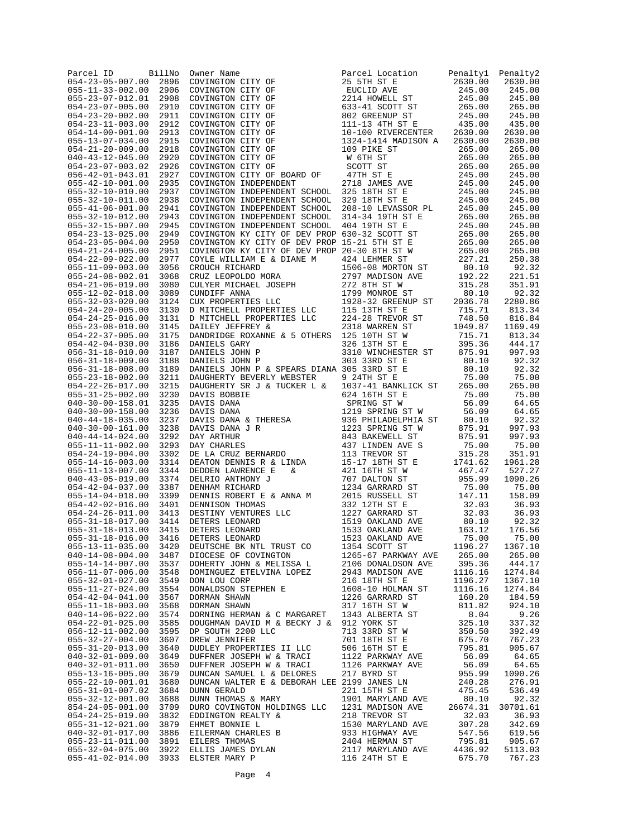| Parcel ID                                            | BillNo       | Owner Name                                                                                                                                                                                                                                                                                                                                                                                                          | Parcel Location                                                    | Penaltyl         | Penalty2         |
|------------------------------------------------------|--------------|---------------------------------------------------------------------------------------------------------------------------------------------------------------------------------------------------------------------------------------------------------------------------------------------------------------------------------------------------------------------------------------------------------------------|--------------------------------------------------------------------|------------------|------------------|
| $054 - 23 - 05 - 007.00$                             | 2896         | COVINGTON CITY OF                                                                                                                                                                                                                                                                                                                                                                                                   | 25 5TH ST E                                                        | 2630.00          | 2630.00          |
| $055 - 11 - 33 - 002.00$                             | 2906         | COVINGTON CITY OF                                                                                                                                                                                                                                                                                                                                                                                                   | EUCLID AVE<br>2214 HOWELL ST                                       | 245.00           | 245.00<br>245.00 |
| 055-23-07-012.01<br>$054 - 23 - 07 - 005.00$         | 2908<br>2910 | COVINGTON CITY OF<br>COVINGTON CITY OF                                                                                                                                                                                                                                                                                                                                                                              |                                                                    | 245.00<br>265.00 | 265.00           |
| $054 - 23 - 20 - 002.00$                             | 2911         | COVINGTON CITY OF                                                                                                                                                                                                                                                                                                                                                                                                   | 633-41 SCOTT ST<br>802 GREENUP ST<br>111-13 4TH ST E               | 245.00           | 245.00           |
| $054 - 23 - 11 - 003.00$                             | 2912         | COVINGTON CITY OF                                                                                                                                                                                                                                                                                                                                                                                                   |                                                                    | 435.00           | 435.00           |
| $054 - 14 - 00 - 001.00$                             | 2913         | COVINGTON CITY OF                                                                                                                                                                                                                                                                                                                                                                                                   | 10-100 RIVERCENTER                                                 | 2630.00          | 2630.00          |
| $055 - 13 - 07 - 034.00$                             | 2915         | COVINGTON CITY OF                                                                                                                                                                                                                                                                                                                                                                                                   | 1324-1414 MADISON A                                                | 2630.00          | 2630.00          |
| $054 - 21 - 20 - 009.00$                             | 2918         | COVINGTON CITY OF                                                                                                                                                                                                                                                                                                                                                                                                   | 109 PIKE ST<br>W 6TH ST<br>SCOTT ST<br>47TH ST E<br>2718 JAMES AVE | 265.00           | 265.00           |
| $040 - 43 - 12 - 045.00$                             | 2920         | COVINGTON CITY OF                                                                                                                                                                                                                                                                                                                                                                                                   |                                                                    | 265.00           | 265.00           |
| $054 - 23 - 07 - 003.02$                             | 2926         | COVINGTON CITY OF                                                                                                                                                                                                                                                                                                                                                                                                   |                                                                    | 265.00           | 265.00           |
| $056 - 42 - 01 - 043.01$                             | 2927         | COVINGTON CITY OF BOARD OF                                                                                                                                                                                                                                                                                                                                                                                          | 47TH ST E                                                          | 245.00           | 245.00           |
| $055 - 42 - 10 - 001.00$                             | 2935         | COVINGTON INDEPENDENT                                                                                                                                                                                                                                                                                                                                                                                               |                                                                    | 245.00           | 245.00           |
| $055 - 32 - 10 - 010.00$                             | 2937         | COVINGTON INDEPENDENT SCHOOL 325 18TH ST E<br>COVINGTON INDEPENDENT SCHOOL 329 18TH ST E                                                                                                                                                                                                                                                                                                                            |                                                                    | 245.00           | 245.00           |
| $055 - 32 - 10 - 011.00$                             | 2938         | COVINGTON INDEPENDENT SCHOOL 329 18TH ST E                                                                                                                                                                                                                                                                                                                                                                          |                                                                    | 245.00           | 245.00           |
| $055 - 41 - 06 - 001.00$<br>$055 - 32 - 10 - 012.00$ | 2941         | COVINGTON INDEPENDENT SCHOOL                                                                                                                                                                                                                                                                                                                                                                                        | 208-10 LEVASSOR PL<br>314-34 19TH ST E                             | 245.00           | 245.00           |
| $055 - 32 - 15 - 007.00$                             | 2943<br>2945 | COVINGTON INDEPENDENT SCHOOL<br>COVINGTON INDEPENDENT SCHOOL                                                                                                                                                                                                                                                                                                                                                        | 404 19TH ST E                                                      | 265.00<br>245.00 | 265.00<br>245.00 |
| $054 - 23 - 13 - 025.00$                             | 2949         | COVINGTON KY CITY OF DEV PROP 630-32 SCOTT ST                                                                                                                                                                                                                                                                                                                                                                       |                                                                    | 265.00           | 265.00           |
| $054 - 23 - 05 - 004.00$                             | 2950         | COVINGTON KY CITY OF DEV PROP 15-21 5TH ST E                                                                                                                                                                                                                                                                                                                                                                        |                                                                    | 265.00           | 265.00           |
| $054 - 21 - 24 - 005.00$                             | 2951         |                                                                                                                                                                                                                                                                                                                                                                                                                     |                                                                    |                  | 265.00           |
| $054 - 22 - 09 - 022.00$                             | 2977         | CRUCH RICHARD (CRUZ LEOPOLDO MORA $2797$ MADISON AVE 1926.00<br>CRUZ LEOPOLDO MORA 2797 MADISON AVE 192.22<br>CULYER MICHAEL JOSEPH 272 8TH ST W 315.28<br>CUNDIFF ANNA 179 MONTON AVE 192.22<br>CUNDIFF ANNA 179 MONTON AVE 192.22<br>                                                                                                                                                                             |                                                                    |                  | 250.38           |
| $055 - 11 - 09 - 003.00$                             | 3056         |                                                                                                                                                                                                                                                                                                                                                                                                                     |                                                                    |                  | 92.32            |
| 055-24-08-002.01                                     | 3068         |                                                                                                                                                                                                                                                                                                                                                                                                                     |                                                                    |                  | 221.51           |
| $054 - 21 - 06 - 019.00$                             | 3080         |                                                                                                                                                                                                                                                                                                                                                                                                                     |                                                                    |                  | 351.91           |
| $055 - 12 - 02 - 018.00$                             | 3089         |                                                                                                                                                                                                                                                                                                                                                                                                                     |                                                                    |                  | 92.32            |
| $055 - 32 - 03 - 020.00$                             | 3124         |                                                                                                                                                                                                                                                                                                                                                                                                                     |                                                                    |                  | 2280.86          |
| $054 - 24 - 20 - 005.00$                             | 3130         |                                                                                                                                                                                                                                                                                                                                                                                                                     |                                                                    |                  | 813.34           |
| $054 - 24 - 25 - 016.00$                             | 3131         |                                                                                                                                                                                                                                                                                                                                                                                                                     |                                                                    |                  | 816.84           |
| $055 - 23 - 08 - 010.00$                             | 3145         |                                                                                                                                                                                                                                                                                                                                                                                                                     |                                                                    |                  | 1169.49          |
| $054 - 22 - 37 - 005.00$                             | 3175         |                                                                                                                                                                                                                                                                                                                                                                                                                     |                                                                    |                  | 813.34           |
| $054 - 42 - 04 - 030.00$                             | 3186         | DANIELS GARY                                                                                                                                                                                                                                                                                                                                                                                                        | 326 13TH ST E                                                      | 395.36           | 444.17           |
| $056 - 31 - 18 - 010.00$                             | 3187         | DANIELS JOHN P                                                                                                                                                                                                                                                                                                                                                                                                      | 3310 WINCHESTER ST                                                 | 875.91           | 997.93           |
| $056 - 31 - 18 - 009.00$                             | 3188         | DANIELS JOHN P                                                                                                                                                                                                                                                                                                                                                                                                      | 303 33RD ST E                                                      | 80.10            | 92.32            |
| $056 - 31 - 18 - 008.00$                             | 3189         | DANIELS JOHN P & SPEARS DIANA 305 33RD ST E                                                                                                                                                                                                                                                                                                                                                                         |                                                                    | 80.10            | 92.32            |
| $055 - 23 - 18 - 002.00$<br>$054 - 22 - 26 - 017.00$ | 3211<br>3215 | DAUGHERTY BEVERLY WEBSTER<br>DAUGHERTY SR J & TUCKER L &                                                                                                                                                                                                                                                                                                                                                            | 9 24TH ST E<br>1037-41 BANKLICK ST                                 | 75.00<br>265.00  | 75.00<br>265.00  |
| $055 - 31 - 25 - 002.00$                             | 3230         |                                                                                                                                                                                                                                                                                                                                                                                                                     | 624 16TH ST E                                                      | 75.00            | 75.00            |
| $040 - 30 - 00 - 158.01$                             | 3235         |                                                                                                                                                                                                                                                                                                                                                                                                                     | SPRING ST W                                                        | 56.09            | 64.65            |
| $040 - 30 - 00 - 158.00$                             | 3236         |                                                                                                                                                                                                                                                                                                                                                                                                                     | 1219 SPRING ST W                                                   | 56.09            | 64.65            |
| $040 - 44 - 18 - 035.00$                             | 3237         | DAUIS BOBBIE<br>DAVIS DANA<br>DAVIS DANA<br>DAVIS DANA & THERESA<br>DAVIS DANA & THERESA<br>DAVIS DANA J R<br>DAY ARTHUR<br>DAY CHARLES<br>DE LA CRUZ BERNARDO<br>DE LA CRUZ BERNARDO<br>DE LA CRUZ BERNARDO                                                                                                                                                                                                        | 936 PHILADELPHIA ST                                                | 80.10            | 92.32            |
| $040 - 30 - 00 - 161.00$                             | 3238         |                                                                                                                                                                                                                                                                                                                                                                                                                     | 936 PHILADELPHIA<br>1223 SPRING ST W                               | 875.91           | 997.93           |
| $040 - 44 - 14 - 024.00$                             | 3292         |                                                                                                                                                                                                                                                                                                                                                                                                                     | 843 BAKEWELL ST                                                    | 875.91           | 997.93           |
| 055-11-11-002.00                                     | 3293         |                                                                                                                                                                                                                                                                                                                                                                                                                     | 437 LINDEN AVE S                                                   | 75.00            | 75.00            |
| $054 - 24 - 19 - 004.00$                             | 3302         |                                                                                                                                                                                                                                                                                                                                                                                                                     |                                                                    | 315.28           | 351.91           |
| $055 - 14 - 16 - 003.00$                             | 3314         |                                                                                                                                                                                                                                                                                                                                                                                                                     |                                                                    | 1741.62          | 1961.28          |
| $055 - 11 - 13 - 007.00$                             | 3344         |                                                                                                                                                                                                                                                                                                                                                                                                                     |                                                                    | 467.47           | 527.27           |
| $040 - 43 - 05 - 019.00$                             | 3374         |                                                                                                                                                                                                                                                                                                                                                                                                                     |                                                                    | 955.99           | 1090.26          |
| $054 - 42 - 04 - 037.00$                             | 3387         | $\begin{tabular}{lcccc} \textit{LUMAM} & & & & 1234 \textit{ GARRARD ST} & & 75.00 \\ \textit{DENNIS ROBERTE} & & & & 2015 \textit{ RUSSELL ST} & & 147.11 \\ \textit{DENNIS CONERS} & \textit{HOMAS} & & 332 \textit{ 127} & \textit{S} & 32.03 \\ \textit{DESTINGONRIS} & \textit{SILC} & & 1227 \textit{ GARRARD ST} & & 32.03 \\ \textit{DETERS LEONARD} & & 1519 \textit{ OAKLAND AVE} & & 80.10 \\ \textit{D$ | 1234 GARRARD ST                                                    | 75.00            | 75.00            |
| $055 - 14 - 04 - 018.00$                             | 3399         |                                                                                                                                                                                                                                                                                                                                                                                                                     |                                                                    |                  | 158.09           |
| $054 - 42 - 02 - 016.00$                             | 3401         |                                                                                                                                                                                                                                                                                                                                                                                                                     |                                                                    |                  | 36.93            |
| $054 - 24 - 26 - 011.00$                             | 3413         |                                                                                                                                                                                                                                                                                                                                                                                                                     |                                                                    |                  | 36.93            |
| $055 - 31 - 18 - 017.00$<br>$055 - 31 - 18 - 013.00$ | 3414         |                                                                                                                                                                                                                                                                                                                                                                                                                     |                                                                    |                  | 92.32            |
| $055 - 31 - 18 - 016.00$                             | 3415<br>3416 |                                                                                                                                                                                                                                                                                                                                                                                                                     |                                                                    |                  | 176.56<br>75.00  |
| $055 - 13 - 11 - 035.00$                             | 3420         | DEUTSCHE BK NTL TRUST CO                                                                                                                                                                                                                                                                                                                                                                                            | 1354 SCOTT ST                                                      | 1196.27          | 1367.10          |
| $040 - 14 - 08 - 004.00$                             | 3487         | DIOCESE OF COVINGTON                                                                                                                                                                                                                                                                                                                                                                                                | 1265-67 PARKWAY AVE                                                | 265.00           | 265.00           |
| $055 - 14 - 14 - 007.00$                             | 3537         | DOHERTY JOHN & MELISSA L                                                                                                                                                                                                                                                                                                                                                                                            | 2106 DONALDSON AVE                                                 | 395.36           | 444.17           |
| $056 - 11 - 07 - 006.00$                             | 3548         | DOMINGUEZ ETELVINA LOPEZ                                                                                                                                                                                                                                                                                                                                                                                            | 2943 MADISON AVE                                                   | 1116.16          | 1274.84          |
| $055 - 32 - 01 - 027.00$                             | 3549         | DON LOU CORP                                                                                                                                                                                                                                                                                                                                                                                                        | 216 18TH ST E                                                      | 1196.27          | 1367.10          |
| $055 - 11 - 27 - 024.00$                             | 3554         | DONALDSON STEPHEN E                                                                                                                                                                                                                                                                                                                                                                                                 | 1608-10 HOLMAN ST                                                  | 1116.16          | 1274.84          |
| $054 - 42 - 04 - 041.00$                             | 3567         | DORMAN SHAWN                                                                                                                                                                                                                                                                                                                                                                                                        | 1226 GARRARD ST                                                    | 160.20           | 184.59           |
| $055 - 11 - 18 - 003.00$                             | 3568         | DORMAN SHAWN                                                                                                                                                                                                                                                                                                                                                                                                        | 317 16TH ST W                                                      | 811.82           | 924.10           |
| $040 - 14 - 06 - 022.00$                             | 3574         | DORNING HERMAN & C MARGARET                                                                                                                                                                                                                                                                                                                                                                                         | 1343 ALBERTA ST                                                    | 8.04             | 9.26             |
| $054 - 22 - 01 - 025.00$                             | 3585         | DOUGHMAN DAVID M & BECKY J & 912 YORK ST                                                                                                                                                                                                                                                                                                                                                                            |                                                                    | 325.10           | 337.32           |
| $056 - 12 - 11 - 002.00$                             | 3595         | DP SOUTH 2200 LLC                                                                                                                                                                                                                                                                                                                                                                                                   | 713 33RD ST W                                                      | 350.50           | 392.49           |
| $055 - 32 - 27 - 004.00$                             | 3607         | DREW JENNIFER                                                                                                                                                                                                                                                                                                                                                                                                       | 701 18TH ST E                                                      | 675.70           | 767.23           |
| $055 - 31 - 20 - 013.00$                             | 3640         | DUDLEY PROPERTIES II LLC                                                                                                                                                                                                                                                                                                                                                                                            | 506 16TH ST E                                                      | 795.81           | 905.67           |
| $040 - 32 - 01 - 009.00$                             | 3649         | DUFFNER JOSEPH W & TRACI                                                                                                                                                                                                                                                                                                                                                                                            | 1122 PARKWAY AVE                                                   | 56.09            | 64.65            |
| $040 - 32 - 01 - 011.00$                             | 3650         | DUFFNER JOSEPH W & TRACI                                                                                                                                                                                                                                                                                                                                                                                            | 1126 PARKWAY AVE                                                   | 56.09            | 64.65            |
| $055 - 13 - 16 - 005.00$                             | 3679         | DUNCAN SAMUEL L & DELORES                                                                                                                                                                                                                                                                                                                                                                                           | 217 BYRD ST                                                        | 955.99           | 1090.26          |
| 055-22-10-001.01                                     | 3680         | DUNCAN WALTER E & DEBORAH LEE 2199 JANES LN                                                                                                                                                                                                                                                                                                                                                                         |                                                                    | 240.28           | 276.91           |
| $055 - 31 - 01 - 007.02$<br>$055 - 32 - 12 - 001.00$ | 3684<br>3688 | <b>DUNN GERALD</b><br>DUNN THOMAS & MARY                                                                                                                                                                                                                                                                                                                                                                            | 221 15TH ST E<br>1901 MARYLAND AVE                                 | 475.45<br>80.10  | 536.49<br>92.32  |
| $854 - 24 - 05 - 001.00$                             | 3709         | DURO COVINGTON HOLDINGS LLC                                                                                                                                                                                                                                                                                                                                                                                         | 1231 MADISON AVE                                                   | 26674.31         | 30701.61         |
| $054 - 24 - 25 - 019.00$                             | 3832         | EDDINGTON REALTY &                                                                                                                                                                                                                                                                                                                                                                                                  | 218 TREVOR ST                                                      | 32.03            | 36.93            |
| $055 - 31 - 12 - 021.00$                             | 3879         | EHMET BONNIE L                                                                                                                                                                                                                                                                                                                                                                                                      | 1530 MARYLAND AVE                                                  | 307.28           | 342.69           |
| $040 - 32 - 01 - 017.00$                             | 3886         | EILERMAN CHARLES B                                                                                                                                                                                                                                                                                                                                                                                                  | 933 HIGHWAY AVE                                                    | 547.56           | 619.56           |
| $055 - 23 - 11 - 011.00$                             | 3891         | EILERS THOMAS                                                                                                                                                                                                                                                                                                                                                                                                       | 2404 HERMAN ST                                                     | 795.81           | 905.67           |
| $055 - 32 - 04 - 075.00$                             | 3922         | ELLIS JAMES DYLAN                                                                                                                                                                                                                                                                                                                                                                                                   | 2117 MARYLAND AVE                                                  | 4436.92          | 5113.03          |
| $055 - 41 - 02 - 014.00$                             | 3933         | ELSTER MARY P                                                                                                                                                                                                                                                                                                                                                                                                       | 116 24TH ST E                                                      | 675.70           | 767.23           |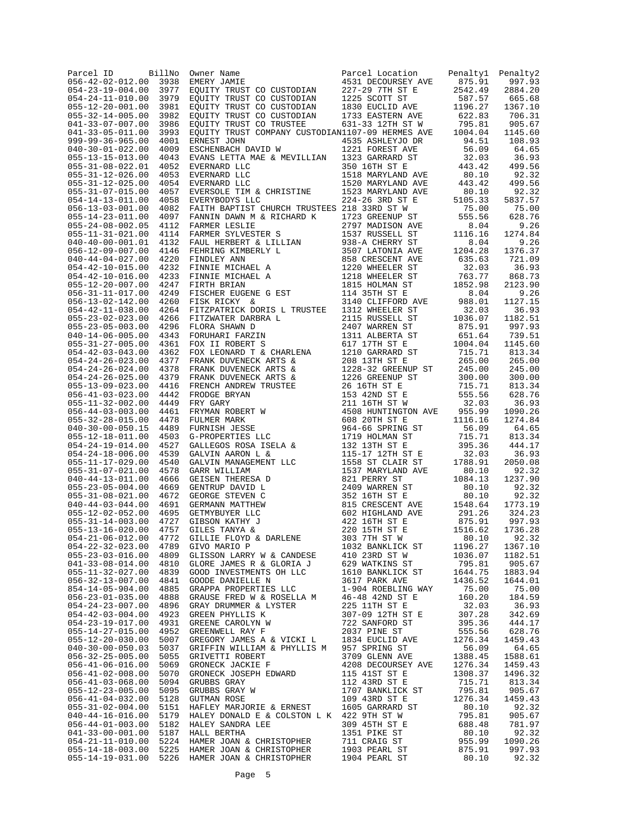| Parcel ID<br>$056 - 42 - 02 - 012.00$                | BillNo<br>3938 | Owner Name<br>EMERY JAMIE                                                                                                                                                                                                                                                                                                                                                                                                                   | Parcel Location<br>4531 DECOURSEY AVE                                                                             | Penaltyl<br>875.91 | Penalty2<br>997.93 |
|------------------------------------------------------|----------------|---------------------------------------------------------------------------------------------------------------------------------------------------------------------------------------------------------------------------------------------------------------------------------------------------------------------------------------------------------------------------------------------------------------------------------------------|-------------------------------------------------------------------------------------------------------------------|--------------------|--------------------|
| $054 - 23 - 19 - 004.00$                             | 3977           | EQUITY TRUST CO CUSTODIAN                                                                                                                                                                                                                                                                                                                                                                                                                   | 227-29 7TH ST E                                                                                                   | 2542.49            | 2884.20            |
| $054 - 24 - 11 - 010.00$                             | 3979           | <i>TN</i><br><i>TN</i><br><i>IN</i><br><i>IN</i><br>EQUITY TRUST CO CUSTODIAN                                                                                                                                                                                                                                                                                                                                                               | 1225 SCOTT ST                                                                                                     | 587.57             | 665.68             |
| $055 - 12 - 20 - 001.00$                             | 3981           | EQUITY TRUST CO CUSTODIAN                                                                                                                                                                                                                                                                                                                                                                                                                   | 1830 EUCLID AVE                                                                                                   | 1196.27            | 1367.10            |
| $055 - 32 - 14 - 005.00$<br>$041 - 33 - 07 - 007.00$ | 3982<br>3986   | EQUITY TRUST CO CUSTODIAN<br>EOUITY TRUST CO TRUSTEE                                                                                                                                                                                                                                                                                                                                                                                        | 1733 EASTERN AVE<br>631-33 12TH ST W                                                                              | 622.83<br>795.81   | 706.31<br>905.67   |
| $041 - 33 - 05 - 011.00$                             | 3993           | EQUITY TRUST COMPANY CUSTODIAN1107-09 HERMES AVE                                                                                                                                                                                                                                                                                                                                                                                            |                                                                                                                   | 1004.04            | 1145.60            |
| 999-99-36-965.00                                     | 4001           |                                                                                                                                                                                                                                                                                                                                                                                                                                             | 4535 ASHLEYJO DR                                                                                                  | 94.51              | 108.93             |
| $040 - 30 - 01 - 022.00$                             | 4009           | ERNEST JOHN<br>ESCHENBACH DAVID W                                                                                                                                                                                                                                                                                                                                                                                                           | 1221 FOREST AVE                                                                                                   | 56.09              | 64.65              |
| $055 - 13 - 15 - 013.00$                             | 4043           | EVANS LETTA MAE & MEVILLIAN                                                                                                                                                                                                                                                                                                                                                                                                                 | 1323 GARRARD ST                                                                                                   | 32.03              | 36.93              |
| $055 - 31 - 08 - 022.01$<br>$055 - 31 - 12 - 026.00$ | 4052<br>4053   | EVERNARD LLC<br>EVERNARD LLC                                                                                                                                                                                                                                                                                                                                                                                                                | 350 16TH ST E<br>1518 MARYLAND AVE                                                                                | 443.42<br>80.10    | 499.56<br>92.32    |
| $055 - 31 - 12 - 025.00$                             | 4054           | EVERNARD LLC                                                                                                                                                                                                                                                                                                                                                                                                                                | 1520 MARYLAND AVE                                                                                                 | 443.42             | 499.56             |
| $055 - 31 - 07 - 015.00$                             | 4057           | EVERSOLE TIM & CHRISTINE                                                                                                                                                                                                                                                                                                                                                                                                                    | 1523 MARYLAND AVE                                                                                                 | 80.10              | 92.32              |
| $054 - 14 - 13 - 011.00$                             | 4058           | EVERYBODYS LLC                                                                                                                                                                                                                                                                                                                                                                                                                              | 224-26 3RD ST E                                                                                                   | 5105.33            | 5837.57            |
| $056 - 13 - 03 - 001.00$<br>$055 - 14 - 23 - 011.00$ | 4082<br>4097   | FAITH BAPTIST CHURCH TRUSTEES 218 33RD ST W<br>FANNIN DAWN M & RICHARD K                                                                                                                                                                                                                                                                                                                                                                    | 1723 GREENUP ST                                                                                                   | 75.00<br>555.56    | 75.00<br>628.76    |
| $055 - 24 - 08 - 002.05$                             | 4112           |                                                                                                                                                                                                                                                                                                                                                                                                                                             |                                                                                                                   | 8.04               | 9.26               |
| $055 - 11 - 31 - 021.00$                             | 4114           |                                                                                                                                                                                                                                                                                                                                                                                                                                             |                                                                                                                   | 1116.16            | 1274.84            |
| $040 - 40 - 00 - 001.01$                             | 4132           |                                                                                                                                                                                                                                                                                                                                                                                                                                             |                                                                                                                   | 8.04               | 9.26               |
| $056 - 12 - 09 - 007.00$                             | 4146           |                                                                                                                                                                                                                                                                                                                                                                                                                                             |                                                                                                                   | 1204.28            | 1376.37            |
| $040 - 44 - 04 - 027.00$<br>$054 - 42 - 10 - 015.00$ | 4220<br>4232   |                                                                                                                                                                                                                                                                                                                                                                                                                                             |                                                                                                                   | 635.63<br>32.03    | 721.09<br>36.93    |
| $054 - 42 - 10 - 016.00$                             | 4233           |                                                                                                                                                                                                                                                                                                                                                                                                                                             |                                                                                                                   | 763.77             | 868.73             |
| $055 - 12 - 20 - 007.00$                             | 4247           |                                                                                                                                                                                                                                                                                                                                                                                                                                             |                                                                                                                   | 1852.98            | 2123.90            |
| $056 - 31 - 11 - 017.00$                             | 4249           |                                                                                                                                                                                                                                                                                                                                                                                                                                             |                                                                                                                   | 8.04               | 9.26               |
| $056 - 13 - 02 - 142.00$                             | 4260           |                                                                                                                                                                                                                                                                                                                                                                                                                                             |                                                                                                                   | 988.01             | 1127.15            |
| $054 - 42 - 11 - 038.00$<br>$055 - 23 - 02 - 023.00$ | 4264<br>4266   | FITZWATER DARBRA L                                                                                                                                                                                                                                                                                                                                                                                                                          | 2115 RUSSELL ST                                                                                                   | 32.03<br>1036.07   | 36.93<br>1182.51   |
| $055 - 23 - 05 - 003.00$                             | 4296           | FLORA SHAWN D                                                                                                                                                                                                                                                                                                                                                                                                                               | 2407 WARREN ST                                                                                                    | 875.91             | 997.93             |
| $040 - 14 - 06 - 005.00$                             | 4343           | $\label{eq:1.1} \mathbf{L}$<br>FORUHARI FARZIN                                                                                                                                                                                                                                                                                                                                                                                              | 1311 ALBERTA ST                                                                                                   | 651.64             | 739.51             |
| $055 - 31 - 27 - 005.00$                             | 4361           | FOX II ROBERT S                                                                                                                                                                                                                                                                                                                                                                                                                             | 617 17TH ST E                                                                                                     | 1004.04            | 1145.60            |
| $054 - 42 - 03 - 043.00$                             | 4362           | FOX LEONARD T & CHARLENA                                                                                                                                                                                                                                                                                                                                                                                                                    | 1210 GARRARD ST                                                                                                   | 715.71             | 813.34             |
| $054 - 24 - 26 - 023.00$<br>$054 - 24 - 26 - 024.00$ | 4377<br>4378   | FRANK DUVENECK ARTS &<br>FRANK DUVENECK ARTS &                                                                                                                                                                                                                                                                                                                                                                                              | 208 13TH ST E<br>1228-32 GREENUP ST                                                                               | 265.00<br>245.00   | 265.00<br>245.00   |
| $054 - 24 - 26 - 025.00$                             | 4379           | FRANK DUVENECK ARTS &                                                                                                                                                                                                                                                                                                                                                                                                                       | 1226 GREENUP ST                                                                                                   | 300.00             | 300.00             |
| $055 - 13 - 09 - 023.00$                             | 4416           |                                                                                                                                                                                                                                                                                                                                                                                                                                             |                                                                                                                   | 715.71             | 813.34             |
| $056 - 41 - 03 - 023.00$                             | 4442           |                                                                                                                                                                                                                                                                                                                                                                                                                                             |                                                                                                                   | 555.56             | 628.76             |
| $055 - 11 - 32 - 002.00$                             | 4449           |                                                                                                                                                                                                                                                                                                                                                                                                                                             |                                                                                                                   | 32.03              | 36.93              |
| $056 - 44 - 03 - 003.00$<br>$055 - 32 - 28 - 015.00$ | 4461<br>4478   | $\begin{tabular}{l c c c c} \multicolumn{1}{c}{\textbf{FFRANK}} & \multicolumn{1}{c}{\textbf{DFRANK}} & \multicolumn{1}{c}{\textbf{DFRENCH} & \textbf{ANPERY} & \textbf{TRTSEE} & \textbf{26} & \textbf{GREENUP} & \textbf{ST} & \textbf{E} \\ \multicolumn{1}{c}{\textbf{FFRCONOGE}} & \textbf{BRYYAN} & \textbf{153} & \textbf{211} & \textbf{16TH} & \textbf{ST} & \textbf{E} \\ \multicolumn{1}{c}{\textbf{FRY GARY}} & \textbf{211} &$ |                                                                                                                   | 955.99<br>1116.16  | 1090.26<br>1274.84 |
| $040 - 30 - 00 - 050.15$                             | 4489           |                                                                                                                                                                                                                                                                                                                                                                                                                                             |                                                                                                                   | 56.09              | 64.65              |
| $055 - 12 - 18 - 011.00$                             | 4503           |                                                                                                                                                                                                                                                                                                                                                                                                                                             |                                                                                                                   | 715.71             | 813.34             |
| $054 - 24 - 19 - 014.00$                             | 4527           |                                                                                                                                                                                                                                                                                                                                                                                                                                             |                                                                                                                   | 395.36             | 444.17             |
| $054 - 24 - 18 - 006.00$                             | 4539           |                                                                                                                                                                                                                                                                                                                                                                                                                                             |                                                                                                                   | 32.03              | 36.93              |
| $055 - 11 - 17 - 029.00$<br>$055 - 31 - 07 - 021.00$ | 4540<br>4578   |                                                                                                                                                                                                                                                                                                                                                                                                                                             |                                                                                                                   | 1788.91<br>80.10   | 2050.08<br>92.32   |
| $040 - 44 - 13 - 011.00$                             | 4666           |                                                                                                                                                                                                                                                                                                                                                                                                                                             |                                                                                                                   | 1084.13            | 1237.90            |
| $055 - 23 - 05 - 004.00$                             | 4669           |                                                                                                                                                                                                                                                                                                                                                                                                                                             |                                                                                                                   | 80.10              | 92.32              |
| $055 - 31 - 08 - 021.00$                             | 4672           |                                                                                                                                                                                                                                                                                                                                                                                                                                             |                                                                                                                   | 80.10              | 92.32              |
| $040 - 44 - 03 - 044.00$<br>$055 - 12 - 02 - 052.00$ | 4691<br>4695   |                                                                                                                                                                                                                                                                                                                                                                                                                                             |                                                                                                                   | 1548.64<br>291.26  | 1773.19<br>324.23  |
| $055 - 31 - 14 - 003.00$                             | 4727           |                                                                                                                                                                                                                                                                                                                                                                                                                                             |                                                                                                                   | 875.91             | 997.93             |
| $055 - 13 - 16 - 020.00$                             | 4757           |                                                                                                                                                                                                                                                                                                                                                                                                                                             |                                                                                                                   | 1516.62            | 1736.28            |
| $054 - 21 - 06 - 012.00$                             | 4772           | GILLIE FLOYD & DARLENE                                                                                                                                                                                                                                                                                                                                                                                                                      | 303 7TH ST W                                                                                                      | 80.10              | 92.32              |
| $054 - 22 - 32 - 023.00$                             | 4789           | GIVO MARIO P                                                                                                                                                                                                                                                                                                                                                                                                                                | 1032 BANKLICK ST                                                                                                  | 1196.27            | 1367.10            |
| $055 - 23 - 03 - 016.00$<br>$041 - 33 - 08 - 014.00$ | 4809<br>4810   | GLISSON LARRY W & CANDESE<br>GLORE JAMES R & GLORIA J                                                                                                                                                                                                                                                                                                                                                                                       | 410 23RD ST W<br>629 WATKINS ST                                                                                   | 1036.07<br>795.81  | 1182.51<br>905.67  |
| $055 - 11 - 32 - 027.00$                             | 4839           | GOOD INVESTMENTS OH LLC                                                                                                                                                                                                                                                                                                                                                                                                                     |                                                                                                                   | 1644.75            | 1883.94            |
| $056 - 32 - 13 - 007.00$                             | 4841           | GOODE DANIELLE N                                                                                                                                                                                                                                                                                                                                                                                                                            |                                                                                                                   | 1436.52            | 1644.01            |
| $854 - 14 - 05 - 904.00$                             | 4885           | GRAPPA PROPERTIES LLC                                                                                                                                                                                                                                                                                                                                                                                                                       | 1610 BANKLICK ST<br>1610 BANKLICK ST<br>1610 BANKLICK WAY<br>16-48 42ND ST E<br>225 11TH ST E<br>307-09 12TH ST E | 75.00              | 75.00              |
| $056 - 23 - 01 - 035.00$                             | 4888           | GRAUSE FRED W & ROSELLA M                                                                                                                                                                                                                                                                                                                                                                                                                   |                                                                                                                   | 160.20             | 184.59             |
| $054 - 24 - 23 - 007.00$<br>$054 - 42 - 03 - 004.00$ | 4923           | 4896 GRAY DRUMMER & LYSTER<br>GREEN PHYLLIS K                                                                                                                                                                                                                                                                                                                                                                                               | 307-09 12TH ST E                                                                                                  | 32.03<br>307.28    | 36.93<br>342.69    |
| $054 - 23 - 19 - 017.00$                             | 4931           | GREENE CAROLYN W                                                                                                                                                                                                                                                                                                                                                                                                                            |                                                                                                                   | 395.36             | 444.17             |
| $055 - 14 - 27 - 015.00$                             |                | 4952 GREENWELL RAY F                                                                                                                                                                                                                                                                                                                                                                                                                        |                                                                                                                   | 555.56             | 628.76             |
| $055 - 12 - 20 - 030.00$                             | 5007           | GREENE CAROLYN W 722 SANFORD ST<br>GREENWELL RAY F 2037 PINE ST<br>GREGORY JAMES A & VICKI L 1834 EUCLID AVE                                                                                                                                                                                                                                                                                                                                |                                                                                                                   | 1276.34            | 1459.43            |
| $040 - 30 - 00 - 050.03$                             | 5037           | GRIFFIN WILLIAM & PHYLLIS M 957 SPRING ST                                                                                                                                                                                                                                                                                                                                                                                                   |                                                                                                                   | 56.09              | 64.65              |
| $056 - 32 - 25 - 005.00$<br>$056 - 41 - 06 - 016.00$ | 5055<br>5069   | GRIVETTI ROBERT<br>GRONECK JACKIE F                                                                                                                                                                                                                                                                                                                                                                                                         | 3709 GLENN AVE<br>4208 DECOURSEY AVE                                                                              | 1388.45<br>1276.34 | 1588.61<br>1459.43 |
| $056 - 41 - 02 - 008.00$                             | 5070           | GRONECK JOSEPH EDWARD                                                                                                                                                                                                                                                                                                                                                                                                                       | 115 41ST ST E                                                                                                     | 1308.37            | 1496.32            |
| $056 - 41 - 03 - 068.00$                             | 5094           | GRUBBS GRAY                                                                                                                                                                                                                                                                                                                                                                                                                                 | 112 43RD ST E                                                                                                     | 715.71             | 813.34             |
| $055 - 12 - 23 - 005.00$                             | 5095           | GRUBBS GRAY W                                                                                                                                                                                                                                                                                                                                                                                                                               | 1707 BANKLICK ST                                                                                                  | 795.81             | 905.67             |
| $056 - 41 - 04 - 032.00$                             | 5128           | GUTMAN ROSE<br>HAFLEY MARJORIE & ERNEST 1605 GARRARD ST                                                                                                                                                                                                                                                                                                                                                                                     | 109 43RD ST E                                                                                                     | 1276.34            | 1459.43            |
| $055 - 31 - 02 - 004.00$<br>$040 - 44 - 16 - 016.00$ | 5151           | 5179 HALEY DONALD E & COLSTON L K 422 9TH ST W                                                                                                                                                                                                                                                                                                                                                                                              |                                                                                                                   | 80.10<br>795.81    | 92.32<br>905.67    |
| $056 - 44 - 01 - 003.00$                             |                | 5182 HALEY SANDRA LEE                                                                                                                                                                                                                                                                                                                                                                                                                       | 309 45TH ST E                                                                                                     | 688.48             | 781.97             |
| $041 - 33 - 00 - 001.00$                             |                | 5187 HALL BERTHA                                                                                                                                                                                                                                                                                                                                                                                                                            | 1351 PIKE ST                                                                                                      | 80.10              | 92.32              |
| $054 - 21 - 11 - 010.00$                             |                | 5224 HAMER JOAN & CHRISTOPHER                                                                                                                                                                                                                                                                                                                                                                                                               | 711 CRAIG ST                                                                                                      | 955.99             | 1090.26            |
| $055 - 14 - 18 - 003.00$                             |                | 5224 HAMER JOAN & CHRISTOPHER<br>5225 HAMER JOAN & CHRISTOPHER<br>5226 HAMER JOAN & CHRISTOPHER                                                                                                                                                                                                                                                                                                                                             | 1903 PEARL ST                                                                                                     | 875.91             | 997.93             |
|                                                      |                | 055-14-19-031.00 5226 HAMER JOAN & CHRISTOPHER                                                                                                                                                                                                                                                                                                                                                                                              | 1904 PEARL ST                                                                                                     | 80.10              | 92.32              |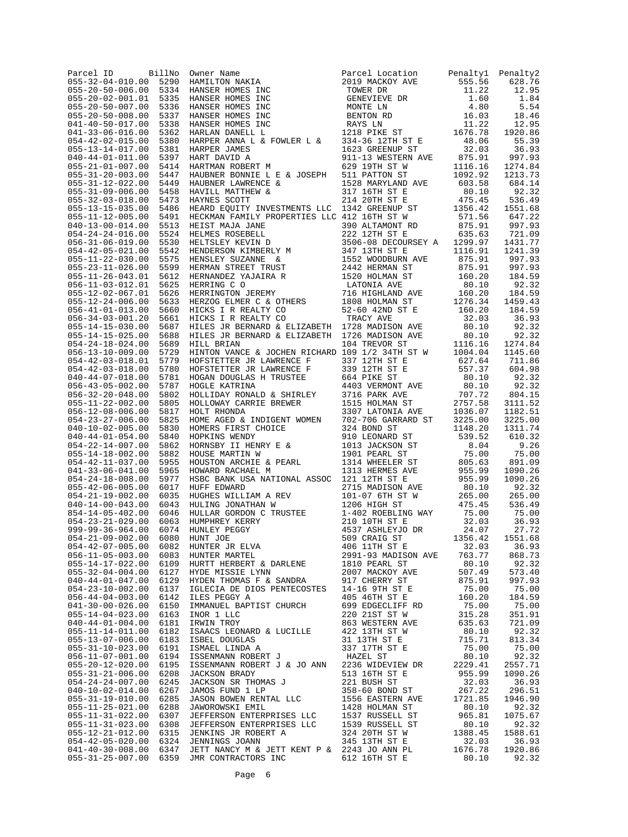| Parcel ID<br>$055 - 32 - 04 - 010.00$ 5290           | BillNo       | Parcel LC<br>2019 MACH<br>CC GENEVIEN<br>CC GENEVIEN<br>CC BENTON F<br>CC BENTON FRAYS LN<br>1218 PIKE<br>POWER I C 1218 PIKE<br>Owner Name<br>HAMILTON NAKIA                                                                                                                  | Parcel Location                                                                                                                                                 | Penalty1          | Penalty2<br>628.76 |
|------------------------------------------------------|--------------|--------------------------------------------------------------------------------------------------------------------------------------------------------------------------------------------------------------------------------------------------------------------------------|-----------------------------------------------------------------------------------------------------------------------------------------------------------------|-------------------|--------------------|
| $055 - 20 - 50 - 006.00$                             | 5334         | HANSER HOMES INC                                                                                                                                                                                                                                                               | 2019 MACKOY AVE 1.1.22<br>2019 MACKOY AVE 555.56<br>TOWER DR 1.60<br>MONTE LN 4.80<br>MONTE LN 4.80<br>BENTON RD 16.03<br>RAYS LN 11.22<br>1218 PIKE ST 1676.78 |                   | 12.95              |
| $055 - 20 - 02 - 001.01$                             | 5335         | HANSER HOMES INC                                                                                                                                                                                                                                                               |                                                                                                                                                                 |                   | 1.84               |
| $055 - 20 - 50 - 007.00$                             | 5336         | HANSER HOMES INC                                                                                                                                                                                                                                                               |                                                                                                                                                                 |                   | 5.54               |
| $055 - 20 - 50 - 008.00$<br>$041 - 40 - 50 - 017.00$ | 5337<br>5338 | HANSER HOMES INC<br>HANSER HOMES INC                                                                                                                                                                                                                                           |                                                                                                                                                                 |                   | 18.46<br>12.95     |
| $041 - 33 - 06 - 016.00$                             | 5362         | HARLAN DANELL L                                                                                                                                                                                                                                                                |                                                                                                                                                                 |                   | 1920.86            |
| $054 - 42 - 02 - 015.00$                             | 5380         | HARPER ANNA L & FOWLER L &                                                                                                                                                                                                                                                     | 334-36 12TH ST E<br>1623 GREENUP ST                                                                                                                             | 48.06             | 55.39              |
| $055 - 13 - 14 - 017.00$                             | 5381         | HARPER JAMES                                                                                                                                                                                                                                                                   |                                                                                                                                                                 | 32.03             | 36.93              |
| $040 - 44 - 01 - 011.00$<br>$055 - 21 - 01 - 007.00$ | 5397<br>5414 | HART DAVID A                                                                                                                                                                                                                                                                   | 911-13 WESTERN AVE<br>629 19TH ST W                                                                                                                             | 875.91<br>1116.16 | 997.93<br>1274.84  |
| $055 - 31 - 20 - 003.00$                             | 5447         | HARTMAN ROBERT M<br>HAUBNER BONNIE L E & JOSEPH 511 PATTON ST                                                                                                                                                                                                                  |                                                                                                                                                                 | 1092.92           | 1213.73            |
| $055 - 31 - 12 - 022.00$                             | 5449         |                                                                                                                                                                                                                                                                                | 1528 MARYLAND AVE                                                                                                                                               | 603.58            | 684.14             |
| $055 - 31 - 09 - 006.00$                             | 5458         | HAUBNER LAWRENCE & HAVILL MATTHEW & HAYNES SCOTT                                                                                                                                                                                                                               | 317 16TH ST E                                                                                                                                                   | 80.10             | 92.32              |
| $055 - 32 - 03 - 018.00$                             | 5473<br>5486 |                                                                                                                                                                                                                                                                                | 214 20TH ST E                                                                                                                                                   | 475.45            | 536.49             |
| $055 - 13 - 15 - 035.00$<br>$055 - 11 - 12 - 005.00$ | 5491         | HEARD EQUITY INVESTMENTS LLC 1342 GREENUP ST<br>HECKMAN FAMILY PROPERTIES LLC 412 16TH ST W<br>HEIST MAJA JANE 390 ALTAMONT RD                                                                                                                                                 |                                                                                                                                                                 | 1356.42<br>571.56 | 1551.68<br>647.22  |
| $040 - 13 - 00 - 014.00$                             | 5513         |                                                                                                                                                                                                                                                                                |                                                                                                                                                                 | 875.91            | 997.93             |
| $054 - 24 - 24 - 016.00$                             | 5524         | HECKMAN FAMILY PROPERTIES LLC 412 16TH ST W<br>HELMES NOSEBELL 300 ALTAMONT RD<br>HELMES ROSEBELL 222 12TH ST E<br>HELTSLEY KEVIN D<br>3506-08 DECOURSEY<br>HENDERSON KIMBERLY M 347 13TH ST E<br>HENSLEY SUZANNE & 1552 WOODBURN AVE<br>HEN                                   |                                                                                                                                                                 | 635.63            | 721.09             |
| $056 - 31 - 06 - 019.00$                             | 5530         |                                                                                                                                                                                                                                                                                | 3506-08 DECOURSEY A                                                                                                                                             | 1299.97           | 1431.77            |
| $054 - 42 - 05 - 021.00$<br>$055 - 11 - 22 - 030.00$ | 5542<br>5575 |                                                                                                                                                                                                                                                                                |                                                                                                                                                                 | 1116.91<br>875.91 | 1241.39<br>997.93  |
| $055 - 23 - 11 - 026.00$                             | 5599         |                                                                                                                                                                                                                                                                                |                                                                                                                                                                 | 875.91            | 997.93             |
| $055 - 11 - 26 - 043.01$                             | 5612         |                                                                                                                                                                                                                                                                                |                                                                                                                                                                 | 160.20            | 184.59             |
| $056 - 11 - 03 - 012.01$                             | 5625         |                                                                                                                                                                                                                                                                                |                                                                                                                                                                 | 80.10             | 92.32              |
| $055 - 12 - 02 - 067.01$<br>$055 - 12 - 24 - 006.00$ | 5626<br>5633 |                                                                                                                                                                                                                                                                                | 716 HIGHLAND AVE 160.20<br>1808 HOLMAN ST 1276.34                                                                                                               | 1276.34           | 184.59<br>1459.43  |
| $056 - 41 - 01 - 013.00$                             | 5660         |                                                                                                                                                                                                                                                                                |                                                                                                                                                                 | 160.20            | 184.59             |
| $056 - 34 - 03 - 001.20$                             | 5661         |                                                                                                                                                                                                                                                                                | 52-60 42ND ST E<br>TRACY AVE                                                                                                                                    | 32.03             | 36.93              |
| $055 - 14 - 15 - 030.00$                             | 5687         | HILES JR BERNARD & ELIZABETH 1728 MADISON AVE                                                                                                                                                                                                                                  |                                                                                                                                                                 | 80.10             | 92.32              |
| $055 - 14 - 15 - 025.00$                             | 5688         | HILES JR BERNARD & ELIZABETH 1726 MADISON AVE                                                                                                                                                                                                                                  |                                                                                                                                                                 | 80.10             | 92.32              |
| $054 - 24 - 18 - 024.00$<br>$056 - 13 - 10 - 009.00$ | 5689<br>5729 | HILL BRIAN<br>HINTON VANCE & JOCHEN RICHARD 109 1/2 34TH ST W 1004.04                                                                                                                                                                                                          | 104 TREVOR ST                                                                                                                                                   | 1116.16           | 1274.84<br>1145.60 |
| $054 - 42 - 03 - 018.01$                             | 5779         | HOFSTETTER JR LAWRENCE F                                                                                                                                                                                                                                                       | 337 12TH ST E                                                                                                                                                   | 627.64            | 711.86             |
| $054 - 42 - 03 - 018.00$                             | 5780         | HOFSTETTEK UK HARKENCE F<br>HOFSTETTER JR LAWRENCE F<br>HOGAN DOUGLAS H TRUSTEE                                                                                                                                                                                                | 339 12TH ST E                                                                                                                                                   | 557.37            | 604.98             |
| $040 - 44 - 07 - 018.00$                             | 5781         |                                                                                                                                                                                                                                                                                | 664 PIKE ST                                                                                                                                                     | 80.10             | 92.32              |
| $056 - 43 - 05 - 002.00$<br>$056 - 32 - 20 - 048.00$ | 5787<br>5802 |                                                                                                                                                                                                                                                                                | 4403 VERMONT AVE<br>3716 PARK AVE                                                                                                                               | 80.10<br>707.72   | 92.32<br>804.15    |
| $055 - 11 - 22 - 002.00$                             | 5805         |                                                                                                                                                                                                                                                                                |                                                                                                                                                                 | 2757.58           | 3111.52            |
| $056 - 12 - 08 - 006.00$                             | 5817         |                                                                                                                                                                                                                                                                                | 3307 LATONIA AVE                                                                                                                                                | 1036.07           | 1182.51            |
| $054 - 23 - 27 - 006.00$                             | 5825         |                                                                                                                                                                                                                                                                                |                                                                                                                                                                 | 3225.00           | 3225.00            |
| $040 - 10 - 02 - 005.00$<br>$040 - 44 - 01 - 054.00$ | 5830<br>5840 |                                                                                                                                                                                                                                                                                |                                                                                                                                                                 | 1148.20<br>539.52 | 1311.74<br>610.32  |
| $054 - 22 - 14 - 007.00$                             | 5862         |                                                                                                                                                                                                                                                                                |                                                                                                                                                                 | 8.04              | 9.26               |
| $055 - 14 - 18 - 002.00$                             | 5882         |                                                                                                                                                                                                                                                                                |                                                                                                                                                                 | 75.00             | 75.00              |
| $054 - 42 - 11 - 037.00$                             | 5955         |                                                                                                                                                                                                                                                                                |                                                                                                                                                                 | 805.63            | 891.09             |
| $041 - 33 - 06 - 041.00$                             | 5965         | HSBC BANK USA NATIONAL ASSOC 121 12TH ST E                                                                                                                                                                                                                                     |                                                                                                                                                                 | 955.99            | 1090.26            |
| $054 - 24 - 18 - 008.00$<br>$055 - 42 - 06 - 005.00$ | 5977<br>6017 | HUFF EDWARD                                                                                                                                                                                                                                                                    | 2715 MADISON AVE                                                                                                                                                | 955.99<br>80.10   | 1090.26<br>92.32   |
| $054 - 21 - 19 - 002.00$                             | 6035         | HUFF EDWARD<br>HUGHES WILLIAM A REV<br>HIILING JONATHAN W                                                                                                                                                                                                                      | 101-07 6TH ST W                                                                                                                                                 | 265.00            | 265.00             |
| $040 - 14 - 00 - 043.00$                             | 6043         |                                                                                                                                                                                                                                                                                | 1206 HIGH ST                                                                                                                                                    | 475.45            | 536.49             |
| $854 - 14 - 05 - 402.00$                             | 6046         |                                                                                                                                                                                                                                                                                | 1-402 ROEBLING WAY                                                                                                                                              | 75.00             | 75.00              |
| $054 - 23 - 21 - 029.00$<br>$999 - 99 - 36 - 964.00$ | 6063<br>6074 | HUNLEY PEGGY                                                                                                                                                                                                                                                                   | 210 10TH ST E<br>4537 ASHLEYJO DR 24.07                                                                                                                         | 32.03             | 36.93<br>27.72     |
| $054 - 21 - 09 - 002.00$                             | 6080         | HULLAR GORDON C TRUSTEE<br>HUMPHREY KERRY<br>HUNLEY PEGGY<br>HUNT JOE                                                                                                                                                                                                          | 509 CRAIG ST                                                                                                                                                    | 1356.42           | 1551.68            |
| $054 - 42 - 07 - 005.00$                             |              | UUSA HUNTER JR ELVA<br>6083 HUNTER MARTEL<br>6109 HUPTT UUS                                                                                                                                                                                                                    | 406 11TH ST E 32.03                                                                                                                                             |                   | 36.93              |
| $056 - 11 - 05 - 003.00$                             |              |                                                                                                                                                                                                                                                                                | 2991-93 MADISON AVE                                                                                                                                             | 763.77            | 868.73             |
| $055 - 14 - 17 - 022.00$<br>$055 - 32 - 04 - 004.00$ | 6127         | 6109 HURTT HERBERT & DARLENE<br>HYDE MISSIE LYNN                                                                                                                                                                                                                               | 1810 PEARL ST<br>2007 MACKOY AVE                                                                                                                                | 80.10<br>507.49   | 92.32<br>573.40    |
| $040 - 44 - 01 - 047.00$                             |              | 6129 HYDEN THOMAS F & SANDRA 917 CHERRY ST                                                                                                                                                                                                                                     |                                                                                                                                                                 | 875.91            | 997.93             |
| $054 - 23 - 10 - 002.00$                             | 6137         | IGLECIA DE DIOS PENTECOSTES 14-16 9TH ST E                                                                                                                                                                                                                                     |                                                                                                                                                                 | 75.00             | 75.00              |
| $056 - 44 - 04 - 003.00$                             | 6142         | ILES PEGGY A                                                                                                                                                                                                                                                                   | 405 46TH ST E                                                                                                                                                   | 160.20            | 184.59             |
| $041 - 30 - 00 - 026.00$<br>$055 - 14 - 04 - 023.00$ | 6150<br>6163 | IMMANUEL BAPTIST CHURCH<br>INOR 1 LLC                                                                                                                                                                                                                                          | 699 EDGECLIFF RD<br>220 21ST ST W                                                                                                                               | 75.00<br>315.28   | 75.00<br>351.91    |
| $040 - 44 - 01 - 004.00$                             | 6181         | IRWIN TROY                                                                                                                                                                                                                                                                     | 863 WESTERN AVE                                                                                                                                                 | 635.63            | 721.09             |
| $055 - 11 - 14 - 011.00$                             | 6182         | ISAACS LEONARD & LUCILLE                                                                                                                                                                                                                                                       | 422 13TH ST W                                                                                                                                                   | 80.10             | 92.32              |
| $055 - 13 - 07 - 006.00$                             | 6183         | ISBEL DOUGLAS                                                                                                                                                                                                                                                                  | 31 13TH ST E                                                                                                                                                    | 715.71            | 813.34             |
| $055 - 31 - 10 - 023.00$                             |              |                                                                                                                                                                                                                                                                                |                                                                                                                                                                 | 75.00             | 75.00              |
| $056 - 11 - 07 - 001.00$<br>$055 - 20 - 12 - 020.00$ | 6195         | EXECUTE A STRING A STRING OF THE STRING OF STRING STRING AND STRING STRING STRING AND STRING AND STRING AND STRING STRING STRING STRING STRING STRING STRING STRING STRING STRING STRING STRING STRING STRING STRING STRING ST<br>ISSENMANN ROBERT J & JO ANN 2236 WIDEVIEW DR |                                                                                                                                                                 | 80.10<br>2229.41  | 92.32<br>2557.71   |
| $055 - 31 - 21 - 006.00$                             | 6208         | JACKSON BRADY                                                                                                                                                                                                                                                                  | 513 16TH ST E                                                                                                                                                   | 955.99            | 1090.26            |
| $054 - 24 - 24 - 007.00$                             | 6245         | JACKSON SR THOMAS J                                                                                                                                                                                                                                                            | 221 BUSH ST                                                                                                                                                     | 32.03             | 36.93              |
| $040 - 10 - 02 - 014.00$                             | 6267         | JAMOS FUND 1 LP                                                                                                                                                                                                                                                                | 358-60 BOND ST                                                                                                                                                  | 267.22            | 296.51             |
| $055 - 31 - 19 - 010.00$<br>$055 - 11 - 25 - 021.00$ | 6285<br>6288 | JASON BOWEN RENTAL LLC<br>JAWOROWSKI EMIL                                                                                                                                                                                                                                      | 1556 EASTERN AVE<br>1428 HOLMAN ST                                                                                                                              | 1721.85<br>80.10  | 1946.90<br>92.32   |
| $055 - 11 - 31 - 022.00$                             | 6307         | JAWOROWSKI EMIL<br>JEFFERSON ENTERPRISES LLC<br>JEFFERSON ENTERPRISES LLC<br>JENKINS JR ROBERT A                                                                                                                                                                               | 1537 RUSSELL ST                                                                                                                                                 | 965.81            | 1075.67            |
| $055 - 11 - 31 - 023.00$                             |              | 6308 JEFFERSON ENTERPRISES LLC                                                                                                                                                                                                                                                 | 1539 RUSSELL ST                                                                                                                                                 | 80.10             | 92.32              |
| $055 - 12 - 21 - 012.00$                             |              | 6315 JENKINS JR ROBERT A                                                                                                                                                                                                                                                       | 324 20TH ST W                                                                                                                                                   | 1388.45           | 1588.61            |
| $054 - 42 - 05 - 020.00$<br>$041 - 40 - 30 - 008.00$ | 6347         | 6324 JENNINGS JOANN<br>JETT NANCY M & JETT KENT P & 2243 JO ANN PL                                                                                                                                                                                                             | 345 13TH ST E                                                                                                                                                   | 32.03<br>1676.78  | 36.93<br>1920.86   |
| $055 - 31 - 25 - 007.00$                             |              | 6359 JMR CONTRACTORS INC                                                                                                                                                                                                                                                       | 612 16TH ST E                                                                                                                                                   | 80.10             | 92.32              |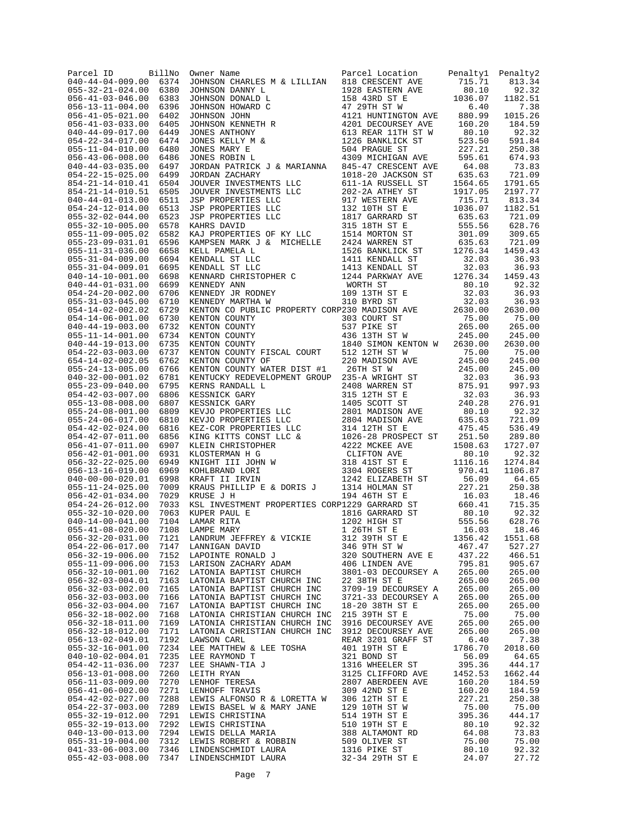| Parcel ID<br>040-44-04-009.00                        | BillNo<br>6374 | Owner Name<br>JOHNSON CHARLES M & LILLIAN                                                                                                                                                                                                            | Parcel Location<br>818 CRESCENT AVE                                                        | Penalty1<br>715.71 | Penalty2<br>813.34 |
|------------------------------------------------------|----------------|------------------------------------------------------------------------------------------------------------------------------------------------------------------------------------------------------------------------------------------------------|--------------------------------------------------------------------------------------------|--------------------|--------------------|
| $055 - 32 - 21 - 024.00$                             | 6380           | JOHNSON DANNY L<br>JOHNSON DANNY L<br>JOHNSON DONALD L<br>1928 EASTERN AVE<br>JOHNSON DONALD L<br>1928 EASTERN AVE<br>JOHNSON ONARD C<br>1928 EASTERN AVE<br>JOHNSON NEWS HARVE<br>JOHNSON NEWS<br>TONES ANTHONY 613 REAR 11TH ST W<br>JONES ROBIN L |                                                                                            | 80.10              | 92.32              |
| $056 - 41 - 03 - 046.00$                             | 6383           |                                                                                                                                                                                                                                                      |                                                                                            | 1036.07            | 1182.51            |
| $056 - 13 - 11 - 004.00$                             | 6396           |                                                                                                                                                                                                                                                      |                                                                                            | 6.40               | 7.38               |
| $056 - 41 - 05 - 021.00$                             | 6402           |                                                                                                                                                                                                                                                      |                                                                                            | 880.99             | 1015.26            |
| $056 - 41 - 03 - 033.00$                             | 6405           |                                                                                                                                                                                                                                                      |                                                                                            | 160.20             | 184.59             |
| $040 - 44 - 09 - 017.00$<br>$054 - 22 - 34 - 017.00$ | 6449<br>6474   |                                                                                                                                                                                                                                                      |                                                                                            | 80.10<br>523.50    | 92.32<br>591.84    |
| $055 - 11 - 04 - 010.00$                             | 6480           |                                                                                                                                                                                                                                                      |                                                                                            | 227.21             | 250.38             |
| $056 - 43 - 06 - 008.00$                             | 6486           |                                                                                                                                                                                                                                                      |                                                                                            | 595.61             | 674.93             |
| $040 - 44 - 03 - 035.00$                             | 6497           | JORDAN PATRICK J & MARIANNA                                                                                                                                                                                                                          | 845-47 CRESCENT AVE                                                                        | 64.08              | 73.83              |
| $054 - 22 - 15 - 025.00$                             | 6499           | JORDAN ZACHARY                                                                                                                                                                                                                                       | 1018-20 JACKSON ST                                                                         | 635.63             | 721.09             |
| $854 - 21 - 14 - 010.41$                             | 6504           | JOUVER INVESTMENTS LLC                                                                                                                                                                                                                               | 1018-20 JACKSON ST<br>611-1A RUSSELL ST                                                    | 1564.65            | 1791.65            |
| $854 - 21 - 14 - 010.51$                             | 6505<br>6511   |                                                                                                                                                                                                                                                      |                                                                                            | 1917.05            | 2197.77            |
| $040 - 44 - 01 - 013.00$<br>$054 - 24 - 12 - 014.00$ | 6513           |                                                                                                                                                                                                                                                      |                                                                                            | 715.71<br>1036.07  | 813.34<br>1182.51  |
| $055 - 32 - 02 - 044.00$                             | 6523           |                                                                                                                                                                                                                                                      |                                                                                            | 635.63             | 721.09             |
| $055 - 32 - 10 - 005.00$                             | 6578           |                                                                                                                                                                                                                                                      |                                                                                            | 555.56             | 628.76             |
| $055 - 11 - 09 - 005.02$                             | 6582           |                                                                                                                                                                                                                                                      |                                                                                            | 301.09             | 309.65             |
| $055 - 23 - 09 - 031.01$                             | 6596           |                                                                                                                                                                                                                                                      |                                                                                            | 635.63             | 721.09             |
| $055 - 11 - 31 - 036.00$                             | 6658           |                                                                                                                                                                                                                                                      |                                                                                            | 1276.34            | 1459.43            |
| $055 - 31 - 04 - 009.00$<br>$055 - 31 - 04 - 009.01$ | 6694<br>6695   |                                                                                                                                                                                                                                                      |                                                                                            | 32.03<br>32.03     | 36.93<br>36.93     |
| $040 - 14 - 10 - 001.00$                             | 6698           |                                                                                                                                                                                                                                                      |                                                                                            | 1276.34            | 1459.43            |
| $040 - 44 - 01 - 031.00$                             | 6699           |                                                                                                                                                                                                                                                      |                                                                                            |                    | 92.32              |
| $054 - 24 - 20 - 002.00$                             | 6706           |                                                                                                                                                                                                                                                      |                                                                                            |                    | 36.93              |
| $055 - 31 - 03 - 045.00$                             | 6710           |                                                                                                                                                                                                                                                      |                                                                                            |                    | 36.93              |
| $054 - 14 - 02 - 002.02$                             | 6729           |                                                                                                                                                                                                                                                      |                                                                                            |                    | 2630.00            |
| $054 - 14 - 06 - 001.00$                             | 6730           |                                                                                                                                                                                                                                                      |                                                                                            |                    | 75.00              |
| $040 - 44 - 19 - 003.00$<br>$055 - 11 - 14 - 001.00$ | 6732<br>6734   |                                                                                                                                                                                                                                                      |                                                                                            |                    | 265.00<br>245.00   |
| $040 - 44 - 19 - 013.00$                             | 6735           |                                                                                                                                                                                                                                                      |                                                                                            |                    | 2630.00            |
| $054 - 22 - 03 - 003.00$                             | 6737           |                                                                                                                                                                                                                                                      |                                                                                            |                    | 75.00              |
| $654 - 14 - 02 - 002.05$                             | 6762           |                                                                                                                                                                                                                                                      |                                                                                            |                    | 245.00             |
| $055 - 24 - 13 - 005.00$                             | 6766           | KENTON COUNTY WATER DIST #1                                                                                                                                                                                                                          | 220 MADISON AVE<br>26TH ST W<br>235-A WRIGHT ST                                            | 245.00             | 245.00             |
| $040 - 32 - 00 - 001.02$                             | 6781           | KENTUCKY REDEVELOPMENT GROUP                                                                                                                                                                                                                         |                                                                                            | 32.03              | 36.93              |
| $055 - 23 - 09 - 040.00$                             | 6795           |                                                                                                                                                                                                                                                      |                                                                                            | 875.91             | 997.93             |
| $054 - 42 - 03 - 007.00$<br>$055 - 13 - 08 - 008.00$ | 6806<br>6807   |                                                                                                                                                                                                                                                      |                                                                                            | 32.03<br>240.28    | 36.93<br>276.91    |
| $055 - 24 - 08 - 001.00$                             | 6809           |                                                                                                                                                                                                                                                      |                                                                                            | 80.10              | 92.32              |
| $055 - 24 - 06 - 017.00$                             | 6810           | KENTUCKY REDEVELOPMENT GROUP 235-A WRIGHT ST<br>KENNS RANDALL L 2408 WARREN ST<br>KESSNICK GARY 315 12TH ST<br>KESSNICK GARY 315 12TH ST<br>KESSNICK GARY 1405 SCOTT ST<br>KEVJO PROPERTIES LLC 2804 MADISON AVE<br>KEVJO PROPERTIES LLC 2           |                                                                                            | 635.63             | 721.09             |
| $054 - 42 - 02 - 024.00$                             | 6816           |                                                                                                                                                                                                                                                      |                                                                                            | 475.45             | 536.49             |
| $054 - 42 - 07 - 011.00$                             | 6856           |                                                                                                                                                                                                                                                      |                                                                                            | 251.50             | 289.80             |
| $056 - 41 - 07 - 011.00$                             | 6907           |                                                                                                                                                                                                                                                      |                                                                                            | 1508.63            | 1727.07            |
| $056 - 42 - 01 - 001.00$<br>$056 - 32 - 22 - 025.00$ | 6931<br>6949   |                                                                                                                                                                                                                                                      |                                                                                            | 80.10<br>1116.16   | 92.32<br>1274.84   |
| $056 - 13 - 16 - 019.00$                             | 6969           |                                                                                                                                                                                                                                                      |                                                                                            | 970.41             | 1106.87            |
| $040 - 00 - 00 - 020.01$                             | 6998           |                                                                                                                                                                                                                                                      |                                                                                            | 56.09              | 64.65              |
| $055 - 11 - 24 - 025.00$                             | 7009           | KRAUS PHILLIP E & DORIS J                                                                                                                                                                                                                            | 1314 HOLMAN ST                                                                             | 227.21             | 250.38             |
| $056 - 42 - 01 - 034.00$                             | 7029           | KRUSE J H 194 46TH ST E<br>KSL INVESTMENT PROPERTIES CORP1229 GARRARD ST                                                                                                                                                                             |                                                                                            | 16.03              | 18.46              |
| $054 - 24 - 26 - 012.00$                             | 7033           |                                                                                                                                                                                                                                                      |                                                                                            | 660.41             | 715.35             |
| $055 - 32 - 10 - 020.00$<br>$040 - 14 - 00 - 041.00$ | 7063           | $\mathbf{r}$<br>KUPER PAUL E<br>LAMAR RITA                                                                                                                                                                                                           |                                                                                            |                    | 92.32<br>628.76    |
| $055 - 41 - 08 - 020.00$                             | 7104<br>7108   | LAMPE MARY                                                                                                                                                                                                                                           |                                                                                            |                    | 18.46              |
| $056 - 32 - 20 - 031.00$                             | 7121           | LANDRUM JEFFREY & VICKIE                                                                                                                                                                                                                             | 1816 GARRARD ST 80.10<br>1202 HIGH ST 555.56<br>1 26TH ST E 16.03<br>312 39TH ST E 1356.42 |                    | 1551.68            |
| $054 - 22 - 06 - 017.00$                             | 7147           |                                                                                                                                                                                                                                                      | 346 9TH ST W                                                                               | 467.47             | 527.27             |
| $056 - 32 - 19 - 006.00$                             | 7152           | LANNIGAN DAVID<br>LAPOINTE RONALD J<br>LARISON ZACHARY ADAM                                                                                                                                                                                          | 320 SOUTHERN AVE E                                                                         | 437.22             | 466.51             |
| $055 - 11 - 09 - 006.00$                             | 7153           |                                                                                                                                                                                                                                                      | 320 SUULLE<br>406 LINDEN AVE<br>22 PECOURS                                                 | 795.81             | 905.67             |
| $056 - 32 - 10 - 001.00$                             | 7162           | LATONIA BAPTIST CHURCH                                                                                                                                                                                                                               | 3801-03 DECOURSEY A                                                                        | 265.00             | 265.00             |
| $056 - 32 - 03 - 004.01$<br>$056 - 32 - 03 - 002.00$ | 7163<br>7165   | LATONIA BAPTIST CHURCH INC<br>LATONIA BAPTIST CHURCH INC                                                                                                                                                                                             | 22 38TH ST E<br>3709-19 DECOURSEY A                                                        | 265.00<br>265.00   | 265.00<br>265.00   |
| $056 - 32 - 03 - 003.00$                             | 7166           | LATONIA BAPTIST CHURCH INC                                                                                                                                                                                                                           | 3721-33 DECOURSEY A                                                                        | 265.00             | 265.00             |
| $056 - 32 - 03 - 004.00$                             | 7167           | LATONIA BAPTIST CHURCH INC                                                                                                                                                                                                                           | 18-20 38TH ST E                                                                            | 265.00             | 265.00             |
| $056 - 32 - 18 - 002.00$                             | 7168           | LATONIA CHRISTIAN CHURCH INC                                                                                                                                                                                                                         | 215 39TH ST E                                                                              | 75.00              | 75.00              |
| $056 - 32 - 18 - 011.00$                             | 7169           | LATONIA CHRISTIAN CHURCH INC                                                                                                                                                                                                                         | 3916 DECOURSEY AVE                                                                         | 265.00             | 265.00             |
| $056 - 32 - 18 - 012.00$                             | 7171           | LATONIA CHRISTIAN CHURCH INC                                                                                                                                                                                                                         | 3912 DECOURSEY AVE                                                                         | 265.00             | 265.00             |
| 056-13-02-049.01<br>$055 - 32 - 16 - 001.00$         | 7192<br>7234   | LAWSON CARL<br>LEE MATTHEW & LEE TOSHA                                                                                                                                                                                                               | REAR 3201 GRAFF ST<br>401 19TH ST E                                                        | 6.40<br>1786.70    | 7.38<br>2018.60    |
| $040 - 10 - 02 - 004.01$                             | 7235           | LEE RAYMOND T                                                                                                                                                                                                                                        | 321 BOND ST                                                                                | 56.09              | 64.65              |
| $054 - 42 - 11 - 036.00$                             | 7237           | LEE SHAWN-TIA J                                                                                                                                                                                                                                      | 1316 WHEELER ST                                                                            | 395.36             | 444.17             |
| $056 - 13 - 01 - 008.00$                             | 7260           | LEITH RYAN                                                                                                                                                                                                                                           |                                                                                            | 1452.53            | 1662.44            |
| $056 - 11 - 03 - 009.00$                             | 7270           | LENHOF TERESA                                                                                                                                                                                                                                        | 3125 CLIFFORD 11<br>2807 ABERDEEN AVE<br>309 42ND ST E<br>107H ST E                        | 160.20             | 184.59             |
| $056 - 41 - 06 - 002.00$                             | 7271           | LENHOFF TRAVIS                                                                                                                                                                                                                                       |                                                                                            | 160.20             | 184.59             |
| $054 - 42 - 02 - 027.00$                             | 7288           | LEWIS ALFONSO R & LORETTA W                                                                                                                                                                                                                          |                                                                                            | 227.21             | 250.38             |
| $054 - 22 - 37 - 003.00$<br>$055 - 32 - 19 - 012.00$ | 7289           | LEWIS BASEL W & MARY JANE                                                                                                                                                                                                                            | 129 10TH ST W                                                                              | 75.00<br>395.36    | 75.00<br>444.17    |
| $055 - 32 - 19 - 013.00$                             |                |                                                                                                                                                                                                                                                      |                                                                                            | 80.10              | 92.32              |
| $040 - 13 - 00 - 013.00$                             |                |                                                                                                                                                                                                                                                      |                                                                                            | 64.08              | 73.83              |
| $055 - 31 - 19 - 004.00$                             |                |                                                                                                                                                                                                                                                      |                                                                                            | 75.00<br>80.10     | 75.00              |
| $041 - 33 - 06 - 003.00$                             |                |                                                                                                                                                                                                                                                      |                                                                                            |                    | 92.32              |
| $055 - 42 - 03 - 008.00$                             |                |                                                                                                                                                                                                                                                      |                                                                                            | 24.07              | 27.72              |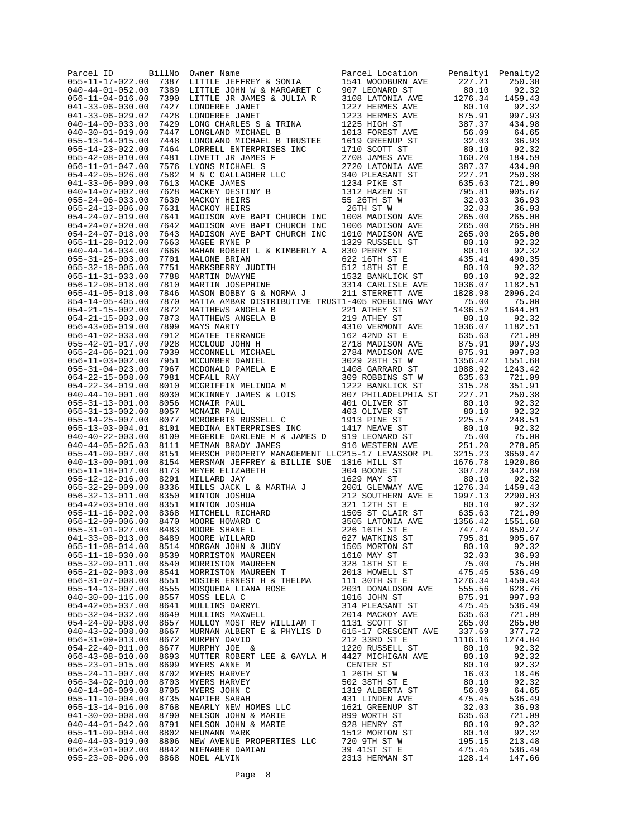| Parcel ID<br>$055 - 11 - 17 - 022.00$                | BillNo<br>7387 | Owner Name<br>LITTLE JEFFREY & SONIA                                                                                                                                                                                                                                                                                                                                                                       | Parcel Location Penalty1<br>Parcel Location<br>1541 WOODBURN AVE 227.21<br>907 LEONARD ST 80.10<br>3108 LATONIA AVE 1276.34<br>1200 UPDMES AVE 80.10<br>10.10 | Penalty2<br>250.38 |
|------------------------------------------------------|----------------|------------------------------------------------------------------------------------------------------------------------------------------------------------------------------------------------------------------------------------------------------------------------------------------------------------------------------------------------------------------------------------------------------------|---------------------------------------------------------------------------------------------------------------------------------------------------------------|--------------------|
| $040 - 44 - 01 - 052.00$                             | 7389           |                                                                                                                                                                                                                                                                                                                                                                                                            |                                                                                                                                                               | 92.32              |
| $056 - 11 - 04 - 016.00$                             | 7390           |                                                                                                                                                                                                                                                                                                                                                                                                            |                                                                                                                                                               | 1459.43            |
| $041 - 33 - 06 - 030.00$                             | 7427           |                                                                                                                                                                                                                                                                                                                                                                                                            |                                                                                                                                                               | 92.32              |
| $041 - 33 - 06 - 029.02$<br>$040 - 14 - 00 - 033.00$ | 7428<br>7429   |                                                                                                                                                                                                                                                                                                                                                                                                            |                                                                                                                                                               | 997.93<br>434.98   |
| $040 - 30 - 01 - 019.00$                             | 7447           |                                                                                                                                                                                                                                                                                                                                                                                                            |                                                                                                                                                               | 64.65              |
| $055 - 13 - 14 - 015.00$                             | 7448           |                                                                                                                                                                                                                                                                                                                                                                                                            |                                                                                                                                                               | 36.93              |
| $055 - 14 - 23 - 022.00$                             | 7464           |                                                                                                                                                                                                                                                                                                                                                                                                            |                                                                                                                                                               | 92.32              |
| $055 - 42 - 08 - 010.00$                             | 7481           |                                                                                                                                                                                                                                                                                                                                                                                                            |                                                                                                                                                               | 184.59             |
| $056 - 11 - 01 - 047.00$                             | 7576<br>7582   |                                                                                                                                                                                                                                                                                                                                                                                                            |                                                                                                                                                               | 434.98<br>250.38   |
| $054 - 42 - 05 - 026.00$<br>$041 - 33 - 06 - 009.00$ | 7613           |                                                                                                                                                                                                                                                                                                                                                                                                            |                                                                                                                                                               | 721.09             |
| $040 - 14 - 07 - 002.00$                             | 7628           |                                                                                                                                                                                                                                                                                                                                                                                                            |                                                                                                                                                               | 905.67             |
| $055 - 24 - 06 - 033.00$                             | 7630           |                                                                                                                                                                                                                                                                                                                                                                                                            |                                                                                                                                                               | 36.93              |
| $055 - 24 - 13 - 006.00$                             | 7631           |                                                                                                                                                                                                                                                                                                                                                                                                            |                                                                                                                                                               | 36.93              |
| $054 - 24 - 07 - 019.00$                             | 7641           |                                                                                                                                                                                                                                                                                                                                                                                                            |                                                                                                                                                               | 265.00             |
| $054 - 24 - 07 - 020.00$<br>$054 - 24 - 07 - 018.00$ | 7642<br>7643   |                                                                                                                                                                                                                                                                                                                                                                                                            |                                                                                                                                                               | 265.00<br>265.00   |
| $055 - 11 - 28 - 012.00$                             | 7663           |                                                                                                                                                                                                                                                                                                                                                                                                            |                                                                                                                                                               | 92.32              |
| $040 - 44 - 14 - 034.00$                             | 7666           |                                                                                                                                                                                                                                                                                                                                                                                                            |                                                                                                                                                               | 92.32              |
| $055 - 31 - 25 - 003.00$                             | 7701           |                                                                                                                                                                                                                                                                                                                                                                                                            |                                                                                                                                                               | 490.35             |
| $055 - 32 - 18 - 005.00$                             | 7751           |                                                                                                                                                                                                                                                                                                                                                                                                            |                                                                                                                                                               | 92.32              |
| $055 - 11 - 31 - 033.00$                             | 7788           |                                                                                                                                                                                                                                                                                                                                                                                                            |                                                                                                                                                               | 92.32              |
| $056 - 12 - 08 - 018.00$<br>$055 - 41 - 05 - 018.00$ | 7810<br>7846   |                                                                                                                                                                                                                                                                                                                                                                                                            |                                                                                                                                                               | 1182.51<br>2096.24 |
| 854-14-05-405.00                                     | 7870           |                                                                                                                                                                                                                                                                                                                                                                                                            |                                                                                                                                                               | 75.00              |
| $054 - 21 - 15 - 002.00$                             | 7872           | MARIIN 2008<br>MARIIN JOSEPHINE<br>MASON BOBBY G & NORMA J<br>MASON BOBBY G & NORMA J<br>211 STERRETT AVE 1436.52<br>MATTA AMBAR DISTRIBUTIVE TRUST1-405 ROEBLING WAY 75.00<br>221 ATHEY ST<br>221 ATHEY ST<br>221 ATHEY ST<br>221 ATHEY ST<br>221                                                                                                                                                         |                                                                                                                                                               | 1644.01            |
| $054 - 21 - 15 - 003.00$                             | 7873           |                                                                                                                                                                                                                                                                                                                                                                                                            |                                                                                                                                                               | 92.32              |
| $056 - 43 - 06 - 019.00$                             | 7899           |                                                                                                                                                                                                                                                                                                                                                                                                            |                                                                                                                                                               | 1182.51            |
| $056 - 41 - 02 - 033.00$                             | 7912           |                                                                                                                                                                                                                                                                                                                                                                                                            |                                                                                                                                                               | 721.09             |
| $055 - 42 - 01 - 017.00$<br>$055 - 24 - 06 - 021.00$ | 7928<br>7939   |                                                                                                                                                                                                                                                                                                                                                                                                            |                                                                                                                                                               | 997.93<br>997.93   |
| $056 - 11 - 03 - 002.00$                             | 7951           |                                                                                                                                                                                                                                                                                                                                                                                                            |                                                                                                                                                               | 1551.68            |
| $055 - 31 - 04 - 023.00$                             | 7967           |                                                                                                                                                                                                                                                                                                                                                                                                            |                                                                                                                                                               | 1243.42            |
| $054 - 22 - 15 - 008.00$                             | 7981           |                                                                                                                                                                                                                                                                                                                                                                                                            |                                                                                                                                                               | 721.09             |
| $054 - 22 - 34 - 019.00$                             | 8010           |                                                                                                                                                                                                                                                                                                                                                                                                            |                                                                                                                                                               | 351.91             |
| $040 - 44 - 10 - 001.00$                             | 8030           |                                                                                                                                                                                                                                                                                                                                                                                                            |                                                                                                                                                               | 250.38             |
| $055 - 31 - 13 - 001.00$<br>$055 - 31 - 13 - 002.00$ | 8056<br>8057   |                                                                                                                                                                                                                                                                                                                                                                                                            |                                                                                                                                                               | 92.32<br>92.32     |
| $055 - 14 - 25 - 007.00$                             | 8077           |                                                                                                                                                                                                                                                                                                                                                                                                            |                                                                                                                                                               | 248.51             |
| $055 - 13 - 03 - 004.01$                             | 8101           |                                                                                                                                                                                                                                                                                                                                                                                                            |                                                                                                                                                               | 92.32              |
| $040 - 40 - 22 - 003.00$                             | 8109           |                                                                                                                                                                                                                                                                                                                                                                                                            |                                                                                                                                                               | 75.00              |
| $040 - 44 - 05 - 025.03$                             | 8111           | $\begin{tabular}{l c c c c} \multicolumn{1}{c}{\textbf{MATTA AMBA PISTREUTIVE TROST1-405 ROEBLING WAY} & \multicolumn{1}{c}{75.00} \\ \multicolumn{1}{c}{\textbf{MATTHAWS ANGELA B}} & 211 & 3148 & 75.00 \\ \multicolumn{1}{c}{\textbf{MATTHAWS ANGELA B}} & 211 & 3147 & 75.00 \\ \multicolumn{1}{c}{\textbf{MATHEWS ANGELA B}} & 212 & 317 \text{HEY ST} & 1436 & 52 \\ \multicolumn{1}{c}{\textbf{MAT$ |                                                                                                                                                               | 278.05             |
| $055 - 41 - 09 - 007.00$<br>$040 - 13 - 00 - 001.00$ | 8151<br>8154   |                                                                                                                                                                                                                                                                                                                                                                                                            |                                                                                                                                                               | 3659.47<br>1920.86 |
| $055 - 11 - 18 - 017.00$                             | 8173           | MEYER ELIZABETH a BILLIA SOL 304 BONE ST<br>MEYER ELIZABETH a BILLIA SOL 304 BONE ST<br>MILLIARD JAY 1629 MAY ST 80.10<br>MILLIS JACK L & MARTHA J 2001 GLENWAY AVE 1276.34<br>MINTON JOSHUA 212 SOUTHERN MEYE 1997.13<br>MINTON JOSHUA                                                                                                                                                                    |                                                                                                                                                               | 342.69             |
| $055 - 12 - 12 - 016.00$                             | 8291           |                                                                                                                                                                                                                                                                                                                                                                                                            |                                                                                                                                                               | 92.32              |
| $055 - 32 - 29 - 009.00$                             | 8336           |                                                                                                                                                                                                                                                                                                                                                                                                            |                                                                                                                                                               | 1459.43            |
| $056 - 32 - 13 - 011.00$                             | 8350           |                                                                                                                                                                                                                                                                                                                                                                                                            |                                                                                                                                                               | 2290.03            |
| $054 - 42 - 03 - 010.00$<br>$055 - 11 - 16 - 002.00$ | 8351<br>8368   |                                                                                                                                                                                                                                                                                                                                                                                                            |                                                                                                                                                               | 92.32<br>721.09    |
| $056 - 12 - 09 - 006.00$                             | 8470           |                                                                                                                                                                                                                                                                                                                                                                                                            |                                                                                                                                                               | 1551.68            |
| $055 - 31 - 01 - 027.00$                             | 8483           |                                                                                                                                                                                                                                                                                                                                                                                                            |                                                                                                                                                               | 850.27             |
| $041 - 33 - 08 - 013.00$                             | 8489           |                                                                                                                                                                                                                                                                                                                                                                                                            |                                                                                                                                                               | 905.67             |
|                                                      |                |                                                                                                                                                                                                                                                                                                                                                                                                            |                                                                                                                                                               | 92.32              |
|                                                      |                |                                                                                                                                                                                                                                                                                                                                                                                                            |                                                                                                                                                               | 36.93              |
|                                                      |                |                                                                                                                                                                                                                                                                                                                                                                                                            |                                                                                                                                                               | 75.00<br>536.49    |
|                                                      |                |                                                                                                                                                                                                                                                                                                                                                                                                            |                                                                                                                                                               | 1459.43            |
|                                                      |                |                                                                                                                                                                                                                                                                                                                                                                                                            |                                                                                                                                                               | 628.76             |
|                                                      |                |                                                                                                                                                                                                                                                                                                                                                                                                            |                                                                                                                                                               | 997.93             |
|                                                      |                |                                                                                                                                                                                                                                                                                                                                                                                                            |                                                                                                                                                               | 536.49             |
|                                                      |                |                                                                                                                                                                                                                                                                                                                                                                                                            |                                                                                                                                                               | 721.09             |
|                                                      |                |                                                                                                                                                                                                                                                                                                                                                                                                            |                                                                                                                                                               | 265.00<br>377.72   |
|                                                      |                |                                                                                                                                                                                                                                                                                                                                                                                                            |                                                                                                                                                               | 1274.84            |
|                                                      |                |                                                                                                                                                                                                                                                                                                                                                                                                            |                                                                                                                                                               | 92.32              |
|                                                      |                |                                                                                                                                                                                                                                                                                                                                                                                                            |                                                                                                                                                               | 92.32              |
|                                                      |                |                                                                                                                                                                                                                                                                                                                                                                                                            |                                                                                                                                                               | 92.32              |
|                                                      |                |                                                                                                                                                                                                                                                                                                                                                                                                            |                                                                                                                                                               | 18.46<br>92.32     |
|                                                      |                |                                                                                                                                                                                                                                                                                                                                                                                                            |                                                                                                                                                               | 64.65              |
|                                                      |                |                                                                                                                                                                                                                                                                                                                                                                                                            |                                                                                                                                                               | 536.49             |
|                                                      |                |                                                                                                                                                                                                                                                                                                                                                                                                            |                                                                                                                                                               | 36.93              |
|                                                      |                |                                                                                                                                                                                                                                                                                                                                                                                                            |                                                                                                                                                               | 721.09             |
|                                                      |                |                                                                                                                                                                                                                                                                                                                                                                                                            |                                                                                                                                                               | 92.32              |
|                                                      |                |                                                                                                                                                                                                                                                                                                                                                                                                            |                                                                                                                                                               | 92.32<br>213.48    |
|                                                      |                |                                                                                                                                                                                                                                                                                                                                                                                                            |                                                                                                                                                               | 536.49             |
|                                                      |                |                                                                                                                                                                                                                                                                                                                                                                                                            |                                                                                                                                                               | 147.66             |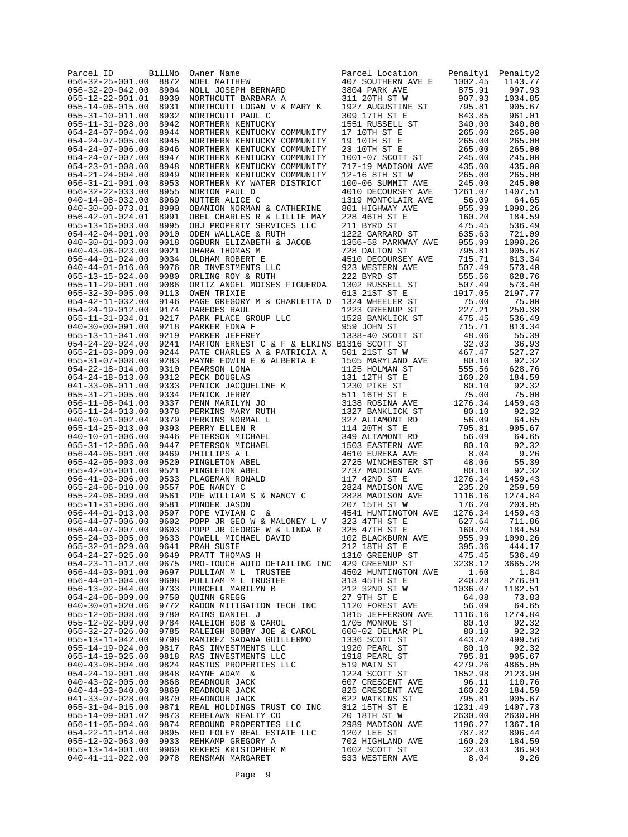| Parcel ID<br>$056 - 32 - 25 - 001.00$                              | BillNo<br>8872 | Owner Name<br>NOEL MATTHEW<br>NOLL JOSEPH BERNARD<br>NORTHCUTT BARBARA A                                                                                                                                                           | Parcel Location<br>407 SOUTHERN AVE E                | Penaltyl<br>1002.45 | Penalty2<br>1143.77 |
|--------------------------------------------------------------------|----------------|------------------------------------------------------------------------------------------------------------------------------------------------------------------------------------------------------------------------------------|------------------------------------------------------|---------------------|---------------------|
| $056 - 32 - 20 - 042.00$                                           | 8904           |                                                                                                                                                                                                                                    | 3804 PARK AVE                                        | 875.91              | 997.93              |
| $055 - 12 - 22 - 001.01$                                           | 8930           |                                                                                                                                                                                                                                    | 311 20TH ST W                                        | 907.93              | 1034.85             |
| $055 - 14 - 06 - 015.00$                                           | 8931           | NORTHCUTT LOGAN V & MARY K                                                                                                                                                                                                         | 1927 AUGUSTINE ST                                    | 795.81              | 905.67              |
| $055 - 31 - 10 - 011.00$<br>$055 - 11 - 31 - 028.00$               | 8932<br>8942   | NORTHCUTT PAUL C<br>NORTHERN KENTUCKY                                                                                                                                                                                              | 309 17TH ST E<br>1551 RUSSELL ST                     | 843.85<br>340.00    | 961.01<br>340.00    |
| $054 - 24 - 07 - 004.00$                                           | 8944           | NORTHERN KENTUCKY COMMUNITY                                                                                                                                                                                                        | 17 10TH ST E                                         | 265.00              | 265.00              |
| $054 - 24 - 07 - 005.00$                                           | 8945           | NORTHERN KENTUCKY COMMUNITY                                                                                                                                                                                                        | 19 10TH ST E                                         | 265.00              | 265.00              |
| $054 - 24 - 07 - 006.00$                                           | 8946           | NORTHERN KENTUCKY COMMUNITY                                                                                                                                                                                                        | 23 10TH ST E                                         | 265.00              | 265.00              |
| $054 - 24 - 07 - 007.00$                                           | 8947           | NORTHERN KENTUCKY COMMUNITY                                                                                                                                                                                                        | 1001-07 SCOTT ST                                     | 245.00              | 245.00              |
| $054 - 23 - 01 - 008.00$<br>$054 - 21 - 24 - 004.00$               | 8948<br>8949   | NORTHERN KENTUCKY COMMUNITY<br>NORTHERN KENTUCKY COMMUNITY                                                                                                                                                                         | 717-19 MADISON AVE<br>12-16 8TH ST W                 | 435.00<br>265.00    | 435.00<br>265.00    |
| $056 - 31 - 21 - 001.00$                                           | 8953           | NORTHERN KY WATER DISTRICT                                                                                                                                                                                                         | 100-06 SUMMIT AVE                                    | 245.00              | 245.00              |
| $056 - 32 - 22 - 033.00$                                           | 8955           | NORTON PAUL D                                                                                                                                                                                                                      | 4010 DECOURSEY AVE                                   | 1261.07             | 1407.51             |
| $040 - 14 - 08 - 032.00$                                           | 8969           | NUTTER ALICE C                                                                                                                                                                                                                     | 1319 MONTCLAIR AVE                                   | 56.09               | 64.65               |
| $040 - 30 - 00 - 073.01$                                           | 8990           | OBANION NORMAN & CATHERINE                                                                                                                                                                                                         | 801 HIGHWAY AVE                                      | 955.99              | 1090.26             |
| $056 - 42 - 01 - 024.01$<br>$055 - 13 - 16 - 003.00$               | 8991<br>8995   | OBEL CHARLES R & LILLIE MAY<br>OBJ PROPERTY SERVICES LLC                                                                                                                                                                           | 228 46TH ST E<br>211 BYRD ST                         | 160.20<br>475.45    | 184.59<br>536.49    |
| $054 - 42 - 04 - 001.00$                                           | 9010           | ODEN WALLACE & RUTH                                                                                                                                                                                                                | 1222 GARRARD ST                                      | 635.63              | 721.09              |
| $040 - 30 - 01 - 003.00$                                           | 9018           | CGBURN ELIZABETH & JACOB 1356-58 PARKWAY AVE<br>OGBURN ELIZABETH & JACOB 1356-58 PARKWAY AVE<br>OLDHAM ROBERT E 4510 DECOURSEY AVE<br>OR INVESTMENTS LLC 923 WESTERN AVE<br>ORLING ROY & RUTH 222 BYRD ST                          |                                                      | 955.99              | 1090.26             |
| $040 - 43 - 06 - 023.00$                                           | 9021           |                                                                                                                                                                                                                                    |                                                      | 795.81              | 905.67              |
| $056 - 44 - 01 - 024.00$                                           | 9034           |                                                                                                                                                                                                                                    |                                                      | 715.71              | 813.34              |
| $040 - 44 - 01 - 016.00$<br>$055 - 13 - 15 - 024.00$               | 9076<br>9080   |                                                                                                                                                                                                                                    |                                                      | 507.49<br>555.56    | 573.40<br>628.76    |
| $055 - 11 - 29 - 001.00$                                           | 9086           | ORTIZ ANGEL MOISES FIGUEROA                                                                                                                                                                                                        | 1302 RUSSELL ST                                      | 507.49              | 573.40              |
| $055 - 32 - 30 - 005.00$                                           | 9113           | OWEN TRIXIE                                                                                                                                                                                                                        | 613 21ST ST E                                        | 1917.05             | 2197.77             |
| $054 - 42 - 11 - 032.00$                                           | 9146           | PAGE GREGORY M & CHARLETTA D 1324 WHEELER ST                                                                                                                                                                                       |                                                      | 75.00               | 75.00               |
| $054 - 24 - 19 - 012.00$                                           | 9174           | PAREDES RAUL                                                                                                                                                                                                                       | 1223 GREENUP ST                                      | 227.21              | 250.38              |
| $055 - 11 - 31 - 034.01$                                           | 9217           | PARK PLACE GROUP LLC<br>PARKER EDNA F<br>PARKER JEFFREY                                                                                                                                                                            | 1528 BANKLICK ST                                     | 475.45              | 536.49              |
| $040 - 30 - 00 - 091.00$<br>$055 - 13 - 11 - 041.00$               | 9218<br>9219   |                                                                                                                                                                                                                                    | 959 JOHN ST<br>1338-40 SCOTT ST                      | 715.71              | 813.34              |
| $054 - 24 - 20 - 024.00$                                           | 9241           | PARTON ERNEST C & F & ELKINS B1316 SCOTT ST                                                                                                                                                                                        |                                                      | 48.06<br>32.03      | 55.39<br>36.93      |
| $055 - 21 - 03 - 009.00$                                           | 9244           | PATE CHARLES A & PATRICIA A                                                                                                                                                                                                        | 501 21ST ST W                                        | 467.47              | 527.27              |
| $055 - 31 - 07 - 008.00$                                           | 9283           | PAYNE EDWIN E & ALBERTA E                                                                                                                                                                                                          |                                                      | 80.10               | 92.32               |
| $054 - 22 - 18 - 014.00$                                           | 9310           |                                                                                                                                                                                                                                    | 1505 MARYLAND AVE<br>1125 HOLMAN ST<br>131 12TH ST E | 555.56              | 628.76              |
| $054 - 24 - 18 - 013.00$                                           | 9312           |                                                                                                                                                                                                                                    |                                                      | 160.20              | 184.59              |
| $041 - 33 - 06 - 011.00$                                           | 9333           |                                                                                                                                                                                                                                    |                                                      | 80.10               | 92.32               |
| $055 - 31 - 21 - 005.00$<br>$056 - 11 - 08 - 041.00$               | 9334<br>9337   |                                                                                                                                                                                                                                    |                                                      | 75.00<br>1276.34    | 75.00<br>1459.43    |
| $055 - 11 - 24 - 013.00$                                           | 9378           |                                                                                                                                                                                                                                    |                                                      | 80.10               | 92.32               |
| $040 - 10 - 01 - 002.04$                                           | 9379           |                                                                                                                                                                                                                                    |                                                      | 56.09               | 64.65               |
| $055 - 14 - 25 - 013.00$                                           | 9393           |                                                                                                                                                                                                                                    |                                                      | 795.81              | 905.67              |
| $040 - 10 - 01 - 006.00$                                           | 9446           |                                                                                                                                                                                                                                    |                                                      | 56.09               | 64.65               |
| $055 - 31 - 12 - 005.00$                                           | 9447           |                                                                                                                                                                                                                                    |                                                      | 80.10               | 92.32               |
| $056 - 44 - 06 - 001.00$<br>$055 - 42 - 05 - 003.00$               | 9469<br>9520   |                                                                                                                                                                                                                                    |                                                      | 8.04<br>48.06       | 9.26<br>55.39       |
| $055 - 42 - 05 - 001.00$                                           | 9521           |                                                                                                                                                                                                                                    |                                                      | 80.10               | 92.32               |
| $056 - 41 - 03 - 006.00$                                           | 9533           |                                                                                                                                                                                                                                    |                                                      | 1276.34             | 1459.43             |
| $055 - 24 - 06 - 010.00$                                           | 9557           | PLANDRINGY C<br>POE NANCY C<br>POE WILLIAM S & NANCY C<br>CANDRE JASON                                                                                                                                                             | 2824 MADISON AVE                                     | 235.20              | 259.59              |
| $055 - 24 - 06 - 009.00$                                           | 9561           |                                                                                                                                                                                                                                    | 2828 MADISON AVE                                     | 1116.16             | 1274.84             |
| $055 - 11 - 31 - 006.00$                                           | 9581           |                                                                                                                                                                                                                                    | 207 15TH ST W                                        | 176.20              | 203.05              |
| $056 - 44 - 01 - 013.00$<br>$056 - 44 - 07 - 006.00$               | 9597<br>9602   | POPE VIVIAN C<br>ିଧ<br>POPP JR GEO W & MALONEY L V                                                                                                                                                                                 | 4541 HUNTINGTON AVE<br>323 47TH ST E                 | 1276.34<br>627.64   | 1459.43<br>711.86   |
| $056 - 44 - 07 - 007.00$                                           | 9603           | POPP JR GEORGE W & LINDA R                                                                                                                                                                                                         | 325 47TH ST E                                        | 160.20              | 184.59              |
| $055 - 24 - 03 - 005.00$                                           | 9633           | POWELL MICHAEL DAVID                                                                                                                                                                                                               | 102 BLACKBURN AVE                                    | 955.99              | 1090.26             |
| $055 - 32 - 01 - 029.00$                                           |                | 9641 PRAH SUSIE<br>9649 PRATT THOMAS H                                                                                                                                                                                             | 212 18TH ST E                                        | 395.36              | 444.17              |
| $054 - 24 - 27 - 025.00$                                           |                |                                                                                                                                                                                                                                    | 1310 GREENUP ST                                      | 475.45              | 536.49              |
| $054 - 23 - 11 - 012.00$                                           |                | 9675 PRO-TOUCH AUTO DETAILING INC 429 GREENUP ST 3238.12                                                                                                                                                                           |                                                      |                     | 3665.28             |
| $056 - 44 - 03 - 001.00$<br>$056 - 44 - 01 - 004.00$               |                |                                                                                                                                                                                                                                    |                                                      |                     | 1.84<br>276.91      |
| $056 - 13 - 02 - 044.00$                                           |                |                                                                                                                                                                                                                                    |                                                      |                     | 1182.51             |
| $054 - 24 - 06 - 009.00$                                           |                |                                                                                                                                                                                                                                    |                                                      |                     | 73.83               |
| $040 - 30 - 01 - 020.06$                                           |                |                                                                                                                                                                                                                                    |                                                      |                     | 64.65               |
| $055 - 12 - 06 - 008.00$                                           |                |                                                                                                                                                                                                                                    |                                                      |                     | 1274.84             |
| $055 - 12 - 02 - 009.00$                                           |                |                                                                                                                                                                                                                                    |                                                      |                     | 92.32               |
| $055 - 32 - 27 - 026.00$<br>$055 - 13 - 11 - 042.00$               |                |                                                                                                                                                                                                                                    |                                                      |                     | 92.32<br>499.56     |
| $055 - 14 - 19 - 024.00$                                           |                |                                                                                                                                                                                                                                    |                                                      |                     | 92.32               |
| $055 - 14 - 19 - 025.00$                                           |                |                                                                                                                                                                                                                                    |                                                      |                     | 905.67              |
| $040 - 43 - 08 - 004.00$                                           |                |                                                                                                                                                                                                                                    |                                                      |                     | 4865.05             |
| $054 - 24 - 19 - 001.00$                                           |                |                                                                                                                                                                                                                                    |                                                      |                     | 2123.90             |
| $040 - 43 - 02 - 005.00$                                           |                |                                                                                                                                                                                                                                    |                                                      |                     | 110.76              |
| $040 - 44 - 03 - 040.00$<br>$041 - 33 - 07 - 028.00$               |                |                                                                                                                                                                                                                                    |                                                      |                     | 184.59<br>905.67    |
| $055 - 31 - 04 - 015.00$                                           |                |                                                                                                                                                                                                                                    |                                                      |                     | 1407.73             |
| 055-14-09-001.02                                                   |                |                                                                                                                                                                                                                                    |                                                      |                     | 2630.00             |
| $056 - 11 - 05 - 004.00$                                           |                |                                                                                                                                                                                                                                    |                                                      |                     | 1367.10             |
| $054 - 22 - 11 - 014.00$                                           |                |                                                                                                                                                                                                                                    |                                                      |                     | 896.44              |
| $055 - 12 - 02 - 063.00$                                           |                |                                                                                                                                                                                                                                    |                                                      |                     | 184.59              |
| $055 - 13 - 14 - 001.00$<br>040-41-11-022.00 9978 RENSMAN MARGARET |                | 9675 PRO-TOUCH AUTO DETAILLING INC $429$ GREENUP ST $328.12$ 9687 PULLIAM M L TRUSTEE (429 GREENUP ST $323.8.12$ 9697 PULLIAM M L TRUSTEE (420 HIGH TINT NGT 212 32ND ST $W$ 1036.07 9750 QUINN GREGG (420 HIGH ST 212 32ND ST $W$ | 533 WESTERN AVE                                      | 8.04                | 36.93<br>9.26       |
|                                                                    |                |                                                                                                                                                                                                                                    |                                                      |                     |                     |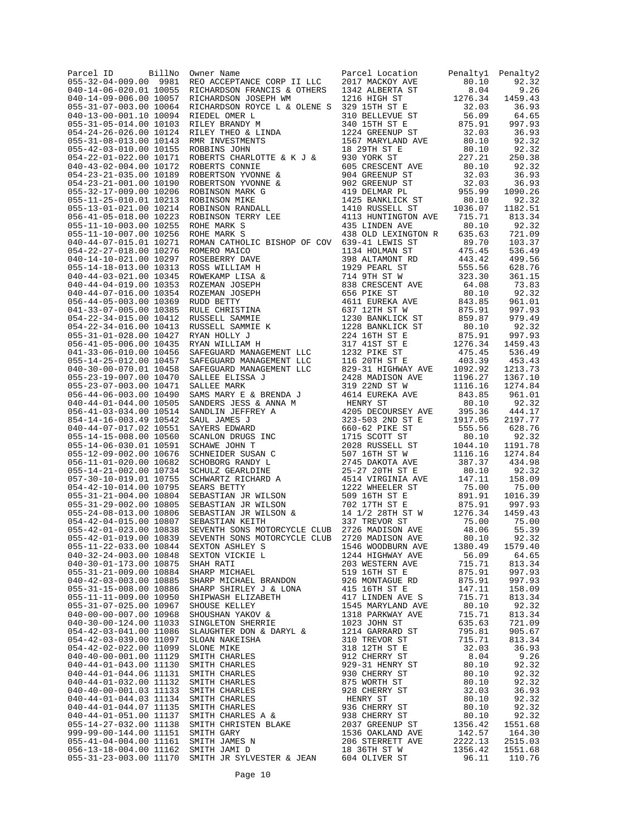|                                                                                                                                                                                                                                                                                                                                |  | $813.34$<br>92.32              |
|--------------------------------------------------------------------------------------------------------------------------------------------------------------------------------------------------------------------------------------------------------------------------------------------------------------------------------|--|--------------------------------|
|                                                                                                                                                                                                                                                                                                                                |  |                                |
|                                                                                                                                                                                                                                                                                                                                |  |                                |
|                                                                                                                                                                                                                                                                                                                                |  |                                |
|                                                                                                                                                                                                                                                                                                                                |  |                                |
|                                                                                                                                                                                                                                                                                                                                |  |                                |
|                                                                                                                                                                                                                                                                                                                                |  |                                |
|                                                                                                                                                                                                                                                                                                                                |  |                                |
|                                                                                                                                                                                                                                                                                                                                |  |                                |
|                                                                                                                                                                                                                                                                                                                                |  |                                |
|                                                                                                                                                                                                                                                                                                                                |  |                                |
|                                                                                                                                                                                                                                                                                                                                |  |                                |
|                                                                                                                                                                                                                                                                                                                                |  |                                |
|                                                                                                                                                                                                                                                                                                                                |  | $73.83$<br>$92.32$<br>$961.01$ |
|                                                                                                                                                                                                                                                                                                                                |  |                                |
|                                                                                                                                                                                                                                                                                                                                |  |                                |
|                                                                                                                                                                                                                                                                                                                                |  |                                |
|                                                                                                                                                                                                                                                                                                                                |  |                                |
|                                                                                                                                                                                                                                                                                                                                |  |                                |
|                                                                                                                                                                                                                                                                                                                                |  |                                |
|                                                                                                                                                                                                                                                                                                                                |  |                                |
|                                                                                                                                                                                                                                                                                                                                |  |                                |
|                                                                                                                                                                                                                                                                                                                                |  |                                |
|                                                                                                                                                                                                                                                                                                                                |  |                                |
|                                                                                                                                                                                                                                                                                                                                |  |                                |
|                                                                                                                                                                                                                                                                                                                                |  |                                |
|                                                                                                                                                                                                                                                                                                                                |  |                                |
|                                                                                                                                                                                                                                                                                                                                |  |                                |
|                                                                                                                                                                                                                                                                                                                                |  |                                |
|                                                                                                                                                                                                                                                                                                                                |  |                                |
|                                                                                                                                                                                                                                                                                                                                |  |                                |
|                                                                                                                                                                                                                                                                                                                                |  |                                |
|                                                                                                                                                                                                                                                                                                                                |  |                                |
|                                                                                                                                                                                                                                                                                                                                |  |                                |
|                                                                                                                                                                                                                                                                                                                                |  |                                |
|                                                                                                                                                                                                                                                                                                                                |  |                                |
|                                                                                                                                                                                                                                                                                                                                |  |                                |
|                                                                                                                                                                                                                                                                                                                                |  |                                |
|                                                                                                                                                                                                                                                                                                                                |  |                                |
|                                                                                                                                                                                                                                                                                                                                |  |                                |
|                                                                                                                                                                                                                                                                                                                                |  |                                |
|                                                                                                                                                                                                                                                                                                                                |  |                                |
|                                                                                                                                                                                                                                                                                                                                |  |                                |
|                                                                                                                                                                                                                                                                                                                                |  |                                |
|                                                                                                                                                                                                                                                                                                                                |  |                                |
|                                                                                                                                                                                                                                                                                                                                |  |                                |
|                                                                                                                                                                                                                                                                                                                                |  |                                |
|                                                                                                                                                                                                                                                                                                                                |  |                                |
|                                                                                                                                                                                                                                                                                                                                |  |                                |
|                                                                                                                                                                                                                                                                                                                                |  |                                |
|                                                                                                                                                                                                                                                                                                                                |  |                                |
| 055-42-01-019.00 10839 SEVENTH SONS MOTORCYCLE CLUB 2720 MADISON AVE 80.10 92.32                                                                                                                                                                                                                                               |  |                                |
| $\begin{bmatrix} 10 & 0 & 10 \\ 0 & 0 & 0 & 0 \\ 0 & 0 & 0 & 0 \\ 0 & 0 & 0 & 0 \\ 0 & 0 & 0 & 0 \\ 0 & 0 & 0 & 0 \\ 0 & 0 & 0 & 0 \\ 0 & 0 & 0 & 0 \\ 0 & 0 & 0 & 0 \\ 0 & 0 & 0 & 0 \\ 0 & 0 & 0 & 0 \\ 0 & 0 & 0 & 0 \\ 0 & 0 & 0 & 0 \\ 0 & 0 & 0 & 0 \\ 0 & 0 & 0 & 0 \\ 0 & 0 & 0 & 0 \\ 0 & 0 & 0 & 0 \\ 0 & 0 & 0 & 0$ |  | 1579.40                        |
|                                                                                                                                                                                                                                                                                                                                |  |                                |
|                                                                                                                                                                                                                                                                                                                                |  | 64.65                          |
|                                                                                                                                                                                                                                                                                                                                |  | 813.34                         |
|                                                                                                                                                                                                                                                                                                                                |  | 997.93                         |
|                                                                                                                                                                                                                                                                                                                                |  |                                |
|                                                                                                                                                                                                                                                                                                                                |  | 997.93                         |
|                                                                                                                                                                                                                                                                                                                                |  | 158.09                         |
|                                                                                                                                                                                                                                                                                                                                |  | 813.34                         |
|                                                                                                                                                                                                                                                                                                                                |  |                                |
|                                                                                                                                                                                                                                                                                                                                |  | 92.32                          |
|                                                                                                                                                                                                                                                                                                                                |  | 813.34                         |
|                                                                                                                                                                                                                                                                                                                                |  | 721.09                         |
|                                                                                                                                                                                                                                                                                                                                |  |                                |
|                                                                                                                                                                                                                                                                                                                                |  | 905.67                         |
|                                                                                                                                                                                                                                                                                                                                |  | 813.34                         |
|                                                                                                                                                                                                                                                                                                                                |  |                                |
|                                                                                                                                                                                                                                                                                                                                |  | 36.93                          |
|                                                                                                                                                                                                                                                                                                                                |  | 9.26                           |
|                                                                                                                                                                                                                                                                                                                                |  | 92.32                          |
|                                                                                                                                                                                                                                                                                                                                |  |                                |
|                                                                                                                                                                                                                                                                                                                                |  | 92.32                          |
|                                                                                                                                                                                                                                                                                                                                |  | 92.32                          |
|                                                                                                                                                                                                                                                                                                                                |  | 36.93                          |
|                                                                                                                                                                                                                                                                                                                                |  |                                |
|                                                                                                                                                                                                                                                                                                                                |  | 92.32                          |
|                                                                                                                                                                                                                                                                                                                                |  | 92.32                          |
|                                                                                                                                                                                                                                                                                                                                |  |                                |
|                                                                                                                                                                                                                                                                                                                                |  | 92.32                          |
|                                                                                                                                                                                                                                                                                                                                |  | 1551.68                        |
|                                                                                                                                                                                                                                                                                                                                |  | 164.30                         |
|                                                                                                                                                                                                                                                                                                                                |  |                                |
|                                                                                                                                                                                                                                                                                                                                |  | 2515.03                        |
|                                                                                                                                                                                                                                                                                                                                |  | 1551.68                        |
|                                                                                                                                                                                                                                                                                                                                |  | 110.76                         |
|                                                                                                                                                                                                                                                                                                                                |  |                                |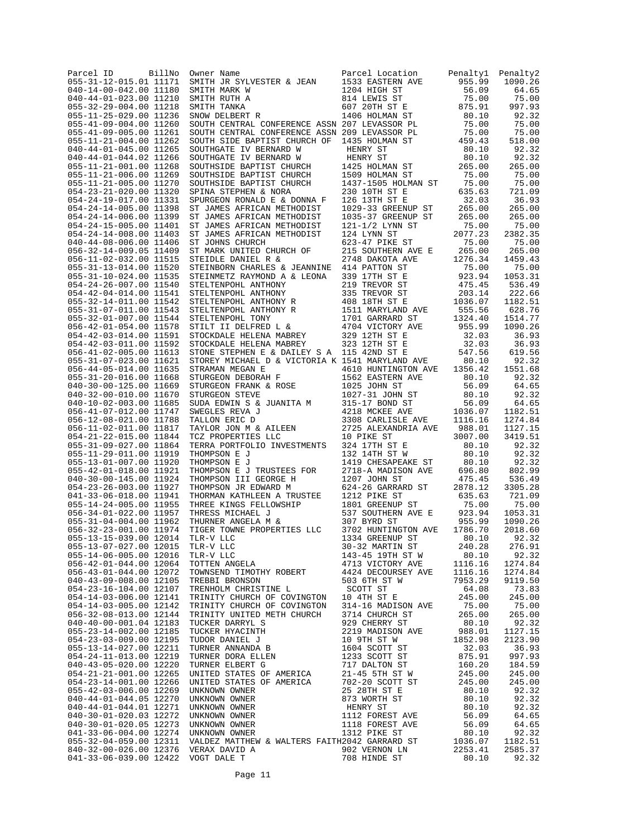| Parcel ID<br>BillNo<br>055-31-12-015.01 11171    | Owner Name<br>SMITH JR SYLVESTER & JEAN                                                                                                               | Parcel Location<br>1533 EASTERN AVE    | Penaltyl<br>955.99               | Penalty2<br>1090.26 |
|--------------------------------------------------|-------------------------------------------------------------------------------------------------------------------------------------------------------|----------------------------------------|----------------------------------|---------------------|
| 040-14-00-042.00 11180                           | SMITH MARK W                                                                                                                                          | 1204 HIGH ST                           | 56.09                            | 64.65               |
| 040-44-01-023.00 11210                           | SMITH RUTH A                                                                                                                                          | 814 LEWIS ST                           | 75.00                            | 75.00               |
| 055-32-29-004.00 11218                           | SMITH TANKA                                                                                                                                           | 607 20TH ST E                          | 875.91                           | 997.93              |
| 055-11-25-029.00 11236<br>055-41-09-004.00 11260 | SNOW DELBERT R<br>SOUTH CENTRAL CONFERENCE ASSN 207 LEVASSOR PL                                                                                       | 1406 HOLMAN ST                         | 80.10<br>75.00                   | 92.32<br>75.00      |
| 055-41-09-005.00 11261                           | SOUTH CENTRAL CONFERENCE ASSN 209 LEVASSOR PL                                                                                                         |                                        | 75.00                            | 75.00               |
| 055-11-21-004.00 11262                           | SOUTH SIDE BAPTIST CHURCH OF                                                                                                                          | 1435 HOLMAN ST                         | 459.43                           | 518.00              |
| 040-44-01-045.00 11265                           | SOUTHGATE IV BERNARD W                                                                                                                                | HENRY ST                               | 80.10                            | 92.32               |
| 040-44-01-044.02 11266<br>055-11-21-001.00 11268 | SOUTHGATE IV BERNARD W<br>SOUTHSIDE BAPTIST CHURCH                                                                                                    | HENRY ST<br>1425 HOLMAN ST             | 80.10<br>265.00                  | 92.32<br>265.00     |
| 055-11-21-006.00 11269                           | SOUTHSIDE BAPTIST CHURCH                                                                                                                              | 1509 HOLMAN ST                         | 75.00                            | 75.00               |
| 055-11-21-005.00 11270                           | SOUTHSIDE BAPTIST CHURCH                                                                                                                              | 1437-1505 HOLMAN ST                    | 75.00                            | 75.00               |
| 054-23-21-020.00 11320                           | SPINA STEPHEN & NORA                                                                                                                                  | 230 10TH ST E                          | 635.63                           | 721.09              |
| 054-24-19-017.00 11331                           | SPURGEON RONALD E & DONNA F                                                                                                                           | 126 13TH ST E                          | 32.03                            | 36.93               |
| 054-24-14-005.00 11398<br>054-24-14-006.00 11399 | ST JAMES AFRICAN METHODIST                                                                                                                            | 1029-33 GREENUP ST                     | 265.00<br>265.00                 | 265.00<br>265.00    |
| 054-24-15-005.00 11401                           | ST JAMES AFRICAN METHODIST<br>ST JAMES AFRICAN METHODIST                                                                                              | 1035-37 GREENUP ST<br>121-1/2 LYNN ST  | 75.00                            | 75.00               |
| 054-24-14-008.00 11403                           | ST JAMES AFRICAN METHODIST                                                                                                                            | 124 LYNN ST                            | 2077.23                          | 2382.35             |
| 040-44-08-006.00 11406                           | ST JOHNS CHURCH                                                                                                                                       | 623-47 PIKE ST                         | 75.00                            | 75.00               |
| 056-32-14-009.05 11409                           | ST MARK UNITED CHURCH OF                                                                                                                              | 215 SOUTHERN AVE E                     | 265.00                           | 265.00              |
| 056-11-02-032.00 11515<br>055-31-13-014.00 11520 | STEIDLE DANIEL R &                                                                                                                                    | 2748 DAKOTA AVE                        | 1276.34<br>75.00                 | 1459.43<br>75.00    |
| 055-31-10-024.00 11535                           | STEINBORN CHARLES & JEANNINE<br>STEINMETZ RAYMOND A & LEONA                                                                                           | 414 PATTON ST<br>339 17TH ST E         | 923.94                           | 1053.31             |
| 054-24-26-007.00 11540                           | STELTENPOHL ANTHONY                                                                                                                                   | 219 TREVOR ST                          | 475.45                           | 536.49              |
| 054-42-04-014.00 11541                           | STELTENPOHL ANTHONY                                                                                                                                   | 335 TREVOR ST                          | 203.14                           | 222.66              |
| 055-32-14-011.00 11542                           | STELTENPOHL ANTHONY R                                                                                                                                 | 408 18TH ST E                          | 1036.07                          | 1182.51             |
| 055-31-07-011.00 11543                           | STELTENPOHL ANTHONY R                                                                                                                                 | 1511 MARYLAND AVE                      | 555.56                           | 628.76              |
| 055-32-01-007.00 11544                           | STELTENPOHL TONY<br>STILT II DELFRED L &                                                                                                              | 1701 GARRARD ST                        | 1324.40<br>955.99                | 1514.77<br>1090.26  |
| 056-42-01-054.00 11578<br>054-42-03-014.00 11591 | STOCKDALE HELENA MABREY                                                                                                                               | 4704 VICTORY AVE<br>329 12TH ST E      | 32.03                            | 36.93               |
| 054-42-03-011.00 11592                           | STOCKDALE HELENA MABREY                                                                                                                               | 323 12TH ST E                          | 32.03                            | 36.93               |
| 056-41-02-005.00 11613                           | STONE STEPHEN E & DAILEY S A 115 42ND ST E                                                                                                            |                                        | 547.56                           | 619.56              |
| 055-31-07-023.00 11621                           | STOREY MICHAEL D & VICTORIA K 1541 MARYLAND AVE                                                                                                       |                                        | 80.10                            | 92.32               |
| 056-44-05-014.00 11635                           | STRAMAN MEGAN E                                                                                                                                       | 4610 HUNTINGTON AVE                    | 1356.42                          | 1551.68             |
| 055-31-20-016.00 11668                           | STURGEON DEBORAH F                                                                                                                                    | 1562 EASTERN AVE                       | 80.10                            | 92.32               |
| 040-30-00-125.00 11669<br>040-32-00-010.00 11670 | SIURGEON FRANK & ROSE<br>STURGEON STEVE                                                                                                               | 1025 JOHN ST<br>1027-31 JOHN ST        | 56.09<br>80.10                   | 64.65<br>92.32      |
| 040-10-02-003.00 11685                           | SUDA EDWIN S & JUANITA M                                                                                                                              | 315-17 BOND ST                         | 56.09                            | 64.65               |
| 056-41-07-012.00 11747                           | SWEGLES REVA J                                                                                                                                        | 4218 MCKEE AVE                         | 1036.07                          | 1182.51             |
| 056-12-08-021.00 11788                           | TALLON ERIC D                                                                                                                                         | 3308 CARLISLE AVE                      | 1116.16                          | 1274.84             |
| 056-11-02-011.00 11817                           | TAYLOR JON M & AILEEN                                                                                                                                 | 2725 ALEXANDRIA AVE                    | 988.01                           | 1127.15             |
| 054-21-22-015.00 11844                           | TCZ PROPERTIES LLC                                                                                                                                    | 10 PIKE ST                             | 3007.00                          | 3419.51             |
| 055-31-09-027.00 11864<br>055-11-29-011.00 11919 | TERRA PORTFOLIO INVESTMENTS<br>THOMPSON E J                                                                                                           | 324 17TH ST E<br>132 14TH ST W         | 80.10<br>80.10                   | 92.32<br>92.32      |
| 055-13-01-007.00 11920                           | THOMPSON E J                                                                                                                                          | 1419 CHESAPEAKE ST                     | 80.10                            | 92.32               |
| 055-42-01-018.00 11921                           | THOMPSON E J TRUSTEES FOR                                                                                                                             | 2718-A MADISON AVE                     | 696.80                           | 802.99              |
| 040-30-00-145.00 11924                           | THOMPSON III GEORGE H                                                                                                                                 | 1207 JOHN ST                           | 475.45                           | 536.49              |
| 054-23-26-003.00 11927                           | THOMPSON JR EDWARD M                                                                                                                                  | 624-26 GARRARD ST                      | 2878.12                          | 3305.28             |
| 041-33-06-018.00 11941                           | THORMAN KATHLEEN A TRUSTEE                                                                                                                            | 1212 PIKE ST                           | 635.63                           | 721.09              |
| 055-14-24-005.00 11955<br>056-34-01-022.00 11957 | THREE KINGS FELLOWSHIP<br>THRESS MICHAEL J                                                                                                            | 1801 GREENUP ST<br>537 SOUTHERN AVE E  | 75.00<br>923.94                  | 75.00<br>1053.31    |
| 055-31-04-004.00 11962                           | THURNER ANGELA M &                                                                                                                                    | 307 BYRD ST                            | 955.99                           | 1090.26             |
| 056-32-23-001.00 11974                           | TIGER TOWNE PROPERTIES LLC                                                                                                                            | 3702 HUNTINGTON AVE                    | 1786.70                          | 2018.60             |
| 055-13-15-039.00 12014                           | TLR-V LLC                                                                                                                                             | 1334 GREENUP ST                        | 80.10                            | 92.32               |
| 055-13-07-027.00 12015                           |                                                                                                                                                       | 30-32 MARTIN ST                        | 240.28                           | 276.91              |
| 055-14-06-005.00 12016                           | TLR-V LLC<br>TLR-V LLC<br>TOTTEN ANGELA                                                                                                               | 143-45 19TH ST W                       | 80.10                            | 92.32               |
| 056-42-01-044.00 12064<br>056-43-01-044.00 12072 | TOWNSEND TIMOTHY ROBERT                                                                                                                               | 4713 VICTORY AVE<br>4424 DECOURSEY AVE | 1116.16<br>1116.16               | 1274.84<br>1274.84  |
| 040-43-09-008.00 12105                           | TREBBI BRONSON                                                                                                                                        | 503 6TH ST W                           | 7953.29                          | 9119.50             |
| 054-23-16-104.00 12107                           | TRENHOLM CHRISTINE L                                                                                                                                  | SCOTT ST                               | 64.08                            | 73.83               |
| 054-14-03-006.00 12141                           | TRINITY CHURCH OF COVINGTON                                                                                                                           | 10 4TH ST E                            | 245.00                           | 245.00              |
| 054-14-03-005.00 12142                           | TRINITY CHURCH OF COVINGTON                                                                                                                           | 314-16 MADISON AVE                     | 75.00                            | 75.00               |
| 056-32-08-013.00 12144                           | TRINITY UNITED METH CHURCH                                                                                                                            | 3714 CHURCH ST                         | 265.00                           | 265.00              |
| 040-40-00-001.04 12183<br>055-23-14-002.00 12185 |                                                                                                                                                       | 929 CHERRY ST<br>2219 MADISON AVE      | 80.10<br>988.01                  | 92.32<br>1127.15    |
| 054-23-03-009.00 12195                           |                                                                                                                                                       | 10 9TH ST W                            | 1852.98                          | 2123.90             |
| 055-13-14-027.00 12211                           | TUCKER DARRYL S<br>TUCKER HYACINTH<br>TUDOR DANIEL J<br>TURNER ANNANDA B<br>TURNER DORA ELLEN<br>TURNER ELBERT G                                      |                                        | 32.03                            | 36.93               |
| 054-24-11-013.00 12219                           |                                                                                                                                                       |                                        | 875.91                           | 997.93              |
| 040-43-05-020.00 12220                           |                                                                                                                                                       |                                        | 160.20                           | 184.59              |
| 054-21-21-001.00 12265                           |                                                                                                                                                       |                                        | 245.00                           | 245.00              |
| 054-23-14-001.00 12266<br>055-42-03-006.00 12269 | UNKNOWN OWNER                                                                                                                                         | 25 28TH ST E                           | 245.00<br>80.10                  | 245.00<br>92.32     |
| 040-44-01-044.05 12270                           |                                                                                                                                                       | 873 WORTH ST                           | 80.10                            | 92.32               |
| 040-44-01-044.01 12271                           |                                                                                                                                                       | HENRY ST                               |                                  | 92.32               |
| 040-30-01-020.03 12272                           |                                                                                                                                                       | 1112 FOREST AVE<br>1118 FOREST AVE     |                                  | 64.65               |
| 040-30-01-020.05 12273                           |                                                                                                                                                       |                                        | 80.10<br>56.09<br>56.09<br>80.10 | 64.65               |
| 041-33-06-004.00 12274                           | UNKNOWN OWNER<br>UNKNOWN OWNER<br>UNKNOWN OWNER<br>UNKNOWN OWNER<br>UNKNOWN OWNER<br>VALDEZ MATTITUM<br>VALDEZ MATTHEW & WALTERS FAITH2042 GARRARD ST | 1312 PIKE ST                           |                                  | 92.32               |
| 055-32-04-059.00 12311<br>840-32-00-026.00 12376 | VERAX DAVID A                                                                                                                                         | 902 VERNON LN                          | 1036.07<br>2253.41               | 1182.51<br>2585.37  |
| 041-33-06-039.00 12422                           | VOGT DALE T                                                                                                                                           | 708 HINDE ST                           | 80.10                            | 92.32               |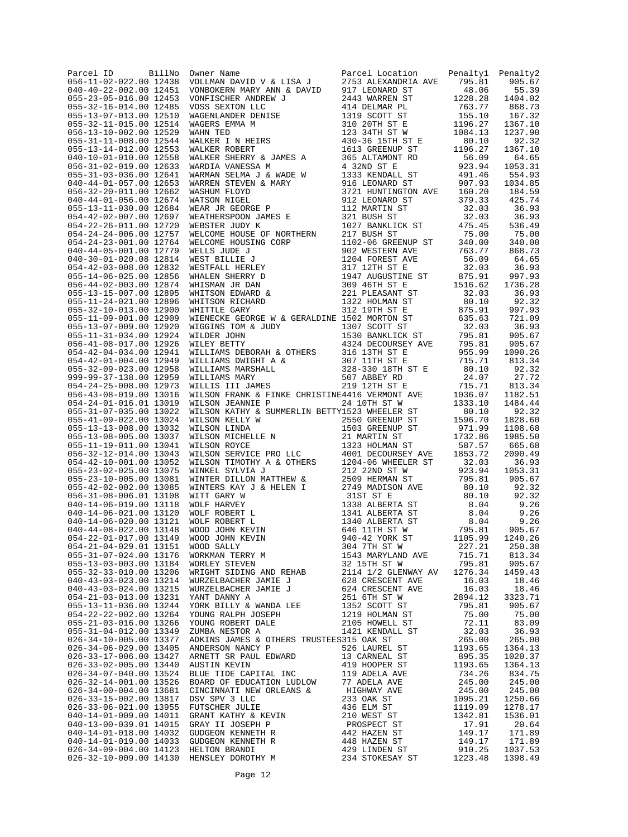| BillNo<br>Parcel ID<br>056-11-02-022.00 12438    | Owner Name<br>VOLLMAN DAVID V & LISA J<br>VOLLMAN DAVID V & LISA J<br>VONDOKERN MARY ANN & DAVID<br>YONDOKERN MARY ANN & DAVID<br>YONDOKERN MARY ANN & DAVID<br>YONDOKERN MARY ANN & DAVID<br>2443 WARREN ST<br>2443 WARREN ST<br>2443 WARREN ST<br>2443 WARRE | Parcel Location                                     | Penaltyl         | Penalty2<br>905.67 |
|--------------------------------------------------|----------------------------------------------------------------------------------------------------------------------------------------------------------------------------------------------------------------------------------------------------------------|-----------------------------------------------------|------------------|--------------------|
| 040-40-22-002.00 12451                           |                                                                                                                                                                                                                                                                |                                                     |                  | 55.39              |
| 055-23-05-016.00 12453                           |                                                                                                                                                                                                                                                                |                                                     |                  | 1404.02            |
| 055-32-16-014.00 12485                           |                                                                                                                                                                                                                                                                |                                                     |                  | 868.73             |
| 055-13-07-013.00 12510<br>055-32-11-015.00 12514 |                                                                                                                                                                                                                                                                |                                                     |                  | 167.32<br>1367.10  |
| 056-13-10-002.00 12529                           |                                                                                                                                                                                                                                                                |                                                     |                  | 1237.90            |
| 055-31-11-008.00 12544                           |                                                                                                                                                                                                                                                                |                                                     |                  | 92.32              |
| 055-13-14-012.00 12553                           |                                                                                                                                                                                                                                                                |                                                     |                  | 1367.10            |
| 040-10-01-010.00 12558<br>056-31-02-019.00 12633 |                                                                                                                                                                                                                                                                |                                                     |                  | 64.65<br>1053.31   |
| 055-31-03-036.00 12641                           |                                                                                                                                                                                                                                                                | 165 ALTAMONT RD<br>4 32ND ST E<br>1333 KENDALL ST   | 491.46           | 554.93             |
| 040-44-01-057.00 12653                           |                                                                                                                                                                                                                                                                | 916 LEONARD ST                                      | 907.93           | 1034.85            |
| 056-32-20-011.00 12662                           |                                                                                                                                                                                                                                                                | 3721 HUNTINGTON AVE 160.20<br>912 LEONARD ST 379.33 |                  | 184.59             |
| 040-44-01-056.00 12674<br>055-13-11-030.00 12684 |                                                                                                                                                                                                                                                                |                                                     | 32.03            | 425.74<br>36.93    |
| 054-42-02-007.00 12697                           |                                                                                                                                                                                                                                                                |                                                     | 32.03            | 36.93              |
| 054-22-26-011.00 12720                           |                                                                                                                                                                                                                                                                | 112 MARTIN ST<br>321 BUSH ST<br>1027 BANKLICK ST    | 475.45           | 536.49             |
| 054-24-24-006.00 12757                           |                                                                                                                                                                                                                                                                |                                                     | 75.00            | 75.00              |
| 054-24-23-001.00 12764<br>040-44-05-001.00 12779 |                                                                                                                                                                                                                                                                | 1102-06 GREENUP ST<br>902 WESTERN AVE               | 340.00<br>763.77 | 340.00<br>868.73   |
| 040-30-01-020.08 12814                           |                                                                                                                                                                                                                                                                |                                                     | 56.09            | 64.65              |
| 054-42-03-008.00 12832                           |                                                                                                                                                                                                                                                                |                                                     | 32.03            | 36.93              |
| 055-14-06-025.00 12856                           |                                                                                                                                                                                                                                                                | 1947 AUGUSTINE ST                                   | 875.91           | 997.93             |
| 056-44-02-003.00 12874                           |                                                                                                                                                                                                                                                                |                                                     | 1516.62          | 1736.28            |
| 055-13-15-007.00 12895<br>055-11-24-021.00 12896 |                                                                                                                                                                                                                                                                |                                                     | 32.03<br>80.10   | 36.93<br>92.32     |
| 055-32-10-013.00 12900                           |                                                                                                                                                                                                                                                                |                                                     | 875.91           | 997.93             |
| 055-11-09-001.00 12909                           |                                                                                                                                                                                                                                                                |                                                     | 635.63           | 721.09             |
| 055-13-07-009.00 12920                           |                                                                                                                                                                                                                                                                |                                                     | 32.03            | 36.93              |
| 055-11-31-034.00 12924<br>056-41-08-017.00 12926 |                                                                                                                                                                                                                                                                |                                                     | 795.81<br>795.81 | 905.67<br>905.67   |
| 054-42-04-034.00 12941                           |                                                                                                                                                                                                                                                                |                                                     | 955.99           | 1090.26            |
| 054-42-01-004.00 12949                           |                                                                                                                                                                                                                                                                |                                                     | 715.71           | 813.34             |
| 055-32-09-023.00 12958                           |                                                                                                                                                                                                                                                                |                                                     | 80.10<br>24.07   | 92.32              |
| 999-99-37-138.00 12959<br>054-24-25-008.00 12973 |                                                                                                                                                                                                                                                                |                                                     | 715.71           | 27.72<br>813.34    |
| 056-43-08-019.00 13016                           |                                                                                                                                                                                                                                                                |                                                     | 1036.07          | 1182.51            |
| 054-24-01-016.01 13019                           | WILSON JEANNIE P                                                                                                                                                                                                                                               | 24 10TH ST W                                        | 1333.10          | 1484.44            |
| 055-31-07-035.00 13022                           | WILSON KATHY & SUMMERLIN BETTY1523 WHEELER ST                                                                                                                                                                                                                  |                                                     | 80.10            | 92.32              |
| 055-41-09-022.00 13024<br>055-13-13-008.00 13032 |                                                                                                                                                                                                                                                                |                                                     |                  | 1828.60<br>1108.68 |
| 055-13-08-005.00 13037                           |                                                                                                                                                                                                                                                                |                                                     |                  | 1985.50            |
| 055-11-19-011.00 13041                           |                                                                                                                                                                                                                                                                |                                                     |                  | 665.68             |
| 056-32-12-014.00 13043                           |                                                                                                                                                                                                                                                                |                                                     |                  | 2090.49            |
| 054-42-10-001.00 13052                           |                                                                                                                                                                                                                                                                |                                                     |                  | 36.93              |
| 055-23-02-025.00 13075<br>055-23-10-005.00 13081 |                                                                                                                                                                                                                                                                |                                                     |                  | 1053.31<br>905.67  |
| 055-42-02-002.00 13085                           |                                                                                                                                                                                                                                                                |                                                     |                  | 92.32              |
| 056-31-08-006.01 13108                           |                                                                                                                                                                                                                                                                |                                                     |                  | 92.32              |
| 040-14-06-019.00 13118                           |                                                                                                                                                                                                                                                                |                                                     |                  | 9.26               |
| 040-14-06-021.00 13120<br>040-14-06-020.00 13121 |                                                                                                                                                                                                                                                                |                                                     |                  | 9.26<br>9.26       |
|                                                  |                                                                                                                                                                                                                                                                |                                                     |                  | 905.67             |
|                                                  |                                                                                                                                                                                                                                                                |                                                     |                  | 1240.26            |
|                                                  |                                                                                                                                                                                                                                                                |                                                     |                  | 250.38             |
|                                                  |                                                                                                                                                                                                                                                                |                                                     |                  | 813.34<br>905.67   |
|                                                  |                                                                                                                                                                                                                                                                |                                                     |                  | 1459.43            |
|                                                  |                                                                                                                                                                                                                                                                |                                                     |                  | 18.46              |
|                                                  |                                                                                                                                                                                                                                                                |                                                     |                  | 18.46              |
|                                                  |                                                                                                                                                                                                                                                                |                                                     |                  | 3323.71<br>905.67  |
|                                                  |                                                                                                                                                                                                                                                                |                                                     |                  | 75.00              |
|                                                  |                                                                                                                                                                                                                                                                |                                                     |                  | 83.09              |
|                                                  |                                                                                                                                                                                                                                                                |                                                     |                  | 36.93              |
|                                                  |                                                                                                                                                                                                                                                                |                                                     |                  | 265.00<br>1364.13  |
|                                                  |                                                                                                                                                                                                                                                                |                                                     |                  | 1020.37            |
|                                                  |                                                                                                                                                                                                                                                                |                                                     |                  | 1364.13            |
|                                                  |                                                                                                                                                                                                                                                                |                                                     |                  | 834.75             |
|                                                  |                                                                                                                                                                                                                                                                |                                                     |                  | 245.00<br>245.00   |
|                                                  |                                                                                                                                                                                                                                                                |                                                     |                  | 1250.66            |
|                                                  |                                                                                                                                                                                                                                                                |                                                     |                  | 1278.17            |
|                                                  |                                                                                                                                                                                                                                                                |                                                     |                  | 1536.01            |
|                                                  |                                                                                                                                                                                                                                                                |                                                     |                  | 20.64              |
|                                                  |                                                                                                                                                                                                                                                                |                                                     |                  | 171.89<br>171.89   |
|                                                  |                                                                                                                                                                                                                                                                |                                                     |                  | 1037.53            |
|                                                  |                                                                                                                                                                                                                                                                |                                                     |                  | 1398.49            |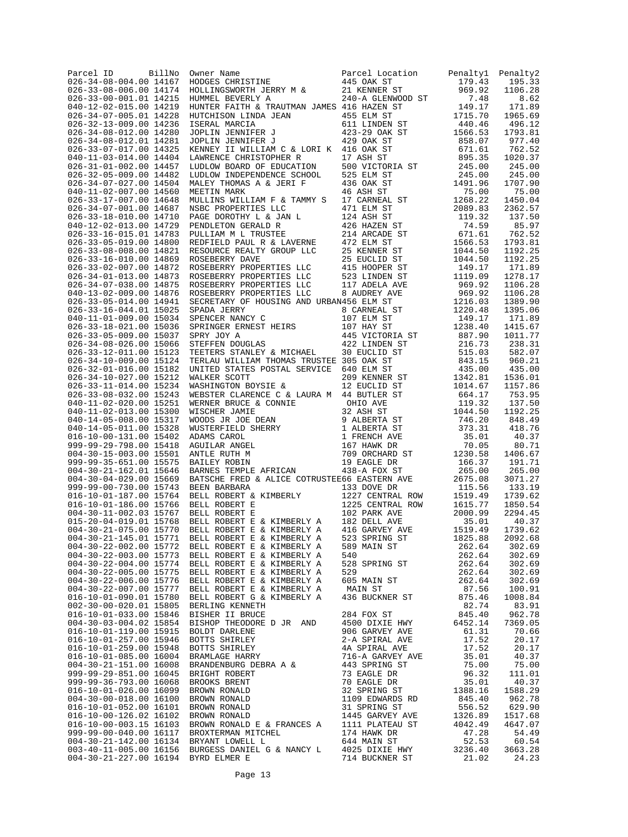| BillNo<br>Parcel ID<br>026-34-08-004.00 14167    | Owner Name<br>HODGES CHRISTINE                                                                                                                              | Parcel Location<br>445 OAK ST                                          | Penaltyl<br>179.43 | Penalty2<br>195.33 |
|--------------------------------------------------|-------------------------------------------------------------------------------------------------------------------------------------------------------------|------------------------------------------------------------------------|--------------------|--------------------|
| 026-33-08-006.00 14174                           | HOLLINGSWORTH JERRY M &                                                                                                                                     | 21 KENNER ST                                                           | 969.92             | 1106.28            |
| 026-33-00-001.01 14215                           | HUMMEL BEVERLY A                                                                                                                                            | 240-A GLENWOOD ST                                                      | 7.48               | 8.62               |
| 040-12-02-015.00 14219<br>026-34-07-005.01 14228 | HUNTER FAITH & TRAUTMAN JAMES 416 HAZEN ST<br>HUTCHISON LINDA JEAN                                                                                          | 455 ELM ST                                                             | 149.17<br>1715.70  | 171.89<br>1965.69  |
| 026-32-13-009.00 14236                           | ISERAL MARCIA                                                                                                                                               | 611 LINDEN ST                                                          | 440.46             | 496.12             |
| 026-34-08-012.00 14280                           | JOPLIN JENNIFER J                                                                                                                                           | 423-29 OAK ST                                                          | 1566.53            | 1793.81            |
| 026-34-08-012.01 14281                           | JOPLIN JENNIFER J                                                                                                                                           | 429 OAK ST                                                             | 858.07             | 977.40             |
| 026-33-07-017.00 14325                           | KENNEY II WILLIAM C & LORI K 416 OAK ST                                                                                                                     |                                                                        | 671.61             | 762.52             |
| 040-11-03-014.00 14404<br>026-31-01-002.00 14457 | LAWRENCE CHRISTOPHER R                                                                                                                                      | 17 ASH ST<br>500 VICTORIA ST                                           | 895.35<br>245.00   | 1020.37<br>245.00  |
| 026-32-05-009.00 14482                           | LUDLOW BOARD OF EDUCATION<br>LUDLOW INDEPENDENCE SCHOOL                                                                                                     | 525 ELM ST                                                             | 245.00             | 245.00             |
| 026-34-07-027.00 14504                           | MALEY THOMAS A & JERI F                                                                                                                                     | 436 OAK ST                                                             | 1491.96            | 1707.90            |
| 040-11-02-007.00 14560                           | MEETIN MARK                                                                                                                                                 | 46 ASH ST                                                              | 75.00              | 75.00              |
| 026-33-17-007.00 14648<br>026-34-07-001.00 14687 | MULLINS WILLIAM F & TAMMY S<br>NSBC PROPERTIES LLC                                                                                                          | 17 CARNEAL ST                                                          | 1268.22<br>2089.83 | 1450.04<br>2362.57 |
| 026-33-18-010.00 14710                           | PAGE DOROTHY L & JAN L                                                                                                                                      | 471 ELM ST<br>L<br>124 ASH ST<br>124 ASH ST<br>426 HAZEN<br>214 ARCADE | 119.32             | 137.50             |
| 040-12-02-013.00 14729                           | PENDLETON GERALD R                                                                                                                                          | 426 HAZEN ST                                                           | 74.59              | 85.97              |
| 026-33-16-015.01 14783                           | PULLIAM M L TRUSTEE                                                                                                                                         | 214 ARCADE ST                                                          | 671.61             | 762.52             |
| 026-33-05-019.00 14800                           | REDFIELD PAUL R & LAVERNE<br>REDFIELD PAUL R & LAVERNE                                                                                                      | 472 ELM ST                                                             | 1566.53            | 1793.81            |
| 026-33-08-008.00 14821<br>026-33-16-010.00 14869 | ROSEBERRY DAVE                                                                                                                                              | 25 KENNER ST<br>25 EUCLID ST                                           | 1044.50<br>1044.50 | 1192.25<br>1192.25 |
| 026-33-02-007.00 14872                           | ROSEBERRY PROPERTIES LLC                                                                                                                                    | 415 HOOPER ST                                                          | 149.17             | 171.89             |
| 026-34-01-013.00 14873                           | ROSEBERRY PROPERTIES LLC                                                                                                                                    | 523 LINDEN ST                                                          | 1119.09            | 1278.17            |
| 026-34-07-038.00 14875                           | ROSEBERRY PROPERTIES LLC                                                                                                                                    | 117 ADELA AVE                                                          | 969.92             | 1106.28            |
| 040-13-02-009.00 14876                           | ROSEBERRY PROPERTIES LLC                                                                                                                                    | 8 AUDREY AVE                                                           | 969.92             | 1106.28            |
| 026-33-05-014.00 14941                           | SECRETARY OF HOUSING AND URBAN456 ELM ST                                                                                                                    |                                                                        | 1216.03            | 1389.90            |
| 026-33-16-044.01 15025<br>040-11-01-009.00 15034 | SPADA JERRY                                                                                                                                                 | 8 CARNEAL ST<br>107 ELM ST                                             | 1220.48<br>149.17  | 1395.06<br>171.89  |
| 026-33-18-021.00 15036                           | SPENCER NANCY C<br>SPENCER NANCY C<br>SPRINGER ERNEST HEIRS<br>SPRY JOY A<br>STEFFEN DOUGLAS                                                                | 107 HAY ST                                                             | 1238.40            | 1415.67            |
| 026-33-05-009.00 15037                           |                                                                                                                                                             | 445 VICTORIA ST                                                        | 887.90             | 1011.77            |
| 026-34-08-026.00 15066                           | STEFFEN DOUGLAS                                                                                                                                             | 422 LINDEN ST                                                          | 216.73             | 238.31             |
| 026-33-12-011.00 15123                           | TEETERS STANLEY & MICHAEL                                                                                                                                   | 30 EUCLID ST                                                           | 515.03             | 582.07             |
| 026-34-10-009.00 15124                           | TERLAU WILLIAM THOMAS TRUSTEE 305 OAK ST                                                                                                                    |                                                                        | 843.15             | 960.21             |
| 026-32-01-016.00 15182                           | UNITED STATES POSTAL SERVICE 640 ELM ST                                                                                                                     |                                                                        | 435.00             | 435.00             |
| 026-34-10-027.00 15212<br>026-33-11-014.00 15234 | WALKER SCOTT<br>WASHINGTON BOYSIE &                                                                                                                         | 209 KENNER ST<br>12 EUCLID ST                                          | 1342.81<br>1014.67 | 1536.01<br>1157.86 |
| 026-33-08-032.00 15243                           | WEBSTER CLARENCE C & LAURA M 44 BUTLER ST                                                                                                                   |                                                                        | 664.17             | 753.95             |
| 040-11-02-020.00 15251                           |                                                                                                                                                             | OHIO AVE                                                               | 119.32             | 137.50             |
| 040-11-02-013.00 15300                           |                                                                                                                                                             | 32 ASH ST                                                              | 1044.50            | 1192.25            |
| 040-14-05-008.00 15317                           | WERNER BRUCE & CONNIE<br>MERNER BRUCE & CONNIE<br>MISCHER JAMIE<br>WOODS JR JOE DEAN<br>MUSTERFIELD SHERRY<br>AQUILAR ANGEL<br>ANTLE RUTH M<br>BAILEY ROBIN | 9 ALBERTA ST                                                           | 746.20             | 848.49             |
| 040-14-05-011.00 15328                           |                                                                                                                                                             | 1 ALBERTA ST                                                           | 373.31             | 418.76             |
| 016-10-00-131.00 15402<br>999-99-29-798.00 15418 |                                                                                                                                                             | 1 FRENCH AVE<br>167 HAWK DR                                            | 35.01<br>70.05     | 40.37<br>80.71     |
| 004-30-15-003.00 15501                           |                                                                                                                                                             | 709 ORCHARD ST                                                         | 1230.58            | 1406.67            |
| 999-99-35-651.00 15575                           |                                                                                                                                                             | 19 EAGLE DR                                                            | 166.37             | 191.71             |
| 004-30-21-162.01 15646                           | BARNES TEMPLE AFRICAN                                                                                                                                       | 438-A FOX ST                                                           | 265.00             | 265.00             |
| 004-30-04-029.00 15669                           | BATSCHE FRED & ALICE COTRUSTEE66 EASTERN AVE                                                                                                                |                                                                        | 2675.08            | 3071.27            |
| 999-99-00-730.00 15743                           | BEEN BARBARA                                                                                                                                                | 133 DOVE DR                                                            | 115.56             | 133.19             |
| 016-10-01-187.00 15764<br>016-10-01-186.00 15766 | BELL ROBERT & KIMBERLY<br>BELL ROBERT E                                                                                                                     | 1227 CENTRAL ROW<br>1225 CENTRAL ROW                                   | 1519.49<br>1615.77 | 1739.62<br>1850.54 |
| 004-30-11-002.03 15767                           | BELL ROBERT E                                                                                                                                               | 102 PARK AVE                                                           | 2000.99            | 2294.45            |
| 015-20-04-019.01 15768                           | BELL ROBERT E & KIMBERLY A                                                                                                                                  | 182 DELL AVE                                                           | 35.01              | 40.37              |
| 004-30-21-075.00 15770                           | BELL ROBERT E & KIMBERLY A                                                                                                                                  | 416 GARVEY AVE                                                         | 1519.49            | 1739.62            |
| 004-30-21-145.01 15771                           | BELL ROBERT E & KIMBERLY A                                                                                                                                  | 523 SPRING ST                                                          | 1825.88            | 2092.68            |
| 004-30-22-002.00 15772                           | BELL ROBERT E & KIMBERLY A                                                                                                                                  | 589 MAIN ST                                                            | 262.64             | 302.69             |
| 004-30-22-003.00 15773                           | BELL ROBERT E & KIMBERLY A                                                                                                                                  | 540                                                                    | 262.64             | 302.69             |
| 004-30-22-005.00 15775                           | 004-30-22-004.00 15774 BELL ROBERT E & KIMBERLY A<br>BELL ROBERT E & KIMBERLY A                                                                             | 528 SPRING ST<br>529                                                   | 262.64<br>262.64   | 302.69<br>302.69   |
| 004-30-22-006.00 15776                           | BELL ROBERT E & KIMBERLY A                                                                                                                                  | 605 MAIN ST                                                            | 262.64             | 302.69             |
| 004-30-22-007.00 15777                           | BELL ROBERT E & KIMBERLY A                                                                                                                                  | MAIN ST                                                                | 87.56              | 100.91             |
| 016-10-01-090.01 15780                           | BELL ROBERT G & KIMBERLY A                                                                                                                                  | 436 BUCKNER ST                                                         | 875.46             | 1008.84            |
| 002-30-00-020.01 15805                           | BERLING KENNETH                                                                                                                                             |                                                                        | 82.74              | 83.91              |
| 016-10-01-033.00 15846                           | BISHER II BRUCE                                                                                                                                             | 284 FOX ST                                                             | 845.40             | 962.78             |
| 004-30-03-004.02 15854<br>016-10-01-119.00 15915 |                                                                                                                                                             |                                                                        |                    | 7369.05<br>70.66   |
| 016-10-01-257.00 15946                           |                                                                                                                                                             |                                                                        |                    | 20.17              |
| 016-10-01-259.00 15948                           |                                                                                                                                                             |                                                                        |                    | 20.17              |
| 016-10-01-085.00 16004                           |                                                                                                                                                             |                                                                        |                    | 40.37              |
| 004-30-21-151.00 16008                           |                                                                                                                                                             |                                                                        |                    | 75.00              |
| 999-99-29-851.00 16045                           |                                                                                                                                                             |                                                                        |                    | 111.01             |
| 999-99-36-793.00 16068<br>016-10-01-026.00 16099 |                                                                                                                                                             |                                                                        |                    | 40.37              |
| 004-30-00-018.00 16100                           |                                                                                                                                                             |                                                                        |                    | 1588.29<br>962.78  |
| 016-10-01-052.00 16101                           |                                                                                                                                                             |                                                                        |                    | 629.90             |
| 016-10-00-126.02 16102                           |                                                                                                                                                             |                                                                        |                    | 1517.68            |
| 016-10-00-003.15 16103                           |                                                                                                                                                             |                                                                        |                    | 4647.07            |
| 999-99-00-040.00 16117                           |                                                                                                                                                             |                                                                        |                    | 54.49              |
| 004-30-21-142.00 16134<br>003-40-11-005.00 16156 |                                                                                                                                                             |                                                                        |                    | 60.54<br>3663.28   |
| 004-30-21-227.00 16194                           |                                                                                                                                                             |                                                                        |                    | 24.23              |
|                                                  |                                                                                                                                                             |                                                                        |                    |                    |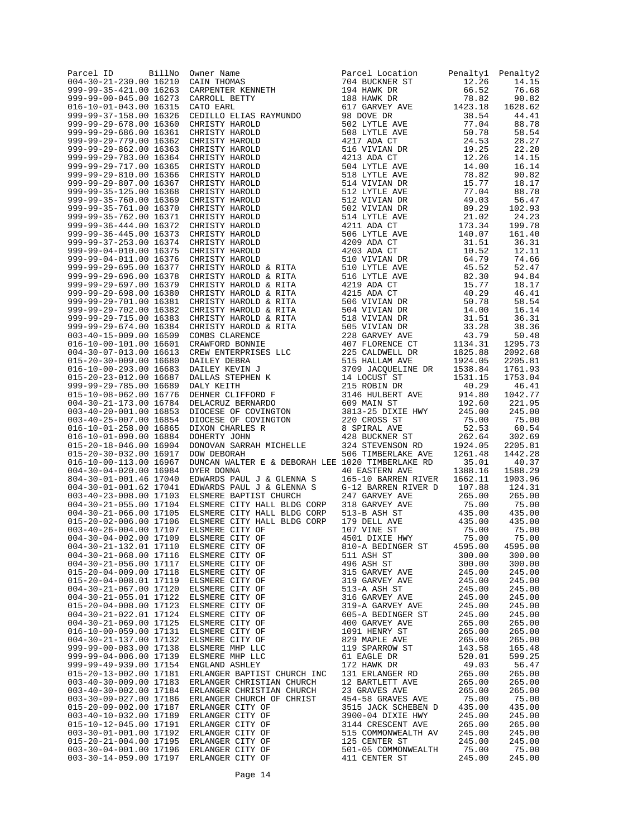| BillNo<br>Parcel ID<br>004-30-21-230.00 16210    | Owner Name<br>CAIN THOMAS                                                                                                                                                                                                                                                             | Parcel Location<br>704 BUCKNER ST                      | Penaltyl<br>12.26             | Penalty2<br>14.15  |
|--------------------------------------------------|---------------------------------------------------------------------------------------------------------------------------------------------------------------------------------------------------------------------------------------------------------------------------------------|--------------------------------------------------------|-------------------------------|--------------------|
| 999-99-35-421.00 16263                           | CARPENTER KENNETH                                                                                                                                                                                                                                                                     | 704 BUCKNER ST<br>194 HAWK DR<br>188 HAWK DR           | 66.52                         | 76.68              |
| 999-99-00-045.00 16273                           | CARROLL BETTY                                                                                                                                                                                                                                                                         |                                                        | 78.82                         | 90.82              |
| 016-10-01-043.00 16315<br>999-99-37-158.00 16326 | CATO EARL<br>CATO EARL<br>CATO EARL<br>CEDILLO ELIAS RAYMUNDO<br>CHRISTY HAROLD<br>CHRISTY HAROLD<br>CHRISTY HAROLD<br>CHRISTY HAROLD<br>CHRISTY HAROLD<br>CHRISTY HAROLD<br>CHRISTY HAROLD<br>CHRISTY HAROLD<br>CHRISTY HAROLD<br>CHRISTY HAROLD<br>CHRISTY HAROLD<br>CHRISTY HAROLD | 617 GARVEY AVE<br>98 DOVE DR                           | 1423.18<br>38.54              | 1628.62<br>44.41   |
| 999-99-29-678.00 16360                           |                                                                                                                                                                                                                                                                                       | 502 LYTLE AVE                                          | 77.04                         | 88.78              |
| 999-99-29-686.00 16361                           |                                                                                                                                                                                                                                                                                       | 502 LYTLE AVE<br>508 LYTLE AVE                         | 50.78                         | 58.54              |
| 999-99-29-779.00 16362<br>999-99-29-862.00 16363 |                                                                                                                                                                                                                                                                                       | 516 VIVIAN DR                                          | 24.53<br>19.25                | 28.27<br>22.20     |
| 999-99-29-783.00 16364                           |                                                                                                                                                                                                                                                                                       | 4213 ADA CT                                            | 12.26                         | 14.15              |
| 999-99-29-717.00 16365                           |                                                                                                                                                                                                                                                                                       | 504 LYTLE AVE<br>504 LYTLE AVE<br>518 LYTLE AVE        | 14.00                         | 16.14              |
| 999-99-29-810.00 16366                           |                                                                                                                                                                                                                                                                                       |                                                        | 78.82                         | 90.82              |
| 999-99-29-807.00 16367<br>999-99-35-125.00 16368 |                                                                                                                                                                                                                                                                                       | 514 VIVIAN DR<br>512 LYTLE AVE<br>512 LYTLE AVE        | 15.77<br>77.04                | 18.17<br>88.78     |
| 999-99-35-760.00 16369                           |                                                                                                                                                                                                                                                                                       |                                                        | 49.03                         | 56.47              |
| 999-99-35-761.00 16370                           |                                                                                                                                                                                                                                                                                       | 502 VIVIAN DR<br>514 LYTLE AVE<br>4211 ADA CT          | 89.29                         | 102.93             |
| 999-99-35-762.00 16371<br>999-99-36-444.00 16372 |                                                                                                                                                                                                                                                                                       |                                                        | 21.02<br>173.34               | 24.23<br>199.78    |
| 999-99-36-445.00 16373                           |                                                                                                                                                                                                                                                                                       |                                                        | 140.07                        | 161.40             |
| 999-99-37-253.00 16374                           |                                                                                                                                                                                                                                                                                       | 506 LYTLE AVE<br>4209 ADA CT<br>4203 ADA CT            | 31.51                         | 36.31              |
| 999-99-04-010.00 16375                           |                                                                                                                                                                                                                                                                                       |                                                        | 10.52                         | 12.11              |
| 999-99-04-011.00 16376<br>999-99-29-695.00 16377 |                                                                                                                                                                                                                                                                                       | 510 VIVIAN DR<br>510 LYTLE AVE                         | 64.79<br>45.52                | 74.66<br>52.47     |
| 999-99-29-696.00 16378                           |                                                                                                                                                                                                                                                                                       | 516 LYTLE AVE                                          | 82.30                         | 94.84              |
| 999-99-29-697.00 16379                           | CHRISTY HAROLD & RITA                                                                                                                                                                                                                                                                 | 4219 ADA CT                                            | 15.77                         | 18.17              |
| 999-99-29-698.00 16380                           | CHRISTY HAROLD & RITA                                                                                                                                                                                                                                                                 | 4215 ADA CT                                            | 40.29                         | 46.41              |
| 999-99-29-701.00 16381<br>999-99-29-702.00 16382 | CHRISTY HAROLD & RITA<br>CHRISTY HAROLD & RITA                                                                                                                                                                                                                                        | ---<br>506 VIVIAN DR<br>504 VIVIAN DR<br>--- VIVIAN DR | 50.78<br>14.00                | 58.54<br>16.14     |
| 999-99-29-715.00 16383                           |                                                                                                                                                                                                                                                                                       |                                                        | 31.51                         | 36.31              |
| 999-99-29-674.00 16384                           |                                                                                                                                                                                                                                                                                       | 505 VIVIAN DR                                          | 33.28                         | 38.36              |
| 003-40-15-009.00 16509                           |                                                                                                                                                                                                                                                                                       | 228 GARVEY AVE                                         | 43.79                         | 50.48              |
| 016-10-00-101.00 16601<br>004-30-07-013.00 16613 |                                                                                                                                                                                                                                                                                       | 407 FLORENCE CT<br>225 CALDWELL DR                     | 1134.31<br>1825.88<br>1924.05 | 1295.73<br>2092.68 |
| 015-20-30-009.00 16680                           |                                                                                                                                                                                                                                                                                       | 515 HALLAM AVE                                         |                               | 2205.81            |
| 016-10-00-293.00 16683                           |                                                                                                                                                                                                                                                                                       | 3709 JACQUELINE DR 1538.84<br>14 LOCUST ST 1531.15     |                               | 1761.93            |
| 015-20-23-012.00 16687                           |                                                                                                                                                                                                                                                                                       |                                                        |                               | 1753.04            |
| 999-99-29-785.00 16689<br>015-10-08-062.00 16776 | CHRISTY HAROLD & RITA<br>CHRISTY HAROLD & RITA<br>CHRISTY HAROLD & RITA<br>COMBS CLARENCE<br>CRAWFORD BONNIF<br>CREW ENTERPRISES LLC<br>DAILEY DEBRA<br>DAILEY NEVIN J<br>DAILEY KEVIN J<br>DAILEY KEVIN J<br>DAILEY KEVIN J<br>DAILEY KEVIN TRENER R<br>DEHNER CL                    | 215 ROBIN DR<br>3146 HULBERT AVE                       | 40.29<br>914.80               | 46.41<br>1042.77   |
| 004-30-21-173.00 16784                           |                                                                                                                                                                                                                                                                                       | 609 MAIN ST                                            | 192.60                        | 221.95             |
| 003-40-20-001.00 16853                           |                                                                                                                                                                                                                                                                                       | 3813-25 DIXIE HWY                                      | 245.00                        | 245.00             |
| 003-40-25-007.00 16854<br>016-10-01-258.00 16865 |                                                                                                                                                                                                                                                                                       | 220 CROSS ST                                           | 75.00<br>52.53                | 75.00<br>60.54     |
| 016-10-01-090.00 16884                           |                                                                                                                                                                                                                                                                                       | 8 SPIRAL AVE<br>428 BUCKNER ST                         | 262.64                        | 302.69             |
| 015-20-18-046.00 16904                           | DONOVAN SARRAH MICHELLE                                                                                                                                                                                                                                                               | 324 STEVENSON RD                                       | 1924.05                       | 2205.81            |
| 015-20-30-032.00 16917                           | DOW DEBORAH                                                                                                                                                                                                                                                                           | 506 TIMBERLAKE AVE                                     | 1261.48                       | 1442.28            |
| 016-10-00-113.00 16967<br>004-30-04-020.00 16984 | DUNCAN WALTER E & DEBORAH LEE 1020 TIMBERLAKE RD<br>DYER DONNA                                                                                                                                                                                                                        | 40 EASTERN AVE                                         | 35.01<br>1388.16              | 40.37<br>1588.29   |
| 804-30-01-001.46 17040                           | EDWARDS PAUL J & GLENNA S                                                                                                                                                                                                                                                             | 165-10 BARREN RIVER                                    | 1662.11                       | 1903.96            |
| 004-30-01-001.62 17041                           | EDWARDS PAUL J & GLENNA S                                                                                                                                                                                                                                                             | G-12 BARREN RIVER D                                    | 107.88                        | 124.31             |
| 003-40-23-008.00 17103                           | ELSMERE BAPTIST CHURCH                                                                                                                                                                                                                                                                | 247 GARVEY AVE                                         | 265.00                        | 265.00             |
| 004-30-21-055.00 17104<br>004-30-21-066.00 17105 | ELSMERE CITY HALL BLDG CORP<br>ELSMERE CITY HALL BLDG CORP                                                                                                                                                                                                                            | 318 GARVEY AVE<br>513-B ASH ST                         | 75.00<br>435.00               | 75.00<br>435.00    |
| 015-20-02-006.00 17106                           | ELSMERE CITY HALL BLDG CORP                                                                                                                                                                                                                                                           |                                                        | 435.00                        | 435.00             |
| 003-40-26-004.00 17107                           | ELSMERE CITY OF                                                                                                                                                                                                                                                                       | 179 DELL AVE<br>107 VINE ST<br>4501 DIXIE HWY          | 75.00                         | 75.00              |
| 004-30-04-002.00 17109<br>004-30-21-132.01 17110 | ELSMERE CITY OF                                                                                                                                                                                                                                                                       | 810-A BEDINGER ST                                      | 75.00<br>4595.00              | 75.00              |
| 004-30-21-068.00 17116                           | ELSMERE CITY OF<br>ELSMERE CITY OF                                                                                                                                                                                                                                                    | 511 ASH ST                                             | 300.00                        | 4595.00<br>300.00  |
| 004-30-21-056.00 17117                           | ELSMERE CITY OF                                                                                                                                                                                                                                                                       | 496 ASH ST                                             | 300.00                        | 300.00             |
| 015-20-04-009.00 17118                           | ELSMERE CITY OF                                                                                                                                                                                                                                                                       | 315 GARVEY AVE                                         | 245.00                        | 245.00             |
| 015-20-04-008.01 17119<br>004-30-21-067.00 17120 | ELSMERE CITY OF<br>ELSMERE CITY OF                                                                                                                                                                                                                                                    | 319 GARVEY AVE<br>513-A ASH ST                         | 245.00<br>245.00              | 245.00<br>245.00   |
| 004-30-21-055.01 17122                           | ELSMERE CITY OF                                                                                                                                                                                                                                                                       | 316 GARVEY AVE                                         | 245.00                        | 245.00             |
| 015-20-04-008.00 17123                           | ELSMERE CITY OF                                                                                                                                                                                                                                                                       | 319-A GARVEY AVE                                       | 245.00                        | 245.00             |
| 004-30-21-022.01 17124                           | ELSMERE CITY OF                                                                                                                                                                                                                                                                       | 605-A BEDINGER ST                                      | 245.00                        | 245.00             |
| 004-30-21-069.00 17125<br>016-10-00-059.00 17131 | ELSMERE CITY OF<br>ELSMERE CITY OF                                                                                                                                                                                                                                                    | 400 GARVEY AVE<br>1091 HENRY ST                        | 265.00<br>265.00              | 265.00<br>265.00   |
| 004-30-21-137.00 17132                           | ELSMERE CITY OF                                                                                                                                                                                                                                                                       | 829 MAPLE AVE                                          | 265.00                        | 265.00             |
| 999-99-00-083.00 17138                           | ELSMERE MHP LLC                                                                                                                                                                                                                                                                       | 119 SPARROW ST                                         | 143.58                        | 165.48             |
| 999-99-04-006.00 17139                           | ELSMERE MHP LLC                                                                                                                                                                                                                                                                       | 61 EAGLE DR                                            | 520.01                        | 599.25             |
| 999-99-49-939.00 17154<br>015-20-13-002.00 17181 | ENGLAND ASHLEY<br>ERLANGER BAPTIST CHURCH INC                                                                                                                                                                                                                                         | 172 HAWK DR<br>131 ERLANGER RD                         | 49.03<br>265.00               | 56.47<br>265.00    |
| 003-40-30-009.00 17183                           | ERLANGER CHRISTIAN CHURCH                                                                                                                                                                                                                                                             | 12 BARTLETT AVE                                        | 265.00                        | 265.00             |
| 003-40-30-002.00 17184                           | ERLANGER CHRISTIAN CHURCH                                                                                                                                                                                                                                                             | 23 GRAVES AVE                                          | 265.00                        | 265.00             |
| 003-30-09-027.00 17186<br>015-20-09-002.00 17187 | ERLANGER CHURCH OF CHRIST<br>ERLANGER CITY OF                                                                                                                                                                                                                                         | 454-58 GRAVES AVE<br>3515 JACK SCHEBEN D               | 75.00<br>435.00               | 75.00<br>435.00    |
| 003-40-10-032.00 17189                           | ERLANGER CITY OF                                                                                                                                                                                                                                                                      | 3900-04 DIXIE HWY                                      | 245.00                        | 245.00             |
| 015-10-12-045.00 17191                           | ERLANGER CITY OF                                                                                                                                                                                                                                                                      | 3144 CRESCENT AVE                                      | 265.00                        | 265.00             |
| 003-30-01-001.00 17192                           | ERLANGER CITY OF                                                                                                                                                                                                                                                                      | 515 COMMONWEALTH AV                                    | 245.00                        | 245.00             |
| 015-20-21-004.00 17195<br>003-30-04-001.00 17196 | ERLANGER CITY OF<br>ERLANGER CITY OF                                                                                                                                                                                                                                                  | 125 CENTER ST<br>501-05 COMMONWEALTH                   | 245.00<br>75.00               | 245.00<br>75.00    |
| 003-30-14-059.00 17197                           | ERLANGER CITY OF                                                                                                                                                                                                                                                                      | 411 CENTER ST                                          | 245.00                        | 245.00             |
|                                                  |                                                                                                                                                                                                                                                                                       |                                                        |                               |                    |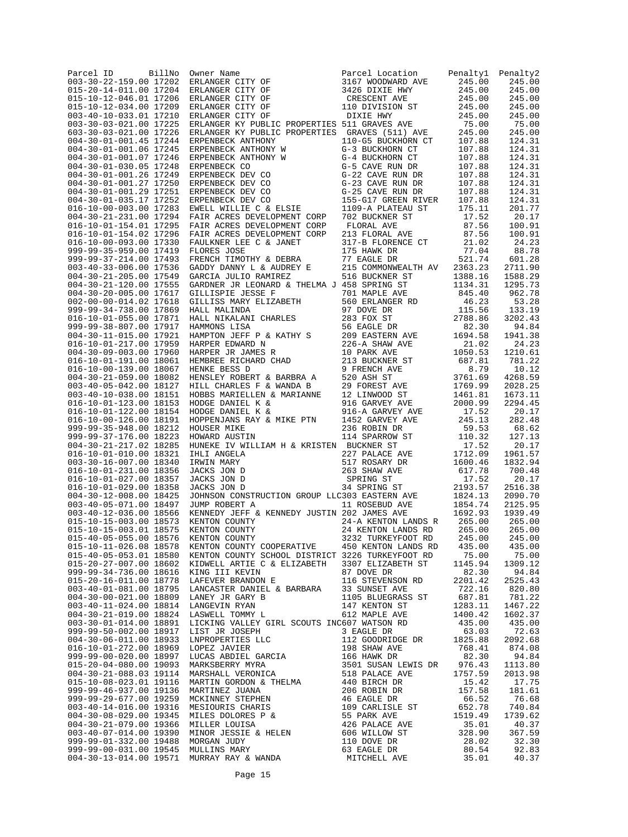| BillNo<br>Parcel ID<br>003-30-22-159.00 17202    | Owner Name<br>ERLANGER CITY OF                                                                                                                                                                                                        | Parcel Location<br>3167 WOODWARD AVE              | Penaltyl<br>245.00 | Penalty2<br>245.00 |
|--------------------------------------------------|---------------------------------------------------------------------------------------------------------------------------------------------------------------------------------------------------------------------------------------|---------------------------------------------------|--------------------|--------------------|
| 015-20-14-011.00 17204                           | ERLANGER CITY OF                                                                                                                                                                                                                      | 3426 DIXIE HWY                                    | 245.00             | 245.00             |
| 015-10-12-046.01 17206                           | ERLANGER CITY OF                                                                                                                                                                                                                      | CRESCENT AVE                                      | 245.00             | 245.00             |
| 015-10-12-034.00 17209                           | ERLANGER CITY OF                                                                                                                                                                                                                      | 110 DIVISION ST                                   | 245.00             | 245.00             |
| 003-40-10-033.01 17210<br>003-30-03-021.00 17225 | ERLANGER CITY OF<br>ERLANGER KY PUBLIC PROPERTIES 511 GRAVES AVE                                                                                                                                                                      | DIXIE HWY                                         | 245.00<br>75.00    | 245.00<br>75.00    |
| 603-30-03-021.00 17226                           | ERLANGER KY PUBLIC PROPERTIES GRAVES (511) AVE                                                                                                                                                                                        |                                                   | 245.00             | 245.00             |
| 004-30-01-001.45 17244                           | ERPENBECK ANTHONY                                                                                                                                                                                                                     | 110-G5 BUCKHORN CT                                | 107.88             | 124.31             |
| 004-30-01-001.06 17245                           | ERPENBECK ANTHONY W                                                                                                                                                                                                                   | G-3 BUCKHORN CT                                   | 107.88             | 124.31             |
| 004-30-01-001.07 17246<br>004-30-01-030.05 17248 | ERPENBECK ANTHONY W<br>ERPENBECK CO                                                                                                                                                                                                   | G-4 BUCKHORN CT<br>G-5 CAVE RUN DR                | 107.88<br>107.88   | 124.31<br>124.31   |
| 004-30-01-001.26 17249                           | ERPENBECK DEV CO                                                                                                                                                                                                                      | G-22 CAVE RUN DR                                  | 107.88             | 124.31             |
| 004-30-01-001.27 17250                           | ERPENBECK DEV CO                                                                                                                                                                                                                      | G-23 CAVE RUN DR                                  | 107.88             | 124.31             |
| 004-30-01-001.29 17251                           | ERPENBECK DEV CO                                                                                                                                                                                                                      | G-25 CAVE RUN DR                                  | 107.88             | 124.31             |
| 004-30-01-035.17 17252<br>016-10-00-003.00 17283 | ERPENBECK DEV CO<br>EWELL WILLIE C & ELSIE                                                                                                                                                                                            | 155-G17 GREEN RIVER<br>1109-A PLATEAU ST          | 107.88<br>175.11   | 124.31<br>201.77   |
| 004-30-21-231.00 17294                           | FAIR ACRES DEVELOPMENT CORP                                                                                                                                                                                                           | 702 BUCKNER ST                                    | 17.52              | 20.17              |
| 016-10-01-154.01 17295                           | FAIR ACRES DEVELOPMENT CORP                                                                                                                                                                                                           | FLORAL AVE                                        | 87.56              | 100.91             |
| 016-10-01-154.02 17296                           | FAIR ACRES DEVELOPMENT CORP                                                                                                                                                                                                           | 213 FLORAL AVE                                    | 87.56              | 100.91             |
| 016-10-00-093.00 17330                           | FAULKNER LEE C & JANET                                                                                                                                                                                                                | 317-B FLORENCE CT                                 | 21.02<br>77.04     | 24.23              |
| 999-99-35-959.00 17419<br>999-99-37-214.00 17493 | FLORES JOSE<br>FRENCH TIMOTHY & DEBRA                                                                                                                                                                                                 | 175 HAWK DR<br>77 EAGLE DR                        | 521.74             | 88.78<br>601.28    |
| 003-40-33-006.00 17536                           | GADDY DANNY L & AUDREY E                                                                                                                                                                                                              | 215 COMMONWEALTH AV                               | 2363.23            | 2711.90            |
| 004-30-21-205.00 17549                           | $\frac{d}{d\sigma} = \frac{1}{\sigma^2}$<br>GARCIA JULIO RAMIREZ                                                                                                                                                                      | 516 BUCKNER ST                                    | 1388.16            | 1588.29            |
| 004-30-21-120.00 17555                           | GARDNER JR LEONARD & THELMA J 458 SPRING ST                                                                                                                                                                                           |                                                   | 1134.31            | 1295.73            |
| 004-30-20-005.00 17617<br>002-00-00-014.02 17618 |                                                                                                                                                                                                                                       | 701 MAPLE AVE<br>560 ERLANGER RD<br>701 MAPLE AVE | 845.40<br>46.23    | 962.78<br>53.28    |
| 999-99-34-738.00 17869                           | GILLISPIE JESSE F<br>GILLISS MARY ELIZABETH<br>HALL MALINDA                                                                                                                                                                           | 97 DOVE DR                                        | 115.56             | 133.19             |
| 016-10-01-055.00 17871                           | HALL NIKALANI CHARLES<br>HAMMONS IISA                                                                                                                                                                                                 | 283 FOX ST                                        | 2788.86            | 3202.43            |
| 999-99-38-807.00 17917                           | HALL NIKALANI CHARLES<br>HAMMONS LISA<br>HAMPTON JEFF P & KATHY S<br>HARPER EDWARD N                                                                                                                                                  | 56 EAGLE DR                                       | 82.30              | 94.84              |
| 004-30-11-015.00 17921                           |                                                                                                                                                                                                                                       | 209 EASTERN AVE                                   | 1694.58            | 1941.38            |
| 016-10-01-217.00 17959<br>004-30-09-003.00 17960 | HARPER EDWARD N<br>HARPER JR JAMES R<br>HEMBREE RICHARD CHAD<br>HEMKE BESS D                                                                                                                                                          | 226-A SHAW AVE<br>10 PARK AVE                     | 21.02<br>1050.53   | 24.23<br>1210.61   |
| 016-10-01-191.00 18061                           |                                                                                                                                                                                                                                       | 213 BUCKNER ST                                    | 687.81             | 781.22             |
| 016-10-00-139.00 18067                           | HENKE BESS D                                                                                                                                                                                                                          | 9 FRENCH AVE                                      | 8.79               | 10.12              |
| 004-30-21-059.00 18082                           | HENSLEY ROBERT & BARBRA A                                                                                                                                                                                                             | 520 ASH ST                                        | 3761.69            | 4268.59            |
| 003-40-05-042.00 18127                           | HILL CHARLES F & WANDA B                                                                                                                                                                                                              | 29 FOREST AVE                                     | 1769.99            | 2028.25            |
| 003-40-10-038.00 18151<br>016-10-01-123.00 18153 | HOBBS MARIELLEN & MARIANNE<br>HODGE DANIEL K &                                                                                                                                                                                        | 12 LINWOOD ST<br>916 GARVEY AVE                   | 1461.81<br>2000.99 | 1673.11<br>2294.45 |
| 016-10-01-122.00 18154                           | HODGE DANIEL K &                                                                                                                                                                                                                      | 916-A GARVEY AVE                                  | 17.52              | 20.17              |
| 016-10-00-126.00 18191                           | HOPPENJANS RAY & MIKE PTN                                                                                                                                                                                                             | 1452 GARVEY AVE                                   | 245.13             | 282.48             |
| 999-99-35-948.00 18212                           | HOUSER MIKE                                                                                                                                                                                                                           | 236 ROBIN DR                                      | 59.53              | 68.62              |
| 999-99-37-176.00 18223<br>004-30-21-217.02 18285 | HOWARD AUSTIN<br>HUNEKE IV WILLIAM H & KRISTEN BUCKNER ST                                                                                                                                                                             | 114 SPARROW ST                                    | 110.32<br>17.52    | 127.13<br>20.17    |
| 016-10-01-010.00 18321                           | IHLI ANGELA                                                                                                                                                                                                                           | 227 PALACE AVE                                    | 1712.09            | 1961.57            |
| 003-30-16-007.00 18340                           | IRWIN MARY                                                                                                                                                                                                                            | 517 ROSARY DR                                     | 1600.46            | 1832.94            |
| 016-10-01-231.00 18356                           | JACKS JON D                                                                                                                                                                                                                           | 263 SHAW AVE                                      | 617.78             | 700.48             |
| 016-10-01-027.00 18357<br>016-10-01-029.00 18358 | JACKS JON D<br>JACKS JON D                                                                                                                                                                                                            | SPRING ST<br>34 SPRING ST                         | 17.52<br>2193.57   | 20.17<br>2516.38   |
| 004-30-12-008.00 18425                           | JOHNSON CONSTRUCTION GROUP LLC303 EASTERN AVE                                                                                                                                                                                         |                                                   | 1824.13            | 2090.70            |
| 003-40-05-071.00 18497                           | JUMP ROBERT A                                                                                                                                                                                                                         | 11 ROSEBUD AVE                                    | 1854.74            | 2125.95            |
| 003-40-12-036.00 18566                           | KENNEDY JEFF & KENNEDY JUSTIN 202 JAMES AVE                                                                                                                                                                                           |                                                   | 1692.93            | 1939.49            |
| 015-10-15-003.00 18573<br>015-10-15-003.01 18575 | KENTON COUNTY                                                                                                                                                                                                                         | 24-A KENTON LANDS R                               | 265.00             | 265.00             |
| 015-40-05-055.00 18576                           | KENTON COUNTY<br>KENTON COUNTY                                                                                                                                                                                                        | 24 KENTON LANDS RD<br>3232 TURKEYFOOT RD          | 265.00<br>245.00   | 265.00<br>245.00   |
| 015-10-11-026.08 18578                           | KENTON COUNTY COOPERATIVE 450 KENTON LANDS RD                                                                                                                                                                                         |                                                   | 435.00             | 435.00             |
| 015-40-05-053.01 18580                           | KENTON COUNTY SCHOOL DISTRICT 3226 TURKEYFOOT RD                                                                                                                                                                                      |                                                   | 75.00              | 75.00              |
|                                                  | 015-20-27-007.00 18602 KIDWELL ARTIE C & ELIZABETH 3307 ELIZABETH ST                                                                                                                                                                  |                                                   | 1145.94            | 1309.12            |
| 999-99-34-736.00 18616<br>015-20-16-011.00 18778 | KING III KEVIN                                                                                                                                                                                                                        |                                                   | 82.30<br>2201.42   | 94.84<br>2525.43   |
| 003-40-01-081.00 18795                           | EXERICITY AND A MARGIN STRING IN STRING IN A MARGIN STRING IN A LAFEVER BRANDON E<br>LAFEVER BRANDON E 116 STEVENSON RD<br>LANCASTER DANIEL & BARBARA 33 SUNSET AVE<br>LANEY JR GARY B 1105 BLUEGRASS ST<br>LASWELL TOMMY L 612 MAPLE |                                                   | 722.16             | 820.80             |
| 004-30-00-021.00 18809                           |                                                                                                                                                                                                                                       |                                                   | 687.81             | 781.22             |
| 003-40-11-024.00 18814                           |                                                                                                                                                                                                                                       |                                                   | 1283.11            | 1467.22            |
| 004-30-21-019.00 18824                           |                                                                                                                                                                                                                                       |                                                   | 1400.42            | 1602.37            |
| 003-30-01-014.00 18891<br>999-99-50-002.00 18917 | LICKING VALLEY GIRL SCOUTS INC607 WATSON RD                                                                                                                                                                                           |                                                   | 435.00             | 435.00<br>72.63    |
| 004-30-06-011.00 18933                           |                                                                                                                                                                                                                                       |                                                   |                    | 2092.68            |
| 016-10-01-272.00 18969                           |                                                                                                                                                                                                                                       |                                                   |                    | 874.08             |
| 999-99-00-020.00 18997                           |                                                                                                                                                                                                                                       |                                                   |                    | 94.84              |
| 015-20-04-080.00 19093                           |                                                                                                                                                                                                                                       |                                                   |                    | 1113.80            |
| 004-30-21-088.03 19114<br>015-10-08-023.01 19116 |                                                                                                                                                                                                                                       |                                                   |                    | 2013.98<br>17.75   |
| 999-99-46-937.00 19136                           |                                                                                                                                                                                                                                       |                                                   |                    | 181.61             |
| 999-99-29-677.00 19259                           |                                                                                                                                                                                                                                       |                                                   |                    | 76.68              |
| 003-40-14-016.00 19316                           |                                                                                                                                                                                                                                       |                                                   |                    | 740.84             |
| 004-30-08-029.00 19345<br>004-30-21-079.00 19366 |                                                                                                                                                                                                                                       |                                                   |                    | 1739.62<br>40.37   |
| 003-40-07-014.00 19390                           |                                                                                                                                                                                                                                       |                                                   |                    | 367.59             |
| 999-99-01-332.00 19488                           | MORGAN JUDY                                                                                                                                                                                                                           |                                                   |                    | 32.30              |
| 999-99-00-031.00 19545 MULLINS MARY              |                                                                                                                                                                                                                                       |                                                   |                    | 92.83              |
| 004-30-13-014.00 19571                           |                                                                                                                                                                                                                                       |                                                   |                    | 40.37              |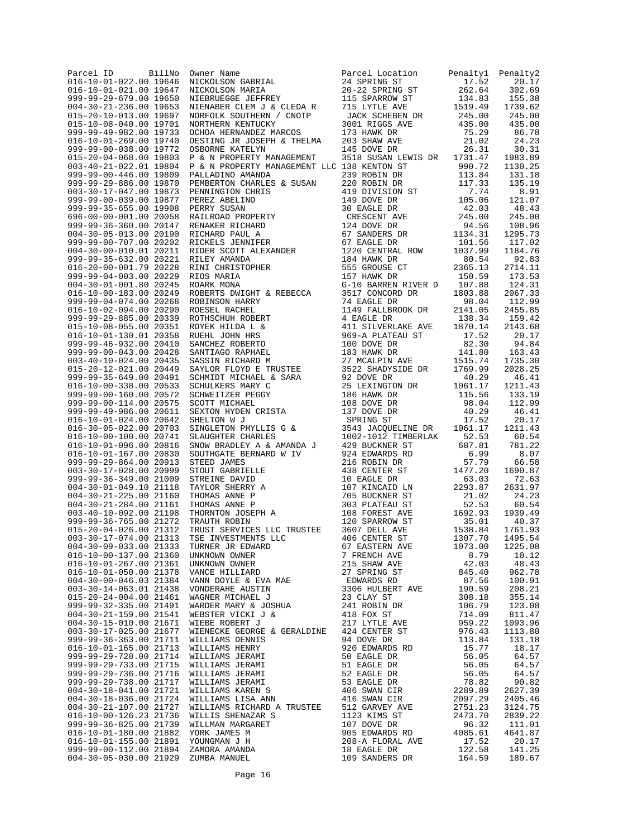| Parcel ID<br>016-10-01-022.00 19646              | BillNo | Owner Name<br>NICKOLSON GABRIAL<br>NICKOLSON MARIA<br>NIEBRUEGGE JEFFREY<br>NIENABER CLEM J & CLEDA R<br>NORFOLK SOUTHERN / CNOTP<br>NORFOLK SOUTHERN / CNOTP                                                                                                            | Parcel Location<br>24 SPRING ST            | Penalty1<br>17.52  | Penalty2<br>20.17  |
|--------------------------------------------------|--------|--------------------------------------------------------------------------------------------------------------------------------------------------------------------------------------------------------------------------------------------------------------------------|--------------------------------------------|--------------------|--------------------|
| 016-10-01-021.00 19647                           |        |                                                                                                                                                                                                                                                                          | 20-22 SPRING ST                            | 262.64             | 302.69             |
| 999-99-29-679.00 19650                           |        |                                                                                                                                                                                                                                                                          | 115 SPARROW ST                             | 134.83             | 155.38             |
| 004-30-21-236.00 19653                           |        |                                                                                                                                                                                                                                                                          | 715 LYTLE AVE                              | 1519.49            | 1739.62            |
| 015-20-10-013.00 19697<br>015-10-08-040.00 19701 |        | NORTHERN KENTUCKY                                                                                                                                                                                                                                                        | JACK SCHEBEN DR<br>3001 RIGGS AVE          | 245.00<br>435.00   | 245.00<br>435.00   |
| 999-99-49-982.00 19733                           |        | OCHOA HERNANDEZ MARCOS                                                                                                                                                                                                                                                   |                                            | 75.29              | 86.78              |
| 016-10-01-269.00 19740                           |        | OESTING JR JOSEPH & THELMA                                                                                                                                                                                                                                               | 173 HAWK DR<br>203 SHAW AVE<br>145 DOVE DR | 21.02              | 24.23              |
| 999-99-00-038.00 19772                           |        | OSBORNE KATELYN                                                                                                                                                                                                                                                          |                                            | $\frac{1}{26.31}$  | 30.31              |
| 015-20-04-068.00 19803                           |        | P & N PROPERTY MANAGEMENT                                                                                                                                                                                                                                                | 3518 SUSAN LEWIS DR 1731.47                |                    | 1983.89            |
| 003-40-21-022.01 19804<br>999-99-00-446.00 19809 |        | P & N PROPERTY MANAGEMENT LLC 138 KENTON ST<br>PALLADINO AMANDA                                                                                                                                                                                                          | 239 ROBIN DR                               | 990.72<br>113.84   | 1130.25<br>131.18  |
| 999-99-29-886.00 19870                           |        | PEMBERTON CHARLES & SUSAN                                                                                                                                                                                                                                                | 220 ROBIN DR                               | 117.33             | 135.19             |
| 003-30-17-047.00 19873                           |        |                                                                                                                                                                                                                                                                          | 419 DIVISION ST<br>149 DOVE DR             | 7.74               | 8.91               |
| 999-99-00-039.00 19877                           |        |                                                                                                                                                                                                                                                                          |                                            | 105.06             | 121.07             |
| 999-99-35-655.00 19908                           |        | PEMBERION CHANNEL<br>PEREZ ABELINO<br>PEREZ BELINO<br>RAILROAD PROPERTY<br>RENAKER RICHARD<br>RICHARD PAUL A<br>RICKELS JENNIFER<br>RICKELS JENNIFER<br>RICKELS COTT ALEXANDER<br>RILEY AMANDA<br>RINI CHRISTOPHER<br>RICK MANDA<br>RINI CHRISTOPHER<br>RIOS MARIA<br>RO | 30 EAGLE DR                                | 42.03              | 48.43              |
| 696-00-00-001.00 20058<br>999-99-36-360.00 20147 |        |                                                                                                                                                                                                                                                                          | CRESCENT AVE<br>124 DOVE DR                | 245.00<br>94.56    | 245.00<br>108.96   |
| 004-30-05-013.00 20190                           |        |                                                                                                                                                                                                                                                                          | 67 SANDERS DR                              | 1134.31            | 1295.73            |
| 999-99-00-707.00 20202                           |        |                                                                                                                                                                                                                                                                          | 67 EAGLE DR                                | 101.56             | 117.02             |
| 004-30-00-010.01 20211                           |        |                                                                                                                                                                                                                                                                          | 1220 CENTRAL ROW                           | 1037.99            | 1184.76            |
| 999-99-35-632.00 20221<br>016-20-00-001.79 20228 |        |                                                                                                                                                                                                                                                                          | 184 HAWK DR<br>555 GROUSE CT               | 80.54<br>2365.13   | 92.83<br>2714.11   |
| 999-99-04-003.00 20229                           |        |                                                                                                                                                                                                                                                                          | 157 HAWK DR                                | 150.59             | 173.53             |
| 004-30-01-001.80 20245                           |        |                                                                                                                                                                                                                                                                          | G-10 BARREN RIVER D                        | 107.88             | 124.31             |
| 016-10-00-183.00 20249                           |        | ROBERTS DWIGHT & REBECCA                                                                                                                                                                                                                                                 | 3517 CONCORD DR                            | 1803.88            | 2067.33            |
| 999-99-04-074.00 20268                           |        | ROBERTS DWIGHT & REBECCA<br>ROBINSON HARRY<br>ROESEL RACHEL<br>ROTHSCHUH ROBERT<br>ROYEK HILDA L &<br>RUEHL JOHN HRS<br>SANCHEZ ROBERTO<br>SANCHEZ ROBERTO<br>SANTIAGO RAPHAEL<br>SASSIN RICHARD M<br>SAYLOR FLOYD E TRUSTEE<br>SCHWIDT MICHAEL & SARA<br>SCHWIDT        | 74 EAGLE DR                                | 98.04              | 112.99             |
| 016-10-02-094.00 20290<br>999-99-29-885.00 20339 |        |                                                                                                                                                                                                                                                                          | 1149 FALLBROOK DR<br>4 EAGLE DR            | 2141.05<br>138.34  | 2455.85<br>159.42  |
| 015-10-08-055.00 20351                           |        |                                                                                                                                                                                                                                                                          | 411 SILVERLAKE AVE                         | 1870.14            | 2143.68            |
| 016-10-01-130.01 20358                           |        |                                                                                                                                                                                                                                                                          | 969-A PLATEAU ST                           | 17.52              | 20.17              |
| 999-99-46-932.00 20410                           |        |                                                                                                                                                                                                                                                                          | 100 DOVE DR                                | 82.30              | 94.84              |
| 999-99-00-043.00 20428                           |        |                                                                                                                                                                                                                                                                          | 183 HAWK DR                                | 141.80             | 163.43             |
| 003-40-10-024.00 20435<br>015-20-12-021.00 20449 |        |                                                                                                                                                                                                                                                                          | 27 MCALPIN AVE<br>3522 SHADYSIDE DR        | 1515.74<br>1769.99 | 1735.30<br>2028.25 |
| 999-99-35-649.00 20491                           |        |                                                                                                                                                                                                                                                                          | 92 DOVE DR                                 | 40.29              | 46.41              |
| 016-10-00-338.00 20533                           |        |                                                                                                                                                                                                                                                                          | 25 LEXINGTON DR                            | 1061.17            | 1211.43            |
| 999-99-00-160.00 20572                           |        |                                                                                                                                                                                                                                                                          | 186 HAWK DR                                | 115.56             | 133.19             |
| 999-99-00-114.00 20575                           |        |                                                                                                                                                                                                                                                                          | 108 DOVE DR                                | 98.04              | 112.99             |
| 999-99-49-986.00 20611<br>016-10-01-024.00 20642 |        | SCHWEITZER PEGGY<br>SCOTT MICHAEL<br>SEXTON HYDEN CRISTA<br>SHELTON W J<br>SINGLETON PHYLLIS C -<br>SLANGLETON PHYLLIS C -<br>SLANGLETON PHYLLIS C -                                                                                                                     | 137 DOVE DR<br>SPRING ST                   | 40.29<br>17.52     | 46.41<br>20.17     |
| 016-30-05-022.00 20703                           |        |                                                                                                                                                                                                                                                                          | 3543 JACQUELINE DR                         | 1061.17            | 1211.43            |
| 016-10-00-100.00 20741                           |        | SLAUGHTER CHARLES                                                                                                                                                                                                                                                        | 1002-1012 TIMBERLAK                        | 52.53              | 60.54              |
| 016-10-01-096.00 20816                           |        | SNOW BRADLEY A & AMANDA J                                                                                                                                                                                                                                                | 429 BUCKNER ST                             | 687.81             | 781.22             |
| 016-10-01-167.00 20830<br>999-99-29-864.00 20913 |        | SOUTHGATE BERNARD W IV<br>SOUTHGATE BERNARD W 1.<br>STEED JAMES<br>STOUT GABRIELLE<br>TREINE DAVID<br>TAULOR SHERRY A<br>THOMAS ANNE P<br>THOMAS ANNE P<br>THORNTON JOSEPH A<br>TRORNTON JOSEPH A                                                                        | 924 EDWARDS RD<br>216 ROBIN DR             | 6.99<br>57.79      | 8.07               |
| 003-30-17-028.00 20999                           |        |                                                                                                                                                                                                                                                                          | 438 CENTER ST                              | 1477.20            | 66.58<br>1690.87   |
| 999-99-36-349.00 21009                           |        |                                                                                                                                                                                                                                                                          | 10 EAGLE DR                                | 63.03              | 72.63              |
| 004-30-01-049.10 21118                           |        |                                                                                                                                                                                                                                                                          | 107 KINCAID LN                             | 2293.87            | 2631.97            |
| 004-30-21-225.00 21160                           |        |                                                                                                                                                                                                                                                                          | 705 BUCKNER ST                             | 21.02              | 24.23              |
| 004-30-21-284.00 21161<br>003-40-10-092.00 21198 |        |                                                                                                                                                                                                                                                                          | 303 PLATEAU ST<br>108 FOREST AVE           | 52.53<br>1692.93   | 60.54<br>1939.49   |
| 999-99-36-765.00 21272                           |        | TRAUTH ROBIN                                                                                                                                                                                                                                                             | 120 SPARROW ST                             | 35.01              | 40.37              |
| 015-20-04-026.00 21312                           |        | TRUST SERVICES LLC TRUSTEE                                                                                                                                                                                                                                               | 3607 DELL AVE                              | 1538.84            | 1761.93            |
| 003-30-17-074.00 21313                           |        | TSE INVESTMENTS LLC                                                                                                                                                                                                                                                      | 406 CENTER ST                              | 1307.70            | 1495.54            |
|                                                  |        |                                                                                                                                                                                                                                                                          |                                            |                    | 1225.08            |
|                                                  |        |                                                                                                                                                                                                                                                                          |                                            |                    | 10.12<br>48.43     |
|                                                  |        |                                                                                                                                                                                                                                                                          |                                            |                    | 962.78             |
|                                                  |        |                                                                                                                                                                                                                                                                          |                                            |                    | 100.91             |
|                                                  |        |                                                                                                                                                                                                                                                                          |                                            |                    | 208.21             |
|                                                  |        |                                                                                                                                                                                                                                                                          |                                            |                    | 355.14<br>123.08   |
|                                                  |        |                                                                                                                                                                                                                                                                          |                                            |                    | 811.47             |
|                                                  |        |                                                                                                                                                                                                                                                                          |                                            |                    | 1093.96            |
|                                                  |        |                                                                                                                                                                                                                                                                          |                                            |                    | 1113.80            |
|                                                  |        |                                                                                                                                                                                                                                                                          |                                            |                    | 131.18             |
|                                                  |        |                                                                                                                                                                                                                                                                          |                                            |                    | 18.17              |
|                                                  |        |                                                                                                                                                                                                                                                                          |                                            |                    | 64.57<br>64.57     |
|                                                  |        |                                                                                                                                                                                                                                                                          |                                            |                    | 64.57              |
|                                                  |        |                                                                                                                                                                                                                                                                          |                                            |                    | 90.82              |
|                                                  |        |                                                                                                                                                                                                                                                                          |                                            |                    | 2627.39            |
|                                                  |        |                                                                                                                                                                                                                                                                          |                                            |                    | 2405.46<br>3124.75 |
|                                                  |        |                                                                                                                                                                                                                                                                          |                                            |                    | 2839.22            |
|                                                  |        |                                                                                                                                                                                                                                                                          |                                            |                    | 111.01             |
|                                                  |        |                                                                                                                                                                                                                                                                          |                                            |                    | 4641.87            |
|                                                  |        |                                                                                                                                                                                                                                                                          |                                            |                    | 20.17              |
|                                                  |        |                                                                                                                                                                                                                                                                          |                                            |                    | 141.25<br>189.67   |
|                                                  |        |                                                                                                                                                                                                                                                                          |                                            |                    |                    |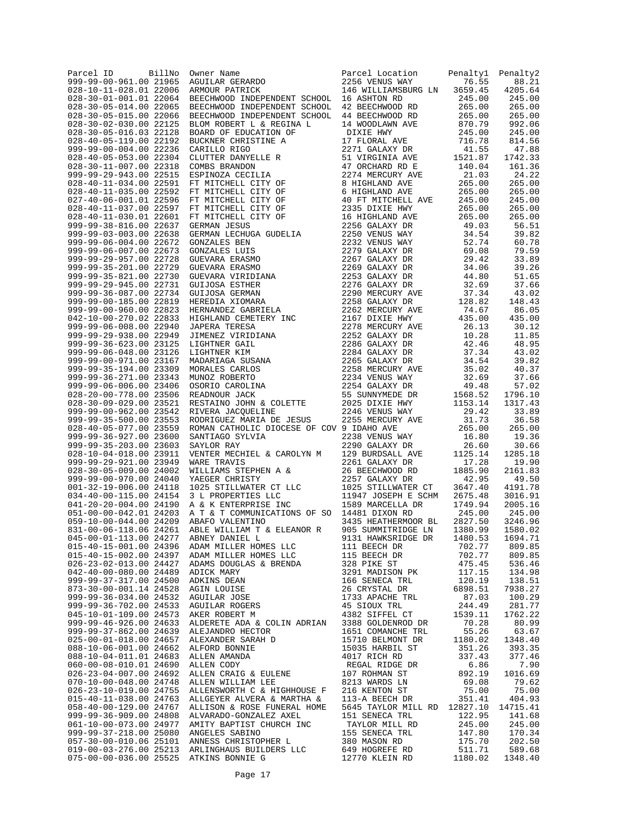| Parcel ID<br>999-99-00-961.00 21965              | BillNo | Owner Name<br>AGUILAR GERARDO                                                                                                                                                                                                                                            | Parcel Location<br>2256 VENUS WAY                | Penalty1<br>76.55          | Penalty2<br>88.21  |
|--------------------------------------------------|--------|--------------------------------------------------------------------------------------------------------------------------------------------------------------------------------------------------------------------------------------------------------------------------|--------------------------------------------------|----------------------------|--------------------|
| 028-10-11-028.01 22006                           |        | ARMOUR PATRICK                                                                                                                                                                                                                                                           | 146 WILLIAMSBURG LN                              | 3659.45                    | 4205.64            |
| 028-30-01-001.01 22064                           |        | BEECHWOOD INDEPENDENT SCHOOL                                                                                                                                                                                                                                             | 16 ASHTON RD                                     | 245.00                     | 245.00             |
| 028-30-05-014.00 22065                           |        | BEECHWOOD INDEPENDENT SCHOOL                                                                                                                                                                                                                                             | 42 BEECHWOOD RD                                  | 265.00                     | 265.00             |
| 028-30-05-015.00 22066<br>028-30-02-030.00 22125 |        | BEECHWOOD INDEPENDENT SCHOOL<br>BLOM ROBERT L & REGINA L                                                                                                                                                                                                                 | 44 BEECHWOOD RD<br>14 WOODLAWN AVE               | 265.00<br>870.79           | 265.00<br>992.06   |
| 028-30-05-016.03 22128                           |        | BOARD OF EDUCATION OF                                                                                                                                                                                                                                                    | DIXIE HWY                                        | 245.00                     | 245.00             |
| 028-40-05-119.00 22192                           |        | BUCKNER CHRISTINE A                                                                                                                                                                                                                                                      | 17 FLORAL AVE                                    | 716.78                     | 814.56             |
| 999-99-00-004.00 22236                           |        | CARILLO RIGO                                                                                                                                                                                                                                                             | 2271 GALAXY DR                                   | 41.55                      | 47.88              |
| 028-40-05-053.00 22304                           |        | CLUTTER DANYELLE R                                                                                                                                                                                                                                                       | 51 VIRGINIA AVE                                  | 1521.87                    | 1742.33            |
| 028-30-11-007.00 22318<br>999-99-29-943.00 22515 |        | COMBS BRANDON<br>ESPINOZA CECILIA                                                                                                                                                                                                                                        | 47 ORCHARD RD E<br>2274 MERCURY AVE              | 140.04<br>21.03            | 161.36<br>24.22    |
| 028-40-11-034.00 22591                           |        | FT MITCHELL CITY OF                                                                                                                                                                                                                                                      | 8 HIGHLAND AVE                                   | 265.00                     | 265.00             |
| 028-40-11-035.00 22592                           |        | FT MITCHELL CITY OF                                                                                                                                                                                                                                                      | 6 HIGHLAND AVE                                   | 265.00                     | 265.00             |
| 027-40-06-001.01 22596                           |        | FT MITCHELL CITY OF                                                                                                                                                                                                                                                      | 40 FT MITCHELL AVE                               | 245.00                     | 245.00             |
| 028-40-11-037.00 22597                           |        | FT MITCHELL CITY OF<br>FT MITCHELL CITY OF                                                                                                                                                                                                                               | 2335 DIXIE HWY                                   | 265.00                     | 265.00             |
| 028-40-11-030.01 22601<br>999-99-38-816.00 22637 |        | GERMAN JESUS                                                                                                                                                                                                                                                             | 16 HIGHLAND AVE<br>2256 GALAXY DR                | 265.00<br>49.03            | 265.00<br>56.51    |
| 999-99-03-003.00 22638                           |        | GERMAN JESUS<br>GERMAN LECHUGA GUDELIA<br>GONZALES BEN<br>GUEVARA ERASMO<br>GUEVARA ERASMO<br>GUEVARA ERASMO<br>GUEVARA ERASMO<br>GUEVARA ERASMO<br>GUEVARA ERASMO<br>GUIJOSA GERMAN<br>HEREDIA XIOMARA<br>HEREDIA XIOMARA<br>HEREDIA XIOMARA<br>JABERA TERESA<br>JIMENE | 2250 VENUS WAY                                   | 34.54                      | 39.82              |
| 999-99-06-004.00 22672                           |        |                                                                                                                                                                                                                                                                          | 2232 VENUS WAY                                   | 52.74                      | 60.78              |
| 999-99-06-007.00 22673                           |        |                                                                                                                                                                                                                                                                          | 2279 GALAXY DR                                   | 69.08                      | 79.59              |
| 999-99-29-957.00 22728<br>999-99-35-201.00 22729 |        |                                                                                                                                                                                                                                                                          | 2267 GALAXY DR<br>2269 GALAXY DR                 | 29.42<br>34.06             | 33.89<br>39.26     |
| 999-99-35-821.00 22730                           |        |                                                                                                                                                                                                                                                                          | 2253 GALAXY DR                                   | 44.80                      | 51.65              |
| 999-99-29-945.00 22731                           |        |                                                                                                                                                                                                                                                                          | 2276 GALAXY DR                                   | 32.69                      | 37.66              |
| 999-99-36-087.00 22734                           |        |                                                                                                                                                                                                                                                                          | 2290 MERCURY AVE                                 | 37.34                      | 43.02              |
| 999-99-00-185.00 22819                           |        |                                                                                                                                                                                                                                                                          | 2258 GALAXY DR                                   | 128.82                     | 148.43             |
| 999-99-00-960.00 22823                           |        |                                                                                                                                                                                                                                                                          | 2262 MERCURY AVE                                 | 74.67                      | 86.05              |
| 042-10-00-270.02 22833<br>999-99-06-008.00 22940 |        |                                                                                                                                                                                                                                                                          | 2167 DIXIE HWY<br>2278 MERCURY AVE               | 435.00<br>26.13            | 435.00<br>30.12    |
| 999-99-29-938.00 22949                           |        |                                                                                                                                                                                                                                                                          | 2252 GALAXY DR                                   | 10.28                      | 11.85              |
| 999-99-36-623.00 23125                           |        |                                                                                                                                                                                                                                                                          | 2286 GALAXY DR                                   | 42.46                      | 48.95              |
| 999-99-06-048.00 23126                           |        |                                                                                                                                                                                                                                                                          | 2284 GALAXY DR                                   | 37.34                      | 43.02              |
| 999-99-00-971.00 23167                           |        |                                                                                                                                                                                                                                                                          | 2265 GALAXY DR                                   | 34.54                      | 39.82              |
| 999-99-35-194.00 23309<br>999-99-36-271.00 23343 |        |                                                                                                                                                                                                                                                                          | 2258 MERCURY AVE                                 | 35.02<br>32.69             | 40.37<br>37.66     |
| 999-99-06-006.00 23406                           |        |                                                                                                                                                                                                                                                                          | 2234 VENUS WAY<br>2254 GALAXY DR                 | 49.48                      | 57.02              |
| 028-20-00-778.00 23506                           |        |                                                                                                                                                                                                                                                                          | 55 SUNNYMEDE DR                                  | 1568.52                    | 1796.10            |
| 028-30-09-029.00 23521                           |        | RESTAINO JOHN & COLETTE                                                                                                                                                                                                                                                  | 2025 DIXIE HWY                                   | 1153.14                    | 1317.43            |
| 999-99-00-962.00 23542                           |        | RIVERA JACQUELINE                                                                                                                                                                                                                                                        | 2246 VENUS WAY                                   | 29.42                      | 33.89              |
| 999-99-35-500.00 23553                           |        | RODRIGUEZ MARIA DE JESUS                                                                                                                                                                                                                                                 | 2255 MERCURY AVE                                 | 31.73                      | 36.58              |
| 028-40-05-077.00 23559<br>999-99-36-927.00 23600 |        | ROMAN CATHOLIC DIOCESE OF COV 9 IDAHO AVE<br>SANTIAGO SYLVIA                                                                                                                                                                                                             | 2238 VENUS WAY                                   | 265.00<br>16.80            | 265.00<br>19.36    |
| 999-99-35-203.00 23603                           |        | SAYLOR RAY                                                                                                                                                                                                                                                               | 2290 GALAXY DR                                   | 26.60                      | 30.66              |
| 028-10-04-018.00 23911                           |        | VENTER MECHIEL & CAROLYN M                                                                                                                                                                                                                                               | 129 BURDSALL AVE                                 | 1125.14                    | 1285.18            |
| 999-99-29-921.00 23949                           |        | WARE TRAVIS                                                                                                                                                                                                                                                              | 2261 GALAXY DR                                   | 17.28                      | 19.90              |
| 028-30-05-009.00 24002                           |        | WILLIAMS STEPHEN A &                                                                                                                                                                                                                                                     | 26 BEECHWOOD RD                                  | 1885.90                    | 2161.83            |
| 999-99-00-970.00 24040                           |        | YAEGER CHRISTY                                                                                                                                                                                                                                                           | 2257 GALAXY DR                                   | 42.95<br>3647.40           | 49.50              |
| 001-32-19-006.00 24118<br>034-40-00-115.00 24154 |        | 1025 STILLWATER CT LLC<br>3 L PROPERTIES LLC<br>3 L PROPERTIES LLC                                                                                                                                                                                                       | 1025 STILLWATER CT<br>11947 JOSEPH E SCHM        | 2675.48                    | 4191.78<br>3016.91 |
| 041-20-20-004.00 24190                           |        | A & K ENTERPRISE INC                                                                                                                                                                                                                                                     | 1589 MARCELLA DR                                 | 1749.94                    | 2005.16            |
| 051-00-00-042.01 24203                           |        | A T & T COMMUNICATIONS OF SO 14481 DIXON RD                                                                                                                                                                                                                              |                                                  | 245.00                     | 245.00             |
| 059-10-00-044.00 24209                           |        | ABAFO VALENTINO                                                                                                                                                                                                                                                          | 3435 HEATHERMOOR BL                              | 2827.50                    | 3246.96            |
| 831-00-06-118.06 24261                           |        | ABLE WILLIAM T & ELEANOR R                                                                                                                                                                                                                                               | 905 SUMMITRIDGE LN                               | 1380.99                    | 1580.02            |
| 045-00-01-113.00 24277                           |        | ABNEY DANIEL L                                                                                                                                                                                                                                                           | 9131 HAWKSRIDGE DR<br>111 BEECH DR               | 1480.53<br>702.77          | 1694.71            |
|                                                  |        | ADAM MILLER HOMES LLC<br>ADAM MILLER HOMES LLC                                                                                                                                                                                                                           |                                                  | 702.77                     | 809.85<br>809.85   |
|                                                  |        |                                                                                                                                                                                                                                                                          |                                                  | 475.45                     | 536.46             |
|                                                  |        |                                                                                                                                                                                                                                                                          |                                                  | 117.15<br>120.19           | 134.98             |
|                                                  |        |                                                                                                                                                                                                                                                                          |                                                  |                            | 138.51             |
|                                                  |        | 015-40-15-001.00 24396 ADAM MILLER HOMES LLC<br>015-40-15-001.00 24396 ADAM MILLER HOMES LLC<br>015-40-15-002.00 24397 ADAM MILLER HOMES LLC<br>026-23-02-013.00 24427 ADAMS DOUGLAS & BRENDA<br>026-23-02-013.00 24427 ADAMS DENINS D                                   |                                                  | 6898.51                    | 7938.27            |
|                                                  |        |                                                                                                                                                                                                                                                                          |                                                  | 87.03<br>244.49<br>1539.11 | 100.29<br>281.77   |
|                                                  |        |                                                                                                                                                                                                                                                                          |                                                  |                            | 1762.22            |
| 999-99-46-926.00 24633                           |        |                                                                                                                                                                                                                                                                          |                                                  |                            | 80.99              |
| 999-99-37-862.00 24639                           |        |                                                                                                                                                                                                                                                                          |                                                  |                            | 63.67              |
| 025-00-01-018.00 24657                           |        |                                                                                                                                                                                                                                                                          |                                                  |                            | 1348.40            |
| 088-10-06-001.00 24662<br>088-10-04-011.01 24683 |        |                                                                                                                                                                                                                                                                          |                                                  |                            | 393.35<br>377.46   |
| 060-00-08-010.01 24690                           |        |                                                                                                                                                                                                                                                                          |                                                  |                            | 7.90               |
| 026-23-04-007.00 24692                           |        |                                                                                                                                                                                                                                                                          |                                                  |                            | 1016.69            |
| 070-10-00-048.00 24748                           |        |                                                                                                                                                                                                                                                                          |                                                  |                            | 79.62              |
| 026-23-10-019.00 24755                           |        |                                                                                                                                                                                                                                                                          |                                                  |                            | 75.00              |
| 015-40-11-038.00 24763                           |        |                                                                                                                                                                                                                                                                          |                                                  |                            | 404.93             |
| 058-40-00-129.00 24767<br>999-99-36-909.00 24808 |        | ALLISON & ROSE FUNERAL HOME<br>ALVARADO-GONZALEZ AXEL                                                                                                                                                                                                                    | 5645 TAYLOR MILL RD 12827.10<br>151 SENECA TRL   | 122.95                     | 14715.41<br>141.68 |
| 061-10-00-073.00 24977                           |        | AMITY BAPTIST CHURCH INC                                                                                                                                                                                                                                                 |                                                  | 245.00                     | 245.00             |
| 999-99-37-218.00 25080 ANGELES SABINO            |        |                                                                                                                                                                                                                                                                          | TAYLOR MILL RD<br>155 SENECA TRL<br>380 MASON RD | 147.80                     | 170.34             |
| 057-30-00-010.06 25101                           |        | ANNESS CHRISTOPHER L                                                                                                                                                                                                                                                     |                                                  | 175.70                     | 202.50             |
|                                                  |        | 037-30 03-276.00 25213 ARLINGHAUS BUILDERS LLC 649 HOGREFE RD 511.71<br>019-00-03-276.00 25213 ARLINGHAUS BUILDERS LLC 649 HOGREFE RD 511.71                                                                                                                             |                                                  |                            | 589.68             |
| 075-00-00-036.00 25525 ATKINS BONNIE G           |        |                                                                                                                                                                                                                                                                          | 12770 KLEIN RD                                   | 1180.02                    | 1348.40            |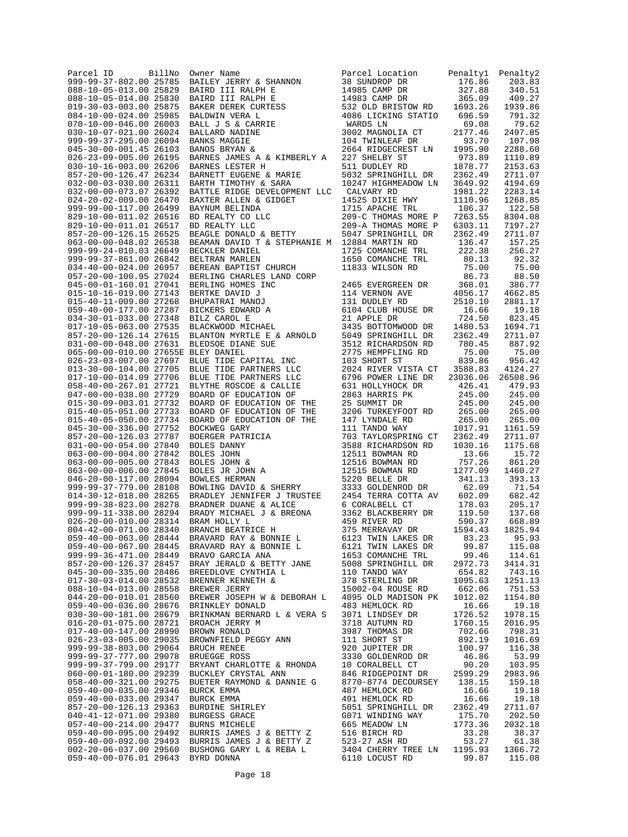| BillNo                                           |                                                                                                                                                                                                                                                        |                                                                                                      |          |                 |
|--------------------------------------------------|--------------------------------------------------------------------------------------------------------------------------------------------------------------------------------------------------------------------------------------------------------|------------------------------------------------------------------------------------------------------|----------|-----------------|
| Parcel ID                                        | Owner Name                                                                                                                                                                                                                                             | Parcel Location                                                                                      | Penaltyl | Penalty2        |
| 999-99-37-802.00 25785                           |                                                                                                                                                                                                                                                        |                                                                                                      |          | 203.83          |
| 088-10-05-013.00 25829                           |                                                                                                                                                                                                                                                        | 38 SUNDROP DR<br>176.86<br>14985 CAMP DR<br>176.86<br>14983 CAMP DR<br>532 OLD BRISTOW RD<br>1693.26 |          | 340.51          |
| 088-10-05-014.00 25830                           |                                                                                                                                                                                                                                                        |                                                                                                      |          | 409.27          |
| 019-30-03-003.00 25875                           |                                                                                                                                                                                                                                                        |                                                                                                      |          | 1939.86         |
| 084-10-00-024.00 25985                           | Owner Name<br>BAILEY JERRY & SHANNON<br>BAIRD III RALPH E<br>BAIRD III RALPH E<br>BAKER DEREK CURTESS<br>BALDWIN VERA L<br>BALLJAP NADINE<br>BANKS MAGGIE<br>BANKS MAGGIE<br>BANKS MAGGIE<br>BANKS MAGGIE<br>BANKS NAGGIE<br>BANKS MAGGIE              | 4086 LICKING STATIO 696.59                                                                           |          | 791.32          |
| 070-10-00-046.00 26003                           |                                                                                                                                                                                                                                                        | WARDS LN                                                                                             | 69.08    | 79.62           |
| 030-10-07-021.00 26024                           |                                                                                                                                                                                                                                                        | 3002 MAGNOLIA CT                                                                                     | 2177.46  | 2497.85         |
| 999-99-37-295.00 26094                           |                                                                                                                                                                                                                                                        | 104 TWINLEAF DR                                                                                      | 93.70    | 107.98          |
| 045-30-00-001.45 26103                           |                                                                                                                                                                                                                                                        | 2664 RIDGECREST LN 1995.90<br>227 SHELBY ST 973.89                                                   |          | 2288.60         |
| 026-23-09-005.00 26195                           | BARNES JAMES A & KIMBERLY A                                                                                                                                                                                                                            |                                                                                                      |          | 1110.89         |
| 030-10-16-003.00 26206                           | BARNES LESTER H                                                                                                                                                                                                                                        |                                                                                                      | 1878.77  | 2153.63         |
| 857-20-00-126.47 26234                           | BARNETT EUGENE & MARIE                                                                                                                                                                                                                                 | 511 DUDLEY RD<br>5032 SPRINGHILL DR                                                                  | 2362.49  | 2711.07         |
| 032-00-03-030.00 26311                           | CARACTI LOGENE & MARIE<br>BARTH TIMOTHY & SARA                                                                                                                                                                                                         | 10247 HIGHMEADOW LN                                                                                  | 3649.92  | 4194.69         |
| 032-00-00-073.07 26392                           | BATTLE RIDGE DEVELOPMENT LLC                                                                                                                                                                                                                           | CALVARY RD                                                                                           | 1981.22  | 2283.14         |
| 024-20-02-009.00 26470                           | BAXTER ALLEN & GIDGET                                                                                                                                                                                                                                  | 14525 DIXIE HWY                                                                                      | 1110.96  | 1268.85         |
| 999-99-00-117.00 26499                           |                                                                                                                                                                                                                                                        | 1715 APACHE TRL<br>1715 APACHE TRL                                                                   | 106.37   | 122.58          |
| 829-10-00-011.02 26516                           | BAYNUM BELINDA<br>BD REALTY CO LLC<br>BD REALTY LLC<br>BEAGLE DONALD & BETTY                                                                                                                                                                           | 209-C THOMAS MORE P                                                                                  | 7263.55  | 8304.08         |
| 829-10-00-011.01 26517                           |                                                                                                                                                                                                                                                        | 209-A THOMAS MORE P                                                                                  | 6303.11  | 7197.27         |
| 857-20-00-126.15 26525                           |                                                                                                                                                                                                                                                        | 5047 SPRINGHILL DR                                                                                   | 2362.49  | 2711.07         |
| 063-00-00-048.02 26538                           | BEAMAN DAVID T & STEPHANIE M 12884 MARTIN RD                                                                                                                                                                                                           |                                                                                                      | 136.47   | 157.25          |
| 999-99-24-010.03 26649                           | BECKLER DANIEL                                                                                                                                                                                                                                         | 1725 COMANCHE TRL                                                                                    | 222.38   | 256.27          |
| 999-99-37-861.00 26842                           | BELTRAN MARLEN                                                                                                                                                                                                                                         | 1650 COMANCHE TRL                                                                                    | 80.13    | 92.32           |
| 034-40-00-024.00 26957                           | BEREAN BAPTIST CHURCH                                                                                                                                                                                                                                  | 11833 WILSON RD                                                                                      | 75.00    | 75.00           |
| 057-20-00-100.95 27024                           | BERLING CHARLES LAND CORP                                                                                                                                                                                                                              |                                                                                                      | 86.73    | 88.50           |
| 045-00-01-160.01 27041                           | BERLING HOMES INC                                                                                                                                                                                                                                      | 2465 EVERGREEN DR                                                                                    | 368.01   | 386.77          |
| 015-10-16-019.00 27143                           |                                                                                                                                                                                                                                                        | 114 VERNON AVE                                                                                       | 4056.17  |                 |
|                                                  |                                                                                                                                                                                                                                                        |                                                                                                      |          | 4662.85         |
| 015-40-11-009.00 27268                           |                                                                                                                                                                                                                                                        |                                                                                                      |          | 2881.17         |
| 059-40-00-177.00 27287                           | BERTKE DAVID J<br>BHUPATRAI MANOJ<br>BICKERS EDWARD A<br>BILZ CAROL E<br>BLACKWOOD MICHAEL                                                                                                                                                             |                                                                                                      |          | 19.18           |
| 034-30-01-033.00 27348                           |                                                                                                                                                                                                                                                        | 21 APPLE DR                                                                                          | 724.50   | 823.45          |
| 017-10-05-063.00 27535                           |                                                                                                                                                                                                                                                        | 3435 BOTTOMWOOD DR                                                                                   | 1480.53  | 1694.71         |
| 857-20-00-126.14 27615                           | BLANTON MYRTLE E & ARNOLD                                                                                                                                                                                                                              | 5049 SPRINGHILL DR                                                                                   | 2362.49  | 2711.07         |
| 031-00-00-048.00 27631                           | BLEDSOE DIANE SUE<br>RLEY DANIEL                                                                                                                                                                                                                       | 3512 RICHARDSON RD                                                                                   | 780.45   | 887.92          |
| 065-00-00-010.00 27655E BLEY DANIEL              |                                                                                                                                                                                                                                                        | 2775 HEMPFLING RD                                                                                    | 75.00    | 75.00           |
| 026-23-03-007.00 27697                           | BLUE TIDE CAPITAL INC                                                                                                                                                                                                                                  | 103 SHORT ST                                                                                         | 839.86   | 956.42          |
| 013-30-00-104.00 27705                           | BLUE TIDE PARTNERS LLC                                                                                                                                                                                                                                 | 2024 RIVER VISTA CT 3588.83                                                                          |          | 4124.27         |
| 017-10-00-014.09 27706                           | BLUE TIDE PARTNERS LLC                                                                                                                                                                                                                                 | 6796 POWER LINE DR                                                                                   | 23036.06 | 26508.96        |
| 058-40-00-267.01 27721                           | BLYTHE ROSCOE & CALLIE                                                                                                                                                                                                                                 | 631 HOLLYHOCK DR                                                                                     | 426.41   | 479.93          |
| 047-00-00-038.00 27729                           | BOARD OF EDUCATION OF                                                                                                                                                                                                                                  | 2863 HARRIS PK                                                                                       | 245.00   | 245.00          |
| 015-30-09-003.01 27732                           | BOARD OF EDUCATION OF THE                                                                                                                                                                                                                              | 25 SUMMIT DR                                                                                         | 245.00   | 245.00          |
| 015-40-05-051.00 27733                           | BOARD OF EDUCATION OF THE                                                                                                                                                                                                                              | 3206 TURKEYFOOT RD 265.00                                                                            |          | 265.00          |
| 015-40-05-050.00 27734                           | BOARD OF EDUCATION OF THE                                                                                                                                                                                                                              | 147 LYNDALE RD                                                                                       | 265.00   | 265.00          |
| 045-30-00-336.00 27752                           | BOCKWEG GARY                                                                                                                                                                                                                                           | 111 TANDO WAY                                                                                        | 1017.91  | 1161.59         |
| 857-20-00-126.03 27787                           |                                                                                                                                                                                                                                                        | 703 TAYLORSPRING CT                                                                                  | 2362.49  | 2711.07         |
| 031-00-00-054.00 27840                           |                                                                                                                                                                                                                                                        | 3588 RICHARDSON RD                                                                                   | 1030.16  | 1175.68         |
| 063-00-00-004.00 27842                           |                                                                                                                                                                                                                                                        | 12511 BOWMAN RD                                                                                      | 13.66    | 15.72           |
| 063-00-00-005.00 27843                           |                                                                                                                                                                                                                                                        | 12516 BOWMAN RD                                                                                      | 757.26   | 861.20          |
| 063-00-00-006.00 27845                           |                                                                                                                                                                                                                                                        | 12515 BOWMAN RD                                                                                      | 1277.09  | 1460.27         |
| 046-20-00-117.00 28094                           | BOCKWEG GARY<br>BOERGER PATRICIA<br>BOLES DANNY<br>BOLES JOHN &<br>BOLES JR JOHN A<br>BOUES HR JOHN A<br>BOWLES HERMAN<br>BOWLES HERMAN<br>BRADLEY JENNIFER J TRUSTEE<br>BRADNER DUANE & ALICE<br>BRADY MICHAEL J & BREONA<br>BRADY MICHAEL J & BREONA | 5220 BELLE DR<br>3333 GOLDENROD DR<br>3353 GOLDENROD DR                                              | 341.13   | 393.13          |
| 999-99-37-779.00 28108                           |                                                                                                                                                                                                                                                        |                                                                                                      | 62.09    | 71.54           |
| 014-30-12-018.00 28265                           |                                                                                                                                                                                                                                                        | 2454 TERRA COTTA AV                                                                                  | 602.09   | 682.42          |
| 999-99-38-823.00 28278                           |                                                                                                                                                                                                                                                        | 6 CORALBELL CT                                                                                       | 178.03   | 205.17          |
| 999-99-11-338.00 28294                           |                                                                                                                                                                                                                                                        | 3362 BLACKBERRY DR                                                                                   | 119.50   | 137.68          |
| 026-20-00-010.00 28314                           | BRAM HOLLY L                                                                                                                                                                                                                                           | 459 RIVER RD                                                                                         | 590.37   | 668.89          |
| 004-42-00-071.00 28340                           | BRANCH BEATRICE H                                                                                                                                                                                                                                      | 375 MERRAVAY DR                                                                                      | 1594.43  | 1825.94         |
| 059-40-00-063.00 28444                           | BRAVARD RAY & BONNIE L                                                                                                                                                                                                                                 | 6123 TWIN LAKES DR                                                                                   | 83.23    | 95.93           |
| 059-40-00-067.00 28445                           | BRAVARD RAY & BONNIE L                                                                                                                                                                                                                                 | 6121 TWIN LAKES DR                                                                                   | 99.87    | 115.08          |
| 999-99-36-471.00 28449                           | BRAVO GARCIA ANA                                                                                                                                                                                                                                       | 1653 COMANCHE TRL                                                                                    | 99.46    | 114.61          |
| 857-20-00-126.37 28457                           | BRAY JERALD & BETTY JANE                                                                                                                                                                                                                               | 5008 SPRINGHILL DR                                                                                   | 2972.73  | 3414.31         |
| 045-30-00-335.00 28486                           | BREEDLOVE CYNTHIA L                                                                                                                                                                                                                                    | 110 TANDO WAY                                                                                        | 654.82   | 743.16          |
| 017-30-03-014.00 28532                           | BRENNER KENNETH &                                                                                                                                                                                                                                      | 378 STERLING DR                                                                                      | 1095.63  | 1251.13         |
| 088-10-04-013.00 28558                           | BREWER JERRY                                                                                                                                                                                                                                           | 15002-04 ROUSE RD                                                                                    | 662.06   | 751.53          |
| 044-20-00-010.01 28560                           | BREWER JOSEPH W & DEBORAH L                                                                                                                                                                                                                            | 4095 OLD MADISON PK                                                                                  | 1012.02  | 1154.80         |
| 059-40-00-036.00 28676                           | BRINKLEY DONALD                                                                                                                                                                                                                                        | 483 HEMLOCK RD                                                                                       | 16.66    | 19.18           |
| 030-30-00-181.00 28679                           | BRINKMAN BERNARD L & VERA S                                                                                                                                                                                                                            | 3071 LINDSEY DR                                                                                      | 1726.52  | 1978.15         |
| 016-20-01-075.00 28721                           | BROACH JERRY M                                                                                                                                                                                                                                         | 3718 AUTUMN RD                                                                                       | 1760.15  | 2016.95         |
| 017-40-00-147.00 28990                           | BROWN RONALD                                                                                                                                                                                                                                           | 3987 THOMAS DR                                                                                       | 702.66   | 798.31          |
| 026-23-03-005.00 29035                           | BROWNFIELD PEGGY ANN                                                                                                                                                                                                                                   | 111 SHORT ST                                                                                         | 892.19   | 1016.69         |
|                                                  |                                                                                                                                                                                                                                                        |                                                                                                      | 100.97   |                 |
| 999-99-38-803.00 29064<br>999-99-37-777.00 29078 | BRUCH RENEE                                                                                                                                                                                                                                            | 920 JUPITER DR<br>3330 GOLDENROD DR                                                                  | 46.86    | 116.38<br>53.99 |
| 999-99-37-799.00 29177                           | BRUEGGE ROSS                                                                                                                                                                                                                                           |                                                                                                      | 90.20    | 103.95          |
|                                                  | BRYANT CHARLOTTE & RHONDA                                                                                                                                                                                                                              | 10 CORALBELL CT                                                                                      |          |                 |
| 060-00-01-180.00 29239                           | BUCKLEY CRYSTAL ANN                                                                                                                                                                                                                                    | 846 RIDGEPOINT DR                                                                                    | 2599.29  | 2983.96         |
| 058-40-00-321.00 29275                           | BUETER RAYMOND & DANNIE G                                                                                                                                                                                                                              | 8770-8774 DECOURSEY                                                                                  | 138.15   | 159.18          |
| 059-40-00-035.00 29346                           | BURCK EMMA                                                                                                                                                                                                                                             | 487 HEMLOCK RD                                                                                       | 16.66    | 19.18           |
| 059-40-00-033.00 29347                           | BURCK EMMA                                                                                                                                                                                                                                             | 491 HEMLOCK RD                                                                                       | 16.66    | 19.18           |
| 857-20-00-126.13 29363                           | BURDINE SHIRLEY                                                                                                                                                                                                                                        | 5051 SPRINGHILL DR                                                                                   | 2362.49  | 2711.07         |
| 040-41-12-071.00 29380                           | BURGESS GRACE                                                                                                                                                                                                                                          | G071 WINDING WAY                                                                                     | 175.70   | 202.50          |
| 057-40-00-214.00 29477                           | BURNS MICHELE                                                                                                                                                                                                                                          | 665 MEADOW LN                                                                                        | 1773.36  | 2032.18         |
| 059-40-00-095.00 29492                           | BURRIS JAMES J & BETTY Z                                                                                                                                                                                                                               | 516 BIRCH RD                                                                                         | 33.28    | 38.37           |
| 059-40-00-092.00 29493                           | BURRIS JAMES J & BETTY Z                                                                                                                                                                                                                               | 523-27 ASH RD                                                                                        | 53.27    | 61.38           |
| 002-20-06-037.00 29560                           | BUSHONG GARY L & REBA L                                                                                                                                                                                                                                | 3404 CHERRY TREE LN                                                                                  | 1195.93  | 1366.72         |
| 059-40-00-076.01 29643                           | BYRD DONNA                                                                                                                                                                                                                                             | 6110 LOCUST RD                                                                                       | 99.87    | 115.08          |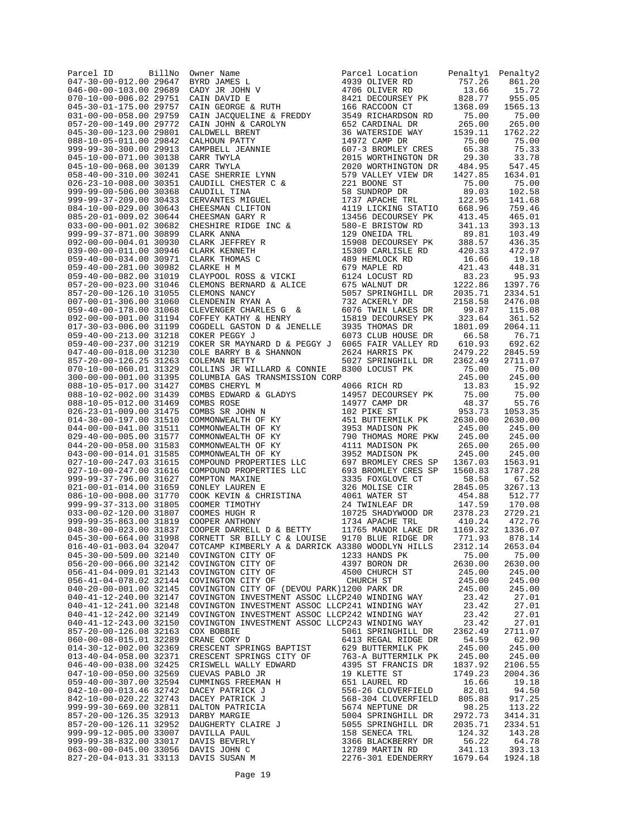| Parcel ID<br>047-30-00-012.00 29647              | BillNo |                                                                                                                                                                                                                                   |                                                                                                                                                                                                                                                          | Penalty1<br>757.26      | Penalty2<br>861.20 |
|--------------------------------------------------|--------|-----------------------------------------------------------------------------------------------------------------------------------------------------------------------------------------------------------------------------------|----------------------------------------------------------------------------------------------------------------------------------------------------------------------------------------------------------------------------------------------------------|-------------------------|--------------------|
| 046-00-00-103.00 29689                           |        |                                                                                                                                                                                                                                   |                                                                                                                                                                                                                                                          | 13.66                   | 15.72              |
| 070-10-00-006.02 29751                           |        |                                                                                                                                                                                                                                   |                                                                                                                                                                                                                                                          | 828.77                  | 955.05             |
| 045-30-01-175.00 29757                           |        |                                                                                                                                                                                                                                   |                                                                                                                                                                                                                                                          | 1368.09                 | 1565.13            |
| 031-00-00-058.00 29759<br>057-20-00-149.00 29772 |        |                                                                                                                                                                                                                                   |                                                                                                                                                                                                                                                          | 75.00<br>265.00         | 75.00<br>265.00    |
| 045-30-00-123.00 29801                           |        |                                                                                                                                                                                                                                   |                                                                                                                                                                                                                                                          | 1539.11                 | 1762.22            |
| 088-10-05-011.00 29842                           |        |                                                                                                                                                                                                                                   |                                                                                                                                                                                                                                                          | 75.00                   | 75.00              |
| 999-99-30-300.00 29913                           |        |                                                                                                                                                                                                                                   |                                                                                                                                                                                                                                                          | 65.38                   | 75.33              |
| 045-10-00-071.00 30138<br>045-10-00-068.00 30139 |        |                                                                                                                                                                                                                                   |                                                                                                                                                                                                                                                          | 29.30<br>484.95         | 33.78<br>547.45    |
| 058-40-00-310.00 30241                           |        |                                                                                                                                                                                                                                   |                                                                                                                                                                                                                                                          | 1427.85                 | 1634.01            |
| 026-23-10-008.00 30351                           |        |                                                                                                                                                                                                                                   |                                                                                                                                                                                                                                                          | 75.00                   | 75.00              |
| 999-99-00-506.00 30368                           |        |                                                                                                                                                                                                                                   |                                                                                                                                                                                                                                                          | 89.03                   | 102.58             |
| 999-99-37-209.00 30433                           |        |                                                                                                                                                                                                                                   |                                                                                                                                                                                                                                                          | 122.95                  | 141.68             |
| 084-10-00-029.00 30643<br>085-20-01-009.02 30644 |        |                                                                                                                                                                                                                                   |                                                                                                                                                                                                                                                          | 668.96<br>413.45        | 759.46<br>465.01   |
| 033-00-00-001.02 30682                           |        |                                                                                                                                                                                                                                   |                                                                                                                                                                                                                                                          | 341.13                  | 393.13             |
| 999-99-37-871.00 30899                           |        |                                                                                                                                                                                                                                   |                                                                                                                                                                                                                                                          | 89.81                   | 103.49             |
| 092-00-00-004.01 30930                           |        |                                                                                                                                                                                                                                   |                                                                                                                                                                                                                                                          | 388.57                  | 436.35             |
| 039-00-00-011.00 30946                           |        |                                                                                                                                                                                                                                   |                                                                                                                                                                                                                                                          | 420.33                  | 472.97<br>19.18    |
| 059-40-00-034.00 30971<br>059-40-00-281.00 30982 |        |                                                                                                                                                                                                                                   |                                                                                                                                                                                                                                                          | 16.66<br>421.43         | 448.31             |
| 059-40-00-082.00 31019                           |        | CLAYPOOL ROSS & VICKI                                                                                                                                                                                                             | 6124 LOCUST RD                                                                                                                                                                                                                                           | 83.23                   | 95.93              |
| 057-20-00-023.00 31046                           |        | CLEMONS BERNARD & ALICE<br>CLEMONS NANCY<br>CLENDENIN RYAN A                                                                                                                                                                      | 675 WALNUT DR                                                                                                                                                                                                                                            | 1222.86                 | 1397.76            |
| 857-20-00-126.10 31055                           |        |                                                                                                                                                                                                                                   | 5057 SPRINGHILL DR                                                                                                                                                                                                                                       | 2035.71                 | 2334.51            |
| 007-00-01-306.00 31060<br>059-40-00-178.00 31068 |        |                                                                                                                                                                                                                                   | 732 ACKERLY DR<br>732 ACKERLY DR<br>6076 TWIN LAKES DR                                                                                                                                                                                                   | 2158.58<br>99.87        | 2476.08<br>115.08  |
| 092-00-00-001.00 31194                           |        | CLEVENGER CHARLES G &<br>COFFEY KATHY & HENRY                                                                                                                                                                                     | 15819 DECOURSEY PK                                                                                                                                                                                                                                       | 323.64                  | 361.52             |
| 017-30-03-006.00 31199                           |        | COGDELL GASTON D & JENELLE                                                                                                                                                                                                        | 3935 THOMAS DR                                                                                                                                                                                                                                           | 1801.09                 | 2064.11            |
| 059-40-00-213.00 31218                           |        | COKER PEGGY J                                                                                                                                                                                                                     | 6073 CLUB HOUSE DR                                                                                                                                                                                                                                       | 66.58                   | 76.71              |
| 059-40-00-237.00 31219                           |        | COKER SR MAYNARD D & PEGGY J 6065 FAIR VALLEY RD                                                                                                                                                                                  |                                                                                                                                                                                                                                                          | 610.93                  | 692.62             |
| 047-40-00-018.00 31230                           |        | COLE BARRY B & SHANNON                                                                                                                                                                                                            | 2624 HARRIS PK<br>5027 SPRINGHILL DR                                                                                                                                                                                                                     | 2479.22                 | 2845.59            |
| 857-20-00-126.25 31263<br>070-10-00-060.01 31329 |        | COLEMAN BETTY<br>COLLINS JR WILLARD & CONNIE                                                                                                                                                                                      | 8300 LOCUST PK                                                                                                                                                                                                                                           | 2362.49<br>75.00        | 2711.07<br>75.00   |
| 300-00-00-001.00 31395                           |        | COLUMBIA GAS TRANSMISSION CORP                                                                                                                                                                                                    | ,<br>4066 RICH RD                                                                                                                                                                                                                                        | 245.00                  | 245.00             |
| 088-10-05-017.00 31427                           |        | COMBS CHERYL M                                                                                                                                                                                                                    |                                                                                                                                                                                                                                                          | 13.83                   | 15.92              |
| 088-10-02-002.00 31439                           |        | COMBS EDWARD & GLADYS                                                                                                                                                                                                             |                                                                                                                                                                                                                                                          | 75.00                   | 75.00              |
| 088-10-05-012.00 31469<br>026-23-01-009.00 31475 |        | COMBS ROSE                                                                                                                                                                                                                        |                                                                                                                                                                                                                                                          | 48.37<br>953.73         | 55.76<br>1053.35   |
| 014-30-00-197.00 31510                           |        | COMBS SR JOHN N<br>COMMONWEALTH OF KY                                                                                                                                                                                             |                                                                                                                                                                                                                                                          | 2630.00                 | 2630.00            |
| 044-00-00-041.00 31511                           |        | COMMONWEALTH OF KY                                                                                                                                                                                                                |                                                                                                                                                                                                                                                          | 245.00                  | 245.00             |
| 029-40-00-005.00 31577                           |        | COMMONWEALTH OF KY                                                                                                                                                                                                                |                                                                                                                                                                                                                                                          | 245.00                  | 245.00             |
| 044-20-00-058.00 31583                           |        | COMMONWEALTH OF KY                                                                                                                                                                                                                |                                                                                                                                                                                                                                                          | 265.00                  | 265.00             |
| 043-00-00-014.01 31585<br>027-10-00-247.03 31615 |        | COMMONWEALTH OF KY<br>COMPOUND PROPERTIES LLC                                                                                                                                                                                     |                                                                                                                                                                                                                                                          | 245.00<br>1367.03       | 245.00<br>1563.91  |
| 027-10-00-247.00 31616                           |        |                                                                                                                                                                                                                                   |                                                                                                                                                                                                                                                          | 1560.83                 | 1787.28            |
| 999-99-37-796.00 31627                           |        | COMPOUND PROPERTIES LLC<br>COMPOUND PROPERTIES LLC<br>COMPOUN MAXINE                                                                                                                                                              | 3<br>3<br>14977 CAMP<br>102 PIKE ST<br>451 BUTTERMILK PK<br>3953 MADISON PK<br>790 THOMAS MORE PKW<br>4111 MADISON PK<br>3952 MADISON PK<br>697 BROMLEY CRES SP<br>693 BROMLEY CRES SP<br>693 BROMLEY CRES SP<br>693 BROMLEY CRES SP<br>893 BROMLEY CRES | 58.58                   | 67.52              |
| 021-00-01-014.00 31659                           |        | CONLEY LAUREN E<br>COOK KEVIN & CHRISTINA<br>COOK KEVIN & CHRISTINA<br>24 TWINLEAF DE<br>COOMER TIMOTHY<br>24 TWINLEAF DE<br>COOMES HUGH R<br>24 TWINLEAF DE<br>24 TWINLEAF DE<br>24 TWINLEAF DE                                  |                                                                                                                                                                                                                                                          | 2845.05                 | 3267.13            |
| 086-10-00-008.00 31770                           |        |                                                                                                                                                                                                                                   |                                                                                                                                                                                                                                                          | 454.88                  | 512.77             |
| 999-99-37-313.00 31805<br>033-00-02-120.00 31807 |        |                                                                                                                                                                                                                                   | 24 TWINLEAF DR<br>10725 SHADYWOOD DR                                                                                                                                                                                                                     | 147.59<br>2378.23       | 170.08<br>2729.21  |
| 999-99-35-863.00 31819                           |        |                                                                                                                                                                                                                                   | 1734 APACHE TRL                                                                                                                                                                                                                                          | 410.24                  | 472.76             |
| 048-30-00-023.00 31837                           |        | COOPER DARRELL D & BETTY                                                                                                                                                                                                          | 11765 MANOR LAKE DR                                                                                                                                                                                                                                      | 1169.32                 | 1336.07            |
| 045-30-00-664.00 31998                           |        | CORNETT SR BILLY C & LOUISE                                                                                                                                                                                                       | 9170 BLUE RIDGE DR                                                                                                                                                                                                                                       | 771.93                  | 878.14             |
| 016-40-01-003.04 32047                           |        | COTCAMP KIMBERLY A & DARRICK A3380 WOODLYN HILLS                                                                                                                                                                                  |                                                                                                                                                                                                                                                          | 2312.14                 | 2653.04            |
|                                                  |        | 045-30-00-509.00 32140 COVINGTON CITY OF 1233 HANDS PK<br>056-20-00-066.00 32142 COVINGTON CITY OF 4397 BORON DR<br>056-41-04-009.01 32143 COVINGTON CITY OF 4500 CHURCH ST<br>056-41-04-078.02 32144 COVINGTON CITY OF CHURCH ST |                                                                                                                                                                                                                                                          | 75.00<br>2630.00        | 75.00<br>2630.00   |
|                                                  |        |                                                                                                                                                                                                                                   |                                                                                                                                                                                                                                                          | 245.00                  | 245.00             |
|                                                  |        |                                                                                                                                                                                                                                   |                                                                                                                                                                                                                                                          | 245.00                  | 245.00             |
| 040-20-00-001.00 32145                           |        | COVINGTON CITY OF (DEVOU PARK)1200 PARK DR                                                                                                                                                                                        |                                                                                                                                                                                                                                                          | 245.00                  | 245.00             |
| 040-41-12-240.00 32147                           |        | COVINGTON INVESTMENT ASSOC LLCP240 WINDING WAY                                                                                                                                                                                    |                                                                                                                                                                                                                                                          | 23.42<br>23.42<br>23.42 | 27.01              |
| 040-41-12-241.00 32148<br>040-41-12-242.00 32149 |        | COVINGTON INVESTMENT ASSOC LLCP241 WINDING WAY<br>COVINGTON INVESTMENT ASSOC LLCP242 WINDING WAY                                                                                                                                  |                                                                                                                                                                                                                                                          |                         | 27.01<br>27.01     |
| 040-41-12-243.00 32150                           |        | COVINGTON INVESTMENT ASSOC LLCP243 WINDING WAY                                                                                                                                                                                    |                                                                                                                                                                                                                                                          | 23.42                   | 27.01              |
| 857-20-00-126.08 32163                           |        | COX BOBBIE                                                                                                                                                                                                                        | 5061 SPRINGHILL DR                                                                                                                                                                                                                                       | 2362.49                 | 2711.07            |
| 060-00-08-015.01 32289                           |        | CRANE CORY D                                                                                                                                                                                                                      | 6413 REGAL RIDGE DR                                                                                                                                                                                                                                      | 54.59                   | 62.90              |
| 014-30-12-002.00 32369                           |        | CRESCENT SPRINGS BAPTIST                                                                                                                                                                                                          | 629 BUTTERMILK PK<br>629 BUTTERMILK PK<br>763-A BUTTERMILK PK                                                                                                                                                                                            | 245.00<br>245.00        | 245.00             |
| 013-40-04-058.00 32371                           |        | CRESCENT SPRINGS CITY OF                                                                                                                                                                                                          |                                                                                                                                                                                                                                                          | 1837.92                 | 245.00<br>2106.55  |
|                                                  |        |                                                                                                                                                                                                                                   |                                                                                                                                                                                                                                                          | 1749.23                 | 2004.36            |
|                                                  |        |                                                                                                                                                                                                                                   |                                                                                                                                                                                                                                                          | 16.66                   | 19.18              |
|                                                  |        |                                                                                                                                                                                                                                   |                                                                                                                                                                                                                                                          | 82.01                   | 94.50              |
|                                                  |        |                                                                                                                                                                                                                                   |                                                                                                                                                                                                                                                          | 805.88                  | 917.25             |
|                                                  |        |                                                                                                                                                                                                                                   |                                                                                                                                                                                                                                                          | 98.25<br>2972.73        | 113.22<br>3414.31  |
|                                                  |        |                                                                                                                                                                                                                                   |                                                                                                                                                                                                                                                          | 2035.71                 | 2334.51            |
|                                                  |        |                                                                                                                                                                                                                                   |                                                                                                                                                                                                                                                          | 124.32                  | 143.28             |
|                                                  |        |                                                                                                                                                                                                                                   |                                                                                                                                                                                                                                                          | 56.22                   | 64.78              |
|                                                  |        |                                                                                                                                                                                                                                   |                                                                                                                                                                                                                                                          | 341.13                  | 393.13             |
|                                                  |        |                                                                                                                                                                                                                                   |                                                                                                                                                                                                                                                          | 1679.64                 | 1924.18            |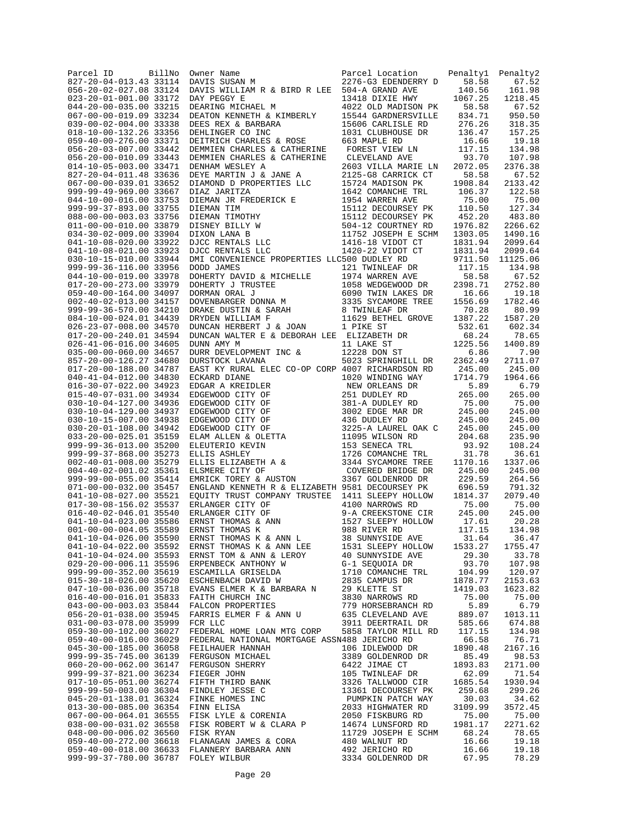| Parcel ID<br>BillNo<br>827-20-04-013.43 33114    | Owner Name<br>DAVIS SUSAN M                            | Parcel Location<br>2276-G3 EDENDERRY D     | Penalty1<br>58.58  | Penalty2<br>67.52  |
|--------------------------------------------------|--------------------------------------------------------|--------------------------------------------|--------------------|--------------------|
| 056-20-02-027.08 33124                           | DAVIS WILLIAM R & BIRD R LEE 504-A GRAND AVE           |                                            | 140.56             | 161.98             |
| 023-20-01-001.00 33172                           | DAY PEGGY E                                            | 13418 DIXIE HWY                            | 1067.25            | 1218.45            |
| 044-20-00-035.00 33215<br>067-00-00-019.09 33234 | DEARING MICHAEL M<br>DEATON KENNETH & KIMBERLY         | 4022 OLD MADISON PK<br>15544 GARDNERSVILLE | 58.58<br>834.71    | 67.52<br>950.50    |
| 039-00-02-004.00 33338                           | DEES REX & BARBARA                                     | 15606 CARLISLE RD                          | 276.26             | 318.35             |
| 018-10-00-132.26 33356                           | DEHLINGER CO INC                                       | 1031 CLUBHOUSE DR                          | 136.47             | 157.25             |
| 059-40-00-276.00 33371<br>056-20-03-007.00 33442 | DEITRICH CHARLES & ROSE<br>DEMMIEN CHARLES & CATHERINE | 663 MAPLE RD<br>FOREST VIEW LN             | 16.66<br>117.15    | 19.18<br>134.98    |
| 056-20-00-010.09 33443                           | DEMMIEN CHARLES & CATHERINE                            | CLEVELAND AVE                              | 93.70              | 107.98             |
| 014-10-05-003.00 33471                           | DENHAM WESLEY A                                        | 2603 VILLA MARIE LN                        | 2072.05            | 2376.38            |
| 827-20-04-011.48 33636                           | DEYE MARTIN J & JANE A                                 | 2125-G8 CARRICK CT                         | 58.58              | 67.52              |
| 067-00-00-039.01 33652<br>999-99-49-969.00 33667 | DIAMOND D PROPERTIES LLC<br>DIAZ JARITZA               | 15724 MADISON PK<br>1642 COMANCHE TRL      | 1908.84<br>106.37  | 2133.42<br>122.58  |
| 044-10-00-016.00 33753                           | DIEMAN JR FREDERICK E                                  | 1954 WARREN AVE                            | 75.00              | 75.00              |
| 999-99-37-893.00 33755                           | DIEMAN TIM                                             | 15112 DECOURSEY PK                         | 110.50             | 127.34             |
| 088-00-00-003.03 33756                           | DIEMAN TIMOTHY                                         | 15112 DECOURSEY PK                         | 452.20             | 483.80             |
| 011-00-00-010.00 33879<br>034-30-02-009.00 33904 | DISNEY BILLY W<br>DIXON LANA B                         | 504-12 COURTNEY RD<br>11752 JOSEPH E SCHM  | 1976.82<br>1303.05 | 2266.62<br>1490.16 |
| 041-10-08-020.00 33922                           | DJCC RENTALS LLC                                       | 1416-18 VIDOT CT                           | 1831.94            | 2099.64            |
| 041-10-08-021.00 33923                           | DJCC RENTALS LLC                                       | 1420-22 VIDOT CT                           | 1831.94            | 2099.64            |
| 030-10-15-010.00 33944                           | DMI CONVENIENCE PROPERTIES LLC500 DUDLEY RD            |                                            | 9711.50            | 11125.06           |
| 999-99-36-116.00 33956<br>044-10-00-019.00 33978 | DODD JAMES<br>DOHERTY DAVID & MICHELLE                 | 121 TWINLEAF DR<br>1974 WARREN AVE         | 117.15<br>58.58    | 134.98<br>67.52    |
| 017-20-00-273.00 33979                           | DOHERTY J TRUSTEE                                      | 1058 WEDGEWOOD DR                          | 2398.71            | 2752.80            |
| 059-40-00-164.00 34097                           | DORMAN ORAL J<br>DOVENBARGER DONNA M                   | 6090 TWIN LAKES DR                         | 16.66              | 19.18              |
| 002-40-02-013.00 34157<br>999-99-36-570.00 34210 | DOVENBARGER DOMENT LE DRAKE DUSTIN & SARAH             | 3335 SYCAMORE TREE                         | 1556.69            | 1782.46            |
| 084-10-00-024.01 34439                           | DRYDEN WILLIAM F                                       | 8 TWINLEAF DR<br>11629 BETHEL GROVE        | 70.28<br>1387.22   | 80.99<br>1587.20   |
| 026-23-07-008.00 34570                           | DUNCAN HERBERT J & JOAN                                | 1 PIKE ST                                  | 532.61             | 602.34             |
| 017-20-00-240.01 34594                           | DUNCAN WALTER E & DEBORAH LEE ELIZABETH DR             |                                            | 68.24              | 78.65              |
| 026-41-06-016.00 34605                           | DUNN AMY M                                             | 11 LAKE ST                                 | 1225.56            | 1400.89            |
| 035-00-00-060.00 34657<br>857-20-00-126.27 34680 | DURR DEVELOPMENT INC &<br>DURSTOCK LAVANA              | 12228 DON ST<br>5023 SPRINGHILL DR         | 6.86<br>2362.49    | 7.90<br>2711.07    |
| 017-20-00-188.00 34787                           | EAST KY RURAL ELEC CO-OP CORP 4007 RICHARDSON RD       |                                            | 245.00             | 245.00             |
| 040-41-04-012.00 34830                           | ECKARD DIANE                                           | 1020 WINDING WAY                           | 1714.79            | 1964.66            |
| 016-30-07-022.00 34923<br>015-40-07-031.00 34934 | EDGAR A KREIDLER                                       | NEW ORLEANS DR                             | 5.89               | 6.79               |
| 030-10-04-127.00 34936                           | EDGEWOOD CITY OF<br>EDGEWOOD CITY OF                   | 251 DUDLEY RD<br>381-A DUDLEY RD           | 265.00<br>75.00    | 265.00<br>75.00    |
| 030-10-04-129.00 34937                           | EDGEWOOD CITY OF                                       | 3002 EDGE MAR DR                           | 245.00             | 245.00             |
| 030-10-15-007.00 34938                           | EDGEWOOD CITY OF                                       | 436 DUDLEY RD                              | 245.00             | 245.00             |
| 030-20-01-108.00 34942<br>033-20-00-025.01 35159 | EDGEWOOD CITY OF<br>ELAM ALLEN & OLETTA                | 3225-A LAUREL OAK C<br>11095 WILSON RD     | 245.00<br>204.68   | 245.00<br>235.90   |
| 999-99-36-013.00 35200                           | ELEUTERIO KEVIN                                        | 153 SENECA TRL                             | 93.92              | 108.24             |
| 999-99-37-868.00 35273                           | ELLIS ASHLEY                                           | 1726 COMANCHE TRL                          | 31.78              | 36.61              |
| 002-40-01-008.00 35279                           | ELLIS ELIZABETH A &                                    | 3344 SYCAMORE TREE                         | 1170.16            | 1337.06            |
| 004-40-02-001.02 35361<br>999-99-00-055.00 35414 | ELSMERE CITY OF<br>EMRICK TOREY & AUSTON               | COVERED BRIDGE DR<br>3367 GOLDENROD DR     | 245.00<br>229.59   | 245.00<br>264.56   |
| 071-00-00-032.00 35457                           | ENGLAND KENNETH R & ELIZABETH 9581 DECOURSEY PK        |                                            | 696.59             | 791.32             |
| 041-10-08-027.00 35521                           | EQUITY TRUST COMPANY TRUSTEE 1411 SLEEPY HOLLOW        |                                            | 1814.37            | 2079.40            |
| 017-30-08-156.02 35537<br>016-40-02-046.01 35540 | ERLANGER CITY OF<br>ERLANGER CITY OF                   | 4100 NARROWS RD<br>9-A CREEKSTONE CIR      | 75.00<br>245.00    | 75.00<br>245.00    |
| 041-10-04-023.00 35586                           | ERNST THOMAS & ANN                                     | 1527 SLEEPY HOLLOW                         | 17.61              | 20.28              |
| 001-00-00-004.05 35589                           | ERNST THOMAS K                                         | 988 RIVER RD                               | 117.15             | 134.98             |
| 041-10-04-026.00 35590                           | ERNST THOMAS K & ANN L                                 | 38 SUNNYSIDE AVE                           | 31.64              | 36.47              |
| 041-10-04-022.00 35592<br>041-10-04-024.00 35593 | ERNST THOMAS K & ANN LEE<br>ERNST TOM & ANN & LEROY    | 1531 SLEEPY HOLLOW<br>40 SUNNYSIDE AVE     | 1533.27<br>29.30   | 1755.47<br>33.78   |
| 029-20-00-006.11 35596                           | ERPENBECK ANTHONY W                                    | G-1 SEQUOIA DR                             | 93.70              | 107.98             |
| 999-99-00-352.00 35619                           | ESCAMILLA GRISELDA                                     | 1710 COMANCHE TRL                          | 104.99             | 120.97             |
| 015-30-18-026.00 35620                           | ESCHENBACH DAVID W                                     | 2835 CAMPUS DR                             | 1878.77            | 2153.63            |
| 047-10-00-036.00 35718<br>016-40-00-016.01 35833 | EVANS ELMER K & BARBARA N<br>FAITH CHURCH INC          | 29 KLETTE ST<br>3830 NARROWS RD            | 1419.03<br>75.00   | 1623.82<br>75.00   |
| 043-00-00-003.03 35844                           | FALCON PROPERTIES                                      | 779 HORSEBRANCH RD                         | 5.89               | 6.79               |
| 056-20-01-038.00 35945                           | FARRIS ELMER F & ANN U                                 | 635 CLEVELAND AVE                          | 889.07             | 1013.11            |
| 031-00-03-078.00 35999<br>059-30-00-102.00 36027 | FCR LLC<br>FEDERAL HOME LOAN MTG CORP                  | 3911 DEERTRAIL DR<br>5858 TAYLOR MILL RD   | 585.66<br>117.15   | 674.88<br>134.98   |
| 059-40-00-016.00 36029                           | FEDERAL NATIONAL MORTGAGE ASSN488 JERICHO RD           |                                            | 66.58              | 76.71              |
| 045-30-00-185.00 36058                           | FEILHAUER HANNAH                                       | 106 IDLEWOOD DR                            | 1890.48            | 2167.16            |
| 999-99-35-745.00 36139                           | FERGUSON MICHAEL                                       | 3389 GOLDENROD DR                          | 85.49              | 98.53              |
| 060-20-00-062.00 36147<br>999-99-37-821.00 36234 | FERGUSON SHERRY<br>FIEGER JOHN                         | 6422 JIMAE CT<br>105 TWINLEAF DR           | 1893.83<br>62.09   | 2171.00<br>71.54   |
| 017-10-05-051.00 36274                           | FIFTH THIRD BANK                                       | 3326 TALLWOOD CIR                          | 1685.54            | 1930.94            |
| 999-99-50-003.00 36304                           | FINDLEY JESSE C                                        | 13361 DECOURSEY PK                         | 259.68             | 299.26             |
| 045-20-01-138.01 36324                           | FINKE HOMES INC                                        | PUMPKIN PATCH WAY                          | 30.03              | 34.62              |
| 013-30-00-085.00 36354<br>067-00-00-064.01 36555 | FINN ELISA<br>FISK LYLE & CORENIA                      | 2033 HIGHWATER RD<br>2050 FISKBURG RD      | 3109.99<br>75.00   | 3572.45<br>75.00   |
| 038-00-00-031.02 36558                           | FISK ROBERT W & CLARA P                                | 14674 LUNSFORD RD                          | 1981.17            | 2271.62            |
| 048-00-00-006.02 36560                           | FISK RYAN                                              | 11729 JOSEPH E SCHM                        | 68.24              | 78.65              |
| 059-40-00-272.00 36618                           | FLANAGAN JAMES & CORA                                  | 480 WALNUT RD                              | 16.66              | 19.18              |
| 059-40-00-018.00 36633<br>999-99-37-780.00 36787 | FLANNERY BARBARA ANN<br>FOLEY WILBUR                   | 492 JERICHO RD<br>3334 GOLDENROD DR        | 16.66<br>67.95     | 19.18<br>78.29     |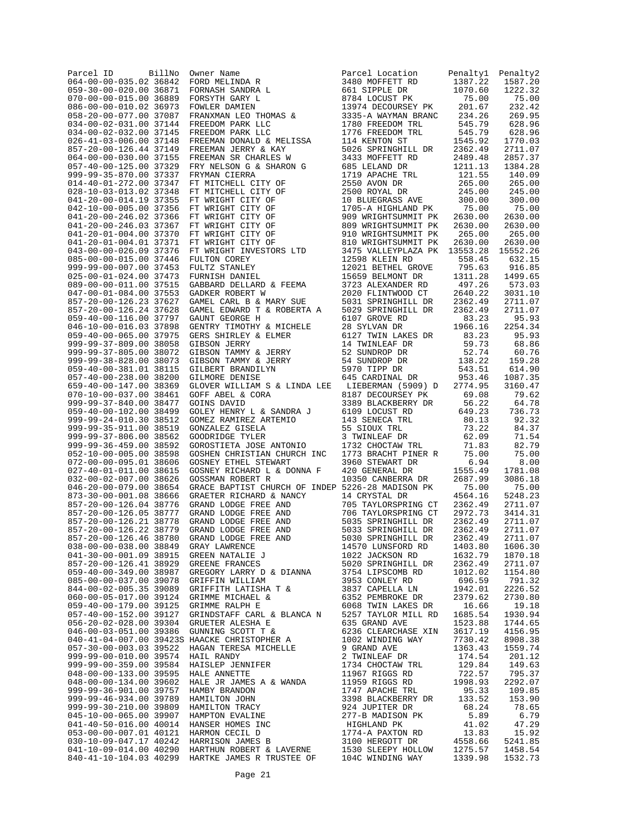| Parcel ID                                        | BillNo | Owner Name<br>FORD MELINDA R<br>FORNASH SANDRA L<br>FORSYTH GARY L<br>FOWLER DAMIEN<br>FRANXMAN LEO THOMAS &<br>FREEDOM PARK LLC<br>FREEDOM PARK LLC<br>FREEDOM PARK LLC | Parcel Location                                      | Penalty1           | Penalty2           |
|--------------------------------------------------|--------|--------------------------------------------------------------------------------------------------------------------------------------------------------------------------|------------------------------------------------------|--------------------|--------------------|
| 064-00-00-035.02 36842<br>059-30-00-020.00 36871 |        |                                                                                                                                                                          | 3480 MOFFETT RD<br>661 SIPPLE DR                     | 1387.22<br>1070.60 | 1587.20<br>1222.32 |
| 070-00-00-015.00 36889                           |        |                                                                                                                                                                          | 8784 LOCUST PK                                       | 75.00              | 75.00              |
| 086-00-00-010.02 36973                           |        |                                                                                                                                                                          | 13974 DECOURSEY PK                                   | 201.67             | 232.42             |
| 058-20-00-077.00 37087                           |        |                                                                                                                                                                          | 3335-A WAYMAN BRANC                                  | 234.26             | 269.95             |
| 034-00-02-031.00 37144                           |        |                                                                                                                                                                          | 1780 FREEDOM TRL                                     | 545.79             | 628.96             |
| 034-00-02-032.00 37145                           |        |                                                                                                                                                                          | 1776 FREEDOM TRL                                     | 545.79             | 628.96             |
| 026-41-03-006.00 37148                           |        | FREEMAN DONALD & MELISSA                                                                                                                                                 | 114 KENTON ST<br>114 RENION 31<br>5026 SPRINGHILL DR | 1545.92            | 1770.03            |
| 857-20-00-126.44 37149<br>064-00-00-030.00 37155 |        | FREEMAN JERRY & KAY<br>FREEMAN SR CHARLES W                                                                                                                              | 3433 MOFFETT RD                                      | 2362.49<br>2489.48 | 2711.07<br>2857.37 |
| 057-40-00-125.00 37329                           |        | FRY NELSON G & SHARON G                                                                                                                                                  | 685 LELAND DR                                        | 1211.13            | 1384.28            |
| 999-99-35-870.00 37337                           |        | FRYMAN CIERRA                                                                                                                                                            | 1719 APACHE TRL                                      | 121.55             | 140.09             |
| 014-40-01-272.00 37347                           |        | FT MITCHELL CITY OF                                                                                                                                                      | 2550 AVON DR                                         | 265.00             | 265.00             |
| 028-10-03-013.02 37348                           |        | FT MITCHELL CITY OF                                                                                                                                                      | 2500 ROYAL DR<br>10 BLUEGRASS AVE<br>1705 - HEA      | 245.00             | 245.00             |
| 041-20-00-014.19 37355                           |        | FT WRIGHT CITY OF                                                                                                                                                        |                                                      | 300.00             | 300.00<br>75.00    |
| 042-10-00-005.00 37356<br>041-20-00-246.02 37366 |        | FT WRIGHT CITY OF<br>FT WRIGHT CITY OF                                                                                                                                   | 1705-A HIGHLAND PK<br>909 WRIGHTSUMMIT PK            | 75.00<br>2630.00   | 2630.00            |
| 041-20-00-246.03 37367                           |        | FT WRIGHT CITY OF                                                                                                                                                        | 809 WRIGHTSUMMIT PK                                  | 2630.00            | 2630.00            |
| 041-20-01-004.00 37370                           |        | FT WRIGHT CITY OF                                                                                                                                                        | 910 WRIGHTSUMMIT PK                                  | 265.00             | 265.00             |
| 041-20-01-004.01 37371                           |        | FT WRIGHT CITY OF                                                                                                                                                        | 810 WRIGHTSUMMIT PK                                  | 2630.00            | 2630.00            |
| 043-00-00-026.09 37376                           |        | FT WRIGHT INVESTORS LTD                                                                                                                                                  | 3475 VALLEYPLAZA PK                                  | 13553.28           | 15552.26           |
| 085-00-00-015.00 37446                           |        | FULTON COREY                                                                                                                                                             | 12598 KLEIN RD                                       | 558.45             | 632.15             |
| 999-99-00-007.00 37453<br>025-00-01-024.00 37473 |        | FULTZ STANLEY<br>FURNISH DANIEL                                                                                                                                          | 12021 BETHEL GROVE<br>15659 BELMONT DR               | 795.63<br>1311.28  | 916.85<br>1499.65  |
| 089-00-00-011.00 37515                           |        | GABBARD DELLARD & FEEMA                                                                                                                                                  | 3723 ALEXANDER RD                                    | 497.26             | 573.03             |
| 047-00-01-084.00 37553                           |        | GADKER ROBERT W                                                                                                                                                          | 2020 FLINTWOOD CT                                    | 2640.22            | 3031.10            |
| 857-20-00-126.23 37627                           |        | GAMEL CARL B & MARY SUE                                                                                                                                                  | 5031 SPRINGHILL DR                                   | 2362.49            | 2711.07            |
| 857-20-00-126.24 37628                           |        | GAMEL EDWARD T & ROBERTA A                                                                                                                                               | 5029 SPRINGHILL DR                                   | 2362.49            | 2711.07            |
| 059-40-00-116.00 37797                           |        | GAUNT GEORGE H                                                                                                                                                           | 6107 GROVE RD                                        | 83.23              | 95.93              |
| 046-10-00-016.03 37898                           |        | GENTRY TIMOTHY & MICHELE                                                                                                                                                 | 28 SYLVAN DR<br>6127 TWIN LAKES DR                   | 1966.16<br>83.23   | 2254.34<br>95.93   |
| 059-40-00-065.00 37975<br>999-99-37-809.00 38058 |        | GERS SHIRLEY & ELMER                                                                                                                                                     | 14 TWINLEAF DR                                       | 59.73              | 68.86              |
| 999-99-37-805.00 38072                           |        | GIBSON JERRY<br>GIBSON TAMMY & JERRY                                                                                                                                     | 52 SUNDROP DR                                        | 52.74              | 60.76              |
| 999-99-38-828.00 38073                           |        | GIBSON TAMMY & JERRY                                                                                                                                                     | 54 SUNDROP DR                                        | 138.22             | 159.28             |
| 059-40-00-381.01 38115                           |        | GILBERT BRANDILYN                                                                                                                                                        | 5970 TIPP DR                                         | 543.51             | 614.90             |
| 057-40-00-238.00 38200                           |        | GILMORE DENISE                                                                                                                                                           | 645 CARDINAL DR                                      | 953.46             | 1087.35            |
| 659-40-00-147.00 38369                           |        | GLOVER WILLIAM S & LINDA LEE                                                                                                                                             | LIEBERMAN (5909) D                                   | 2774.95            | 3160.47            |
| 070-10-00-037.00 38461<br>999-99-37-840.00 38477 |        | GOFF ABEL & CORA<br>GOINS DAVID                                                                                                                                          | 8187 DECOURSEY PK<br>3389 BLACKBERRY DR              | 69.08<br>56.22     | 79.62<br>64.78     |
| 059-40-00-102.00 38499                           |        | GOLEY HENRY L & SANDRA J                                                                                                                                                 | 6109 LOCUST RD                                       | 649.23             | 736.73             |
| 999-99-24-010.30 38512                           |        | GOMEZ RAMIREZ ARTEMIO                                                                                                                                                    | 143 SENECA TRL                                       | 80.13              | 92.32              |
| 999-99-35-911.00 38519                           |        | GONZALEZ GISELA                                                                                                                                                          | 55 SIOUX TRL                                         | 73.22              | 84.37              |
| 999-99-37-806.00 38562                           |        | GOODRIDGE TYLER                                                                                                                                                          | 3 TWINLEAF DR                                        | 62.09              | 71.54              |
| 999-99-36-459.00 38592<br>052-10-00-005.00 38598 |        | GOROSTIETA JOSE ANTONIO                                                                                                                                                  | 1732 CHOCTAW TRL                                     | 71.83<br>75.00     | 82.79<br>75.00     |
| 072-00-00-095.01 38606                           |        | GOSHEN CHRISTIAN CHURCH INC<br><b>GOSNEY ETHEL STEWART</b>                                                                                                               | 1773 BRACHT PINER R<br>3960 STEWART DR               | 6.94               | 8.00               |
| 027-40-01-011.00 38615                           |        | GOSNEY RICHARD L & DONNA F                                                                                                                                               | 420 GENERAL DR                                       | 1555.49            | 1781.08            |
| 032-00-02-007.00 38626                           |        | GOSSMAN ROBERT R                                                                                                                                                         | 10350 CANBERRA DR                                    | 2687.99            | 3086.18            |
| 046-20-00-079.00 38654                           |        | GRACE BAPTIST CHURCH OF INDEP 5226-28 MADISON PK                                                                                                                         |                                                      | 75.00              | 75.00              |
| 873-30-00-001.08 38666                           |        | GRAETER RICHARD & NANCY                                                                                                                                                  | 14 CRYSTAL DR                                        | 4564.16            | 5248.23            |
| 857-20-00-126.04 38776<br>857-20-00-126.05 38777 |        | GRAND LODGE FREE AND<br>GRAND LODGE FREE AND                                                                                                                             | 705 TAYLORSPRING CT<br>706 TAYLORSPRING CT           | 2362.49<br>2972.73 | 2711.07<br>3414.31 |
| 857-20-00-126.21 38778                           |        | GRAND LODGE FREE AND                                                                                                                                                     | 5035 SPRINGHILL DR                                   | 2362.49            | 2711.07            |
| 857-20-00-126.22 38779                           |        | GRAND LODGE FREE AND                                                                                                                                                     | 5033 SPRINGHILL DR                                   | 2362.49            | 2711.07            |
| 857-20-00-126.46 38780                           |        | GRAND LODGE FREE AND                                                                                                                                                     | 5030 SPRINGHILL DR                                   | 2362.49            | 2711.07            |
| 038-00-00-038.00 38849                           |        | GRAY LAWRENCE<br>GREEN NATALIE J<br>GREENE FRANCES                                                                                                                       | 14570 LUNSFORD RD                                    | 1403.80            | 1606.30            |
| 041-30-00-001.09 38915                           |        |                                                                                                                                                                          | 1022 JACKSON RD                                      | 1632.79            | 1870.18            |
| 857-20-00-126.41 38929<br>059-40-00-349.00 38987 |        | GREGORY LARRY D & DIANNA                                                                                                                                                 | 5020 SPRINGHILL DR<br>3754 LIPSCOMB RD               | 2362.49<br>1012.02 | 2711.07<br>1154.80 |
| 085-00-00-037.00 39078                           |        | GRIFFIN WILLIAM                                                                                                                                                          | 3953 CONLEY RD                                       | 696.59             | 791.32             |
| 844-00-02-005.35 39089                           |        | GRIFFITH LATISHA T &                                                                                                                                                     | 3837 CAPELLA LN                                      | 1942.01            | 2226.52            |
| 060-00-05-017.00 39124                           |        | GRIMME MICHAEL &                                                                                                                                                         | 6352 PEMBROKE DR                                     | 2379.62            | 2730.80            |
| 059-40-00-179.00 39125                           |        | GRIMME RALPH E                                                                                                                                                           | 6068 TWIN LAKES DR                                   | 16.66              | 19.18              |
| 057-40-00-152.00 39127                           |        | GRINDSTAFF CARL & BLANCA N                                                                                                                                               | 5257 TAYLOR MILL RD                                  | 1685.54            | 1930.94            |
| 056-20-02-028.00 39304<br>046-00-03-051.00 39386 |        | GRUETER ALESHA E<br>GUNNING SCOTT T &                                                                                                                                    | 635 GRAND AVE<br>6236 CLEARCHASE XIN                 | 1523.88<br>3617.19 | 1744.65<br>4156.95 |
|                                                  |        | 040-41-04-007.00 39423S HAACKE CHRISTOPHER A                                                                                                                             | 1002 WINDING WAY                                     | 7730.42            | 8908.38            |
| 057-30-00-003.03 39522                           |        | HAGAN TERESA MICHELLE                                                                                                                                                    | 9 GRAND AVE                                          | 1363.43            | 1559.74            |
| 999-99-00-010.00 39574                           |        | HAIL RANDY                                                                                                                                                               | 2 TWINLEAF DR                                        | 174.54             | 201.12             |
| 999-99-00-359.00 39584                           |        | HAISLEP JENNIFER                                                                                                                                                         | 1734 CHOCTAW TRL                                     | 129.84             | 149.63             |
| 048-00-00-133.00 39595                           |        | HALE ANNETTE                                                                                                                                                             | 11967 RIGGS RD                                       | 722.57             | 795.37             |
| 048-00-00-134.00 39602<br>999-99-36-901.00 39757 |        | HALE JR JAMES A & WANDA<br>HAMBY BRANDON                                                                                                                                 | 11959 RIGGS RD<br>1747 APACHE TRL                    | 1998.93<br>95.33   | 2292.07<br>109.85  |
| 999-99-46-934.00 39789                           |        |                                                                                                                                                                          | 3398 BLACKBERRY DR                                   | 133.52             | 153.90             |
| 999-99-30-210.00 39809                           |        |                                                                                                                                                                          | 3398 BLACKBERRI<br>924 JUPITER DR                    | 68.24              | 78.65              |
| 045-10-00-065.00 39907                           |        | HAMPTON EVALINE                                                                                                                                                          | 277-B MADISON PK                                     | 5.89               | 6.79               |
| 041-40-50-016.00 40014                           |        |                                                                                                                                                                          | HIGHLAND PK                                          | 41.02              | 47.29              |
| 053-00-00-007.01 40121 HARMON CECIL D            |        | HAMPTON EVALINE<br>HANSER HOMES INC<br>HARMON CECIL D<br>HARRISON JAMES B                                                                                                | 1774-A PAXTON RD                                     | 13.83              | 15.92              |
| 041-10-09-014.00 40290                           |        | 030-10-09-047.17 40242 HARRISON JAMES B                                                                                                                                  | 3100 HERGOTT DR                                      | 4558.66            | 5241.85<br>1458.54 |
| 840-41-10-104.03 40299                           |        | HARTHUN ROBERT & LAVERNE 1530 SLEEPY HOLLOW 1275.57<br>HARTKE JAMES R TRUSTEE OF 104C WINDING WAY 1339 98<br>HARTKE JAMES R TRUSTEE OF                                   | 104C WINDING WAY                                     | 1339.98            | 1532.73            |
|                                                  |        |                                                                                                                                                                          |                                                      |                    |                    |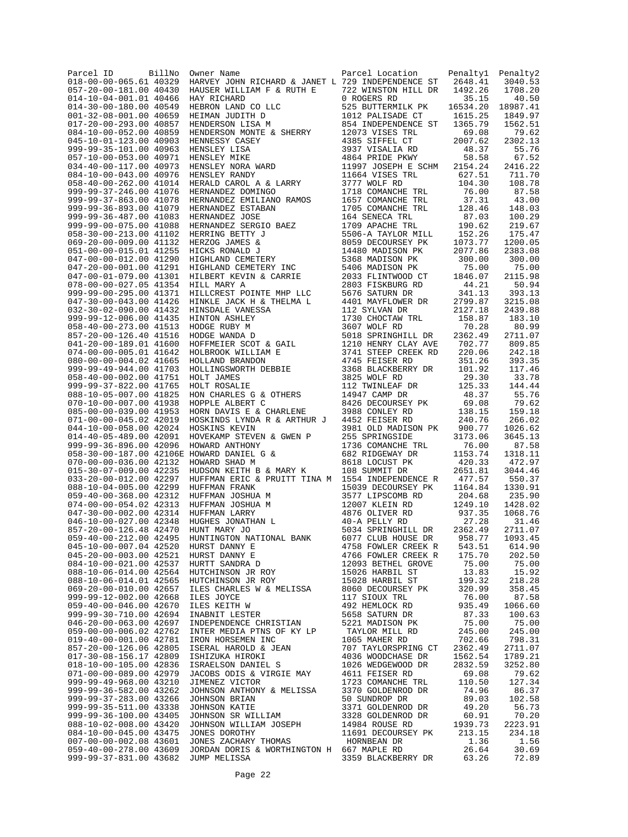| Parcel ID<br>018-00-00-065.61 40329                     | BillNo | Owner Name<br>HARVEY JOHN RICHARD & JANET L 729 INDEPENDENCE ST                                                                                                                                              | Parcel Location                            | Penaltyl<br>2648.41 | Penalty2<br>3040.53 |
|---------------------------------------------------------|--------|--------------------------------------------------------------------------------------------------------------------------------------------------------------------------------------------------------------|--------------------------------------------|---------------------|---------------------|
| 057-20-00-181.00 40430                                  |        | HAUSER WILLIAM F & RUTH E                                                                                                                                                                                    | 722 WINSTON HILL DR                        | 1492.26             | 1708.20             |
| 014-10-04-001.01 40466                                  |        | HAY RICHARD                                                                                                                                                                                                  | 0 ROGERS RD                                | 35.15               | 40.50               |
| $014 - 30 - 00 - 180.0040549$<br>001-32-08-001.00 40659 |        | HEBRON LAND CO LLC<br>HEIMAN JUDITH D                                                                                                                                                                        | 525 BUTTERMILK PK<br>1012 PALISADE CT      | 16534.20<br>1615.25 | 18987.41<br>1849.97 |
| 017-20-00-293.00 40857                                  |        | HENDERSON LISA M                                                                                                                                                                                             | 854 INDEPENDENCE ST                        | 1365.79             | 1562.51             |
| 084-10-00-052.00 40859                                  |        | HENDERSON MONTE & SHERRY                                                                                                                                                                                     | 12073 VISES TRL                            | 69.08               | 79.62               |
| 045-10-01-123.00 40903                                  |        | HENNESSY CASEY                                                                                                                                                                                               | 4385 SIFFEL CT                             | 2007.62             | 2302.13             |
| 999-99-35-101.00 40963<br>057-10-00-053.00 40971        |        | HENSLEY LISA<br>HENSLEY MIKE<br>HENSLEY NORA WARD<br>HENSLEY RANDY<br>HERALD CAROL                                                                                                                           | 3937 VISALIA RD<br>4864 PRIDE PKWY         | 48.37<br>58.58      | 55.76<br>67.52      |
| 034-40-00-117.00 40973                                  |        |                                                                                                                                                                                                              | 11997 JOSEPH E SCHM                        | 2154.24             | 2416.22             |
| 084-10-00-043.00 40976                                  |        |                                                                                                                                                                                                              | 11664 VISES TRL                            | 627.51              | 711.70              |
| 058-40-00-262.00 41014                                  |        | HERALD CAROL A & LARRY<br>HERALD CAROL A & LARRY                                                                                                                                                             | 3777 WOLF RD                               | 104.30              | 108.78<br>87.58     |
| 999-99-37-246.00 41076<br>999-99-37-863.00 41078        |        | HERNANDEZ DOMINGO<br>HERNANDEZ EMILIANO RAMOS                                                                                                                                                                | 1718 COMANCHE TRL<br>1657 COMANCHE TRL     | 76.00<br>37.31      | 43.00               |
| 999-99-36-893.00 41079                                  |        | HERNANDEZ ESTABAN                                                                                                                                                                                            | 1705 COMANCHE TRL                          | 128.46              | 148.03              |
| 999-99-36-487.00 41083                                  |        | HERNANDEZ JOSE<br>HERNANDEZ SERGIO BAEZ<br>HERRING BETTY J<br>HERZOG JAMES &<br>HICHLAND CEMETERY<br>HICHLAND CEMETERY<br>HIGHLAND CEMETERY                                                                  | 164 SENECA TRL                             | 87.03               | 100.29              |
| 999-99-00-075.00 41088<br>058-30-00-213.00 41102        |        |                                                                                                                                                                                                              | 1709 APACHE TRL<br>5506-A TAYLOR MILL      | 190.62<br>152.26    | 219.67<br>175.47    |
| 069-20-00-009.00 41132                                  |        |                                                                                                                                                                                                              | 8059 DECOURSEY PK                          | 1073.77             | 1200.05             |
| 051-00-00-015.01 41255                                  |        |                                                                                                                                                                                                              | 14480 MADISON PK                           | 2077.86             | 2383.08             |
| 047-00-00-012.00 41290                                  |        |                                                                                                                                                                                                              | 5368 MADISON PK                            | 300.00              | 300.00              |
| 047-20-00-001.00 41291<br>047-00-01-079.00 41301        |        | HIGHLAND CEMETERY INC<br>HILBERT KEVIN & CARRIE<br>HILBERT KEVIN & CARRIE                                                                                                                                    | 5406 MADISON PK<br>2033 FLINTWOOD CT       | 75.00<br>1846.07    | 75.00<br>2115.98    |
| 078-00-00-027.05 41354                                  |        | HILL MARY A                                                                                                                                                                                                  | 2803 FISKBURG RD                           | 44.21               | 50.94               |
| 999-99-00-295.00 41371                                  |        | HILLCREST POINTE MHP LLC                                                                                                                                                                                     | 5676 SATURN DR                             | 341.13              | 393.13              |
| 047-30-00-043.00 41426                                  |        | HINKLE JACK H & THELMA L                                                                                                                                                                                     | 4401 MAYFLOWER DR                          | 2799.87             | 3215.08             |
| 032-30-02-090.00 41432<br>999-99-12-006.00 41435        |        | HINSDALE VANESSA                                                                                                                                                                                             | 112 SYLVAN DR<br>1730 CHOCTAW TRL          | 2127.18<br>158.87   | 2439.88<br>183.10   |
| 058-40-00-273.00 41513                                  |        | HINSDALE VANESSA<br>HINTON ASHLEY<br>HODGE RUBY M<br>HODGE WANDA D<br>HOFFMEIER SCOT & GAIL<br>HOLBROOK WILLIAM E<br>HOLIAND BRANDON<br>HOLIINGSWORTH DEBBIE<br>HOLIINGSWORTH DEBBIE<br>HOLIINGSWORTH DEBBIE | 3607 WOLF RD                               | 70.28               | 80.99               |
| 857-20-00-126.40 41516                                  |        |                                                                                                                                                                                                              | 5018 SPRINGHILL DR                         | 2362.49             | 2711.07             |
| 041-20-00-189.01 41600                                  |        |                                                                                                                                                                                                              | 1210 HENRY CLAY AVE                        | 702.77              | 809.85              |
| 074-00-00-005.01 41642<br>080-00-00-004.02 41665        |        |                                                                                                                                                                                                              | 3741 STEEP CREEK RD<br>4745 FEISER RD      | 220.06<br>351.26    | 242.18<br>393.35    |
| 999-99-49-944.00 41703                                  |        |                                                                                                                                                                                                              | 3368 BLACKBERRY DR                         | 101.92              | 117.46              |
| 058-40-00-002.00 41751                                  |        | HOLT JAMES                                                                                                                                                                                                   | 3825 WOLF RD                               | 29.30               | 33.78               |
| 999-99-37-822.00 41765                                  |        | HOLT ROSALIE                                                                                                                                                                                                 | 112 TWINLEAF DR                            | 125.33              | 144.44              |
| 088-10-05-007.00 41825<br>070-10-00-007.00 41938        |        | HON CHARLES G & OTHERS<br>HOPPLE ALBERT C                                                                                                                                                                    | 14947 CAMP DR<br>8426 DECOURSEY PK         | 48.37<br>69.08      | 55.76<br>79.62      |
| 085-00-00-039.00 41953                                  |        | HORN DAVIS E & CHARLENE                                                                                                                                                                                      | 3988 CONLEY RD                             | 138.15              | 159.18              |
| 071-00-00-045.02 42019                                  |        | HOSKINDS LYNDA R & ARTHUR J                                                                                                                                                                                  | 4452 FEISER RD                             | 240.76              | 266.02              |
| 044-10-00-058.00 42024<br>014-40-05-489.00 42091        |        | HOSKINS KEVIN<br>HOVEKAMP STEVEN & GWEN P                                                                                                                                                                    | 3981 OLD MADISON PK<br>255 SPRINGSIDE      | 900.77<br>3173.06   | 1026.62<br>3645.13  |
| 999-99-36-896.00 42096                                  |        | HOWARD ANTHONY                                                                                                                                                                                               | 1736 COMANCHE TRL                          | 76.00               | 87.58               |
|                                                         |        | 058-30-00-187.00 42106E HOWARD DANIEL G &                                                                                                                                                                    | 682 RIDGEWAY DR                            | 1153.74             | 1318.11             |
| 070-00-00-036.00 42132                                  |        | HOWARD SHAD M                                                                                                                                                                                                | 8618 LOCUST PK                             | 420.33              | 472.97              |
| 015-30-07-009.00 42235<br>033-20-00-012.00 42297        |        | HUDSON KEITH B & MARY K<br>HUFFMAN ERIC & PRUITT TINA M 1554 INDEPENDENCE R                                                                                                                                  | 108 SUMMIT DR                              | 2651.81<br>477.57   | 3044.46<br>550.37   |
| 088-10-04-005.00 42299                                  |        | HUFFMAN FRANK                                                                                                                                                                                                | 15039 DECOURSEY PK                         | 1164.84             | 1330.91             |
| 059-40-00-368.00 42312                                  |        | $\frac{1}{2}$<br>HUFFMAN JOSHUA M                                                                                                                                                                            | 3577 LIPSCOMB RD                           | 204.68              | 235.90              |
| 074-00-00-054.02 42313<br>047-30-00-002.00 42314        |        | HUFFMAN JOSHUA M<br>HUFFMAN LARRY                                                                                                                                                                            | 12007 KLEIN RD<br>4876 OLIVER RD           | 1249.10<br>937.35   | 1428.02<br>1068.76  |
| 046-10-00-027.00 42348                                  |        | HUGHES JONATHAN L                                                                                                                                                                                            | 40-A PELLY RD                              | 27.28               | 31.46               |
| 857-20-00-126.48 42470                                  |        | HUNT MARY JO                                                                                                                                                                                                 | 5034 SPRINGHILL DR                         | 2362.49             | 2711.07             |
| 059-40-00-212.00 42495                                  |        | HUNTINGTON NATIONAL BANK                                                                                                                                                                                     | 6077 CLUB HOUSE DR                         | 958.77              | 1093.45             |
| 045-10-00-007.04 42520<br>045-20-00-003.00 42521        |        | HURST DANNY E<br>HURST DANNY E                                                                                                                                                                               | 4758 FOWLER CREEK R<br>4766 FOWLER CREEK R | 543.51<br>175.70    | 614.90<br>202.50    |
| 084-10-00-021.00 42537                                  |        | HURTT SANDRA D                                                                                                                                                                                               | 12093 BETHEL GROVE                         | 75.00               | 75.00               |
| 088-10-06-014.00 42564                                  |        | HUTCHINSON JR ROY                                                                                                                                                                                            | 15026 HARBIL ST                            | 13.83               | 15.92               |
| 088-10-06-014.01 42565<br>069-20-00-010.00 42657        |        | HUTCHINSON JR ROY                                                                                                                                                                                            | 15028 HARBIL ST                            | 199.32              | 218.28              |
| 999-99-12-002.00 42668                                  |        | ILES CHARLES W & MELISSA<br>ILES JOYCE                                                                                                                                                                       | 8060 DECOURSEY PK<br>117 SIOUX TRL         | 320.99<br>76.00     | 358.45<br>87.58     |
| 059-40-00-046.00 42670                                  |        | ILES KEITH W                                                                                                                                                                                                 | 492 HEMLOCK RD                             | 935.49              | 1066.60             |
| 999-99-30-710.00 42694                                  |        | INABNIT LESTER                                                                                                                                                                                               | 5658 SATURN DR                             | 87.33               | 100.63              |
| 046-20-00-063.00 42697<br>059-00-00-006.02 42762        |        | INDEPENDENCE CHRISTIAN<br>INTER MEDIA PTNS OF KY LP                                                                                                                                                          | 5221 MADISON PK<br>TAYLOR MILL RD          | 75.00<br>245.00     | 75.00<br>245.00     |
| 019-40-00-001.00 42781                                  |        | IRON HORSEMEN INC                                                                                                                                                                                            | 1065 MAHER RD                              | 702.66              | 798.31              |
| 857-20-00-126.06 42805                                  |        | ISERAL HAROLD & JEAN                                                                                                                                                                                         | 707 TAYLORSPRING CT                        | 2362.49             | 2711.07             |
| 017-30-08-156.17 42809                                  |        | ISHIZUKA HIROKI                                                                                                                                                                                              | 4036 WOODCHASE DR                          | 1562.54             | 1789.21             |
| 018-10-00-105.00 42836<br>071-00-00-089.00 42979        |        | ISRAELSON DANIEL S<br>JACOBS ODIS & VIRGIE MAY                                                                                                                                                               | 1026 WEDGEWOOD DR<br>4611 FEISER RD        | 2832.59<br>69.08    | 3252.80<br>79.62    |
| 999-99-49-968.00 43210                                  |        | JIMENEZ VICTOR                                                                                                                                                                                               | 1723 COMANCHE TRL                          | 110.50              | 127.34              |
| 999-99-36-582.00 43262                                  |        | JOHNSON ANTHONY & MELISSA                                                                                                                                                                                    | 3370 GOLDENROD DR                          | 74.96               | 86.37               |
| 999-99-37-283.00 43266<br>999-99-35-511.00 43338        |        | JOHNSON BRIAN                                                                                                                                                                                                | 50 SUNDROP DR<br>3371 GOLDENROD DR         | 89.03<br>49.20      | 102.58              |
| 999-99-36-100.00 43405                                  |        | JOHNSON KATIE<br>JOHNSON SR WILLIAM                                                                                                                                                                          | 3328 GOLDENROD DR                          | 60.91               | 56.73<br>70.20      |
| 088-10-02-008.00 43420                                  |        | JOHNSON WILLIAM JOSEPH                                                                                                                                                                                       | 14984 ROUSE RD                             | 1939.73             | 2223.91             |
| 084-10-00-045.00 43475                                  |        | JONES DOROTHY                                                                                                                                                                                                | 11691 DECOURSEY PK                         | 213.15              | 234.18              |
| 007-00-00-002.08 43601<br>059-40-00-278.00 43609        |        | JONES ZACHARY THOMAS<br>JORDAN DORIS & WORTHINGTON H 667 MAPLE RD                                                                                                                                            | HORNBEAN DR                                | 1.36<br>26.64       | 1.56<br>30.69       |
| 999-99-37-831.00 43682                                  |        | JUMP MELISSA                                                                                                                                                                                                 | 3359 BLACKBERRY DR                         | 63.26               | 72.89               |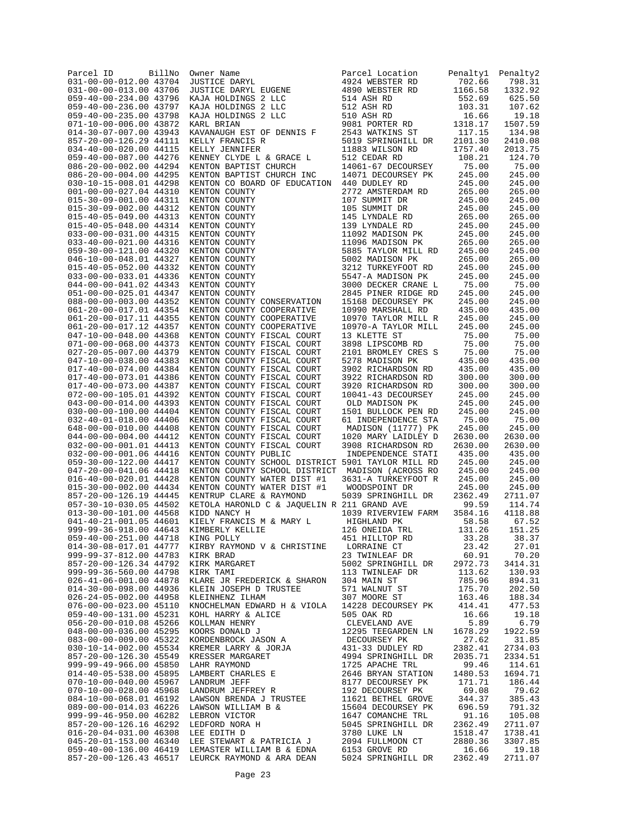| Parcel ID<br>031-00-00-012.00 43704              | BillNo | Owner Name<br><b>JUSTICE DARYL</b>                                                                           | Parcel Location<br>4924 WEBSTER RD         | Penaltyl<br>702.66         | Penalty2<br>798.31 |
|--------------------------------------------------|--------|--------------------------------------------------------------------------------------------------------------|--------------------------------------------|----------------------------|--------------------|
| 031-00-00-013.00 43706                           |        | JUSTICE DARYL EUGENE                                                                                         | 4890 WEBSTER RD                            | 1166.58                    | 1332.92            |
| 059-40-00-234.00 43796                           |        | KAJA HOLDINGS 2 LLC                                                                                          | 514 ASH RD                                 | 552.69                     | 625.50             |
| 059-40-00-236.00 43797                           |        | KAJA HOLDINGS 2 LLC                                                                                          | 512 ASH RD                                 | 103.31                     | 107.62             |
| 059-40-00-235.00 43798<br>071-10-00-006.00 43872 |        | KAJA HOLDINGS 2 LLC<br>KARL BRIAN                                                                            | 510 ASH RD<br>9081 PORTER RD               | 16.66<br>1318.17           | 19.18<br>1507.59   |
| 014-30-07-007.00 43943                           |        | KAVANAUGH EST OF DENNIS F                                                                                    | 2543 WATKINS ST                            | 117.15                     | 134.98             |
| 857-20-00-126.29 44111                           |        | KELLY FRANCIS R                                                                                              | 5019 SPRINGHILL DR                         | 2101.30                    | 2410.08            |
| 034-40-00-020.00 44115                           |        | KELLY JENNIFER                                                                                               | 11883 WILSON RD                            | 1757.40                    | 2013.75            |
| 059-40-00-087.00 44276<br>086-20-00-002.00 44294 |        | KENNEY CLYDE L & GRACE L<br>KENTON BAPTIST CHURCH                                                            | 512 CEDAR RD<br>14061-67 DECOURSEY         | 108.21<br>75.00            | 124.70<br>75.00    |
| 086-20-00-004.00 44295                           |        | KENTON BAPTIST CHURCH INC                                                                                    | 14071 DECOURSEY PK                         | 245.00                     | 245.00             |
| 030-10-15-008.01 44298                           |        | KENTON CO BOARD OF EDUCATION                                                                                 | 440 DUDLEY RD                              | 245.00                     | 245.00             |
| 001-00-00-027.04 44310                           |        | KENTON COUNTY                                                                                                | 2772 AMSTERDAM RD                          | 265.00                     | 265.00             |
| 015-30-09-001.00 44311<br>015-30-09-002.00 44312 |        | KENTON COUNTY<br>KENTON COUNTY                                                                               | 107 SUMMIT DR<br>105 SUMMIT DR             | 245.00<br>245.00           | 245.00<br>245.00   |
| 015-40-05-049.00 44313                           |        | KENTON COUNTY                                                                                                | 145 LYNDALE RD                             | 265.00                     | 265.00             |
| 015-40-05-048.00 44314                           |        | KENTON COUNTY                                                                                                | 139 LYNDALE RD                             | 245.00                     | 245.00             |
| 033-00-00-031.00 44315                           |        | KENTON COUNTY                                                                                                | 11092 MADISON PK                           | 245.00                     | 245.00             |
| 033-40-00-021.00 44316<br>059-30-00-121.00 44320 |        | KENTON COUNTY<br>KENTON COUNTY                                                                               | 11096 MADISON PK<br>5885 TAYLOR MILL RD    | 265.00<br>245.00           | 265.00<br>245.00   |
| 046-10-00-048.01 44327                           |        | KENTON COUNTY                                                                                                | 5002 MADISON PK                            | 265.00                     | 265.00             |
| 015-40-05-052.00 44332                           |        | KENTON COUNTY                                                                                                | 3212 TURKEYFOOT RD                         | 245.00                     | 245.00             |
| 033-00-00-033.01 44336                           |        | KENTON COUNTY                                                                                                | 5547-A MADISON PK                          | 245.00                     | 245.00             |
| 044-00-00-041.02 44343<br>051-00-00-025.01 44347 |        | KENTON COUNTY<br>KENTON COUNTY                                                                               | 3000 DECKER CRANE L<br>2845 PINER RIDGE RD | 75.00<br>245.00            | 75.00<br>245.00    |
| 088-00-00-003.00 44352                           |        | KENTON COUNTY CONSERVATION                                                                                   | 15168 DECOURSEY PK                         | 245.00                     | 245.00             |
| 061-20-00-017.01 44354                           |        | KENTON COUNTY COOPERATIVE                                                                                    | 10990 MARSHALL RD                          | 435.00                     | 435.00             |
| 061-20-00-017.11 44355                           |        | KENTON COUNTY COOPERATIVE                                                                                    | 10970 TAYLOR MILL R                        | 245.00                     | 245.00             |
| 061-20-00-017.12 44357<br>047-10-00-048.00 44368 |        | KENTON COUNTY COOPERATIVE<br>KENTON COUNTY FISCAL COURT                                                      | 10970-A TAYLOR MILL<br>13 KLETTE ST        | 245.00<br>75.00            | 245.00<br>75.00    |
| 071-00-00-068.00 44373                           |        | KENTON COUNTY FISCAL COURT                                                                                   | 3898 LIPSCOMB RD                           | 75.00                      | 75.00              |
| 027-20-05-007.00 44379                           |        | KENTON COUNTY FISCAL COURT                                                                                   | 2101 BROMLEY CRES S                        | 75.00                      | 75.00              |
| 047-10-00-038.00 44383                           |        | KENTON COUNTY FISCAL COURT                                                                                   | 5278 MADISON PK                            | 435.00                     | 435.00             |
| 017-40-00-074.00 44384<br>017-40-00-073.01 44386 |        | KENTON COUNTY FISCAL COURT                                                                                   | 3902 RICHARDSON RD                         | 435.00                     | 435.00             |
| 017-40-00-073.00 44387                           |        | KENTON COUNTY FISCAL COURT<br>KENTON COUNTY FISCAL COURT                                                     | 3922 RICHARDSON RD<br>3920 RICHARDSON RD   | 300.00<br>300.00           | 300.00<br>300.00   |
| 072-00-00-105.01 44392                           |        | KENTON COUNTY FISCAL COURT                                                                                   | 10041-43 DECOURSEY                         | 245.00                     | 245.00             |
| 043-00-00-014.00 44393                           |        | KENTON COUNTY FISCAL COURT                                                                                   | OLD MADISON PK                             | 245.00                     | 245.00             |
| 030-00-00-100.00 44404                           |        | KENTON COUNTY FISCAL COURT                                                                                   | 1501 BULLOCK PEN RD                        | 245.00                     | 245.00             |
| 032-40-01-018.00 44406<br>648-00-00-010.00 44408 |        | KENTON COUNTY FISCAL COURT<br>KENTON COUNTY FISCAL COURT                                                     | 61 INDEPENDENCE STA<br>MADISON (11777) PK  | 75.00<br>245.00            | 75.00<br>245.00    |
| 044-00-00-004.00 44412                           |        | KENTON COUNTY FISCAL COURT                                                                                   | 1020 MARY LAIDLEY D                        | 2630.00                    | 2630.00            |
| 032-00-00-001.01 44413                           |        | KENTON COUNTY FISCAL COURT                                                                                   | 3908 RICHARDSON RD                         | 2630.00                    | 2630.00            |
| 032-00-00-001.06 44416                           |        | KENTON COUNTY PUBLIC                                                                                         | INDEPENDENCE STATI                         | 435.00                     | 435.00             |
| 059-30-00-122.00 44417<br>047-20-00-041.06 44418 |        | KENTON COUNTY SCHOOL DISTRICT 5901 TAYLOR MILL RD<br>KENTON COUNTY SCHOOL DISTRICT                           | MADISON (ACROSS RO                         | 245.00<br>245.00           | 245.00<br>245.00   |
| 016-40-00-020.01 44428                           |        | KENTON COUNTY WATER DIST #1                                                                                  | 3631-A TURKEYFOOT R                        | 245.00                     | 245.00             |
| 015-30-00-002.00 44434                           |        | KENTON COUNTY WATER DIST #1                                                                                  | WOODSPOINT DR                              | 245.00                     | 245.00             |
| 857-20-00-126.19 44445<br>057-30-10-030.05 44502 |        | KENTRUP CLARE & RAYMOND                                                                                      | 5039 SPRINGHILL DR                         | 2362.49<br>99.59           | 2711.07<br>114.74  |
| 013-30-00-101.00 44568                           |        | KETOLA HARONLD C & JAQUELIN R 211 GRAND AVE<br>KIDD NANCY H                                                  | 1039 RIVERVIEW FARM                        | 3584.16                    | 4118.88            |
| 041-40-21-001.05 44601                           |        | KIELY FRANCIS M & MARY L                                                                                     | HIGHLAND PK                                | 58.58                      | 67.52              |
| 999-99-36-918.00 44643                           |        | KIMBERLY KELLIE                                                                                              | 126 ONEIDA TRL                             | 131.26                     | 151.25             |
| 059-40-00-251.00 44718<br>014-30-08-017.01 44777 |        | KING POLLY                                                                                                   | 451 HILLTOP RD                             | 33.28<br>23.42             | 38.37              |
|                                                  |        | KIRBY RAYMOND V & CHRISTINE                                                                                  | LORRAINE CT<br>23 TWINLEAF DR              | 23.42<br>60.91             | 27.01<br>70.20     |
|                                                  |        | 857-20-00-126.34 44783 KIRK BRAD<br>857-20-00-126.34 44792 KIRK MARGARET<br>999-99-36-560.00 44798 KIRK TAMI | 5002 SPRINGHILL DR 2972.73                 |                            | 3414.31            |
|                                                  |        |                                                                                                              | 113 TWINLEAF DR                            | 113.62                     | 130.93             |
| 026-41-06-001.00 44878<br>014-30-00-098.00 44936 |        | KLARE JR FREDERICK & SHARON 304 MAIN ST                                                                      |                                            | 785.96<br>175.70           | 894.31<br>202.50   |
| 026-24-05-002.00 44958                           |        |                                                                                                              |                                            | 163.46                     | 188.34             |
| 076-00-00-023.00 45110                           |        |                                                                                                              |                                            | 414.41                     | 477.53             |
|                                                  |        |                                                                                                              |                                            | 16.66                      | 19.18              |
|                                                  |        |                                                                                                              |                                            | 5.89<br>1678.29            | 6.79<br>1922.59    |
|                                                  |        |                                                                                                              |                                            | 27.62                      | 31.85              |
|                                                  |        |                                                                                                              |                                            | 2382.41                    | 2734.03            |
|                                                  |        |                                                                                                              |                                            | 2035.71                    | 2334.51            |
|                                                  |        |                                                                                                              |                                            | 99.46<br>1480.53           | 114.61             |
|                                                  |        |                                                                                                              |                                            | 171.71                     | 1694.71<br>186.44  |
|                                                  |        |                                                                                                              |                                            | 69.08                      | 79.62              |
|                                                  |        |                                                                                                              |                                            | 344.37<br>344.37<br>696.59 | 385.43             |
|                                                  |        |                                                                                                              |                                            | 91.16                      | 791.32<br>105.08   |
|                                                  |        |                                                                                                              |                                            | 2362.49                    | 2711.07            |
|                                                  |        |                                                                                                              |                                            | 1518.47                    | 1738.41            |
|                                                  |        |                                                                                                              |                                            | 2880.36                    | 3307.85            |
|                                                  |        |                                                                                                              |                                            | 16.66<br>2362.49           | 19.18<br>2711.07   |
|                                                  |        |                                                                                                              |                                            |                            |                    |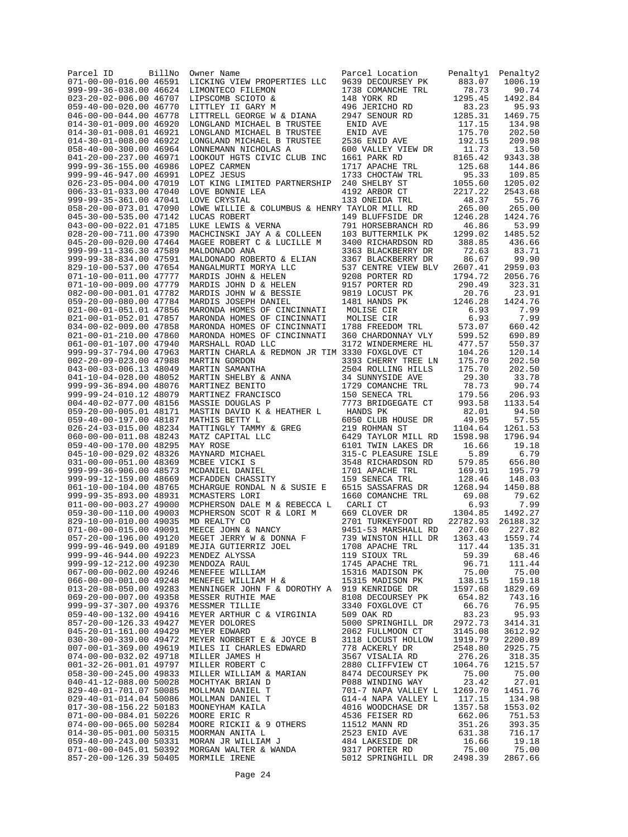| Parcel ID<br>071-00-00-016.00 46591                     | BillNo | Owner Name                                                                                                                               | Parcel Location                          | Penaltyl           | Penalty2           |
|---------------------------------------------------------|--------|------------------------------------------------------------------------------------------------------------------------------------------|------------------------------------------|--------------------|--------------------|
| 999-99-36-038.00 46624                                  |        | LICKING VIEW PROPERTIES LLC<br>LIMONTECO FILEMON                                                                                         | 9639 DECOURSEY PK<br>1738 COMANCHE TRL   | 883.07<br>78.73    | 1006.19<br>90.74   |
| 023-20-02-006.00 46707                                  |        | LIPSCOMB SCIOTO &                                                                                                                        | 148 YORK RD                              | 1295.45            | 1492.84            |
| 059-40-00-020.00 46770                                  |        | LITTLEY II GARY M                                                                                                                        | 496 JERICHO RD                           | 83.23              | 95.93              |
| 046-00-00-044.00 46778                                  |        | LITTRELL GEORGE W & DIANA                                                                                                                | 2947 SENOUR RD                           | 1285.31            | 1469.75            |
| 014-30-01-009.00 46920                                  |        | LONGLAND MICHAEL B TRUSTEE                                                                                                               | ENID AVE                                 | 117.15             | 134.98             |
| 014-30-01-008.01 46921<br>014-30-01-008.00 46922        |        | LONGLAND MICHAEL B TRUSTEE<br>LONGLAND MICHAEL B TRUSTEE                                                                                 | ENID AVE                                 | 175.70<br>192.15   | 202.50<br>209.98   |
| 058-40-00-300.00 46964                                  |        | LONNEMANN NICHOLAS A                                                                                                                     | 2536 ENID AVE<br>600 VALLEY VIEW DR      | 11.73              | 13.50              |
| 041-20-00-237.00 46971                                  |        | LOOKOUT HGTS CIVIC CLUB INC                                                                                                              | 1661 PARK RD                             | 8165.42            | 9343.38            |
| 999-99-36-155.00 46986                                  |        | LOPEZ CARMEN                                                                                                                             | 1717 APACHE TRL                          | 125.68             | 144.86             |
| 999-99-46-947.00 46991                                  |        | LOPEZ JESUS                                                                                                                              | 1733 CHOCTAW TRL                         | 95.33              | 109.85             |
| 026-23-05-004.00 47019                                  |        | LOT KING LIMITED PARTNERSHIP                                                                                                             | 240 SHELBY ST                            | 1055.60            | 1205.02            |
| $006 - 33 - 01 - 033.0047040$<br>999-99-35-361.00 47041 |        | LOVE BONNIE LEA<br>LOVE CRYSTAL                                                                                                          | 4192 ARBOR CT<br>133 ONEIDA TRL          | 2217.22<br>48.37   | 2543.68<br>55.76   |
| 058-20-00-073.01 47090                                  |        | LOWE WILLIE & COLUMBUS & HENRY TAYLOR MILL RD                                                                                            |                                          | 265.00             | 265.00             |
| 045-30-00-535.00 47142                                  |        | LUCAS ROBERT                                                                                                                             | 149 BLUFFSIDE DR                         | 1246.28            | 1424.76            |
| 043-00-00-022.01 47185                                  |        | LUKE LEWIS & VERNA                                                                                                                       | 791 HORSEBRANCH RD                       | 46.86              | 53.99              |
| 028-20-00-711.00 47390                                  |        | MACHCINSKI JAY A & COLLEEN                                                                                                               | 103 BUTTERMILK PK                        | 1299.02            | 1485.52            |
| 045-20-00-020.00 47464                                  |        | MAGEE ROBERT C & LUCILLE M                                                                                                               | 3400 RICHARDSON RD                       | 388.85             | 436.66             |
| 999-99-11-336.30 47589<br>999-99-38-834.00 47591        |        | MALDONADO ANA<br>MALDONADO ANA<br>MALDONADO ROBERTO & ELIAN<br>MANGALMURTI MORYA LLC<br>MARDIS JOHN & HELEN<br>MARDIS JOHN D & HELEN     | 3363 BLACKBERRY DR<br>3367 BLACKBERRY DR | 72.63<br>86.67     | 83.71<br>99.90     |
| 829-10-00-537.00 47654                                  |        |                                                                                                                                          | 537 CENTRE VIEW BLV                      | 2607.41            | 2959.03            |
| 071-10-00-011.00 47777                                  |        | MANGALMONALL<br>MARDIS JOHN & HELEN<br>MARDIS JOHN D & HELEN<br>COHN W & BESSIE                                                          | 9208 PORTER RD                           | 1794.72            | 2056.76            |
| 071-10-00-009.00 47779                                  |        |                                                                                                                                          | 9157 PORTER RD                           | 290.49             | 323.31             |
| 082-00-00-001.01 47782                                  |        |                                                                                                                                          | 9819 LOCUST PK                           | 20.76              | 23.91              |
| 059-20-00-080.00 47784                                  |        |                                                                                                                                          | 1481 HANDS PK                            | 1246.28            | 1424.76            |
| 021-00-01-051.01 47856<br>021-00-01-052.01 47857        |        | MARONDA HOMES OF CINCINNATI                                                                                                              | MOLISE CIR<br>MOLISE CIR                 | 6.93<br>6.93       | 7.99<br>7.99       |
| 034-00-02-009.00 47858                                  |        | MARONDA HOMES OF CINCINNATI<br>MARONDA HOMES OF CINCINNATI                                                                               | 1788 FREEDOM TRL                         | 573.07             | 660.42             |
| 021-00-01-210.00 47860                                  |        | MARONDA HOMES OF CINCINNATI                                                                                                              | 360 CHARDONNAY VLY                       | 599.52             | 690.89             |
| 061-00-01-107.00 47940                                  |        | MARSHALL ROAD LLC                                                                                                                        | 3172 WINDERMERE HL                       | 477.57             | 550.37             |
| 999-99-37-794.00 47963                                  |        | MARTIN CHARLA & REDMON JR TIM 3330 FOXGLOVE CT                                                                                           |                                          | 104.26             | 120.14             |
| 002-20-09-023.00 47988                                  |        |                                                                                                                                          | 3393 CHERRY TREE LN                      | 175.70             | 202.50             |
| 043-00-03-006.13 48049<br>041-10-04-028.00 48052        |        | MARTIN GORDON<br>MARTIN SAMANTHA<br>MARTIN SHELBY & ANNA<br>MARTINEZ BENITO<br>MARTINEZ FRANCISCO<br>MASSIE DOUGLAS P                    | 2504 ROLLING HILLS<br>34 SUNNYSIDE AVE   | 175.70<br>29.30    | 202.50<br>33.78    |
| 999-99-36-894.00 48076                                  |        |                                                                                                                                          | 1729 COMANCHE TRL                        | 78.73              | 90.74              |
| 999-99-24-010.12 48079                                  |        |                                                                                                                                          | 150 SENECA TRL                           | 179.56             | 206.93             |
| 004-40-02-077.00 48156                                  |        |                                                                                                                                          | 7773 BRIDGEGATE CT                       | 993.58             | 1133.54            |
| 059-20-00-005.01 48171                                  |        | MASTIN DAVID K & HEATHER L                                                                                                               | HANDS PK                                 | 82.01              | 94.50              |
| 059-40-00-197.00 48187                                  |        | MATHIS BETTY L                                                                                                                           | 6050 CLUB HOUSE DR                       | 49.95              | 57.55              |
| 026-24-03-015.00 48234<br>060-00-00-011.08 48243        |        | MATTINGLY TAMMY & GREG<br>MATTINGLY TAMMY & GREG<br>MAY ROSE<br>MAYARRD MICHAEL<br>MCBEE VICKI S<br>MCDANIEL DANIEL<br>MCFADDEN CHASSITY | 219 ROHMAN ST<br>6429 TAYLOR MILL RD     | 1104.64<br>1598.98 | 1261.53<br>1796.94 |
| 059-40-00-170.00 48295                                  |        |                                                                                                                                          | 6101 TWIN LAKES DR                       | 16.66              | 19.18              |
| 045-10-00-029.02 48326                                  |        |                                                                                                                                          | 315-C PLEASURE ISLE                      | 5.89               | 6.79               |
| 031-00-00-051.00 48369                                  |        |                                                                                                                                          | 3548 RICHARDSON RD                       | 579.85             | 656.80             |
| 999-99-36-906.00 48573                                  |        |                                                                                                                                          | 1701 APACHE TRL                          | 169.91             | 195.79             |
| 999-99-12-159.00 48669                                  |        | MCHARGUE RONDAL N & SUSIE E                                                                                                              | 159 SENECA TRL                           | 128.46             | 148.03<br>1450.88  |
| 061-10-00-104.00 48765<br>999-99-35-893.00 48931        |        | MCMASTERS LORI                                                                                                                           | 6515 SASSAFRAS DR<br>1660 COMANCHE TRL   | 1268.94<br>69.08   | 79.62              |
| 011-00-00-003.27 49000                                  |        | MCPHERSON DALE M & REBECCA L                                                                                                             | CARLI CT                                 | 6.93               | 7.99               |
| 059-30-00-110.00 49003                                  |        | MCPHERSON SCOT R & LORI M                                                                                                                | 669 CLOVER DR                            | 1304.85            | 1492.27            |
| 829-10-00-010.00 49035                                  |        | MD REALTY CO                                                                                                                             | 2701 TURKEYFOOT RD                       | 22782.93           | 26188.32           |
| 071-00-00-015.00 49091                                  |        | MEECE JOHN & NANCY                                                                                                                       | 9451-53 MARSHALL RD                      | 207.60             | 227.82             |
| 057-20-00-196.00 49120<br>999-99-46-949.00 49189        |        | MEGET JERRY W & DONNA F<br>MEJIA GUTIERRIZ JOEL                                                                                          | 739 WINSTON HILL DR                      | 1363.43            | 1559.74            |
| 999-99-46-944.00 49223                                  |        |                                                                                                                                          | 1708 APACHE TRL                          | 117.44<br>59.39    | 135.31<br>68.46    |
| 999-99-12-212.00 49230                                  |        |                                                                                                                                          | 1745 APACHE TRL                          | 96.71              | 111.44             |
| 067-00-00-002.00 49246                                  |        |                                                                                                                                          |                                          | 75.00              | 75.00              |
| 066-00-00-001.00 49248                                  |        |                                                                                                                                          |                                          | 138.15             | 159.18             |
| 013-20-08-050.00 49283                                  |        | MENNINGER JOHN F & DOROTHY A 919 KENRIDGE DR                                                                                             |                                          | 1597.68            | 1829.69            |
| 069-20-00-007.00 49358<br>999-99-37-307.00 49376        |        | MESSER RUTHIE MAE<br>MESSMER TILLIE<br>MESSMER TILLIE                                                                                    | 8108 DECOURSEY PK<br>3340 FOXGLOVE CT    | 654.82<br>66.76    | 743.16<br>76.95    |
| 059-40-00-132.00 49416                                  |        | MEYER ARTHUR C & VIRGINIA                                                                                                                | 509 OAK RD                               | 83.23              | 95.93              |
| 857-20-00-126.33 49427                                  |        | MEYER DOLORES                                                                                                                            | 5000 SPRINGHILL DR                       | 2972.73            | 3414.31            |
| 045-20-01-161.00 49429                                  |        | MEYER EDWARD                                                                                                                             | 2062 FULLMOON CT                         | 3145.08            | 3612.92            |
| 030-30-00-339.00 49472                                  |        | MEYER NORBERT E & JOYCE B                                                                                                                | 3118 LOCUST HOLLOW                       | 1919.79            | 2200.89            |
| 007-00-01-369.00 49619                                  |        | MILES II CHARLES EDWARD                                                                                                                  | 778 ACKERLY DR                           | 2548.80            | 2925.75            |
| 074-00-00-032.02 49718<br>001-32-26-001.01 49797        |        |                                                                                                                                          |                                          | 276.26<br>1064.76  | 318.35<br>1215.57  |
| 058-30-00-245.00 49833                                  |        |                                                                                                                                          |                                          | 75.00              | 75.00              |
| 040-41-12-088.00 50028                                  |        |                                                                                                                                          |                                          | 23.42              | 27.01              |
| 829-40-01-701.07 50085                                  |        |                                                                                                                                          |                                          | 1269.70            | 1451.76            |
| 029-40-01-014.04 50086                                  |        |                                                                                                                                          |                                          | 117.15             | 134.98             |
| 017-30-08-156.22 50183<br>071-00-00-084.01 50226        |        |                                                                                                                                          |                                          | 1357.58<br>662.06  | 1553.02<br>751.53  |
| 074-00-00-065.00 50284                                  |        |                                                                                                                                          |                                          | 351.26             | 393.35             |
| 014-30-05-001.00 50315                                  |        |                                                                                                                                          |                                          | 631.38             | 716.17             |
| 059-40-00-243.00 50331                                  |        |                                                                                                                                          |                                          | 16.66              | 19.18              |
| 071-00-00-045.01 50392                                  |        |                                                                                                                                          |                                          | 75.00              | 75.00              |
| 857-20-00-126.39 50405                                  |        | MORMILE IRENE                                                                                                                            |                                          | 2498.39            | 2867.66            |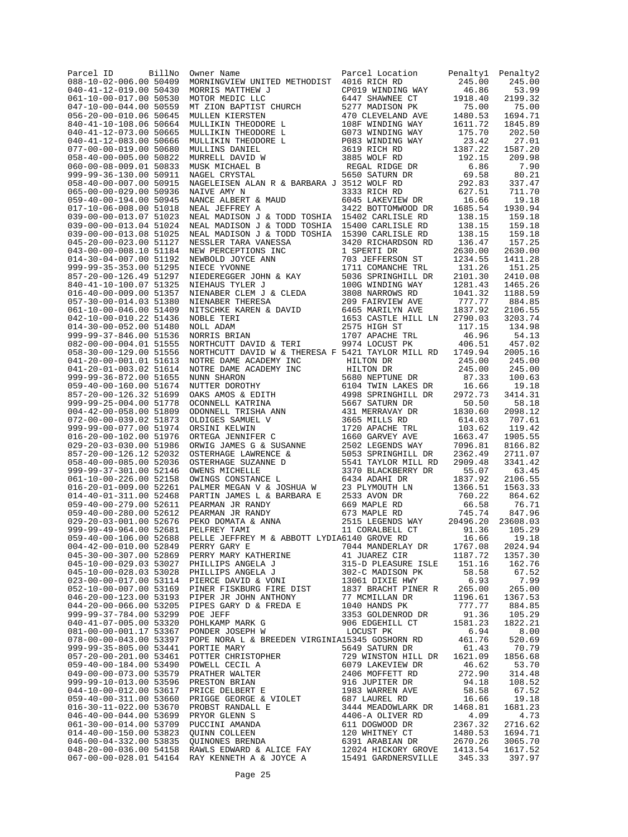| Parcel ID<br>BillNo<br>088-10-02-006.00 50409    | Owner Name<br>MORNINGVIEW UNITED METHODIST                                                                                                                                                                           | Parcel Location<br>4016 RICH RD        | Penaltyl<br>245.00 | Penalty2<br>245.00 |
|--------------------------------------------------|----------------------------------------------------------------------------------------------------------------------------------------------------------------------------------------------------------------------|----------------------------------------|--------------------|--------------------|
| 040-41-12-019.00 50430                           | MORRIS MATTHEW J                                                                                                                                                                                                     | CP019 WINDING WAY                      | 46.86              | 53.99              |
| 061-10-00-017.00 50530                           | MOTOR MEDIC LLC                                                                                                                                                                                                      | 6447 SHAWNEE CT                        | 1918.40            | 2199.32            |
| 047-10-00-044.00 50559                           |                                                                                                                                                                                                                      | 5277 MADISON PK                        | 75.00              | 75.00              |
| 056-20-00-010.06 50645<br>840-41-10-108.06 50664 | MOIOR MEDIC LLC<br>MULLEN KIERSTEN<br>MULLEN KIERSTEN<br>MULLIKIN THEODORE L<br>MULLIKIN THEODORE L<br>MULLIKIN THEODORE L<br>MULLIKIN DANIEL<br>MURRELL DAVID W<br>MUSK MICHAEL B<br>NAGEL CRYSTAL<br>NAGEL CRYSTAL | 470 CLEVELAND AVE<br>108F WINDING WAY  | 1480.53<br>1611.72 | 1694.71<br>1845.89 |
| 040-41-12-073.00 50665                           |                                                                                                                                                                                                                      | G073 WINDING WAY                       | 175.70             | 202.50             |
| 040-41-12-083.00 50666                           |                                                                                                                                                                                                                      | P083 WINDING WAY                       | 23.42              | 27.01              |
| 077-00-00-019.00 50680                           |                                                                                                                                                                                                                      | 3619 RICH RD                           | 1387.22            | 1587.20            |
| 058-40-00-005.00 50822                           |                                                                                                                                                                                                                      | 3885 WOLF RD                           | 192.15             | 209.98             |
| 060-00-08-009.01 50833<br>999-99-36-130.00 50911 |                                                                                                                                                                                                                      | REGAL RIDGE DR<br>5650 SATURN DR       | 6.86<br>69.58      | 7.90<br>80.21      |
| 058-40-00-007.00 50915                           | NAGELEISEN ALAN R & BARBARA J 3512 WOLF RD                                                                                                                                                                           |                                        | 292.83             | 337.47             |
| 065-00-00-029.00 50936                           | NAIVE AMY N                                                                                                                                                                                                          | 3333 RICH RD                           | 627.51             | 711.70             |
| 059-40-00-194.00 50945                           | NANCE ALBERT & MAUD                                                                                                                                                                                                  | 6045 LAKEVIEW DR                       | 16.66              | 19.18              |
| 017-10-06-008.00 51018<br>039-00-00-013.07 51023 | NEAL JEFFREY A<br>NEAL MADISON J & TODD TOSHIA 15402 CARLISLE RD                                                                                                                                                     | 3422 BOTTOMWOOD DR                     | 1685.54<br>138.15  | 1930.94<br>159.18  |
| 039-00-00-013.04 51024                           | NEAL MADISON J & TODD TOSHIA 15400 CARLISLE RD                                                                                                                                                                       |                                        | 138.15             | 159.18             |
| 039-00-00-013.08 51025                           | NEAL MADISON J & TODD TOSHIA 15390 CARLISLE RD                                                                                                                                                                       |                                        | 138.15             | 159.18             |
| 045-20-00-023.00 51127                           | NESSLER TARA VANESSA<br>NESSLER TAKA VANLSSA<br>NEW PERCEPTIONS INC<br>NEWBOLD JOYCE ANN<br>NIECE YVONNE<br>NIECE YVONNE<br>NIEDEREGGER JOHN & KAY                                                                   | 3420 RICHARDSON RD                     | 136.47             | 157.25             |
| 043-00-00-008.10 51184<br>014-30-04-007.00 51192 |                                                                                                                                                                                                                      | 1 SPERTI DR<br>703 JEFFERSON ST        | 2630.00<br>1234.55 | 2630.00<br>1411.28 |
| 999-99-35-353.00 51295                           |                                                                                                                                                                                                                      | 1711 COMANCHE TRL                      | 131.26             | 151.25             |
| 857-20-00-126.49 51297                           |                                                                                                                                                                                                                      | 5036 SPRINGHILL DR                     | 2101.30            | 2410.08            |
| 840-41-10-100.07 51325                           | NIEHAUS TYLER J                                                                                                                                                                                                      | 100G WINDING WAY                       | 1281.43            | 1465.26            |
| 016-40-00-009.00 51357                           | NIENABER CLEM J & CLEDA                                                                                                                                                                                              | 3808 NARROWS RD                        | 1041.32            | 1188.59            |
| 057-30-00-014.03 51380<br>061-10-00-046.00 51409 | NIENABER THERESA                                                                                                                                                                                                     | 209 FAIRVIEW AVE<br>6465 MARILYN AVE   | 777.77<br>1837.92  | 884.85<br>2106.55  |
| 042-10-00-010.22 51436                           | NITSCHKE KAREN & DAVID<br>NOBLE TERI<br>NOBLE TERI<br>NORIS BRIAN                                                                                                                                                    | 1653 CASTLE HILL LN                    | 2790.03            | 3203.74            |
| 014-30-00-052.00 51480                           |                                                                                                                                                                                                                      | 2575 HIGH ST                           | 117.15             | 134.98             |
| 999-99-37-846.00 51536                           |                                                                                                                                                                                                                      | 1707 APACHE TRL                        | 46.96              | 54.13              |
| 082-00-00-004.01 51555                           | NORTHCUTT DAVID & TERI                                                                                                                                                                                               | 9974 LOCUST PK                         | 406.51             | 457.02             |
| 058-30-00-129.00 51556<br>041-20-00-001.01 51613 | NORTHCUTT DAVID W & THERESA F 5421 TAYLOR MILL RD                                                                                                                                                                    |                                        | 1749.94<br>245.00  | 2005.16<br>245.00  |
| 041-20-01-003.02 51614                           |                                                                                                                                                                                                                      |                                        | 245.00             | 245.00             |
| 999-99-36-872.00 51655                           |                                                                                                                                                                                                                      |                                        | 87.33              | 100.63             |
| 059-40-00-160.00 51674                           |                                                                                                                                                                                                                      | 6104 TWIN LAKES DR                     | 16.66              | 19.18              |
| 857-20-00-126.32 51699                           |                                                                                                                                                                                                                      | 4998 SPRINGHILL DR                     | 2972.73            | 3414.31            |
| 999-99-25-004.00 51778<br>004-42-00-058.00 51809 |                                                                                                                                                                                                                      |                                        | 50.50<br>1830.60   | 58.18<br>2098.12   |
| 072-00-00-039.02 51873                           |                                                                                                                                                                                                                      |                                        | 614.03             | 707.61             |
| 999-99-00-077.00 51974                           |                                                                                                                                                                                                                      |                                        | 103.62             | 119.42             |
| 016-20-00-102.00 51976                           |                                                                                                                                                                                                                      | 1660 GARVEY AVE                        | 1663.47            | 1905.55            |
| 029-20-03-030.00 51986<br>857-20-00-126.12 52032 | ORWIG JAMES G & SUSANNE<br>OSTERHAGE LAWRENCE &<br>OSTERHAGE SUZANNE D<br>OWENS MICHELLE                                                                                                                             | 2502 LEGENDS WAY<br>5053 SPRINGHILL DR | 7096.81<br>2362.49 | 8166.82<br>2711.07 |
| 058-40-00-085.00 52036                           |                                                                                                                                                                                                                      | 5541 TAYLOR MILL RD                    | 2909.48            | 3341.42            |
| 999-99-37-301.00 52146                           | OWENS MICHELLE                                                                                                                                                                                                       | 3370 BLACKBERRY DR                     | 55.07              | 63.45              |
| 061-10-00-226.00 52158                           | OWINGS CONSTANCE L                                                                                                                                                                                                   | 6434 ADAHI DR                          | 1837.92            | 2106.55            |
| 016-20-01-009.00 52261                           | PALMER MEGAN V & JOSHUA W                                                                                                                                                                                            | 23 PLYMOUTH LN                         | 1366.51            | 1563.33            |
| 014-40-01-311.00 52468<br>059-40-00-279.00 52611 | PARTIN JAMES L & BARBARA E<br>PARTIN JAMES I & DROGENES -<br>PEARMAN JR RANDY<br>PEARMAN JR RANDY<br>PEKO DOMATA & ANNA<br>DELEPEY TAMI                                                                              | 2533 AVON DR<br>669 MAPLE RD           | 760.22<br>66.58    | 864.62<br>76.71    |
| 059-40-00-280.00 52612                           |                                                                                                                                                                                                                      | 673 MAPLE RD                           | 745.74             | 847.96             |
| 029-20-03-001.00 52676                           |                                                                                                                                                                                                                      | 2515 LEGENDS WAY                       | 20496.20           | 23608.03           |
| 999-99-49-964.00 52681                           | PELFREY TAMI                                                                                                                                                                                                         | 11 CORALBELL CT                        | 91.36              | 105.29             |
|                                                  |                                                                                                                                                                                                                      |                                        | 16.66              | 19.18<br>2024.94   |
|                                                  |                                                                                                                                                                                                                      |                                        | 1767.08<br>1187.72 | 1357.30            |
|                                                  |                                                                                                                                                                                                                      |                                        | 151.16             | 162.76             |
|                                                  |                                                                                                                                                                                                                      |                                        | 58.58              | 67.52              |
|                                                  |                                                                                                                                                                                                                      |                                        | 6.93               | 7.99               |
|                                                  |                                                                                                                                                                                                                      |                                        | 265.00<br>1196.61  | 265.00<br>1367.53  |
| 044-20-00-066.00 53205                           | PIPES GARY D & FREDA E                                                                                                                                                                                               | 1040 HANDS PK                          | 777.77             | 884.85             |
| 999-99-37-784.00 53299                           |                                                                                                                                                                                                                      | 3353 GOLDENROD DR                      | 91.36              | 105.29             |
| 040-41-07-005.00 53320                           | POE JEFF<br>POHLKAMP MARK G<br>PONDER JOSEPH W                                                                                                                                                                       | 906 EDGEHILL CT                        | 1581.23            | 1822.21            |
| 081-00-00-001.17 53367                           |                                                                                                                                                                                                                      | LOCUST PK                              | 6.94               | 8.00               |
| 078-00-00-043.00 53397                           | POPE NORA L & BREEDEN VIRGINIA15345 GOSHORN RD                                                                                                                                                                       |                                        | 461.76             | 520.69<br>70.79    |
|                                                  |                                                                                                                                                                                                                      |                                        |                    | 1856.68            |
|                                                  |                                                                                                                                                                                                                      |                                        |                    | 53.70              |
|                                                  |                                                                                                                                                                                                                      |                                        |                    | 314.48             |
|                                                  |                                                                                                                                                                                                                      |                                        |                    | 108.52<br>67.52    |
|                                                  |                                                                                                                                                                                                                      |                                        |                    | 19.18              |
|                                                  |                                                                                                                                                                                                                      |                                        |                    | 1681.23            |
|                                                  |                                                                                                                                                                                                                      |                                        |                    | 4.73               |
|                                                  |                                                                                                                                                                                                                      |                                        |                    | 2716.62            |
|                                                  |                                                                                                                                                                                                                      |                                        |                    | 1694.71<br>3065.70 |
|                                                  |                                                                                                                                                                                                                      |                                        |                    | 1617.52            |
|                                                  |                                                                                                                                                                                                                      |                                        |                    | 397.97             |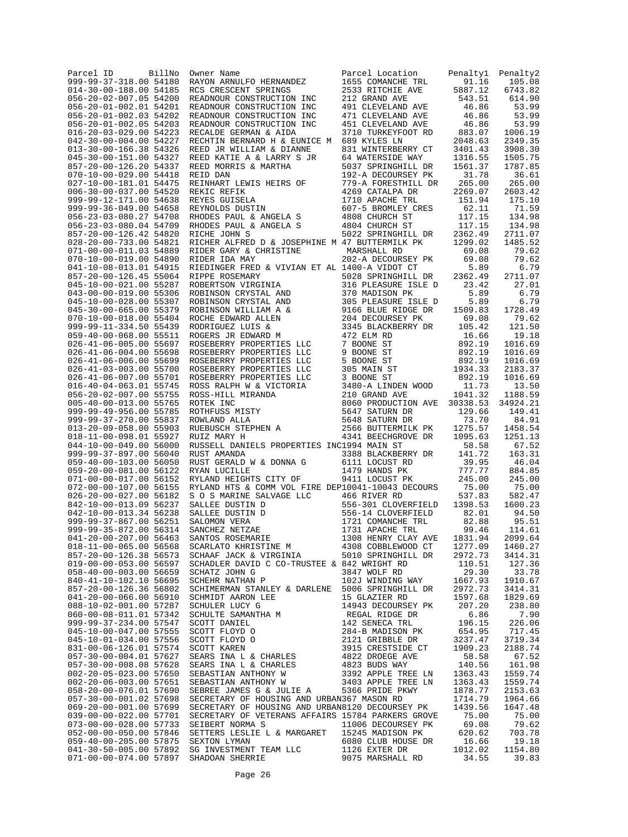| Parcel ID<br>BillNo<br>999-99-37-318.00 54180    | Owner Name<br>RAYON ARNULFO HERNANDEZ                                                                                                                                                                                                        | Parcel Location<br>1655 COMANCHE TRL      | Penalty1<br>91.16  | Penalty2<br>105.08 |
|--------------------------------------------------|----------------------------------------------------------------------------------------------------------------------------------------------------------------------------------------------------------------------------------------------|-------------------------------------------|--------------------|--------------------|
| 014-30-00-188.00 54185                           | RCS CRESCENT SPRINGS                                                                                                                                                                                                                         | 2533 RITCHIE AVE                          | 5887.12            | 6743.82            |
| 056-20-02-007.05 54200                           | READNOUR CONSTRUCTION INC                                                                                                                                                                                                                    | 212 GRAND AVE                             | 543.51             | 614.90             |
| 056-20-01-002.01 54201                           | READNOUR CONSTRUCTION INC                                                                                                                                                                                                                    | 491 CLEVELAND AVE                         | 46.86              | 53.99              |
| 056-20-01-002.03 54202<br>056-20-01-002.05 54203 | READNOUR CONSTRUCTION INC<br>READNOUR CONSTRUCTION INC                                                                                                                                                                                       | 471 CLEVELAND AVE<br>451 CLEVELAND AVE    | 46.86<br>46.86     | 53.99<br>53.99     |
| 016-20-03-029.00 54223                           | RECALDE GERMAN & AIDA                                                                                                                                                                                                                        | 3710 TURKEYFOOT RD                        | 883.07             | 1006.19            |
| 042-30-00-004.00 54227                           | RECHTIN BERNARD H & EUNICE M 689 KYLES LN                                                                                                                                                                                                    |                                           | 2048.63            | 2349.35            |
| 013-30-00-166.38 54326                           | REED JR WILLIAM & DIANNE                                                                                                                                                                                                                     | 831 WINTERBERRY CT                        | 3401.43            | 3908.30            |
| 045-30-00-151.00 54327                           | REED KATIE A & LARRY S JR                                                                                                                                                                                                                    | 64 WATERSIDE WAY                          | 1316.55            | 1505.75            |
| 857-20-00-126.20 54337<br>070-10-00-029.00 54418 | REED MORRIS & MARTHA<br>REID DAN                                                                                                                                                                                                             | 5037 SPRINGHILL DR                        | 1561.37            | 1787.85            |
| 027-10-00-181.01 54475                           | REINHART LEWIS HEIRS OF                                                                                                                                                                                                                      | 192-A DECOURSEY PK<br>779-A FORESTHILL DR | 31.78<br>265.00    | 36.61<br>265.00    |
| 006-30-00-037.00 54520                           | REKIC REFIK                                                                                                                                                                                                                                  | 4269 CATALPA DR                           | 2269.07            | 2603.42            |
| 999-99-12-171.00 54638                           | REYES GUISELA                                                                                                                                                                                                                                | 1710 APACHE TRL                           | 151.94             | 175.10             |
| 999-99-36-049.00 54658                           | REYNOLDS DUSTIN                                                                                                                                                                                                                              | 607-5 BROMLEY CRES                        | 62.11              | 71.59              |
| 056-23-03-080.27 54708                           | RHODES PAUL & ANGELA S                                                                                                                                                                                                                       | 4808 CHURCH ST                            | 117.15             | 134.98             |
| 056-23-03-080.04 54709<br>857-20-00-126.42 54820 | RHODES PAUL & ANGELA S<br>RICHE JOHN S                                                                                                                                                                                                       | 4804 CHURCH ST<br>5022 SPRINGHILL DR      | 117.15<br>2362.49  | 134.98<br>2711.07  |
| 028-20-00-733.00 54821                           | RICHER ALFRED D & JOSEPHINE M 47 BUTTERMILK PK                                                                                                                                                                                               |                                           | 1299.02            | 1485.52            |
| 071-00-00-011.03 54889                           | RIDER GARY & CHRISTINE                                                                                                                                                                                                                       | MARSHALL RD                               | 69.08              | 79.62              |
| 070-10-00-019.00 54890                           | RIDER IDA MAY                                                                                                                                                                                                                                | 202-A DECOURSEY PK                        | 69.08              | 79.62              |
| 041-10-08-013.01 54915                           | RIEDINGER FRED & VIVIAN ET AL 1400-A VIDOT CT                                                                                                                                                                                                |                                           | 5.89               | 6.79               |
| 857-20-00-126.45 55064                           | RIPPE ROSEMARY                                                                                                                                                                                                                               | 5028 SPRINGHILL DR                        | 2362.49            | 2711.07            |
| 045-10-00-021.00 55287                           | ROBERTSON VIRGINIA                                                                                                                                                                                                                           | 316 PLEASURE ISLE D                       | 23.42<br>5.89      | 27.01              |
| 043-00-00-019.00 55306<br>045-10-00-028.00 55307 | ROBINSON CRYSTAL AND<br>ROBINSON CRYSTAL AND                                                                                                                                                                                                 | 370 MADISON PK<br>305 PLEASURE ISLE D     | 5.89               | 6.79<br>6.79       |
| 045-30-00-665.00 55379                           | ROBINSON WILLIAM A &                                                                                                                                                                                                                         | 9166 BLUE RIDGE DR                        | 1509.83            | 1728.49            |
| 070-10-00-018.00 55404                           | ROCHE EDWARD ALLEN                                                                                                                                                                                                                           | 204 DECOURSEY PK                          | 69.08              | 79.62              |
| 999-99-11-334.50 55439                           | RODRIGUEZ LUIS &                                                                                                                                                                                                                             | 3345 BLACKBERRY DR                        | 105.42             | 121.50             |
| 059-40-00-068.00 55511                           | ROGERS JR EDWARD M                                                                                                                                                                                                                           | 472 ELM RD                                | 16.66              | 19.18              |
| 026-41-06-005.00 55697                           | ROSEBERRY PROPERTIES LLC                                                                                                                                                                                                                     | 7 BOONE ST<br>9 BOONE ST                  | 892.19             | 1016.69            |
| 026-41-06-004.00 55698<br>026-41-06-006.00 55699 | ROSEBERRY PROPERTIES LLC<br>ROSEBERRY PROPERTIES LLC                                                                                                                                                                                         | 5 BOONE ST                                | 892.19<br>892.19   | 1016.69<br>1016.69 |
| 026-41-03-003.00 55700                           | ROSEBERRY PROPERTIES LLC                                                                                                                                                                                                                     | 305 MAIN ST                               | 1934.33            | 2183.37            |
| 026-41-06-007.00 55701                           | ROSEBERRY PROPERTIES LLC                                                                                                                                                                                                                     | 3 BOONE ST                                | 892.19             | 1016.69            |
| 016-40-04-063.01 55745                           | ROSS RALPH W & VICTORIA                                                                                                                                                                                                                      | 3480-A LINDEN WOOD                        | 11.73              | 13.50              |
| 056-20-02-007.00 55755                           |                                                                                                                                                                                                                                              | 210 GRAND AVE                             | 1041.32            | 1188.59            |
| 005-40-00-013.00 55765                           |                                                                                                                                                                                                                                              | 8060 PRODUCTION AVE                       | 30338.53           | 34924.21           |
| 999-99-49-956.00 55785<br>999-99-37-270.00 55837 |                                                                                                                                                                                                                                              | 5647 SATURN DR<br>5648 SATURN DR          | 129.66<br>73.70    | 149.41<br>84.91    |
| 013-20-09-058.00 55903                           | ROSS-HILL MIRANDA<br>ROTEK INC<br>ROTEK INC<br>ROTHFUSS MISTY<br>ROWLAND ALLA<br>RUEBUSCH STEPHEN A<br>RUEBUSCH STEPHEN A                                                                                                                    | 2566 BUTTERMILK PK                        | 1275.57            | 1458.54            |
| 018-11-00-098.01 55927                           | RUIZ MARY H                                                                                                                                                                                                                                  | 4341 BEECHGROVE DR                        | 1095.63            | 1251.13            |
| 044-10-00-049.00 56000                           | RUSSELL DANIELS PROPERTIES INC1994 MAIN ST                                                                                                                                                                                                   |                                           | 58.58              | 67.52              |
| 999-99-37-897.00 56040                           | RUST AMANDA                                                                                                                                                                                                                                  | 3388 BLACKBERRY DR                        | 141.72             | 163.31             |
| 059-40-00-103.00 56050                           | RUST GERALD W & DONNA G                                                                                                                                                                                                                      | 6111 LOCUST RD                            | 39.95<br>777.77    | 46.04              |
| 059-20-00-081.00 56122<br>071-00-00-017.00 56152 | RYAN LUCILLE<br>RYLAND HEIGHTS CITY OF                                                                                                                                                                                                       | 1479 HANDS PK<br>9411 LOCUST PK           | 245.00             | 884.85<br>245.00   |
| 072-00-00-107.00 56155                           | RYLAND HTS & COMM VOL FIRE DEP10041-10043 DECOURS                                                                                                                                                                                            |                                           | 75.00              | 75.00              |
| 026-20-00-027.00 56182                           | S O S MARINE SALVAGE LLC                                                                                                                                                                                                                     | 466 RIVER RD                              | 537.83             | 582.47             |
| 842-10-00-013.09 56237                           | SALLEE DUSTIN D<br>$\frac{1}{2}$                                                                                                                                                                                                             | 556-301 CLOVERFIELD                       | 1398.53            | 1600.23            |
| 042-10-00-013.34 56238                           | SALLEE DUSTIN D                                                                                                                                                                                                                              | 556-14 CLOVERFIELD                        | 82.01              | 94.50              |
| 999-99-37-867.00 56251<br>999-99-35-872.00 56314 | SALOMON VERA<br>SANCHEZ NETZAE                                                                                                                                                                                                               | 1721 COMANCHE TRL<br>1731 APACHE TRL      | 82.88<br>99.46     | 95.51<br>114.61    |
| 041-20-00-207.00 56463                           | SANTOS ROSEMARIE                                                                                                                                                                                                                             | 1308 HENRY CLAY AVE                       | 1831.94            | 2099.64            |
| 018-11-00-065.00 56568                           |                                                                                                                                                                                                                                              |                                           | 1277.09            | 1460.27            |
| 857-20-00-126.38 56573                           | SCARLATO KHRISTINE M                4308 COBBLEWOOD CT<br>SCHAAF JACK & VIRGINIA          5010 SPRINGHILL DR                                                                                                                                 |                                           | 2972.73            | 3414.31            |
| 019-00-00-053.00 56597                           | SCHADLER DAVID C CO-TRUSTEE & 842 WRIGHT RD                                                                                                                                                                                                  |                                           | 110.51             | 127.36             |
| $058 - 40 - 00 - 003.005659$                     | SCHATZ JOHN G<br>SCHEHR NATHAN P                                                                                                                                                                                                             | 3847 WOLF RD                              | 29.30              | 33.78              |
| 840-41-10-102.10 56695<br>857-20-00-126.36 56802 | SCHIMERMAN STANLEY & DARLENE 5006 SPRINGHILL DR                                                                                                                                                                                              | 102J WINDING WAY                          | 1667.93<br>2972.73 | 1910.67<br>3414.31 |
| 041-20-00-066.00 56910                           |                                                                                                                                                                                                                                              |                                           | 1597.68            | 1829.69            |
| 088-10-02-001.00 57287                           |                                                                                                                                                                                                                                              |                                           | 207.20             | 238.80             |
| 060-00-08-011.01 57342                           |                                                                                                                                                                                                                                              |                                           | 6.86               | 7.90               |
| 999-99-37-234.00 57547                           |                                                                                                                                                                                                                                              |                                           | 196.15             | 226.06             |
| 045-10-00-047.00 57555                           |                                                                                                                                                                                                                                              |                                           | 654.95             | 717.45             |
| 045-10-01-034.00 57556<br>831-00-06-126.01 57574 |                                                                                                                                                                                                                                              |                                           | 3237.47<br>1909.23 | 3719.34<br>2188.74 |
| 057-30-00-004.01 57627                           |                                                                                                                                                                                                                                              |                                           | 58.58              | 67.52              |
| 057-30-00-008.08 57628                           | SCHIMERMAN STANLEY & DARLENE 5006 SPRINGHILL DR<br>SCHIMER LICY GEE 15 GLAZIER RD<br>SCHULER LICY G<br>SCHULER SAMANTHA M<br>REGAL RIDGE DR<br>SCOTT DANIEL 142 SENECA TRL<br>SCOTT FLOYD 0 284-B MADISON PK<br>SCOTT KAREN 3915 CRESTSIDE C |                                           | 140.56             | 161.98             |
| 002-20-05-023.00 57650                           |                                                                                                                                                                                                                                              |                                           | 1363.43            | 1559.74            |
| 002-20-06-003.00 57651                           |                                                                                                                                                                                                                                              |                                           | 1363.43            | 1559.74            |
| 058-20-00-076.01 57690                           |                                                                                                                                                                                                                                              |                                           | 1878.77            | 2153.63            |
| 057-30-00-001.02 57698<br>069-20-00-001.00 57699 | SECRETARY OF HOUSING AND URBAN367 MASON RD<br>SECRETARY OF HOUSING AND URBAN8120 DECOURSEY PK                                                                                                                                                |                                           | 1714.79<br>1439.56 | 1964.66<br>1647.48 |
| 039-00-00-022.00 57701                           | SECRETARY OF VETERANS AFFAIRS 15784 PARKERS GROVE                                                                                                                                                                                            |                                           | 75.00              | 75.00              |
| 073-00-00-028.00 57733                           | SEIBERT NORMA S                                                                                                                                                                                                                              | 11006 DECOURSEY PK                        | 69.08              | 79.62              |
| 052-00-00-050.00 57846                           | SETTERS LESLIE L & MARGARET 15245 MADISON PK                                                                                                                                                                                                 |                                           | 620.62             | 703.78             |
| 059-40-00-205.00 57875                           | SEXTON LYMAN                                                                                                                                                                                                                                 | 6080 CLUB HOUSE DR<br>1126 EXTER DR       | 16.66              | 19.18              |
| 041-30-50-005.00 57892<br>071-00-00-074.00 57897 | SG INVESTMENT TEAM LLC<br>SHADOAN SHERRIE                                                                                                                                                                                                    | 9075 MARSHALL RD                          | 1012.02<br>34.55   | 1154.80<br>39.83   |
|                                                  |                                                                                                                                                                                                                                              |                                           |                    |                    |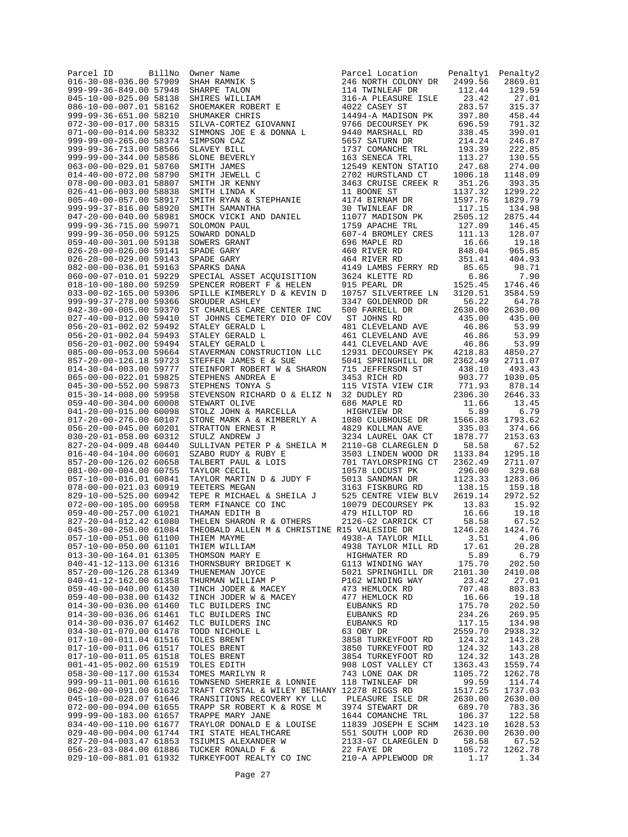| Parcel ID<br>016-30-08-036.00 57909              | BillNo | Owner Name<br>SHARPE TALON<br>SHARPE TALON<br>SHARPE WILLIAM<br>SHOEMAKER ROBERT E<br>SHUMAKER CHRIS                                     | Parcel Location                           | Penaltyl<br>2499.56            | Penalty2          |
|--------------------------------------------------|--------|------------------------------------------------------------------------------------------------------------------------------------------|-------------------------------------------|--------------------------------|-------------------|
| 999-99-36-849.00 57948                           |        |                                                                                                                                          | 246 NORTH COLONY DR<br>114 TWINLEAF DR    | 112.44                         | 2869.01<br>129.59 |
| 045-10-00-025.00 58138                           |        |                                                                                                                                          | 316-A PLEASURE ISLE                       | 23.42                          | 27.01             |
| 086-10-00-007.01 58162                           |        |                                                                                                                                          | 4022 CASEY ST                             | 283.57                         | 315.37            |
| 999-99-36-651.00 58210<br>072-30-00-017.00 58315 |        | SHUMAKER CHRIS<br>SILVA-CORTEZ GIOVANNI                                                                                                  | 14494-A MADISON PK<br>9766 DECOURSEY PK   | 397.80<br>696.59               | 458.44<br>791.32  |
| 071-00-00-014.00 58332                           |        | SIMMONS JOE E & DONNA L                                                                                                                  | 9440 MARSHALL RD                          | 338.45                         | 390.01            |
| 999-99-00-265.00 58374                           |        | SIMPSON CAZ                                                                                                                              | 5657 SATURN DR                            | 214.24                         | 246.87            |
| 999-99-36-713.00 58566                           |        |                                                                                                                                          | 1737 COMANCHE TRL                         | 193.39                         | 222.85            |
| 999-99-00-344.00 58586                           |        |                                                                                                                                          | 163 SENECA TRL                            | 113.27                         | 130.55            |
| 063-00-00-029.01 58760<br>014-40-00-072.00 58790 |        |                                                                                                                                          | 12549 KENTON STATIO<br>2702 HURSTLAND CT  | 247.68<br>1006.18              | 274.00<br>1148.09 |
| 078-00-00-003.01 58807                           |        |                                                                                                                                          | 3463 CRUISE CREEK R                       | 351.26                         | 393.35            |
| 026-41-06-003.00 58838                           |        | SLAVEY BILL<br>SLONE BEVERLY<br>SMITH JAMES<br>SMITH JEWELL C<br>SMITH JEWELL C<br>SMITH LINDA K<br>SMITH RINA & STEPHANIE<br>SMITH RINA | 11 BOONE ST                               | 1137.32                        | 1299.22           |
| 005-40-00-057.00 58917                           |        |                                                                                                                                          | 4174 BIRNAM DR                            | 1597.76                        | 1829.79           |
| 999-99-37-816.00 58920<br>047-20-00-040.00 58981 |        | SMITH SAMANTHA                                                                                                                           | 30 TWINLEAF DR<br>11077 MADISON PK        | 117.15<br>2505.12              | 134.98<br>2875.44 |
| 999-99-36-715.00 59071                           |        | SMOCK VICKI AND DANIEL<br>SOLOMON PAUL                                                                                                   | 1759 APACHE TRL                           | 127.09                         | 146.45            |
| 999-99-36-050.00 59125                           |        | SOWARD DONALD                                                                                                                            | 607-4 BROMLEY CRES                        | 111.13                         | 128.07            |
| 059-40-00-301.00 59138                           |        | SOWERS GRANT                                                                                                                             | 696 MAPLE RD                              | 16.66                          | 19.18             |
| 026-20-00-026.00 59141<br>026-20-00-029.00 59143 |        | SPADE GARY<br>SPADE GARY                                                                                                                 | 460 RIVER RD<br>464 RIVER RD              | 848.04<br>351.41               | 965.85<br>404.93  |
| 082-00-00-036.01 59163                           |        | SPARKS DANA                                                                                                                              | 4149 LAMBS FERRY RD                       | 85.65                          | 98.71             |
| 060-00-07-010.01 59229                           |        | SPECIAL ASSET ACQUISITION                                                                                                                | 3624 KLETTE RD                            | 6.86                           | 7.90              |
| 018-10-00-180.00 59259                           |        | SPENCER ROBERT F & HELEN                                                                                                                 | 915 PEARL DR                              | 1525.45                        | 1746.46           |
| 033-00-02-165.00 59306                           |        | SPILLE KIMBERLY D & KEVIN D                                                                                                              | 10757 SILVERTREE LN                       | 3120.51                        | 3584.59           |
| 999-99-37-278.00 59366<br>042-30-00-005.00 59370 |        | SROUDER ASHLEY<br>ST CHARLES CARE CENTER INC                                                                                             | 3347 GOLDENROD DR<br>500 FARRELL DR       | 56.22<br>2630.00               | 64.78<br>2630.00  |
| 027-40-00-012.00 59410                           |        | ST JOHNS CEMETERY DIO OF COV                                                                                                             | ST JOHNS RD                               | 435.00                         | 435.00            |
| 056-20-01-002.02 59492                           |        | STALEY GERALD L                                                                                                                          | 481 CLEVELAND AVE                         | 46.86                          | 53.99             |
| 056-20-01-002.04 59493                           |        | STALEY GERALD L                                                                                                                          | 461 CLEVELAND AVE                         | 46.86                          | 53.99             |
| 056-20-01-002.00 59494<br>085-00-00-053.00 59664 |        | STALEY GERALD L<br>STAVERMAN CONSTRUCTION LLC                                                                                            | 441 CLEVELAND AVE<br>12931 DECOURSEY PK   | 46.86<br>4218.83               | 53.99<br>4850.27  |
| 857-20-00-126.18 59723                           |        | STEFFEN JAMES E & SUE                                                                                                                    | 5041 SPRINGHILL DR                        | 2362.49                        | 2711.07           |
| 014-30-04-003.00 59777                           |        | STEINFORT ROBERT W & SHARON                                                                                                              | 715 JEFFERSON ST                          | 438.10                         | 493.43            |
| 065-00-00-022.01 59825                           |        | STEPHENS ANDREA E                                                                                                                        | 3453 RICH RD                              | 903.77                         | 1030.05           |
| 045-30-00-552.00 59873                           |        | STEPHENS TONYA S                                                                                                                         | 115 VISTA VIEW CIR                        | 771.93                         | 878.14            |
| 015-30-14-008.00 59958<br>059-40-00-304.00 60008 |        | STEVENSON RICHARD O & ELIZ N<br>STEWART OLIVE                                                                                            | 32 DUDLEY RD<br>686 MAPLE RD              | 2306.30<br>11.66               | 2646.33<br>13.45  |
| 041-20-00-015.00 60098                           |        | STOLZ JOHN & MARCELLA                                                                                                                    | HIGHVIEW DR                               | 5.89                           | 6.79              |
| 017-20-00-276.00 60107                           |        | STONE MARK A & KIMBERLY A                                                                                                                | 1080 CLUBHOUSE DR                         | 1566.38                        | 1793.62           |
| 056-20-00-045.00 60201                           |        | STRATTON ERNEST R                                                                                                                        | 4829 KOLLMAN AVE                          | 335.03                         | 374.66            |
| 030-20-01-058.00 60312<br>827-20-04-009.48 60440 |        | STULZ ANDREW J<br>SULLIVAN PETER P & SHEILA M                                                                                            | 3234 LAUREL OAK CT<br>2110-G8 CLAREGLEN D | 1878.77<br>58.58               | 2153.63<br>67.52  |
| 016-40-04-104.00 60601                           |        | SZABO RUDY & RUBY E                                                                                                                      | 3503 LINDEN WOOD DR                       | 1133.84                        | 1295.18           |
| 857-20-00-126.02 60658                           |        | TALBERT PAUL & LOIS                                                                                                                      | 701 TAYLORSPRING CT                       | 2362.49                        | 2711.07           |
| 081-00-00-004.00 60755                           |        | TAYLOR CECIL                                                                                                                             | 10578 LOCUST PK                           | 296.00                         | 329.68            |
| 057-10-00-016.01 60841<br>078-00-00-021.03 60919 |        | TAYLOR MARTIN D & JUDY F<br>TEETERS MEGAN                                                                                                | 5013 SANDMAN DR<br>3163 FISKBURG RD       | 1123.33<br>138.15              | 1283.06<br>159.18 |
| 829-10-00-525.00 60942                           |        | TEPE R MICHAEL & SHEILA J                                                                                                                | 525 CENTRE VIEW BLV                       | 2619.14                        | 2972.52           |
| 072-00-00-105.00 60958                           |        | TERM FINANCE CO INC<br>THAMAN EDITH B                                                                                                    | 10079 DECOURSEY PK                        | 13.83                          | 15.92             |
| 059-40-00-257.00 61021                           |        |                                                                                                                                          | 479 HILLTOP RD                            | 16.66<br>$-1$ $-58.58$<br>1245 | 19.18             |
| 827-20-04-012.42 61080<br>045-30-00-250.00 61084 |        | THELEN SHARON R & OTHERS<br>THEOBALD ALLEN M & CHRISTINE R15 VALESIDE DR                                                                 | 2126-G2 CARRICK CT                        |                                | 67.52<br>1424.76  |
| 057-10-00-051.00 61100                           |        | THIEM MAYME                                                                                                                              | 4938-A TAYLOR MILL                        | 3.51                           | 4.06              |
| 057-10-00-050.00 61101                           |        | THIEM WILLIAM                                                                                                                            | 4938 TAYLOR MILL RD                       | 17.61                          | 20.28             |
| 013-30-00-164.01 61305                           |        | THOMSON MARY E                                                                                                                           | HIGHWATER RD                              | 5.89                           | 6.79              |
| 040-41-12-113.00 61316                           |        | THORNSBURY BRIDGET K                                                                                                                     | G113 WINDING WAY                          | 175.70<br>2101.30              | 202.50            |
| 857-20-00-126.28 61349<br>040-41-12-162.00 61358 |        | THUENEMAN JOYCE<br>THURMAN WILLIAM P                                                                                                     | 5021 SPRINGHILL DR<br>P162 WINDING WAY    | 23.42                          | 2410.08<br>27.01  |
| 059-40-00-040.00 61430                           |        | TINCH JODER & MACEY                                                                                                                      | 473 HEMLOCK RD                            | 707.48                         | 803.83            |
| 059-40-00-038.00 61432                           |        | TINCH JODER W & MACEY                                                                                                                    | 477 HEMLOCK RD                            | 16.66                          | 19.18             |
| 014-30-00-036.00 61460                           |        | TLC BUILDERS INC                                                                                                                         | EUBANKS RD                                | 175.70                         | 202.50            |
| 014-30-00-036.06 61461<br>014-30-00-036.07 61462 |        | TLC BUILDERS INC<br>TLC BUILDERS INC                                                                                                     | EUBANKS RD<br>EUBANKS RD                  | 234.26<br>117.15               | 269.95<br>134.98  |
| 034-30-01-070.00 61478                           |        | TODD NICHOLE L                                                                                                                           | 63 OBY DR                                 | 2559.70                        | 2938.32           |
| 017-10-00-011.04 61516                           |        | TOLES BRENT                                                                                                                              | 3858 TURKEYFOOT RD                        | 124.32                         | 143.28            |
| 017-10-00-011.06 61517                           |        | TOLES BRENT                                                                                                                              | 3850 TURKEYFOOT RD                        | 124.32                         | 143.28            |
| 017-10-00-011.05 61518<br>001-41-05-002.00 61519 |        | TOLES BRENT<br>TOLES EDITH                                                                                                               | 3854 TURKEYFOOT RD<br>908 LOST VALLEY CT  | 124.32<br>1363.43              | 143.28<br>1559.74 |
| 058-30-00-117.00 61534                           |        | TOMES MARILYN R                                                                                                                          | 743 LONE OAK DR                           | 1105.72                        | 1262.78           |
| 999-99-11-001.00 61616                           |        | TOWNSEND SHERRIE & LONNIE                                                                                                                | 118 TWINLEAF DR                           | 99.59                          | 114.74            |
| 062-00-00-091.00 61632                           |        | TRAFT CRYSTAL & WILEY BETHANY 12278 RIGGS RD                                                                                             |                                           | 1517.25                        | 1737.03           |
| 045-10-00-028.07 61646<br>072-00-00-094.00 61655 |        | TRANSITIONS RECOVERY KY LLC<br>TRAPP SR ROBERT K & ROSE M                                                                                | PLEASURE ISLE DR<br>3974 STEWART DR       | 2630.00<br>689.70              | 2630.00<br>783.36 |
| 999-99-00-183.00 61657                           |        | TRAPPE MARY JANE                                                                                                                         | 1644 COMANCHE TRL                         | 106.37                         | 122.58            |
| 034-40-00-110.00 61677                           |        | TRAYLOR DONALD E & LOUISE                                                                                                                | 11839 JOSEPH E SCHM                       | 1423.10                        | 1628.53           |
| 029-40-00-004.00 61744                           |        | TRI STATE HEALTHCARE                                                                                                                     | 551 SOUTH LOOP RD                         | 2630.00                        | 2630.00           |
| 827-20-04-003.47 61853                           |        | TSIUMIS ALEXANDER W                                                                                                                      | 2133-G7 CLAREGLEN D                       | 58.58                          | 67.52             |
| 056-23-03-084.00 61886<br>029-10-00-881.01 61932 |        | TUCKER RONALD F &<br>TURKEYFOOT REALTY CO INC                                                                                            | 22 FAYE DR<br>210-A APPLEWOOD DR          | 1105.72<br>1.17                | 1262.78<br>1.34   |
|                                                  |        |                                                                                                                                          |                                           |                                |                   |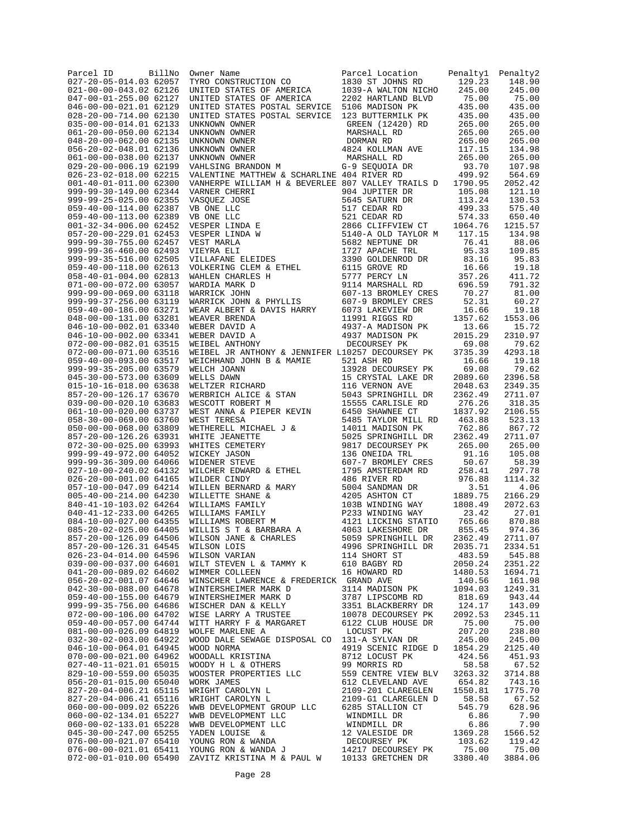| Parcel ID<br>027-20-05-014.03 62057              | BillNo | Owner Name<br>TYRO CONSTRUCTION CO                                                                                                                                                                                                        | Parcel Location<br>1830 ST JOHNS RD                                                      | Penaltyl<br>129.23 | Penalty2<br>148.90 |
|--------------------------------------------------|--------|-------------------------------------------------------------------------------------------------------------------------------------------------------------------------------------------------------------------------------------------|------------------------------------------------------------------------------------------|--------------------|--------------------|
| 021-00-00-043.02 62126                           |        |                                                                                                                                                                                                                                           | 1039-A WALTON NICHO                                                                      | 245.00             | 245.00             |
| 047-00-01-255.00 62127                           |        | UNITED STATES OF AMERICA<br>UNITED STATES OF AMERICA                                                                                                                                                                                      | 2202 HARTLAND BLVD 75.00                                                                 |                    | 75.00              |
| 046-00-00-021.01 62129                           |        | UNITED STATES POSTAL SERVICE 5106 MADISON PK                                                                                                                                                                                              |                                                                                          | 435.00             | 435.00             |
| 028-20-00-714.00 62130<br>035-00-00-014.01 62133 |        | UNITED STATES POSTAL SERVICE 123 BUTTERMILK PK                                                                                                                                                                                            | GREEN (12420) RD                                                                         | 435.00<br>265.00   | 435.00<br>265.00   |
| 061-20-00-050.00 62134                           |        | UNKNOWN OWNER<br>UNKNOWN OWNER<br>UNKNOWN OWNER<br>UNKNOWN OWNER<br>VAHLSING BRANDON M<br>VAHLSING BRANDON M                                                                                                                              | MARSHALL RD                                                                              | 265.00             | 265.00             |
| 048-20-00-062.00 62135                           |        |                                                                                                                                                                                                                                           |                                                                                          | 265.00             | 265.00             |
| 056-20-02-048.01 62136                           |        |                                                                                                                                                                                                                                           | DORMAN RD<br>4824 KOLLMAN AVE                                                            | 117.15             | 134.98             |
| 061-00-00-038.00 62137                           |        |                                                                                                                                                                                                                                           | MARSHALL RD                                                                              | 265.00             | 265.00             |
| 029-20-00-006.19 62199<br>026-23-02-018.00 62215 |        | VALENTINE MATTHEW & SCHARLINE 404 RIVER RD                                                                                                                                                                                                | G-9 SEQUOIA DR                                                                           | 93.70<br>499.92    | 107.98<br>564.69   |
| 001-40-01-011.00 62300                           |        | VANHERPE WILLIAM H & BEVERLEE 807 VALLEY TRAILS D                                                                                                                                                                                         |                                                                                          | 1790.95            | 2052.42            |
| 999-99-30-149.00 62344                           |        | VANHERPE WILLIAM H & BEVERLEE 807 VALLEY TRAILS D<br>VARNER CHERRI 904 JUPITER DR<br>VASQUEZ JOSE 5645 SATURN DR<br>VB ONE LLC 517 CEDAR RD<br>VB ONE LLC 521 CEDAR RD<br>VESPER LINDA E 2866 CLIFFVIEW CT 1<br>VESPER LINDA W 5140-A OLD |                                                                                          | 105.08             | 121.10             |
| 999-99-25-025.00 62355                           |        |                                                                                                                                                                                                                                           | 5645 SATURN DR<br>517 CEDAR RD<br>521 CEDAR RD<br>574.33<br>52866 CLIFFVIEW CT<br>574.33 |                    | 130.53             |
| 059-40-00-114.00 62387                           |        |                                                                                                                                                                                                                                           |                                                                                          |                    | 575.40             |
| 059-40-00-113.00 62389<br>001-32-34-006.00 62452 |        |                                                                                                                                                                                                                                           |                                                                                          |                    | 650.40<br>1215.57  |
| 057-20-00-229.01 62453                           |        |                                                                                                                                                                                                                                           |                                                                                          | 117.15             | 134.98             |
| 999-99-30-755.00 62457                           |        |                                                                                                                                                                                                                                           |                                                                                          | 76.41              | 88.06              |
| 999-99-36-460.00 62493                           |        |                                                                                                                                                                                                                                           |                                                                                          | 95.33              | 109.85             |
| 999-99-35-516.00 62505<br>059-40-00-118.00 62613 |        |                                                                                                                                                                                                                                           |                                                                                          | 83.16<br>16.66     | 95.83<br>19.18     |
| 058-40-01-004.00 62813                           |        |                                                                                                                                                                                                                                           |                                                                                          | 357.26             | 411.72             |
| 071-00-00-072.00 63057                           |        |                                                                                                                                                                                                                                           |                                                                                          | 696.59             | 791.32             |
| 999-99-00-069.00 63118                           |        |                                                                                                                                                                                                                                           |                                                                                          | 70.27              | 81.00              |
| 999-99-37-256.00 63119                           |        |                                                                                                                                                                                                                                           |                                                                                          | 52.31              | 60.27              |
| 059-40-00-186.00 63271                           |        |                                                                                                                                                                                                                                           |                                                                                          | 16.66<br>1357.62   | 19.18<br>1553.06   |
| 048-00-00-131.00 63281<br>046-10-00-002.01 63340 |        |                                                                                                                                                                                                                                           |                                                                                          | 13.66              | 15.72              |
| 046-10-00-002.00 63341                           |        | WEAVER BRENDA<br>WEBER DAVID A<br>WEBER DAVID A<br>WEIBEL ANTHONY                                                                                                                                                                         |                                                                                          | 2015.29            | 2310.97            |
| 072-00-00-082.01 63515                           |        |                                                                                                                                                                                                                                           |                                                                                          | 69.08              | 79.62              |
| 072-00-00-071.00 63516                           |        |                                                                                                                                                                                                                                           |                                                                                          | 3735.39            | 4293.18            |
| 059-40-00-093.00 63517<br>999-99-35-205.00 63579 |        |                                                                                                                                                                                                                                           |                                                                                          |                    | 19.18<br>79.62     |
| 045-30-00-573.00 63609                           |        |                                                                                                                                                                                                                                           |                                                                                          |                    | 2396.58            |
| 015-10-16-018.00 63638                           |        |                                                                                                                                                                                                                                           |                                                                                          |                    | 2349.35            |
| 857-20-00-126.17 63670                           |        |                                                                                                                                                                                                                                           |                                                                                          |                    | 2711.07            |
| 039-00-00-020.10 63683                           |        |                                                                                                                                                                                                                                           |                                                                                          |                    | 318.35             |
| 061-10-00-020.00 63737<br>058-30-00-069.00 63760 |        |                                                                                                                                                                                                                                           |                                                                                          |                    | 2106.55<br>523.13  |
| 050-00-00-068.00 63809                           |        |                                                                                                                                                                                                                                           |                                                                                          |                    | 867.72             |
| 857-20-00-126.26 63931                           |        |                                                                                                                                                                                                                                           |                                                                                          |                    | 2711.07            |
| 072-30-00-025.00 63993                           |        |                                                                                                                                                                                                                                           |                                                                                          |                    | 265.00             |
| 999-99-49-972.00 64052                           |        |                                                                                                                                                                                                                                           |                                                                                          |                    | 105.08             |
| 999-99-36-309.00 64066<br>027-10-00-240.02 64132 |        |                                                                                                                                                                                                                                           |                                                                                          |                    | 58.39<br>297.78    |
| 026-20-00-001.00 64165                           |        |                                                                                                                                                                                                                                           |                                                                                          |                    | 1114.32            |
| 057-10-00-047.09 64214                           |        |                                                                                                                                                                                                                                           |                                                                                          |                    | 4.06               |
| 005-40-00-214.00 64230                           |        |                                                                                                                                                                                                                                           |                                                                                          |                    | 2166.29            |
| 840-41-10-103.02 64264                           |        |                                                                                                                                                                                                                                           |                                                                                          |                    | 2072.63<br>27.01   |
| 040-41-12-233.00 64265<br>084-10-00-027.00 64355 |        |                                                                                                                                                                                                                                           |                                                                                          |                    | 870.88             |
| 085-20-02-025.00 64405                           |        |                                                                                                                                                                                                                                           |                                                                                          |                    | 974.36             |
| 857-20-00-126.09 64506                           |        |                                                                                                                                                                                                                                           |                                                                                          |                    | 2711.07            |
| 857-20-00-126.31 64545                           |        | WILSON LOIS<br>WILSON VARIAN                                                                                                                                                                                                              | 4996 SPRINGHILL DR                                                                       | 2035.71            | 2334.51            |
| 026-23-04-014.00 64596                           |        |                                                                                                                                                                                                                                           | 114 SHORT ST                                                                             | 483.59             | 545.88             |
| 039-00-00-037.00 64601<br>041-20-00-089.02 64602 |        | WILT STEVEN L & TAMMY K<br>WIMMER COLLEEN                                                                                                                                                                                                 | 610 BAGBY RD<br>16 HOWARD RD                                                             | 2050.24<br>1480.53 | 2351.22<br>1694.71 |
| 056-20-02-001.07 64646                           |        | WINSCHER LAWRENCE & FREDERICK GRAND AVE                                                                                                                                                                                                   |                                                                                          | 140.56             | 161.98             |
| 042-30-00-088.00 64678                           |        | WINTERSHEIMER MARK D                                                                                                                                                                                                                      | 3114 MADISON PK                                                                          | 1094.03            | 1249.31            |
| 059-40-00-155.00 64679                           |        | WINTERSHEIMER MARK D                                                                                                                                                                                                                      | 3787 LIPSCOMB RD                                                                         | 818.69             | 943.44             |
| 999-99-35-756.00 64686                           |        | WISCHER DAN & KELLY                                                                                                                                                                                                                       | 3351 BLACKBERRY DR                                                                       | 124.17             | 143.09             |
| 072-00-00-106.00 64702<br>059-40-00-057.00 64744 |        | WISE LARRY A TRUSTEE<br>WITT HARRY F & MARGARET                                                                                                                                                                                           | 10078 DECOURSEY PK<br>6122 CLUB HOUSE DR                                                 | 2092.53<br>75.00   | 2345.11<br>75.00   |
| 081-00-00-026.09 64819                           |        | WOLFE MARLENE A                                                                                                                                                                                                                           | LOCUST PK                                                                                | 207.20             | 238.80             |
| 032-30-02-003.00 64922                           |        | WOOD DALE SEWAGE DISPOSAL CO 131-A SYLVAN DR                                                                                                                                                                                              |                                                                                          | 245.00             | 245.00             |
| 046-10-00-064.01 64945                           |        | WOOD NORMA                                                                                                                                                                                                                                | 4919 SCENIC RIDGE D                                                                      | 1854.29            | 2125.40            |
| 070-00-00-021.00 64962                           |        | WOODALL KRISTINA                                                                                                                                                                                                                          | 8712 LOCUST PK                                                                           | 424.56             | 451.93             |
| 027-40-11-021.01 65015<br>829-10-00-559.00 65035 |        | WOODY H L & OTHERS<br>WOOSTER PROPERTIES LLC                                                                                                                                                                                              | 99 MORRIS RD<br>559 CENTRE VIEW BLV                                                      | 58.58<br>3263.32   | 67.52<br>3714.88   |
| 056-20-01-015.00 65040                           |        | WORK JAMES                                                                                                                                                                                                                                | 612 CLEVELAND AVE                                                                        | 654.82             | 743.16             |
| 827-20-04-006.21 65115                           |        | WRIGHT CAROLYN L                                                                                                                                                                                                                          | 2109-201 CLAREGLEN                                                                       | 1550.81            | 1775.70            |
| 827-20-04-006.41 65116                           |        | WRIGHT CAROLYN L                                                                                                                                                                                                                          | 2109-G1 CLAREGLEN D                                                                      | 58.58              | 67.52              |
| 060-00-00-009.02 65226                           |        | WWB DEVELOPMENT GROUP LLC                                                                                                                                                                                                                 | 6285 STALLION CT                                                                         | 545.79             | 628.96             |
| 060-00-02-134.01 65227<br>060-00-02-133.01 65228 |        | WWB DEVELOPMENT LLC<br>WWB DEVELOPMENT LLC                                                                                                                                                                                                | WINDMILL DR<br>WINDMILL DR                                                               | 6.86<br>6.86       | 7.90<br>7.90       |
| 045-30-00-247.00 65255                           |        | YADEN LOUISE &                                                                                                                                                                                                                            | 12 VALESIDE DR                                                                           | 1369.28            | 1566.52            |
| 076-00-00-021.07 65410                           |        | YOUNG RON & WANDA                                                                                                                                                                                                                         | DECOURSEY PK                                                                             | 103.62             | 119.42             |
| 076-00-00-021.01 65411                           |        | YOUNG RON & WANDA J<br>XOUNG RON & WANDA J<br>ZAVITZ KRISTINA M & PAUL W 10133 GRETCHEN DR<br>YOUNG RON & WANDA J                                                                                                                         |                                                                                          | 75.00              | 75.00              |
| 072-00-01-010.00 65490                           |        |                                                                                                                                                                                                                                           |                                                                                          | 3380.40            | 3884.06            |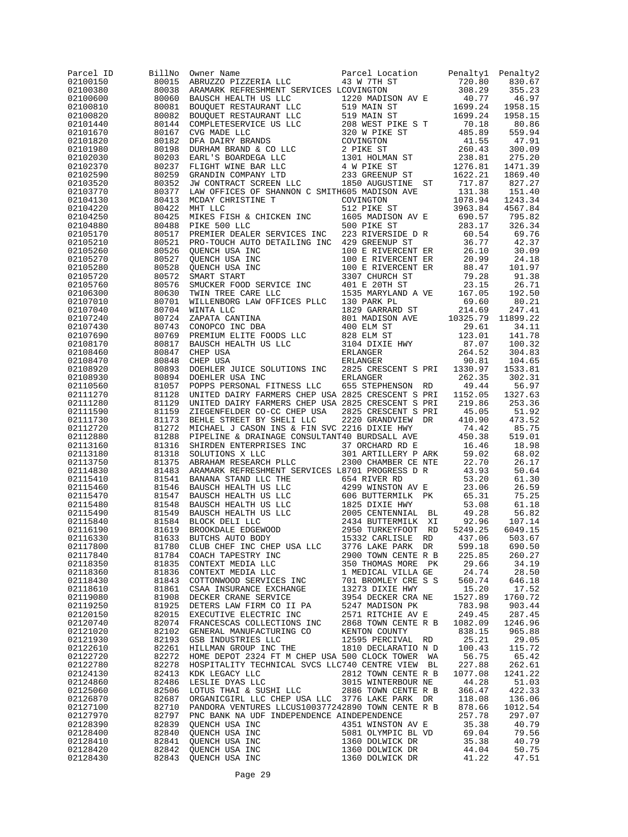| Parcel ID<br>02100150 | BillNo<br>80015 | Owner Name<br>ABRUZZO PIZZERIA LLC                                                                                                                                                                                                                                                                                                                                                                                                                                  | Parcel Location<br>43 W 7TH ST           | Penalty1<br>720.80                                                                                                                                         | Penalty2<br>830.67 |
|-----------------------|-----------------|---------------------------------------------------------------------------------------------------------------------------------------------------------------------------------------------------------------------------------------------------------------------------------------------------------------------------------------------------------------------------------------------------------------------------------------------------------------------|------------------------------------------|------------------------------------------------------------------------------------------------------------------------------------------------------------|--------------------|
| 02100380              |                 | 80038 ARAMARK REFRESHMENT SERVICES LCOVINGTON                                                                                                                                                                                                                                                                                                                                                                                                                       |                                          | 308.29                                                                                                                                                     | 355.23             |
| 02100600              | 80060           | ARAMARK REFRESHMENT SERVICES LCOVINGTON<br>BAUSCH HEALTH US LLC<br>BOUQUET RESTAURANT LLC<br>519 MAIN ST<br>BOUQUET RESTAURANT LLC<br>519 MAIN ST<br>COMPLETESERVICE US LLC<br>208 WEST PIKE S T<br>CVG MADE LLC<br>320 W PIKE ST<br>DURHAM BRANDS                                                                                                                                                                                                                  |                                          | $\begin{array}{ccc} 308.29 \\ \text{A}\text{V}\ \text{E} & 40.77 \\ 1699.24 \\ 1699.24 \\ \text{C.} \ \text{S}\ \text{T} & 70.18 \\ \text{C.} \end{array}$ | 46.97              |
| 02100810              | 80081           |                                                                                                                                                                                                                                                                                                                                                                                                                                                                     |                                          |                                                                                                                                                            | 1958.15            |
| 02100820<br>02101440  | 80082<br>80144  |                                                                                                                                                                                                                                                                                                                                                                                                                                                                     |                                          |                                                                                                                                                            | 1958.15<br>80.86   |
| 02101670              | 80167           |                                                                                                                                                                                                                                                                                                                                                                                                                                                                     |                                          | 485.89                                                                                                                                                     | 559.94             |
| 02101820              | 80182           |                                                                                                                                                                                                                                                                                                                                                                                                                                                                     |                                          | 41.55                                                                                                                                                      | 47.91              |
| 02101980              | 80198           |                                                                                                                                                                                                                                                                                                                                                                                                                                                                     |                                          | $260.12$<br>$238.81$                                                                                                                                       | 300.09             |
| 02102030              | 80203           |                                                                                                                                                                                                                                                                                                                                                                                                                                                                     |                                          |                                                                                                                                                            | 275.20             |
| 02102370<br>02102590  | 80237<br>80259  |                                                                                                                                                                                                                                                                                                                                                                                                                                                                     |                                          | 1276.81<br>1622.21                                                                                                                                         | 1471.39<br>1869.40 |
| 02103520              | 80352           |                                                                                                                                                                                                                                                                                                                                                                                                                                                                     |                                          | 717.87                                                                                                                                                     | 827.27             |
| 02103770              | 80377           | LAW OFFICES OF SHANNON C SMITH605 MADISON AVE                                                                                                                                                                                                                                                                                                                                                                                                                       |                                          | 131.38                                                                                                                                                     | 151.40             |
| 02104130              | 80413           | MCDAY CHRISTINE T                                                                                                                                                                                                                                                                                                                                                                                                                                                   | COVINGTON                                | 1078.94<br>1078.94<br>3963.84                                                                                                                              | 1243.34            |
| 02104220              | 80422           | MHT LLC                                                                                                                                                                                                                                                                                                                                                                                                                                                             | 512 PIKE ST                              |                                                                                                                                                            | 4567.84<br>795.82  |
| 02104250<br>02104880  | 80425<br>80488  | MIKES FISH & CHICKEN INC<br>PIKE 500 LLC<br>PIKE 500 LLC                                                                                                                                                                                                                                                                                                                                                                                                            | 1605 MADISON AV E<br>500 PIKE ST         | 690.57<br>283.17                                                                                                                                           | 326.34             |
| 02105170              | 80517           | PREMIER DEALER SERVICES INC                                                                                                                                                                                                                                                                                                                                                                                                                                         | 223 RIVERSIDE D R                        | 60.54                                                                                                                                                      | 69.76              |
| 02105210              | 80521           |                                                                                                                                                                                                                                                                                                                                                                                                                                                                     |                                          |                                                                                                                                                            | 42.37              |
| 02105260              | 80526           |                                                                                                                                                                                                                                                                                                                                                                                                                                                                     |                                          |                                                                                                                                                            | 30.09              |
| 02105270<br>02105280  | 80527<br>80528  |                                                                                                                                                                                                                                                                                                                                                                                                                                                                     |                                          |                                                                                                                                                            | 24.18<br>101.97    |
| 02105720              | 80572           |                                                                                                                                                                                                                                                                                                                                                                                                                                                                     |                                          |                                                                                                                                                            | 91.38              |
| 02105760              | 80576           |                                                                                                                                                                                                                                                                                                                                                                                                                                                                     |                                          |                                                                                                                                                            | 26.71              |
| 02106300              | 80630           |                                                                                                                                                                                                                                                                                                                                                                                                                                                                     |                                          |                                                                                                                                                            | 192.50             |
| 02107010              | 80701           |                                                                                                                                                                                                                                                                                                                                                                                                                                                                     |                                          |                                                                                                                                                            | 80.21              |
| 02107040<br>02107240  | 80704<br>80724  |                                                                                                                                                                                                                                                                                                                                                                                                                                                                     |                                          |                                                                                                                                                            | 247.41<br>11899.22 |
| 02107430              | 80743           | $\begin{tabular}{l c c c c c} \multicolumn{1}{c}{\textbf{PREMIER DEALER}} & \multicolumn{1}{c}{\textbf{DEC}} & \multicolumn{1}{c}{\textbf{DEC}} & \multicolumn{1}{c}{\textbf{DEC}} & \multicolumn{1}{c}{\textbf{DEC}} & \multicolumn{1}{c}{\textbf{CUENCH USA INC}} & \multicolumn{1}{c}{\textbf{DUCNCH USA INC}} & \multicolumn{1}{c}{\textbf{100 E RIVERCENT ER}} & \multicolumn{1}{c}{\textbf{26.10}} \\ \multicolumn{1}{c}{\textbf{QUENC H USA INC}} & \multic$ |                                          |                                                                                                                                                            | 34.11              |
| 02107690              | 80769           |                                                                                                                                                                                                                                                                                                                                                                                                                                                                     |                                          |                                                                                                                                                            | 141.78             |
| 02108170              | 80817           |                                                                                                                                                                                                                                                                                                                                                                                                                                                                     |                                          |                                                                                                                                                            | 100.32             |
| 02108460              | 80847           |                                                                                                                                                                                                                                                                                                                                                                                                                                                                     |                                          |                                                                                                                                                            | 304.83             |
| 02108470<br>02108920  | 80848<br>80893  |                                                                                                                                                                                                                                                                                                                                                                                                                                                                     |                                          |                                                                                                                                                            | 104.65<br>1533.81  |
| 02108930              | 80894           | DOEHLER USA INC                                                                                                                                                                                                                                                                                                                                                                                                                                                     | ERLANGER                                 | 262.35                                                                                                                                                     | 302.31             |
| 02110560              | 81057           | POPPS PERSONAL FITNESS LLC                                                                                                                                                                                                                                                                                                                                                                                                                                          | 655 STEPHENSON RD                        | 49.44                                                                                                                                                      | 56.97              |
| 02111270              | 81128           | UNITED DAIRY FARMERS CHEP USA 2825 CRESCENT S PRI                                                                                                                                                                                                                                                                                                                                                                                                                   |                                          | 1152.05                                                                                                                                                    | 1327.63            |
| 02111280              | 81129           | UNITED DAIRY FARMERS CHEP USA 2825 CRESCENT S PRI                                                                                                                                                                                                                                                                                                                                                                                                                   |                                          | 219.86                                                                                                                                                     | 253.36             |
| 02111590<br>02111730  | 81159<br>81173  | ZIEGENFELDER CO-CC CHEP USA<br>BEHLE STREET BY SHELI LLC                                                                                                                                                                                                                                                                                                                                                                                                            | 2825 CRESCENT S PRI<br>2220 GRANDVIEW DR | 45.05<br>410.90                                                                                                                                            | 51.92<br>473.52    |
| 02112720              | 81272           | MICHAEL J CASON INS & FIN SVC 2216 DIXIE HWY                                                                                                                                                                                                                                                                                                                                                                                                                        |                                          | 74.42                                                                                                                                                      | 85.75              |
| 02112880              | 81288           | PIPELINE & DRAINAGE CONSULTANT40 BURDSALL AVE                                                                                                                                                                                                                                                                                                                                                                                                                       |                                          | 450.38                                                                                                                                                     | 519.01             |
| 02113160              | 81316           | SHIRDEN ENTERPRISES INC                                                                                                                                                                                                                                                                                                                                                                                                                                             | 37 ORCHARD RD E                          | 16.46                                                                                                                                                      | 18.98              |
| 02113180<br>02113750  | 81318<br>81375  | SOLUTIONS X LLC<br>ABRAHAM RESEARCH PLLC 2300 CHAMBER CE NTE                                                                                                                                                                                                                                                                                                                                                                                                        | 301 ARTILLERY P ARK 59.02                | 22.70                                                                                                                                                      | 68.02<br>26.17     |
| 02114830              | 81483           | ARAMARK REFRESHMENT SERVICES L8701 PROGRESS D R                                                                                                                                                                                                                                                                                                                                                                                                                     |                                          | 43.93                                                                                                                                                      | 50.64              |
| 02115410              |                 | 91541 BANARA STAND LLC THE 654 RIVER ED<br>81541 BANARA STAND LLC THE 654 RIVER ED<br>81547 BAUSCH HEALTH US LLC 606 BUTTERMILK PK<br>81547 BAUSCH HEALTH US LLC 606 BUTTERMILK PK<br>81549 BAUSCH HEALTH US LLC 1825 DIXIE HWY<br>81584                                                                                                                                                                                                                            |                                          | 53.20                                                                                                                                                      | 61.30              |
| 02115460              |                 |                                                                                                                                                                                                                                                                                                                                                                                                                                                                     |                                          | 23.06                                                                                                                                                      | 26.59              |
| 02115470              |                 |                                                                                                                                                                                                                                                                                                                                                                                                                                                                     |                                          | 65.31                                                                                                                                                      | 75.25              |
| 02115480<br>02115490  |                 |                                                                                                                                                                                                                                                                                                                                                                                                                                                                     |                                          | 53.08<br>49.28                                                                                                                                             | 61.18<br>56.82     |
| 02115840              |                 |                                                                                                                                                                                                                                                                                                                                                                                                                                                                     |                                          | 92.96                                                                                                                                                      | 107.14             |
| 02116190              |                 |                                                                                                                                                                                                                                                                                                                                                                                                                                                                     |                                          | 5249.25                                                                                                                                                    | 6049.15            |
| 02116330              |                 |                                                                                                                                                                                                                                                                                                                                                                                                                                                                     | 15332 CARLISLE RD                        | 437.06                                                                                                                                                     | 503.67             |
| 02117800              | 81780           | CLUB CHEF INC CHEP USA LLC 3776 LAKE PARK DR                                                                                                                                                                                                                                                                                                                                                                                                                        |                                          | 599.18                                                                                                                                                     | 690.50             |
| 02117840<br>02118350  |                 | 81780 CLUB CHEF INC CHEP USA LLC 3776 LAKE PARK DR<br>81780 CLUB CHEF INC CHEP USA LLC 2900 TOWN CENTE R B<br>81835 CONTEXT MEDIA LLC 350 THOMAS MORE PK<br>81836 CONTEXT MEDIA LLC 1 MEDICAL VILLA GE<br>81843 COTTONWOOD SERVICES I                                                                                                                                                                                                                               |                                          | 225.85<br>29.66                                                                                                                                            | 260.27<br>34.19    |
| 02118360              |                 |                                                                                                                                                                                                                                                                                                                                                                                                                                                                     |                                          | 24.74                                                                                                                                                      | 28.50              |
| 02118430              |                 |                                                                                                                                                                                                                                                                                                                                                                                                                                                                     |                                          | 560.74                                                                                                                                                     | 646.18             |
| 02118610              |                 |                                                                                                                                                                                                                                                                                                                                                                                                                                                                     |                                          | 15.20                                                                                                                                                      | 17.52              |
| 02119080              |                 |                                                                                                                                                                                                                                                                                                                                                                                                                                                                     |                                          | 1527.89                                                                                                                                                    | 1760.72            |
| 02119250<br>02120150  |                 |                                                                                                                                                                                                                                                                                                                                                                                                                                                                     |                                          | 783.98<br>249.45                                                                                                                                           | 903.44<br>287.45   |
| 02120740              |                 |                                                                                                                                                                                                                                                                                                                                                                                                                                                                     |                                          | 1082.09                                                                                                                                                    | 1246.96            |
| 02121020              |                 |                                                                                                                                                                                                                                                                                                                                                                                                                                                                     |                                          | 838.15                                                                                                                                                     | 965.88             |
| 02121930              |                 |                                                                                                                                                                                                                                                                                                                                                                                                                                                                     |                                          | 25.21                                                                                                                                                      | 29.05              |
| 02122610              |                 |                                                                                                                                                                                                                                                                                                                                                                                                                                                                     |                                          | 100.43                                                                                                                                                     | 115.72             |
| 02122720<br>02122780  | 82278           | 82272 HOME DEPOT 2324 FT M CHEP USA 500 CLOCK TOWER WA<br>HOSPITALITY TECHNICAL SVCS LLC740 CENTRE VIEW BL                                                                                                                                                                                                                                                                                                                                                          |                                          | 56.75<br>227.88                                                                                                                                            | 65.42<br>262.61    |
| 02124130              |                 |                                                                                                                                                                                                                                                                                                                                                                                                                                                                     | 2812 TOWN CENTE R B                      | 1077.08                                                                                                                                                    | 1241.22            |
| 02124860              |                 | 82413 KDK LEGACY LLC<br>82486 LESLIE DYAS LLC                                                                                                                                                                                                                                                                                                                                                                                                                       |                                          | 44.28                                                                                                                                                      | 51.03              |
| 02125060              | 82506           |                                                                                                                                                                                                                                                                                                                                                                                                                                                                     |                                          | 366.47                                                                                                                                                     | 422.33             |
| 02126870              |                 | 82687 ORGANICGIRL LLC CHEP USA LLC 3776 LAKE PARK DR                                                                                                                                                                                                                                                                                                                                                                                                                |                                          | 118.08                                                                                                                                                     | 136.06             |
| 02127100<br>02127970  |                 | 82710 PANDORA VENTURES LLCUS100377242890 TOWN CENTE R B<br>82797 PNC BANK NA UDF INDEPENDENCE AINDEPENDENCE                                                                                                                                                                                                                                                                                                                                                         |                                          | 878.66<br>257.78                                                                                                                                           | 1012.54<br>297.07  |
| 02128390              |                 |                                                                                                                                                                                                                                                                                                                                                                                                                                                                     | 4351 WINSTON AV E                        | 35.38                                                                                                                                                      | 40.79              |
| 02128400              |                 |                                                                                                                                                                                                                                                                                                                                                                                                                                                                     |                                          | 69.04                                                                                                                                                      | 79.56              |
| 02128410              |                 | 92839 QUENCH USA INC<br>82839 QUENCH USA INC<br>82840 QUENCH USA INC<br>82841 QUENCH USA INC<br>82842 QUENCH USA INC<br>82843 QUENCH USA INC<br>82843 QUENCH USA INC<br>82843 QUENCH USA INC<br>1360 DOLWICK DR                                                                                                                                                                                                                                                     |                                          | 35.38                                                                                                                                                      | 40.79              |
| 02128420              |                 |                                                                                                                                                                                                                                                                                                                                                                                                                                                                     |                                          | 44.04                                                                                                                                                      | 50.75              |
| 02128430              |                 |                                                                                                                                                                                                                                                                                                                                                                                                                                                                     |                                          | 41.22                                                                                                                                                      | 47.51              |